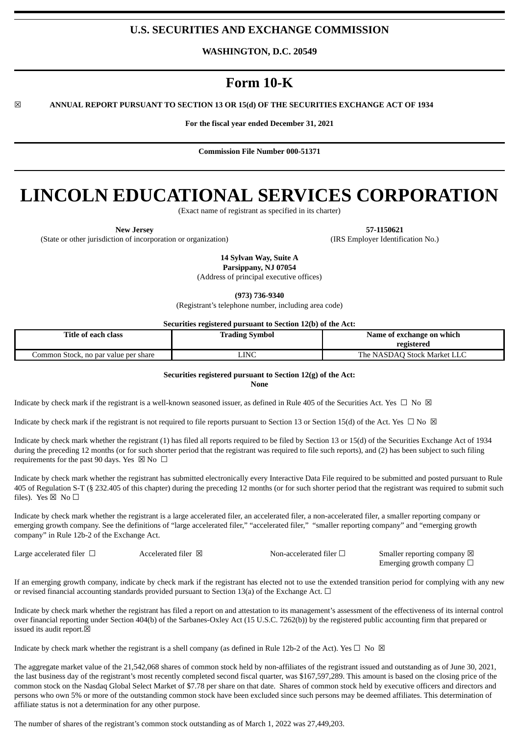## **U.S. SECURITIES AND EXCHANGE COMMISSION**

**WASHINGTON, D.C. 20549**

# **Form 10-K**

☒ **ANNUAL REPORT PURSUANT TO SECTION 13 OR 15(d) OF THE SECURITIES EXCHANGE ACT OF 1934**

**For the fiscal year ended December 31, 2021**

**Commission File Number 000-51371**

# **LINCOLN EDUCATIONAL SERVICES CORPORATION**

(Exact name of registrant as specified in its charter)

(State or other jurisdiction of incorporation or organization) (IRS Employer Identification No.)

**New Jersey 57-1150621**

**14 Sylvan Way, Suite A Parsippany, NJ 07054** (Address of principal executive offices)

**(973) 736-9340**

(Registrant's telephone number, including area code)

**Securities registered pursuant to Section 12(b) of the Act:**

| Title of each class                  | <b>Trading Symbol</b> | Name of exchange on which<br>registered |
|--------------------------------------|-----------------------|-----------------------------------------|
| Sommon Stock, no par value per share | LINC                  | The NASDAO Stock Market LLC             |

**Securities registered pursuant to Section 12(g) of the Act: None**

Indicate by check mark if the registrant is a well-known seasoned issuer, as defined in Rule 405 of the Securities Act. Yes  $\Box$  No  $\boxtimes$ 

Indicate by check mark if the registrant is not required to file reports pursuant to Section 13 or Section 15(d) of the Act. Yes  $\Box$  No  $\boxtimes$ 

Indicate by check mark whether the registrant (1) has filed all reports required to be filed by Section 13 or 15(d) of the Securities Exchange Act of 1934 during the preceding 12 months (or for such shorter period that the registrant was required to file such reports), and (2) has been subject to such filing requirements for the past 90 days. Yes  $\boxtimes$  No  $\Box$ 

Indicate by check mark whether the registrant has submitted electronically every Interactive Data File required to be submitted and posted pursuant to Rule 405 of Regulation S-T (§ 232.405 of this chapter) during the preceding 12 months (or for such shorter period that the registrant was required to submit such files). Yes  $\boxtimes$  No  $\square$ 

Indicate by check mark whether the registrant is a large accelerated filer, an accelerated filer, a non-accelerated filer, a smaller reporting company or emerging growth company. See the definitions of "large accelerated filer," "accelerated filer," "smaller reporting company" and "emerging growth company" in Rule 12b-2 of the Exchange Act.

Large accelerated filer □ Accelerated filer ⊠ Non-accelerated filer □ Smaller reporting company ⊠

Emerging growth company  $\Box$ 

If an emerging growth company, indicate by check mark if the registrant has elected not to use the extended transition period for complying with any new or revised financial accounting standards provided pursuant to Section 13(a) of the Exchange Act.  $\Box$ 

Indicate by check mark whether the registrant has filed a report on and attestation to its management's assessment of the effectiveness of its internal control over financial reporting under Section 404(b) of the Sarbanes-Oxley Act (15 U.S.C. 7262(b)) by the registered public accounting firm that prepared or issued its audit report. $\boxtimes$ 

Indicate by check mark whether the registrant is a shell company (as defined in Rule 12b-2 of the Act). Yes  $\Box$  No  $\boxtimes$ 

The aggregate market value of the 21,542,068 shares of common stock held by non-affiliates of the registrant issued and outstanding as of June 30, 2021, the last business day of the registrant's most recently completed second fiscal quarter, was \$167,597,289. This amount is based on the closing price of the common stock on the Nasdaq Global Select Market of \$7.78 per share on that date. Shares of common stock held by executive officers and directors and persons who own 5% or more of the outstanding common stock have been excluded since such persons may be deemed affiliates. This determination of affiliate status is not a determination for any other purpose.

The number of shares of the registrant's common stock outstanding as of March 1, 2022 was 27,449,203.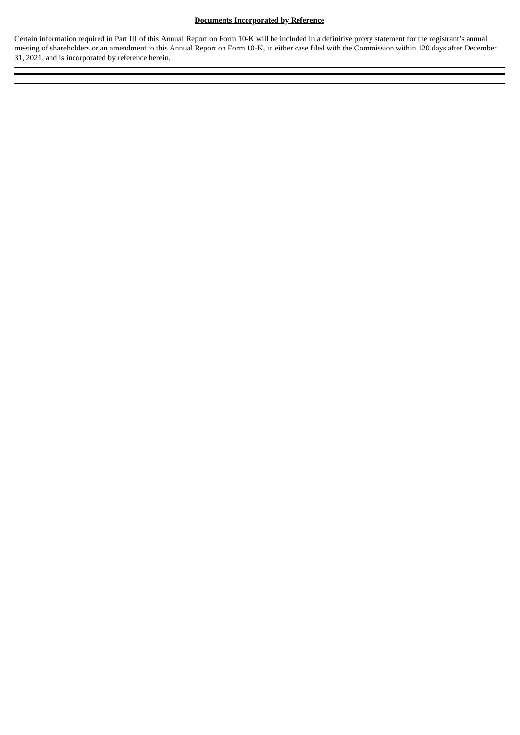## **Documents Incorporated by Reference**

Certain information required in Part III of this Annual Report on Form 10-K will be included in a definitive proxy statement for the registrant's annual meeting of shareholders or an amendment to this Annual Report on Form 10-K, in either case filed with the Commission within 120 days after December 31, 2021, and is incorporated by reference herein.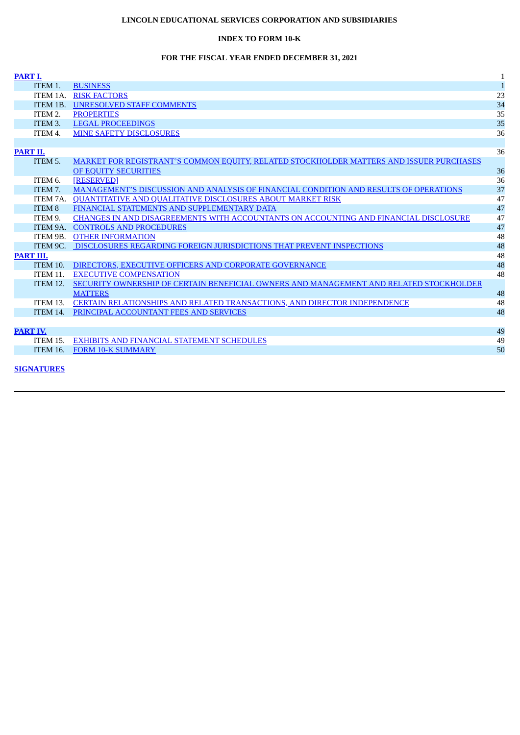## **LINCOLN EDUCATIONAL SERVICES CORPORATION AND SUBSIDIARIES**

## **INDEX TO FORM 10-K**

## **FOR THE FISCAL YEAR ENDED DECEMBER 31, 2021**

<span id="page-2-0"></span>

| PART I.          |                                                                                         | $\mathbf{1}$ |
|------------------|-----------------------------------------------------------------------------------------|--------------|
| ITEM 1.          | <b>BUSINESS</b>                                                                         | $\mathbf{1}$ |
| ITEM 1A.         | <b>RISK FACTORS</b>                                                                     | 23           |
|                  | ITEM 1B. UNRESOLVED STAFF COMMENTS                                                      | 34           |
| ITEM 2.          | <b>PROPERTIES</b>                                                                       | 35           |
| ITEM 3.          | <b>LEGAL PROCEEDINGS</b>                                                                | 35           |
| ITEM 4.          | <b>MINE SAFETY DISCLOSURES</b>                                                          | 36           |
|                  |                                                                                         |              |
| <b>PART II.</b>  |                                                                                         | 36           |
| ITEM 5.          | MARKET FOR REGISTRANT'S COMMON EQUITY, RELATED STOCKHOLDER MATTERS AND ISSUER PURCHASES |              |
|                  | OF EQUITY SECURITIES                                                                    | 36           |
| ITEM 6.          | [RESERVED]                                                                              | 36           |
| ITEM 7.          | MANAGEMENT'S DISCUSSION AND ANALYSIS OF FINANCIAL CONDITION AND RESULTS OF OPERATIONS   | 37           |
| ITEM 7A.         | <b>OUANTITATIVE AND OUALITATIVE DISCLOSURES ABOUT MARKET RISK</b>                       | 47           |
| ITEM 8           | FINANCIAL STATEMENTS AND SUPPLEMENTARY DATA                                             | 47           |
| ITEM 9.          | CHANGES IN AND DISAGREEMENTS WITH ACCOUNTANTS ON ACCOUNTING AND FINANCIAL DISCLOSURE    | 47           |
| ITEM 9A.         | <b>CONTROLS AND PROCEDURES</b>                                                          | 47           |
| ITEM 9B.         | <b>OTHER INFORMATION</b>                                                                | 48           |
| ITEM 9C.         | DISCLOSURES REGARDING FOREIGN JURISDICTIONS THAT PREVENT INSPECTIONS                    | 48           |
| <b>PART III.</b> |                                                                                         | 48           |
| <b>ITEM 10.</b>  | DIRECTORS, EXECUTIVE OFFICERS AND CORPORATE GOVERNANCE                                  | 48           |
| ITEM 11.         | <b>EXECUTIVE COMPENSATION</b>                                                           | 48           |
| <b>ITEM 12.</b>  | SECURITY OWNERSHIP OF CERTAIN BENEFICIAL OWNERS AND MANAGEMENT AND RELATED STOCKHOLDER  |              |
|                  | <b>MATTERS</b>                                                                          | 48           |
| <b>ITEM 13.</b>  | CERTAIN RELATIONSHIPS AND RELATED TRANSACTIONS, AND DIRECTOR INDEPENDENCE               | 48           |
| <b>ITEM 14.</b>  | PRINCIPAL ACCOUNTANT FEES AND SERVICES                                                  | 48           |
|                  |                                                                                         |              |
| <b>PART IV.</b>  |                                                                                         | 49           |
| <b>ITEM 15.</b>  | <b>EXHIBITS AND FINANCIAL STATEMENT SCHEDULES</b>                                       | 49           |
| <b>ITEM 16.</b>  | <b>FORM 10-K SUMMARY</b>                                                                | 50           |
|                  |                                                                                         |              |

**[SIGNATURES](#page-54-0)**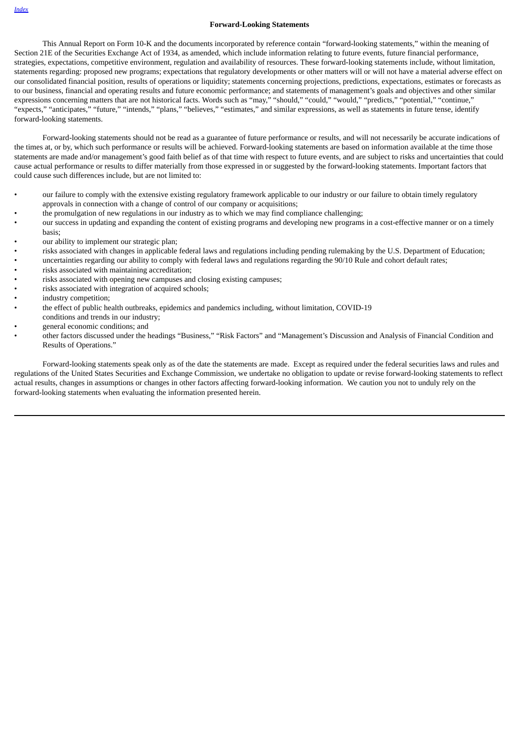## **Forward-Looking Statements**

This Annual Report on Form 10-K and the documents incorporated by reference contain "forward-looking statements," within the meaning of Section 21E of the Securities Exchange Act of 1934, as amended, which include information relating to future events, future financial performance, strategies, expectations, competitive environment, regulation and availability of resources. These forward-looking statements include, without limitation, statements regarding: proposed new programs; expectations that regulatory developments or other matters will or will not have a material adverse effect on our consolidated financial position, results of operations or liquidity; statements concerning projections, predictions, expectations, estimates or forecasts as to our business, financial and operating results and future economic performance; and statements of management's goals and objectives and other similar expressions concerning matters that are not historical facts. Words such as "may," "should," "could," "would," "predicts," "potential," "continue," "expects," "anticipates," "future," "intends," "plans," "believes," "estimates," and similar expressions, as well as statements in future tense, identify forward-looking statements.

Forward-looking statements should not be read as a guarantee of future performance or results, and will not necessarily be accurate indications of the times at, or by, which such performance or results will be achieved. Forward-looking statements are based on information available at the time those statements are made and/or management's good faith belief as of that time with respect to future events, and are subject to risks and uncertainties that could cause actual performance or results to differ materially from those expressed in or suggested by the forward-looking statements. Important factors that could cause such differences include, but are not limited to:

- our failure to comply with the extensive existing regulatory framework applicable to our industry or our failure to obtain timely regulatory approvals in connection with a change of control of our company or acquisitions;
- the promulgation of new regulations in our industry as to which we may find compliance challenging;
- our success in updating and expanding the content of existing programs and developing new programs in a cost-effective manner or on a timely basis;
- our ability to implement our strategic plan;
- risks associated with changes in applicable federal laws and regulations including pending rulemaking by the U.S. Department of Education;
- uncertainties regarding our ability to comply with federal laws and regulations regarding the 90/10 Rule and cohort default rates;
- risks associated with maintaining accreditation;
- risks associated with opening new campuses and closing existing campuses;
- risks associated with integration of acquired schools;
- industry competition;
- the effect of public health outbreaks, epidemics and pandemics including, without limitation, COVID-19
- conditions and trends in our industry;
- general economic conditions; and
- other factors discussed under the headings "Business," "Risk Factors" and "Management's Discussion and Analysis of Financial Condition and Results of Operations."

Forward-looking statements speak only as of the date the statements are made. Except as required under the federal securities laws and rules and regulations of the United States Securities and Exchange Commission, we undertake no obligation to update or revise forward-looking statements to reflect actual results, changes in assumptions or changes in other factors affecting forward-looking information. We caution you not to unduly rely on the forward-looking statements when evaluating the information presented herein.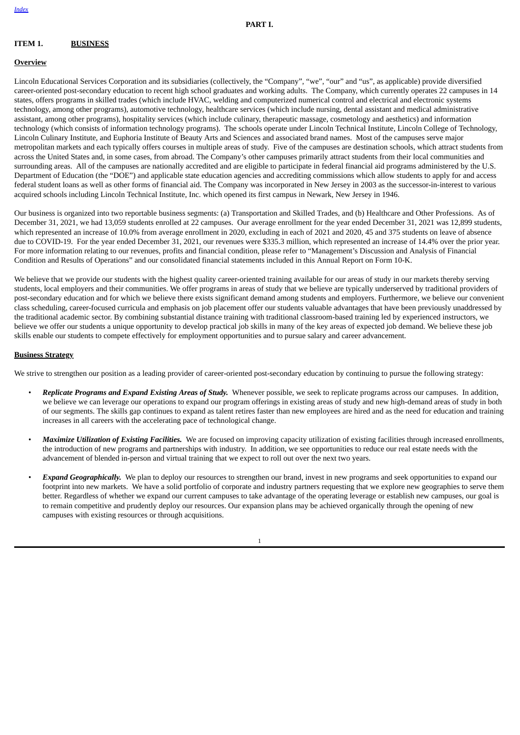## <span id="page-4-1"></span><span id="page-4-0"></span>**ITEM 1. BUSINESS**

## **Overview**

Lincoln Educational Services Corporation and its subsidiaries (collectively, the "Company", "we", "our" and "us", as applicable) provide diversified career-oriented post-secondary education to recent high school graduates and working adults. The Company, which currently operates 22 campuses in 14 states, offers programs in skilled trades (which include HVAC, welding and computerized numerical control and electrical and electronic systems technology, among other programs), automotive technology, healthcare services (which include nursing, dental assistant and medical administrative assistant, among other programs), hospitality services (which include culinary, therapeutic massage, cosmetology and aesthetics) and information technology (which consists of information technology programs). The schools operate under Lincoln Technical Institute, Lincoln College of Technology, Lincoln Culinary Institute, and Euphoria Institute of Beauty Arts and Sciences and associated brand names. Most of the campuses serve major metropolitan markets and each typically offers courses in multiple areas of study. Five of the campuses are destination schools, which attract students from across the United States and, in some cases, from abroad. The Company's other campuses primarily attract students from their local communities and surrounding areas. All of the campuses are nationally accredited and are eligible to participate in federal financial aid programs administered by the U.S. Department of Education (the "DOE") and applicable state education agencies and accrediting commissions which allow students to apply for and access federal student loans as well as other forms of financial aid. The Company was incorporated in New Jersey in 2003 as the successor-in-interest to various acquired schools including Lincoln Technical Institute, Inc. which opened its first campus in Newark, New Jersey in 1946.

Our business is organized into two reportable business segments: (a) Transportation and Skilled Trades, and (b) Healthcare and Other Professions. As of December 31, 2021, we had 13,059 students enrolled at 22 campuses. Our average enrollment for the year ended December 31, 2021 was 12,899 students, which represented an increase of 10.0% from average enrollment in 2020, excluding in each of 2021 and 2020, 45 and 375 students on leave of absence due to COVID-19. For the year ended December 31, 2021, our revenues were \$335.3 million, which represented an increase of 14.4% over the prior year. For more information relating to our revenues, profits and financial condition, please refer to "Management's Discussion and Analysis of Financial Condition and Results of Operations" and our consolidated financial statements included in this Annual Report on Form 10-K.

We believe that we provide our students with the highest quality career-oriented training available for our areas of study in our markets thereby serving students, local employers and their communities. We offer programs in areas of study that we believe are typically underserved by traditional providers of post-secondary education and for which we believe there exists significant demand among students and employers. Furthermore, we believe our convenient class scheduling, career-focused curricula and emphasis on job placement offer our students valuable advantages that have been previously unaddressed by the traditional academic sector. By combining substantial distance training with traditional classroom-based training led by experienced instructors, we believe we offer our students a unique opportunity to develop practical job skills in many of the key areas of expected job demand. We believe these job skills enable our students to compete effectively for employment opportunities and to pursue salary and career advancement.

#### **Business Strategy**

We strive to strengthen our position as a leading provider of career-oriented post-secondary education by continuing to pursue the following strategy:

- *Replicate Programs and Expand Existing Areas of Study.* Whenever possible, we seek to replicate programs across our campuses. In addition, we believe we can leverage our operations to expand our program offerings in existing areas of study and new high-demand areas of study in both of our segments. The skills gap continues to expand as talent retires faster than new employees are hired and as the need for education and training increases in all careers with the accelerating pace of technological change.
- *Maximize Utilization of Existing Facilities.* We are focused on improving capacity utilization of existing facilities through increased enrollments, the introduction of new programs and partnerships with industry. In addition, we see opportunities to reduce our real estate needs with the advancement of blended in-person and virtual training that we expect to roll out over the next two years.
- *Expand Geographically.* We plan to deploy our resources to strengthen our brand, invest in new programs and seek opportunities to expand our footprint into new markets. We have a solid portfolio of corporate and industry partners requesting that we explore new geographies to serve them better. Regardless of whether we expand our current campuses to take advantage of the operating leverage or establish new campuses, our goal is to remain competitive and prudently deploy our resources. Our expansion plans may be achieved organically through the opening of new campuses with existing resources or through acquisitions.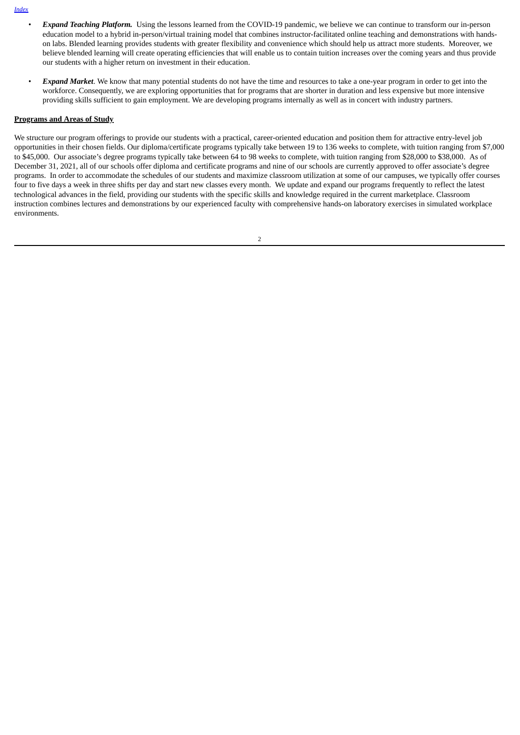- *Expand Teaching Platform.* Using the lessons learned from the COVID-19 pandemic, we believe we can continue to transform our in-person education model to a hybrid in-person/virtual training model that combines instructor-facilitated online teaching and demonstrations with handson labs. Blended learning provides students with greater flexibility and convenience which should help us attract more students. Moreover, we believe blended learning will create operating efficiencies that will enable us to contain tuition increases over the coming years and thus provide our students with a higher return on investment in their education.
- *Expand Market*. We know that many potential students do not have the time and resources to take a one-year program in order to get into the workforce. Consequently, we are exploring opportunities that for programs that are shorter in duration and less expensive but more intensive providing skills sufficient to gain employment. We are developing programs internally as well as in concert with industry partners.

## **Programs and Areas of Study**

We structure our program offerings to provide our students with a practical, career-oriented education and position them for attractive entry-level job opportunities in their chosen fields. Our diploma/certificate programs typically take between 19 to 136 weeks to complete, with tuition ranging from \$7,000 to \$45,000. Our associate's degree programs typically take between 64 to 98 weeks to complete, with tuition ranging from \$28,000 to \$38,000. As of December 31, 2021, all of our schools offer diploma and certificate programs and nine of our schools are currently approved to offer associate's degree programs. In order to accommodate the schedules of our students and maximize classroom utilization at some of our campuses, we typically offer courses four to five days a week in three shifts per day and start new classes every month. We update and expand our programs frequently to reflect the latest technological advances in the field, providing our students with the specific skills and knowledge required in the current marketplace. Classroom instruction combines lectures and demonstrations by our experienced faculty with comprehensive hands-on laboratory exercises in simulated workplace environments.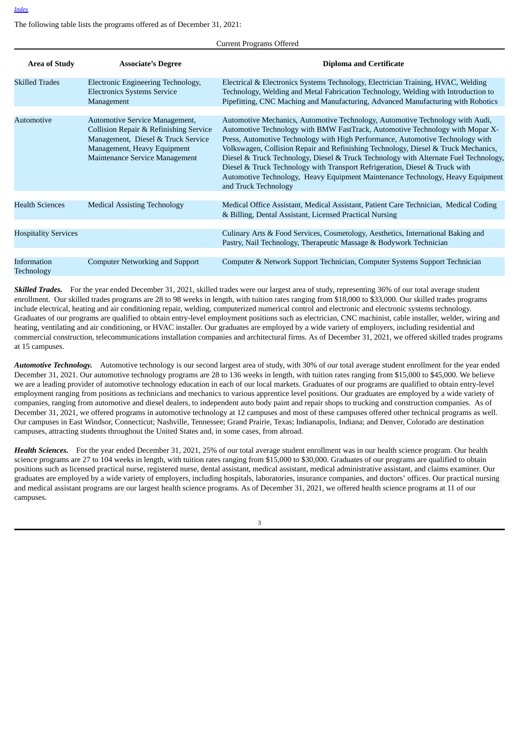The following table lists the programs offered as of December 31, 2021:

| <b>Area of Study</b>        | <b>Associate's Degree</b>                                                                                                                                                                  | <b>Diploma and Certificate</b>                                                                                                                                                                                                                                                                                                                                                                                                                                                                                                                                                                                          |
|-----------------------------|--------------------------------------------------------------------------------------------------------------------------------------------------------------------------------------------|-------------------------------------------------------------------------------------------------------------------------------------------------------------------------------------------------------------------------------------------------------------------------------------------------------------------------------------------------------------------------------------------------------------------------------------------------------------------------------------------------------------------------------------------------------------------------------------------------------------------------|
| <b>Skilled Trades</b>       | Electronic Engineering Technology,<br><b>Electronics Systems Service</b><br>Management                                                                                                     | Electrical & Electronics Systems Technology, Electrician Training, HVAC, Welding<br>Technology, Welding and Metal Fabrication Technology, Welding with Introduction to<br>Pipefitting, CNC Maching and Manufacturing, Advanced Manufacturing with Robotics                                                                                                                                                                                                                                                                                                                                                              |
| Automotive                  | Automotive Service Management,<br><b>Collision Repair &amp; Refinishing Service</b><br>Management, Diesel & Truck Service<br>Management, Heavy Equipment<br>Maintenance Service Management | Automotive Mechanics, Automotive Technology, Automotive Technology with Audi,<br>Automotive Technology with BMW FastTrack, Automotive Technology with Mopar X-<br>Press, Automotive Technology with High Performance, Automotive Technology with<br>Volkswagen, Collision Repair and Refinishing Technology, Diesel & Truck Mechanics,<br>Diesel & Truck Technology, Diesel & Truck Technology with Alternate Fuel Technology,<br>Diesel & Truck Technology with Transport Refrigeration, Diesel & Truck with<br>Automotive Technology, Heavy Equipment Maintenance Technology, Heavy Equipment<br>and Truck Technology |
| <b>Health Sciences</b>      | <b>Medical Assisting Technology</b>                                                                                                                                                        | Medical Office Assistant, Medical Assistant, Patient Care Technician, Medical Coding<br>& Billing, Dental Assistant, Licensed Practical Nursing                                                                                                                                                                                                                                                                                                                                                                                                                                                                         |
| <b>Hospitality Services</b> |                                                                                                                                                                                            | Culinary Arts & Food Services, Cosmetology, Aesthetics, International Baking and<br>Pastry, Nail Technology, Therapeutic Massage & Bodywork Technician                                                                                                                                                                                                                                                                                                                                                                                                                                                                  |
| Information<br>Technology   | <b>Computer Networking and Support</b>                                                                                                                                                     | Computer & Network Support Technician, Computer Systems Support Technician                                                                                                                                                                                                                                                                                                                                                                                                                                                                                                                                              |

Current Programs Offered

*Skilled Trades.* For the year ended December 31, 2021, skilled trades were our largest area of study, representing 36% of our total average student enrollment. Our skilled trades programs are 28 to 98 weeks in length, with tuition rates ranging from \$18,000 to \$33,000. Our skilled trades programs include electrical, heating and air conditioning repair, welding, computerized numerical control and electronic and electronic systems technology. Graduates of our programs are qualified to obtain entry-level employment positions such as electrician, CNC machinist, cable installer, welder, wiring and heating, ventilating and air conditioning, or HVAC installer. Our graduates are employed by a wide variety of employers, including residential and commercial construction, telecommunications installation companies and architectural firms. As of December 31, 2021, we offered skilled trades programs at 15 campuses.

*Automotive Technology.* Automotive technology is our second largest area of study, with 30% of our total average student enrollment for the year ended December 31, 2021. Our automotive technology programs are 28 to 136 weeks in length, with tuition rates ranging from \$15,000 to \$45,000. We believe we are a leading provider of automotive technology education in each of our local markets. Graduates of our programs are qualified to obtain entry-level employment ranging from positions as technicians and mechanics to various apprentice level positions. Our graduates are employed by a wide variety of companies, ranging from automotive and diesel dealers, to independent auto body paint and repair shops to trucking and construction companies. As of December 31, 2021, we offered programs in automotive technology at 12 campuses and most of these campuses offered other technical programs as well. Our campuses in East Windsor, Connecticut; Nashville, Tennessee; Grand Prairie, Texas; Indianapolis, Indiana; and Denver, Colorado are destination campuses, attracting students throughout the United States and, in some cases, from abroad.

*Health Sciences.* For the year ended December 31, 2021, 25% of our total average student enrollment was in our health science program. Our health science programs are 27 to 104 weeks in length, with tuition rates ranging from \$15,000 to \$30,000. Graduates of our programs are qualified to obtain positions such as licensed practical nurse, registered nurse, dental assistant, medical assistant, medical administrative assistant, and claims examiner. Our graduates are employed by a wide variety of employers, including hospitals, laboratories, insurance companies, and doctors' offices. Our practical nursing and medical assistant programs are our largest health science programs. As of December 31, 2021, we offered health science programs at 11 of our campuses.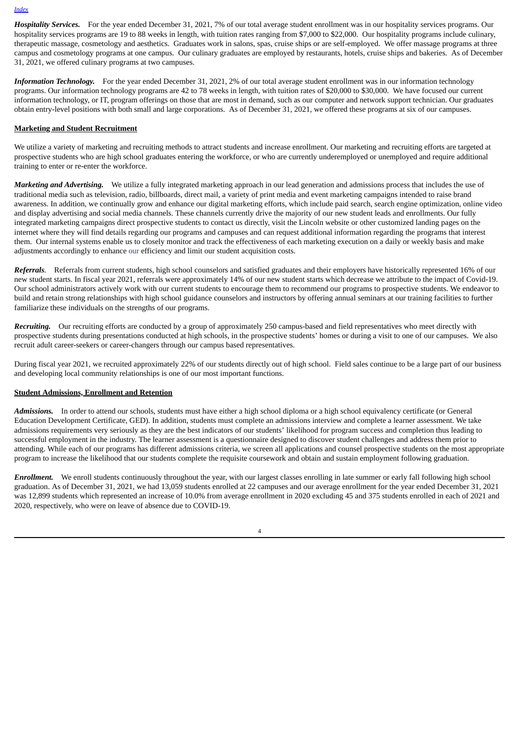*Hospitality Services.* For the year ended December 31, 2021, 7% of our total average student enrollment was in our hospitality services programs. Our hospitality services programs are 19 to 88 weeks in length, with tuition rates ranging from \$7,000 to \$22,000. Our hospitality programs include culinary, therapeutic massage, cosmetology and aesthetics. Graduates work in salons, spas, cruise ships or are self-employed. We offer massage programs at three campus and cosmetology programs at one campus. Our culinary graduates are employed by restaurants, hotels, cruise ships and bakeries. As of December 31, 2021, we offered culinary programs at two campuses.

*Information Technology.* For the year ended December 31, 2021, 2% of our total average student enrollment was in our information technology programs. Our information technology programs are 42 to 78 weeks in length, with tuition rates of \$20,000 to \$30,000. We have focused our current information technology, or IT, program offerings on those that are most in demand, such as our computer and network support technician. Our graduates obtain entry-level positions with both small and large corporations. As of December 31, 2021, we offered these programs at six of our campuses.

#### **Marketing and Student Recruitment**

We utilize a variety of marketing and recruiting methods to attract students and increase enrollment. Our marketing and recruiting efforts are targeted at prospective students who are high school graduates entering the workforce, or who are currently underemployed or unemployed and require additional training to enter or re-enter the workforce.

*Marketing and Advertising.* We utilize a fully integrated marketing approach in our lead generation and admissions process that includes the use of traditional media such as television, radio, billboards, direct mail, a variety of print media and event marketing campaigns intended to raise brand awareness. In addition, we continually grow and enhance our digital marketing efforts, which include paid search, search engine optimization, online video and display advertising and social media channels. These channels currently drive the majority of our new student leads and enrollments. Our fully integrated marketing campaigns direct prospective students to contact us directly, visit the Lincoln website or other customized landing pages on the internet where they will find details regarding our programs and campuses and can request additional information regarding the programs that interest them. Our internal systems enable us to closely monitor and track the effectiveness of each marketing execution on a daily or weekly basis and make adjustments accordingly to enhance our efficiency and limit our student acquisition costs.

*Referrals.* Referrals from current students, high school counselors and satisfied graduates and their employers have historically represented 16% of our new student starts. In fiscal year 2021, referrals were approximately 14% of our new student starts which decrease we attribute to the impact of Covid-19. Our school administrators actively work with our current students to encourage them to recommend our programs to prospective students. We endeavor to build and retain strong relationships with high school guidance counselors and instructors by offering annual seminars at our training facilities to further familiarize these individuals on the strengths of our programs.

*Recruiting.* Our recruiting efforts are conducted by a group of approximately 250 campus-based and field representatives who meet directly with prospective students during presentations conducted at high schools, in the prospective students' homes or during a visit to one of our campuses. We also recruit adult career-seekers or career-changers through our campus based representatives.

During fiscal year 2021, we recruited approximately 22% of our students directly out of high school. Field sales continue to be a large part of our business and developing local community relationships is one of our most important functions.

## **Student Admissions, Enrollment and Retention**

*Admissions.* In order to attend our schools, students must have either a high school diploma or a high school equivalency certificate (or General Education Development Certificate, GED). In addition, students must complete an admissions interview and complete a learner assessment. We take admissions requirements very seriously as they are the best indicators of our students' likelihood for program success and completion thus leading to successful employment in the industry. The learner assessment is a questionnaire designed to discover student challenges and address them prior to attending. While each of our programs has different admissions criteria, we screen all applications and counsel prospective students on the most appropriate program to increase the likelihood that our students complete the requisite coursework and obtain and sustain employment following graduation.

*Enrollment.* We enroll students continuously throughout the year, with our largest classes enrolling in late summer or early fall following high school graduation. As of December 31, 2021, we had 13,059 students enrolled at 22 campuses and our average enrollment for the year ended December 31, 2021 was 12,899 students which represented an increase of 10.0% from average enrollment in 2020 excluding 45 and 375 students enrolled in each of 2021 and 2020, respectively, who were on leave of absence due to COVID-19.

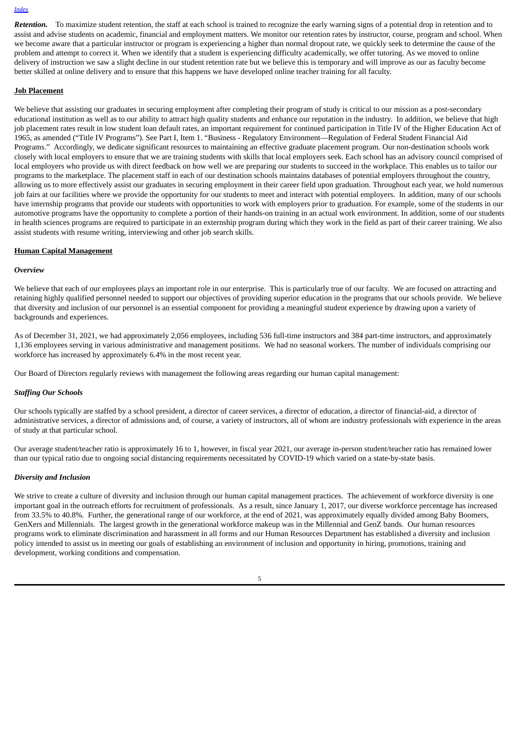*Retention.* To maximize student retention, the staff at each school is trained to recognize the early warning signs of a potential drop in retention and to assist and advise students on academic, financial and employment matters. We monitor our retention rates by instructor, course, program and school. When we become aware that a particular instructor or program is experiencing a higher than normal dropout rate, we quickly seek to determine the cause of the problem and attempt to correct it. When we identify that a student is experiencing difficulty academically, we offer tutoring. As we moved to online delivery of instruction we saw a slight decline in our student retention rate but we believe this is temporary and will improve as our as faculty become better skilled at online delivery and to ensure that this happens we have developed online teacher training for all faculty.

## **Job Placement**

We believe that assisting our graduates in securing employment after completing their program of study is critical to our mission as a post-secondary educational institution as well as to our ability to attract high quality students and enhance our reputation in the industry. In addition, we believe that high job placement rates result in low student loan default rates, an important requirement for continued participation in Title IV of the Higher Education Act of 1965, as amended ("Title IV Programs"). See Part I, Item 1. "Business - Regulatory Environment—Regulation of Federal Student Financial Aid Programs." Accordingly, we dedicate significant resources to maintaining an effective graduate placement program. Our non-destination schools work closely with local employers to ensure that we are training students with skills that local employers seek. Each school has an advisory council comprised of local employers who provide us with direct feedback on how well we are preparing our students to succeed in the workplace. This enables us to tailor our programs to the marketplace. The placement staff in each of our destination schools maintains databases of potential employers throughout the country, allowing us to more effectively assist our graduates in securing employment in their career field upon graduation. Throughout each year, we hold numerous job fairs at our facilities where we provide the opportunity for our students to meet and interact with potential employers. In addition, many of our schools have internship programs that provide our students with opportunities to work with employers prior to graduation. For example, some of the students in our automotive programs have the opportunity to complete a portion of their hands-on training in an actual work environment. In addition, some of our students in health sciences programs are required to participate in an externship program during which they work in the field as part of their career training. We also assist students with resume writing, interviewing and other job search skills.

#### **Human Capital Management**

#### *Overview*

We believe that each of our employees plays an important role in our enterprise. This is particularly true of our faculty. We are focused on attracting and retaining highly qualified personnel needed to support our objectives of providing superior education in the programs that our schools provide. We believe that diversity and inclusion of our personnel is an essential component for providing a meaningful student experience by drawing upon a variety of backgrounds and experiences.

As of December 31, 2021, we had approximately 2,056 employees, including 536 full-time instructors and 384 part-time instructors, and approximately 1,136 employees serving in various administrative and management positions. We had no seasonal workers. The number of individuals comprising our workforce has increased by approximately 6.4% in the most recent year.

Our Board of Directors regularly reviews with management the following areas regarding our human capital management:

#### *Staffing Our Schools*

Our schools typically are staffed by a school president, a director of career services, a director of education, a director of financial-aid, a director of administrative services, a director of admissions and, of course, a variety of instructors, all of whom are industry professionals with experience in the areas of study at that particular school.

Our average student/teacher ratio is approximately 16 to 1, however, in fiscal year 2021, our average in-person student/teacher ratio has remained lower than our typical ratio due to ongoing social distancing requirements necessitated by COVID-19 which varied on a state-by-state basis.

#### *Diversity and Inclusion*

We strive to create a culture of diversity and inclusion through our human capital management practices. The achievement of workforce diversity is one important goal in the outreach efforts for recruitment of professionals. As a result, since January 1, 2017, our diverse workforce percentage has increased from 33.5% to 40.8%. Further, the generational range of our workforce, at the end of 2021, was approximately equally divided among Baby Boomers, GenXers and Millennials. The largest growth in the generational workforce makeup was in the Millennial and GenZ bands. Our human resources programs work to eliminate discrimination and harassment in all forms and our Human Resources Department has established a diversity and inclusion policy intended to assist us in meeting our goals of establishing an environment of inclusion and opportunity in hiring, promotions, training and development, working conditions and compensation.

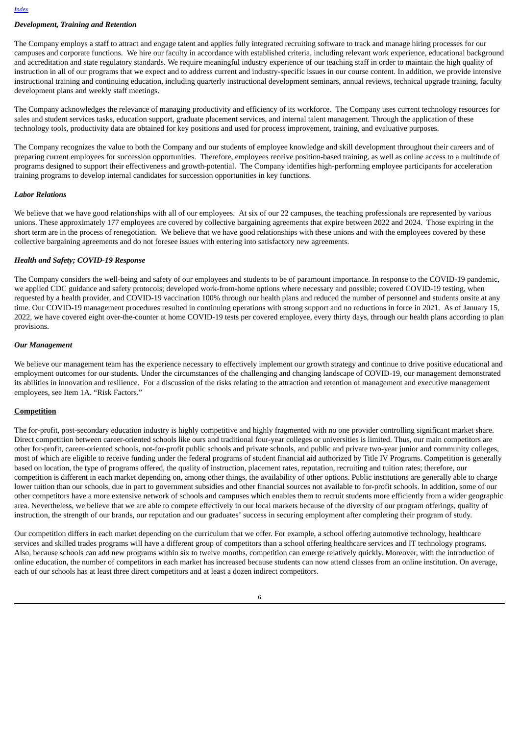## *Development, Training and Retention*

The Company employs a staff to attract and engage talent and applies fully integrated recruiting software to track and manage hiring processes for our campuses and corporate functions. We hire our faculty in accordance with established criteria, including relevant work experience, educational background and accreditation and state regulatory standards. We require meaningful industry experience of our teaching staff in order to maintain the high quality of instruction in all of our programs that we expect and to address current and industry-specific issues in our course content. In addition, we provide intensive instructional training and continuing education, including quarterly instructional development seminars, annual reviews, technical upgrade training, faculty development plans and weekly staff meetings.

The Company acknowledges the relevance of managing productivity and efficiency of its workforce. The Company uses current technology resources for sales and student services tasks, education support, graduate placement services, and internal talent management. Through the application of these technology tools, productivity data are obtained for key positions and used for process improvement, training, and evaluative purposes.

The Company recognizes the value to both the Company and our students of employee knowledge and skill development throughout their careers and of preparing current employees for succession opportunities. Therefore, employees receive position-based training, as well as online access to a multitude of programs designed to support their effectiveness and growth-potential. The Company identifies high-performing employee participants for acceleration training programs to develop internal candidates for succession opportunities in key functions.

#### *Labor Relations*

We believe that we have good relationships with all of our employees. At six of our 22 campuses, the teaching professionals are represented by various unions. These approximately 177 employees are covered by collective bargaining agreements that expire between 2022 and 2024. Those expiring in the short term are in the process of renegotiation. We believe that we have good relationships with these unions and with the employees covered by these collective bargaining agreements and do not foresee issues with entering into satisfactory new agreements.

#### *Health and Safety; COVID-19 Response*

The Company considers the well-being and safety of our employees and students to be of paramount importance. In response to the COVID-19 pandemic, we applied CDC guidance and safety protocols; developed work-from-home options where necessary and possible; covered COVID-19 testing, when requested by a health provider, and COVID-19 vaccination 100% through our health plans and reduced the number of personnel and students onsite at any time. Our COVID-19 management procedures resulted in continuing operations with strong support and no reductions in force in 2021. As of January 15, 2022, we have covered eight over-the-counter at home COVID-19 tests per covered employee, every thirty days, through our health plans according to plan provisions.

#### *Our Management*

We believe our management team has the experience necessary to effectively implement our growth strategy and continue to drive positive educational and employment outcomes for our students. Under the circumstances of the challenging and changing landscape of COVID-19, our management demonstrated its abilities in innovation and resilience. For a discussion of the risks relating to the attraction and retention of management and executive management employees, see Item 1A. "Risk Factors."

#### **Competition**

The for-profit, post-secondary education industry is highly competitive and highly fragmented with no one provider controlling significant market share. Direct competition between career-oriented schools like ours and traditional four-year colleges or universities is limited. Thus, our main competitors are other for-profit, career-oriented schools, not-for-profit public schools and private schools, and public and private two-year junior and community colleges, most of which are eligible to receive funding under the federal programs of student financial aid authorized by Title IV Programs. Competition is generally based on location, the type of programs offered, the quality of instruction, placement rates, reputation, recruiting and tuition rates; therefore, our competition is different in each market depending on, among other things, the availability of other options. Public institutions are generally able to charge lower tuition than our schools, due in part to government subsidies and other financial sources not available to for-profit schools. In addition, some of our other competitors have a more extensive network of schools and campuses which enables them to recruit students more efficiently from a wider geographic area. Nevertheless, we believe that we are able to compete effectively in our local markets because of the diversity of our program offerings, quality of instruction, the strength of our brands, our reputation and our graduates' success in securing employment after completing their program of study.

Our competition differs in each market depending on the curriculum that we offer. For example, a school offering automotive technology, healthcare services and skilled trades programs will have a different group of competitors than a school offering healthcare services and IT technology programs. Also, because schools can add new programs within six to twelve months, competition can emerge relatively quickly. Moreover, with the introduction of online education, the number of competitors in each market has increased because students can now attend classes from an online institution. On average, each of our schools has at least three direct competitors and at least a dozen indirect competitors.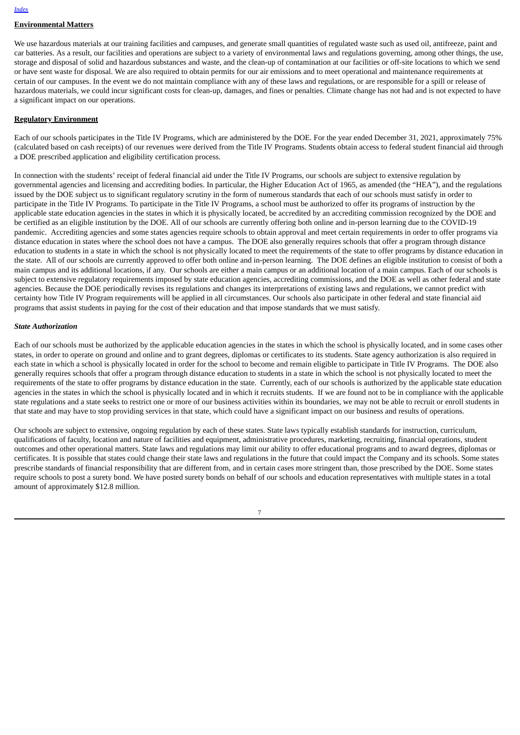## **Environmental Matters**

We use hazardous materials at our training facilities and campuses, and generate small quantities of regulated waste such as used oil, antifreeze, paint and car batteries. As a result, our facilities and operations are subject to a variety of environmental laws and regulations governing, among other things, the use, storage and disposal of solid and hazardous substances and waste, and the clean-up of contamination at our facilities or off-site locations to which we send or have sent waste for disposal. We are also required to obtain permits for our air emissions and to meet operational and maintenance requirements at certain of our campuses. In the event we do not maintain compliance with any of these laws and regulations, or are responsible for a spill or release of hazardous materials, we could incur significant costs for clean-up, damages, and fines or penalties. Climate change has not had and is not expected to have a significant impact on our operations.

## **Regulatory Environment**

Each of our schools participates in the Title IV Programs, which are administered by the DOE. For the year ended December 31, 2021, approximately 75% (calculated based on cash receipts) of our revenues were derived from the Title IV Programs. Students obtain access to federal student financial aid through a DOE prescribed application and eligibility certification process.

In connection with the students' receipt of federal financial aid under the Title IV Programs, our schools are subject to extensive regulation by governmental agencies and licensing and accrediting bodies. In particular, the Higher Education Act of 1965, as amended (the "HEA"), and the regulations issued by the DOE subject us to significant regulatory scrutiny in the form of numerous standards that each of our schools must satisfy in order to participate in the Title IV Programs. To participate in the Title IV Programs, a school must be authorized to offer its programs of instruction by the applicable state education agencies in the states in which it is physically located, be accredited by an accrediting commission recognized by the DOE and be certified as an eligible institution by the DOE. All of our schools are currently offering both online and in-person learning due to the COVID-19 pandemic. Accrediting agencies and some states agencies require schools to obtain approval and meet certain requirements in order to offer programs via distance education in states where the school does not have a campus. The DOE also generally requires schools that offer a program through distance education to students in a state in which the school is not physically located to meet the requirements of the state to offer programs by distance education in the state. All of our schools are currently approved to offer both online and in-person learning. The DOE defines an eligible institution to consist of both a main campus and its additional locations, if any. Our schools are either a main campus or an additional location of a main campus. Each of our schools is subject to extensive regulatory requirements imposed by state education agencies, accrediting commissions, and the DOE as well as other federal and state agencies. Because the DOE periodically revises its regulations and changes its interpretations of existing laws and regulations, we cannot predict with certainty how Title IV Program requirements will be applied in all circumstances. Our schools also participate in other federal and state financial aid programs that assist students in paying for the cost of their education and that impose standards that we must satisfy.

## *State Authorization*

Each of our schools must be authorized by the applicable education agencies in the states in which the school is physically located, and in some cases other states, in order to operate on ground and online and to grant degrees, diplomas or certificates to its students. State agency authorization is also required in each state in which a school is physically located in order for the school to become and remain eligible to participate in Title IV Programs. The DOE also generally requires schools that offer a program through distance education to students in a state in which the school is not physically located to meet the requirements of the state to offer programs by distance education in the state. Currently, each of our schools is authorized by the applicable state education agencies in the states in which the school is physically located and in which it recruits students. If we are found not to be in compliance with the applicable state regulations and a state seeks to restrict one or more of our business activities within its boundaries, we may not be able to recruit or enroll students in that state and may have to stop providing services in that state, which could have a significant impact on our business and results of operations.

Our schools are subject to extensive, ongoing regulation by each of these states. State laws typically establish standards for instruction, curriculum, qualifications of faculty, location and nature of facilities and equipment, administrative procedures, marketing, recruiting, financial operations, student outcomes and other operational matters. State laws and regulations may limit our ability to offer educational programs and to award degrees, diplomas or certificates. It is possible that states could change their state laws and regulations in the future that could impact the Company and its schools. Some states prescribe standards of financial responsibility that are different from, and in certain cases more stringent than, those prescribed by the DOE. Some states require schools to post a surety bond. We have posted surety bonds on behalf of our schools and education representatives with multiple states in a total amount of approximately \$12.8 million.

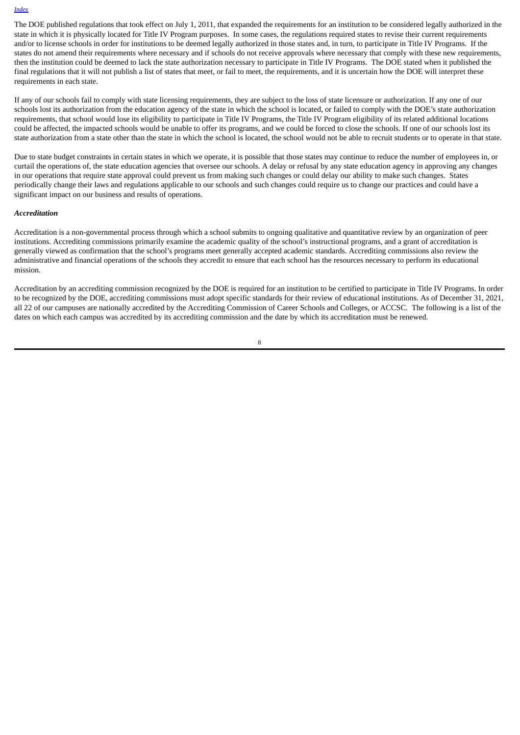The DOE published regulations that took effect on July 1, 2011, that expanded the requirements for an institution to be considered legally authorized in the state in which it is physically located for Title IV Program purposes. In some cases, the regulations required states to revise their current requirements and/or to license schools in order for institutions to be deemed legally authorized in those states and, in turn, to participate in Title IV Programs. If the states do not amend their requirements where necessary and if schools do not receive approvals where necessary that comply with these new requirements, then the institution could be deemed to lack the state authorization necessary to participate in Title IV Programs. The DOE stated when it published the final regulations that it will not publish a list of states that meet, or fail to meet, the requirements, and it is uncertain how the DOE will interpret these requirements in each state.

If any of our schools fail to comply with state licensing requirements, they are subject to the loss of state licensure or authorization. If any one of our schools lost its authorization from the education agency of the state in which the school is located, or failed to comply with the DOE's state authorization requirements, that school would lose its eligibility to participate in Title IV Programs, the Title IV Program eligibility of its related additional locations could be affected, the impacted schools would be unable to offer its programs, and we could be forced to close the schools. If one of our schools lost its state authorization from a state other than the state in which the school is located, the school would not be able to recruit students or to operate in that state.

Due to state budget constraints in certain states in which we operate, it is possible that those states may continue to reduce the number of employees in, or curtail the operations of, the state education agencies that oversee our schools. A delay or refusal by any state education agency in approving any changes in our operations that require state approval could prevent us from making such changes or could delay our ability to make such changes. States periodically change their laws and regulations applicable to our schools and such changes could require us to change our practices and could have a significant impact on our business and results of operations.

#### *Accreditation*

Accreditation is a non-governmental process through which a school submits to ongoing qualitative and quantitative review by an organization of peer institutions. Accrediting commissions primarily examine the academic quality of the school's instructional programs, and a grant of accreditation is generally viewed as confirmation that the school's programs meet generally accepted academic standards. Accrediting commissions also review the administrative and financial operations of the schools they accredit to ensure that each school has the resources necessary to perform its educational mission.

Accreditation by an accrediting commission recognized by the DOE is required for an institution to be certified to participate in Title IV Programs. In order to be recognized by the DOE, accrediting commissions must adopt specific standards for their review of educational institutions. As of December 31, 2021, all 22 of our campuses are nationally accredited by the Accrediting Commission of Career Schools and Colleges, or ACCSC. The following is a list of the dates on which each campus was accredited by its accrediting commission and the date by which its accreditation must be renewed.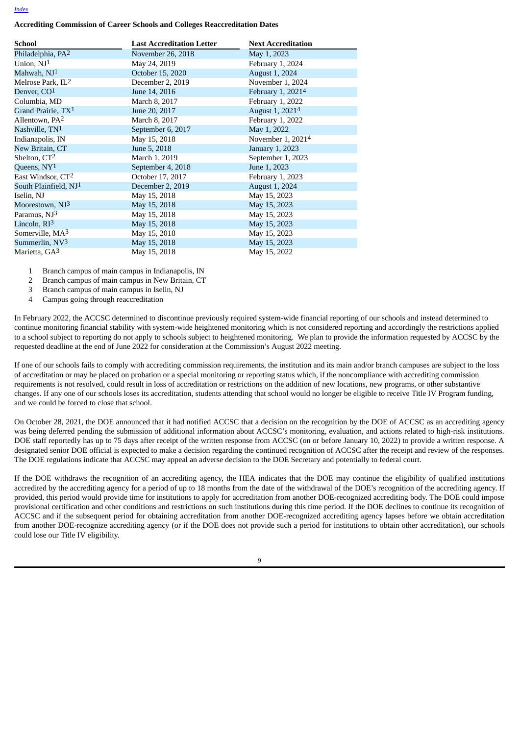#### **Accrediting Commission of Career Schools and Colleges Reaccreditation Dates**

| <b>School</b>                     | <b>Last Accreditation Letter</b> | <b>Next Accreditation</b>     |
|-----------------------------------|----------------------------------|-------------------------------|
| Philadelphia, PA <sup>2</sup>     | November 26, 2018                | May 1, 2023                   |
| Union, NJ1                        | May 24, 2019                     | February 1, 2024              |
| Mahwah, NJ <sup>1</sup>           | October 15, 2020                 | August 1, 2024                |
| Melrose Park, IL <sup>2</sup>     | December 2, 2019                 | November 1, 2024              |
| Denver, $CO1$                     | June 14, 2016                    | February 1, 2021 <sup>4</sup> |
| Columbia, MD                      | March 8, 2017                    | February 1, 2022              |
| Grand Prairie, TX <sup>1</sup>    | June 20, 2017                    | August 1, 2021 <sup>4</sup>   |
| Allentown, PA <sup>2</sup>        | March 8, 2017                    | February 1, 2022              |
| Nashville, TN <sup>1</sup>        | September 6, 2017                | May 1, 2022                   |
| Indianapolis, IN                  | May 15, 2018                     | November 1, 2021 <sup>4</sup> |
| New Britain, CT                   | June 5, 2018                     | January 1, 2023               |
| Shelton, CT <sup>2</sup>          | March 1, 2019                    | September 1, 2023             |
| Queens, NY <sup>1</sup>           | September 4, 2018                | June 1, 2023                  |
| East Windsor, CT <sup>2</sup>     | October 17, 2017                 | February 1, 2023              |
| South Plainfield, NJ <sup>1</sup> | December 2, 2019                 | August 1, 2024                |
| Iselin, NJ                        | May 15, 2018                     | May 15, 2023                  |
| Moorestown, NJ3                   | May 15, 2018                     | May 15, 2023                  |
| Paramus, NJ3                      | May 15, 2018                     | May 15, 2023                  |
| Lincoln, $RI3$                    | May 15, 2018                     | May 15, 2023                  |
| Somerville, MA3                   | May 15, 2018                     | May 15, 2023                  |
| Summerlin, NV3                    | May 15, 2018                     | May 15, 2023                  |
| Marietta, GA <sup>3</sup>         | May 15, 2018                     | May 15, 2022                  |

1 Branch campus of main campus in Indianapolis, IN

2 Branch campus of main campus in New Britain, CT

3 Branch campus of main campus in Iselin, NJ

4 Campus going through reaccreditation

In February 2022, the ACCSC determined to discontinue previously required system-wide financial reporting of our schools and instead determined to continue monitoring financial stability with system-wide heightened monitoring which is not considered reporting and accordingly the restrictions applied to a school subject to reporting do not apply to schools subject to heightened monitoring. We plan to provide the information requested by ACCSC by the requested deadline at the end of June 2022 for consideration at the Commission's August 2022 meeting.

If one of our schools fails to comply with accrediting commission requirements, the institution and its main and/or branch campuses are subject to the loss of accreditation or may be placed on probation or a special monitoring or reporting status which, if the noncompliance with accrediting commission requirements is not resolved, could result in loss of accreditation or restrictions on the addition of new locations, new programs, or other substantive changes. If any one of our schools loses its accreditation, students attending that school would no longer be eligible to receive Title IV Program funding, and we could be forced to close that school.

On October 28, 2021, the DOE announced that it had notified ACCSC that a decision on the recognition by the DOE of ACCSC as an accrediting agency was being deferred pending the submission of additional information about ACCSC's monitoring, evaluation, and actions related to high-risk institutions. DOE staff reportedly has up to 75 days after receipt of the written response from ACCSC (on or before January 10, 2022) to provide a written response. A designated senior DOE official is expected to make a decision regarding the continued recognition of ACCSC after the receipt and review of the responses. The DOE regulations indicate that ACCSC may appeal an adverse decision to the DOE Secretary and potentially to federal court.

If the DOE withdraws the recognition of an accrediting agency, the HEA indicates that the DOE may continue the eligibility of qualified institutions accredited by the accrediting agency for a period of up to 18 months from the date of the withdrawal of the DOE's recognition of the accrediting agency. If provided, this period would provide time for institutions to apply for accreditation from another DOE-recognized accrediting body. The DOE could impose provisional certification and other conditions and restrictions on such institutions during this time period. If the DOE declines to continue its recognition of ACCSC and if the subsequent period for obtaining accreditation from another DOE-recognized accrediting agency lapses before we obtain accreditation from another DOE-recognize accrediting agency (or if the DOE does not provide such a period for institutions to obtain other accreditation), our schools could lose our Title IV eligibility.

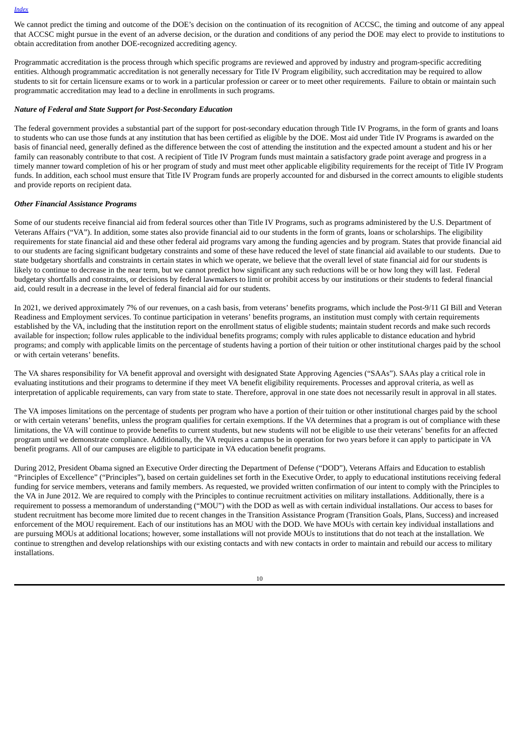We cannot predict the timing and outcome of the DOE's decision on the continuation of its recognition of ACCSC, the timing and outcome of any appeal that ACCSC might pursue in the event of an adverse decision, or the duration and conditions of any period the DOE may elect to provide to institutions to obtain accreditation from another DOE-recognized accrediting agency.

Programmatic accreditation is the process through which specific programs are reviewed and approved by industry and program-specific accrediting entities. Although programmatic accreditation is not generally necessary for Title IV Program eligibility, such accreditation may be required to allow students to sit for certain licensure exams or to work in a particular profession or career or to meet other requirements. Failure to obtain or maintain such programmatic accreditation may lead to a decline in enrollments in such programs.

#### *Nature of Federal and State Support for Post-Secondary Education*

The federal government provides a substantial part of the support for post-secondary education through Title IV Programs, in the form of grants and loans to students who can use those funds at any institution that has been certified as eligible by the DOE. Most aid under Title IV Programs is awarded on the basis of financial need, generally defined as the difference between the cost of attending the institution and the expected amount a student and his or her family can reasonably contribute to that cost. A recipient of Title IV Program funds must maintain a satisfactory grade point average and progress in a timely manner toward completion of his or her program of study and must meet other applicable eligibility requirements for the receipt of Title IV Program funds. In addition, each school must ensure that Title IV Program funds are properly accounted for and disbursed in the correct amounts to eligible students and provide reports on recipient data.

#### *Other Financial Assistance Programs*

Some of our students receive financial aid from federal sources other than Title IV Programs, such as programs administered by the U.S. Department of Veterans Affairs ("VA"). In addition, some states also provide financial aid to our students in the form of grants, loans or scholarships. The eligibility requirements for state financial aid and these other federal aid programs vary among the funding agencies and by program. States that provide financial aid to our students are facing significant budgetary constraints and some of these have reduced the level of state financial aid available to our students. Due to state budgetary shortfalls and constraints in certain states in which we operate, we believe that the overall level of state financial aid for our students is likely to continue to decrease in the near term, but we cannot predict how significant any such reductions will be or how long they will last. Federal budgetary shortfalls and constraints, or decisions by federal lawmakers to limit or prohibit access by our institutions or their students to federal financial aid, could result in a decrease in the level of federal financial aid for our students.

In 2021, we derived approximately 7% of our revenues, on a cash basis, from veterans' benefits programs, which include the Post-9/11 GI Bill and Veteran Readiness and Employment services. To continue participation in veterans' benefits programs, an institution must comply with certain requirements established by the VA, including that the institution report on the enrollment status of eligible students; maintain student records and make such records available for inspection; follow rules applicable to the individual benefits programs; comply with rules applicable to distance education and hybrid programs; and comply with applicable limits on the percentage of students having a portion of their tuition or other institutional charges paid by the school or with certain veterans' benefits.

The VA shares responsibility for VA benefit approval and oversight with designated State Approving Agencies ("SAAs"). SAAs play a critical role in evaluating institutions and their programs to determine if they meet VA benefit eligibility requirements. Processes and approval criteria, as well as interpretation of applicable requirements, can vary from state to state. Therefore, approval in one state does not necessarily result in approval in all states.

The VA imposes limitations on the percentage of students per program who have a portion of their tuition or other institutional charges paid by the school or with certain veterans' benefits, unless the program qualifies for certain exemptions. If the VA determines that a program is out of compliance with these limitations, the VA will continue to provide benefits to current students, but new students will not be eligible to use their veterans' benefits for an affected program until we demonstrate compliance. Additionally, the VA requires a campus be in operation for two years before it can apply to participate in VA benefit programs. All of our campuses are eligible to participate in VA education benefit programs.

During 2012, President Obama signed an Executive Order directing the Department of Defense ("DOD"), Veterans Affairs and Education to establish "Principles of Excellence" ("Principles"), based on certain guidelines set forth in the Executive Order, to apply to educational institutions receiving federal funding for service members, veterans and family members. As requested, we provided written confirmation of our intent to comply with the Principles to the VA in June 2012. We are required to comply with the Principles to continue recruitment activities on military installations. Additionally, there is a requirement to possess a memorandum of understanding ("MOU") with the DOD as well as with certain individual installations. Our access to bases for student recruitment has become more limited due to recent changes in the Transition Assistance Program (Transition Goals, Plans, Success) and increased enforcement of the MOU requirement. Each of our institutions has an MOU with the DOD. We have MOUs with certain key individual installations and are pursuing MOUs at additional locations; however, some installations will not provide MOUs to institutions that do not teach at the installation. We continue to strengthen and develop relationships with our existing contacts and with new contacts in order to maintain and rebuild our access to military installations.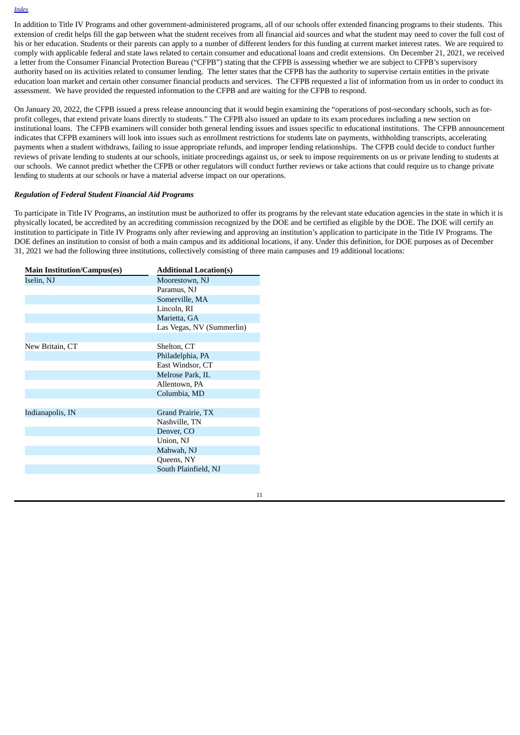In addition to Title IV Programs and other government-administered programs, all of our schools offer extended financing programs to their students. This extension of credit helps fill the gap between what the student receives from all financial aid sources and what the student may need to cover the full cost of his or her education. Students or their parents can apply to a number of different lenders for this funding at current market interest rates. We are required to comply with applicable federal and state laws related to certain consumer and educational loans and credit extensions. On December 21, 2021, we received a letter from the Consumer Financial Protection Bureau ("CFPB") stating that the CFPB is assessing whether we are subject to CFPB's supervisory authority based on its activities related to consumer lending. The letter states that the CFPB has the authority to supervise certain entities in the private education loan market and certain other consumer financial products and services. The CFPB requested a list of information from us in order to conduct its assessment. We have provided the requested information to the CFPB and are waiting for the CFPB to respond.

On January 20, 2022, the CFPB issued a press release announcing that it would begin examining the "operations of post-secondary schools, such as forprofit colleges, that extend private loans directly to students." The CFPB also issued an update to its exam procedures including a new section on institutional loans. The CFPB examiners will consider both general lending issues and issues specific to educational institutions. The CFPB announcement indicates that CFPB examiners will look into issues such as enrollment restrictions for students late on payments, withholding transcripts, accelerating payments when a student withdraws, failing to issue appropriate refunds, and improper lending relationships. The CFPB could decide to conduct further reviews of private lending to students at our schools, initiate proceedings against us, or seek to impose requirements on us or private lending to students at our schools. We cannot predict whether the CFPB or other regulators will conduct further reviews or take actions that could require us to change private lending to students at our schools or have a material adverse impact on our operations.

## *Regulation of Federal Student Financial Aid Programs*

To participate in Title IV Programs, an institution must be authorized to offer its programs by the relevant state education agencies in the state in which it is physically located, be accredited by an accrediting commission recognized by the DOE and be certified as eligible by the DOE. The DOE will certify an institution to participate in Title IV Programs only after reviewing and approving an institution's application to participate in the Title IV Programs. The DOE defines an institution to consist of both a main campus and its additional locations, if any. Under this definition, for DOE purposes as of December 31, 2021 we had the following three institutions, collectively consisting of three main campuses and 19 additional locations:

| <b>Main Institution/Campus(es)</b> | <b>Additional Location(s)</b> |
|------------------------------------|-------------------------------|
| Iselin, NJ                         | Moorestown, NJ                |
|                                    | Paramus, NJ                   |
|                                    | Somerville, MA                |
|                                    | Lincoln, RI                   |
|                                    | Marietta, GA                  |
|                                    | Las Vegas, NV (Summerlin)     |
|                                    |                               |
| New Britain, CT                    | Shelton, CT                   |
|                                    | Philadelphia, PA              |
|                                    | East Windsor, CT              |
|                                    | Melrose Park, IL              |
|                                    | Allentown, PA                 |
|                                    | Columbia, MD                  |
|                                    |                               |
| Indianapolis, IN                   | Grand Prairie, TX             |
|                                    | Nashville, TN                 |
|                                    | Denver, CO                    |
|                                    | Union, NJ                     |
|                                    | Mahwah, NJ                    |
|                                    | Queens, NY                    |
|                                    | South Plainfield, NJ          |
|                                    |                               |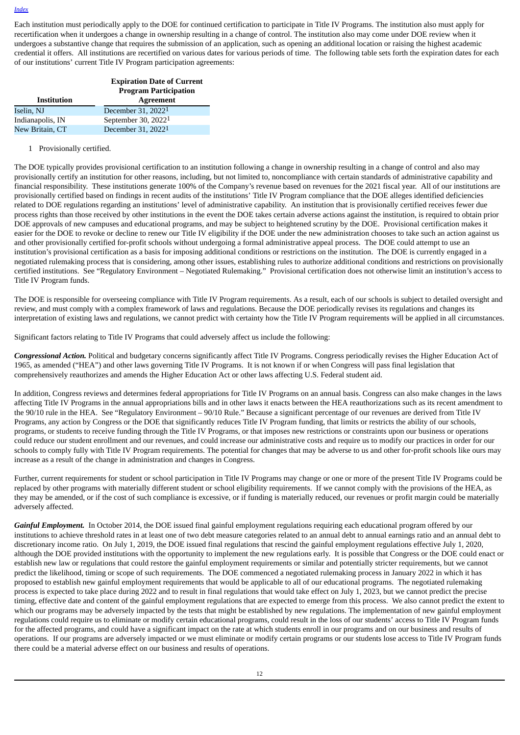Each institution must periodically apply to the DOE for continued certification to participate in Title IV Programs. The institution also must apply for recertification when it undergoes a change in ownership resulting in a change of control. The institution also may come under DOE review when it undergoes a substantive change that requires the submission of an application, such as opening an additional location or raising the highest academic credential it offers. All institutions are recertified on various dates for various periods of time. The following table sets forth the expiration dates for each of our institutions' current Title IV Program participation agreements:

|                    | <b>Expiration Date of Current</b><br><b>Program Participation</b> |  |
|--------------------|-------------------------------------------------------------------|--|
| <b>Institution</b> | <b>Agreement</b>                                                  |  |
| Iselin, NJ         | December 31, 2022 <sup>1</sup>                                    |  |
| Indianapolis, IN   | September 30, 2022 <sup>1</sup>                                   |  |
| New Britain, CT    | December 31, 2022 <sup>1</sup>                                    |  |

#### 1 Provisionally certified.

The DOE typically provides provisional certification to an institution following a change in ownership resulting in a change of control and also may provisionally certify an institution for other reasons, including, but not limited to, noncompliance with certain standards of administrative capability and financial responsibility. These institutions generate 100% of the Company's revenue based on revenues for the 2021 fiscal year. All of our institutions are provisionally certified based on findings in recent audits of the institutions' Title IV Program compliance that the DOE alleges identified deficiencies related to DOE regulations regarding an institutions' level of administrative capability. An institution that is provisionally certified receives fewer due process rights than those received by other institutions in the event the DOE takes certain adverse actions against the institution, is required to obtain prior DOE approvals of new campuses and educational programs, and may be subject to heightened scrutiny by the DOE. Provisional certification makes it easier for the DOE to revoke or decline to renew our Title IV eligibility if the DOE under the new administration chooses to take such an action against us and other provisionally certified for-profit schools without undergoing a formal administrative appeal process. The DOE could attempt to use an institution's provisional certification as a basis for imposing additional conditions or restrictions on the institution. The DOE is currently engaged in a negotiated rulemaking process that is considering, among other issues, establishing rules to authorize additional conditions and restrictions on provisionally certified institutions. See "Regulatory Environment – Negotiated Rulemaking." Provisional certification does not otherwise limit an institution's access to Title IV Program funds.

The DOE is responsible for overseeing compliance with Title IV Program requirements. As a result, each of our schools is subject to detailed oversight and review, and must comply with a complex framework of laws and regulations. Because the DOE periodically revises its regulations and changes its interpretation of existing laws and regulations, we cannot predict with certainty how the Title IV Program requirements will be applied in all circumstances.

Significant factors relating to Title IV Programs that could adversely affect us include the following:

*Congressional Action.* Political and budgetary concerns significantly affect Title IV Programs. Congress periodically revises the Higher Education Act of 1965, as amended ("HEA") and other laws governing Title IV Programs. It is not known if or when Congress will pass final legislation that comprehensively reauthorizes and amends the Higher Education Act or other laws affecting U.S. Federal student aid.

In addition, Congress reviews and determines federal appropriations for Title IV Programs on an annual basis. Congress can also make changes in the laws affecting Title IV Programs in the annual appropriations bills and in other laws it enacts between the HEA reauthorizations such as its recent amendment to the 90/10 rule in the HEA. See "Regulatory Environment – 90/10 Rule." Because a significant percentage of our revenues are derived from Title IV Programs, any action by Congress or the DOE that significantly reduces Title IV Program funding, that limits or restricts the ability of our schools, programs, or students to receive funding through the Title IV Programs, or that imposes new restrictions or constraints upon our business or operations could reduce our student enrollment and our revenues, and could increase our administrative costs and require us to modify our practices in order for our schools to comply fully with Title IV Program requirements. The potential for changes that may be adverse to us and other for-profit schools like ours may increase as a result of the change in administration and changes in Congress.

Further, current requirements for student or school participation in Title IV Programs may change or one or more of the present Title IV Programs could be replaced by other programs with materially different student or school eligibility requirements. If we cannot comply with the provisions of the HEA, as they may be amended, or if the cost of such compliance is excessive, or if funding is materially reduced, our revenues or profit margin could be materially adversely affected.

*Gainful Employment.* In October 2014, the DOE issued final gainful employment regulations requiring each educational program offered by our institutions to achieve threshold rates in at least one of two debt measure categories related to an annual debt to annual earnings ratio and an annual debt to discretionary income ratio. On July 1, 2019, the DOE issued final regulations that rescind the gainful employment regulations effective July 1, 2020, although the DOE provided institutions with the opportunity to implement the new regulations early. It is possible that Congress or the DOE could enact or establish new law or regulations that could restore the gainful employment requirements or similar and potentially stricter requirements, but we cannot predict the likelihood, timing or scope of such requirements. The DOE commenced a negotiated rulemaking process in January 2022 in which it has proposed to establish new gainful employment requirements that would be applicable to all of our educational programs. The negotiated rulemaking process is expected to take place during 2022 and to result in final regulations that would take effect on July 1, 2023, but we cannot predict the precise timing, effective date and content of the gainful employment regulations that are expected to emerge from this process. We also cannot predict the extent to which our programs may be adversely impacted by the tests that might be established by new regulations. The implementation of new gainful employment regulations could require us to eliminate or modify certain educational programs, could result in the loss of our students' access to Title IV Program funds for the affected programs, and could have a significant impact on the rate at which students enroll in our programs and on our business and results of operations. If our programs are adversely impacted or we must eliminate or modify certain programs or our students lose access to Title IV Program funds there could be a material adverse effect on our business and results of operations.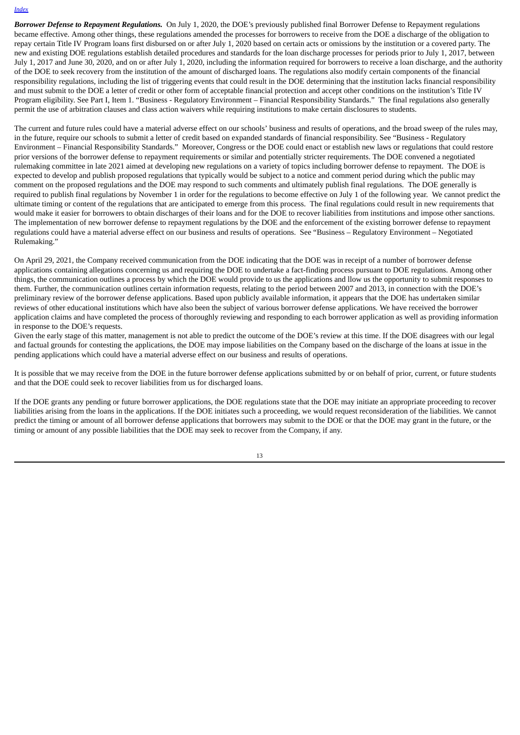*Borrower Defense to Repayment Regulations.* On July 1, 2020, the DOE's previously published final Borrower Defense to Repayment regulations became effective. Among other things, these regulations amended the processes for borrowers to receive from the DOE a discharge of the obligation to repay certain Title IV Program loans first disbursed on or after July 1, 2020 based on certain acts or omissions by the institution or a covered party. The new and existing DOE regulations establish detailed procedures and standards for the loan discharge processes for periods prior to July 1, 2017, between July 1, 2017 and June 30, 2020, and on or after July 1, 2020, including the information required for borrowers to receive a loan discharge, and the authority of the DOE to seek recovery from the institution of the amount of discharged loans. The regulations also modify certain components of the financial responsibility regulations, including the list of triggering events that could result in the DOE determining that the institution lacks financial responsibility and must submit to the DOE a letter of credit or other form of acceptable financial protection and accept other conditions on the institution's Title IV Program eligibility. See Part I, Item 1. "Business - Regulatory Environment – Financial Responsibility Standards." The final regulations also generally permit the use of arbitration clauses and class action waivers while requiring institutions to make certain disclosures to students.

The current and future rules could have a material adverse effect on our schools' business and results of operations, and the broad sweep of the rules may, in the future, require our schools to submit a letter of credit based on expanded standards of financial responsibility. See "Business - Regulatory Environment – Financial Responsibility Standards." Moreover, Congress or the DOE could enact or establish new laws or regulations that could restore prior versions of the borrower defense to repayment requirements or similar and potentially stricter requirements. The DOE convened a negotiated rulemaking committee in late 2021 aimed at developing new regulations on a variety of topics including borrower defense to repayment. The DOE is expected to develop and publish proposed regulations that typically would be subject to a notice and comment period during which the public may comment on the proposed regulations and the DOE may respond to such comments and ultimately publish final regulations. The DOE generally is required to publish final regulations by November 1 in order for the regulations to become effective on July 1 of the following year. We cannot predict the ultimate timing or content of the regulations that are anticipated to emerge from this process. The final regulations could result in new requirements that would make it easier for borrowers to obtain discharges of their loans and for the DOE to recover liabilities from institutions and impose other sanctions. The implementation of new borrower defense to repayment regulations by the DOE and the enforcement of the existing borrower defense to repayment regulations could have a material adverse effect on our business and results of operations. See "Business – Regulatory Environment – Negotiated Rulemaking."

On April 29, 2021, the Company received communication from the DOE indicating that the DOE was in receipt of a number of borrower defense applications containing allegations concerning us and requiring the DOE to undertake a fact-finding process pursuant to DOE regulations. Among other things, the communication outlines a process by which the DOE would provide to us the applications and llow us the opportunity to submit responses to them. Further, the communication outlines certain information requests, relating to the period between 2007 and 2013, in connection with the DOE's preliminary review of the borrower defense applications. Based upon publicly available information, it appears that the DOE has undertaken similar reviews of other educational institutions which have also been the subject of various borrower defense applications. We have received the borrower application claims and have completed the process of thoroughly reviewing and responding to each borrower application as well as providing information in response to the DOE's requests.

Given the early stage of this matter, management is not able to predict the outcome of the DOE's review at this time. If the DOE disagrees with our legal and factual grounds for contesting the applications, the DOE may impose liabilities on the Company based on the discharge of the loans at issue in the pending applications which could have a material adverse effect on our business and results of operations.

It is possible that we may receive from the DOE in the future borrower defense applications submitted by or on behalf of prior, current, or future students and that the DOE could seek to recover liabilities from us for discharged loans.

If the DOE grants any pending or future borrower applications, the DOE regulations state that the DOE may initiate an appropriate proceeding to recover liabilities arising from the loans in the applications. If the DOE initiates such a proceeding, we would request reconsideration of the liabilities. We cannot predict the timing or amount of all borrower defense applications that borrowers may submit to the DOE or that the DOE may grant in the future, or the timing or amount of any possible liabilities that the DOE may seek to recover from the Company, if any.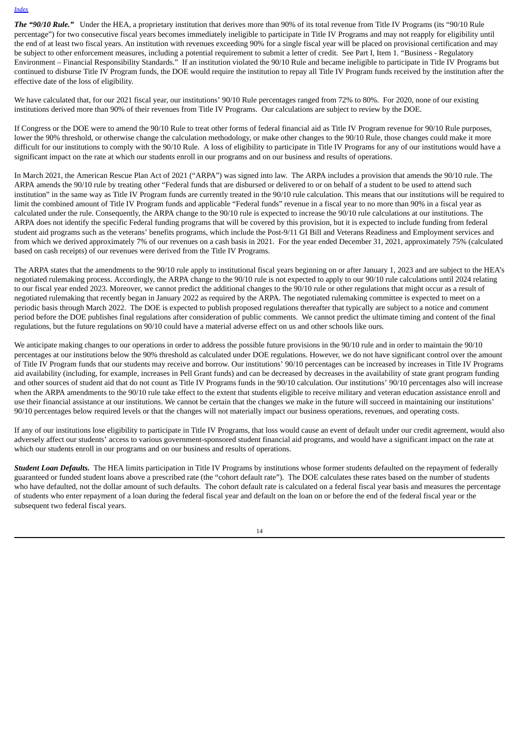*The "90/10 Rule."* Under the HEA, a proprietary institution that derives more than 90% of its total revenue from Title IV Programs (its "90/10 Rule percentage") for two consecutive fiscal years becomes immediately ineligible to participate in Title IV Programs and may not reapply for eligibility until the end of at least two fiscal years. An institution with revenues exceeding 90% for a single fiscal year will be placed on provisional certification and may be subject to other enforcement measures, including a potential requirement to submit a letter of credit. See Part I, Item 1. "Business - Regulatory Environment – Financial Responsibility Standards." If an institution violated the 90/10 Rule and became ineligible to participate in Title IV Programs but continued to disburse Title IV Program funds, the DOE would require the institution to repay all Title IV Program funds received by the institution after the effective date of the loss of eligibility.

We have calculated that, for our 2021 fiscal year, our institutions' 90/10 Rule percentages ranged from 72% to 80%. For 2020, none of our existing institutions derived more than 90% of their revenues from Title IV Programs. Our calculations are subject to review by the DOE.

If Congress or the DOE were to amend the 90/10 Rule to treat other forms of federal financial aid as Title IV Program revenue for 90/10 Rule purposes, lower the 90% threshold, or otherwise change the calculation methodology, or make other changes to the 90/10 Rule, those changes could make it more difficult for our institutions to comply with the 90/10 Rule. A loss of eligibility to participate in Title IV Programs for any of our institutions would have a significant impact on the rate at which our students enroll in our programs and on our business and results of operations.

In March 2021, the American Rescue Plan Act of 2021 ("ARPA") was signed into law. The ARPA includes a provision that amends the 90/10 rule. The ARPA amends the 90/10 rule by treating other "Federal funds that are disbursed or delivered to or on behalf of a student to be used to attend such institution" in the same way as Title IV Program funds are currently treated in the 90/10 rule calculation. This means that our institutions will be required to limit the combined amount of Title IV Program funds and applicable "Federal funds" revenue in a fiscal year to no more than 90% in a fiscal year as calculated under the rule. Consequently, the ARPA change to the 90/10 rule is expected to increase the 90/10 rule calculations at our institutions. The ARPA does not identify the specific Federal funding programs that will be covered by this provision, but it is expected to include funding from federal student aid programs such as the veterans' benefits programs, which include the Post-9/11 GI Bill and Veterans Readiness and Employment services and from which we derived approximately 7% of our revenues on a cash basis in 2021. For the year ended December 31, 2021, approximately 75% (calculated based on cash receipts) of our revenues were derived from the Title IV Programs.

The ARPA states that the amendments to the 90/10 rule apply to institutional fiscal years beginning on or after January 1, 2023 and are subject to the HEA's negotiated rulemaking process. Accordingly, the ARPA change to the 90/10 rule is not expected to apply to our 90/10 rule calculations until 2024 relating to our fiscal year ended 2023. Moreover, we cannot predict the additional changes to the 90/10 rule or other regulations that might occur as a result of negotiated rulemaking that recently began in January 2022 as required by the ARPA. The negotiated rulemaking committee is expected to meet on a periodic basis through March 2022. The DOE is expected to publish proposed regulations thereafter that typically are subject to a notice and comment period before the DOE publishes final regulations after consideration of public comments. We cannot predict the ultimate timing and content of the final regulations, but the future regulations on 90/10 could have a material adverse effect on us and other schools like ours.

We anticipate making changes to our operations in order to address the possible future provisions in the 90/10 rule and in order to maintain the 90/10 percentages at our institutions below the 90% threshold as calculated under DOE regulations. However, we do not have significant control over the amount of Title IV Program funds that our students may receive and borrow. Our institutions' 90/10 percentages can be increased by increases in Title IV Programs aid availability (including, for example, increases in Pell Grant funds) and can be decreased by decreases in the availability of state grant program funding and other sources of student aid that do not count as Title IV Programs funds in the 90/10 calculation. Our institutions' 90/10 percentages also will increase when the ARPA amendments to the 90/10 rule take effect to the extent that students eligible to receive military and veteran education assistance enroll and use their financial assistance at our institutions. We cannot be certain that the changes we make in the future will succeed in maintaining our institutions' 90/10 percentages below required levels or that the changes will not materially impact our business operations, revenues, and operating costs.

If any of our institutions lose eligibility to participate in Title IV Programs, that loss would cause an event of default under our credit agreement, would also adversely affect our students' access to various government-sponsored student financial aid programs, and would have a significant impact on the rate at which our students enroll in our programs and on our business and results of operations.

*Student Loan Defaults.* The HEA limits participation in Title IV Programs by institutions whose former students defaulted on the repayment of federally guaranteed or funded student loans above a prescribed rate (the "cohort default rate"). The DOE calculates these rates based on the number of students who have defaulted, not the dollar amount of such defaults. The cohort default rate is calculated on a federal fiscal year basis and measures the percentage of students who enter repayment of a loan during the federal fiscal year and default on the loan on or before the end of the federal fiscal year or the subsequent two federal fiscal years.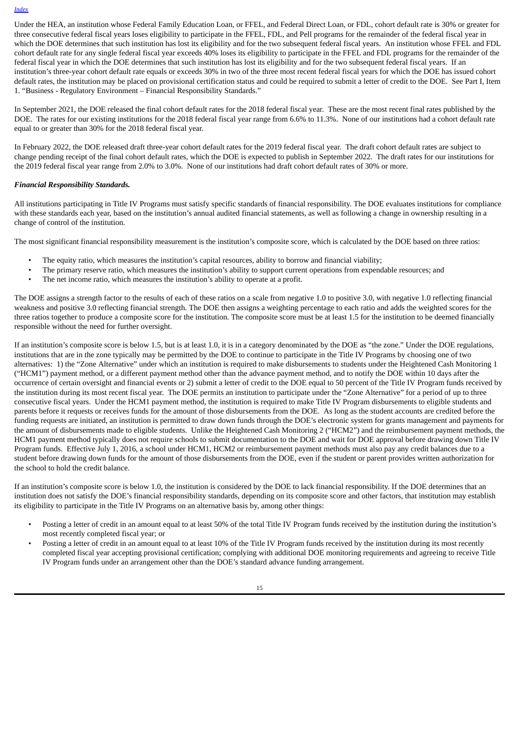Under the HEA, an institution whose Federal Family Education Loan, or FFEL, and Federal Direct Loan, or FDL, cohort default rate is 30% or greater for three consecutive federal fiscal years loses eligibility to participate in the FFEL, FDL, and Pell programs for the remainder of the federal fiscal year in which the DOE determines that such institution has lost its eligibility and for the two subsequent federal fiscal years. An institution whose FFEL and FDL cohort default rate for any single federal fiscal year exceeds 40% loses its eligibility to participate in the FFEL and FDL programs for the remainder of the federal fiscal year in which the DOE determines that such institution has lost its eligibility and for the two subsequent federal fiscal years. If an institution's three-year cohort default rate equals or exceeds 30% in two of the three most recent federal fiscal years for which the DOE has issued cohort default rates, the institution may be placed on provisional certification status and could be required to submit a letter of credit to the DOE. See Part I, Item 1. "Business - Regulatory Environment – Financial Responsibility Standards."

In September 2021, the DOE released the final cohort default rates for the 2018 federal fiscal year. These are the most recent final rates published by the DOE. The rates for our existing institutions for the 2018 federal fiscal year range from 6.6% to 11.3%. None of our institutions had a cohort default rate equal to or greater than 30% for the 2018 federal fiscal year.

In February 2022, the DOE released draft three-year cohort default rates for the 2019 federal fiscal year. The draft cohort default rates are subject to change pending receipt of the final cohort default rates, which the DOE is expected to publish in September 2022. The draft rates for our institutions for the 2019 federal fiscal year range from 2.0% to 3.0%. None of our institutions had draft cohort default rates of 30% or more.

## *Financial Responsibility Standards.*

All institutions participating in Title IV Programs must satisfy specific standards of financial responsibility. The DOE evaluates institutions for compliance with these standards each year, based on the institution's annual audited financial statements, as well as following a change in ownership resulting in a change of control of the institution.

The most significant financial responsibility measurement is the institution's composite score, which is calculated by the DOE based on three ratios:

- The equity ratio, which measures the institution's capital resources, ability to borrow and financial viability;
- The primary reserve ratio, which measures the institution's ability to support current operations from expendable resources; and
- The net income ratio, which measures the institution's ability to operate at a profit.

The DOE assigns a strength factor to the results of each of these ratios on a scale from negative 1.0 to positive 3.0, with negative 1.0 reflecting financial weakness and positive 3.0 reflecting financial strength. The DOE then assigns a weighting percentage to each ratio and adds the weighted scores for the three ratios together to produce a composite score for the institution. The composite score must be at least 1.5 for the institution to be deemed financially responsible without the need for further oversight.

If an institution's composite score is below 1.5, but is at least 1.0, it is in a category denominated by the DOE as "the zone." Under the DOE regulations, institutions that are in the zone typically may be permitted by the DOE to continue to participate in the Title IV Programs by choosing one of two alternatives: 1) the "Zone Alternative" under which an institution is required to make disbursements to students under the Heightened Cash Monitoring 1 ("HCM1") payment method, or a different payment method other than the advance payment method, and to notify the DOE within 10 days after the occurrence of certain oversight and financial events or 2) submit a letter of credit to the DOE equal to 50 percent of the Title IV Program funds received by the institution during its most recent fiscal year. The DOE permits an institution to participate under the "Zone Alternative" for a period of up to three consecutive fiscal years. Under the HCM1 payment method, the institution is required to make Title IV Program disbursements to eligible students and parents before it requests or receives funds for the amount of those disbursements from the DOE. As long as the student accounts are credited before the funding requests are initiated, an institution is permitted to draw down funds through the DOE's electronic system for grants management and payments for the amount of disbursements made to eligible students. Unlike the Heightened Cash Monitoring 2 ("HCM2") and the reimbursement payment methods, the HCM1 payment method typically does not require schools to submit documentation to the DOE and wait for DOE approval before drawing down Title IV Program funds. Effective July 1, 2016, a school under HCM1, HCM2 or reimbursement payment methods must also pay any credit balances due to a student before drawing down funds for the amount of those disbursements from the DOE, even if the student or parent provides written authorization for the school to hold the credit balance.

If an institution's composite score is below 1.0, the institution is considered by the DOE to lack financial responsibility. If the DOE determines that an institution does not satisfy the DOE's financial responsibility standards, depending on its composite score and other factors, that institution may establish its eligibility to participate in the Title IV Programs on an alternative basis by, among other things:

- Posting a letter of credit in an amount equal to at least 50% of the total Title IV Program funds received by the institution during the institution's most recently completed fiscal year; or
- Posting a letter of credit in an amount equal to at least 10% of the Title IV Program funds received by the institution during its most recently completed fiscal year accepting provisional certification; complying with additional DOE monitoring requirements and agreeing to receive Title IV Program funds under an arrangement other than the DOE's standard advance funding arrangement.

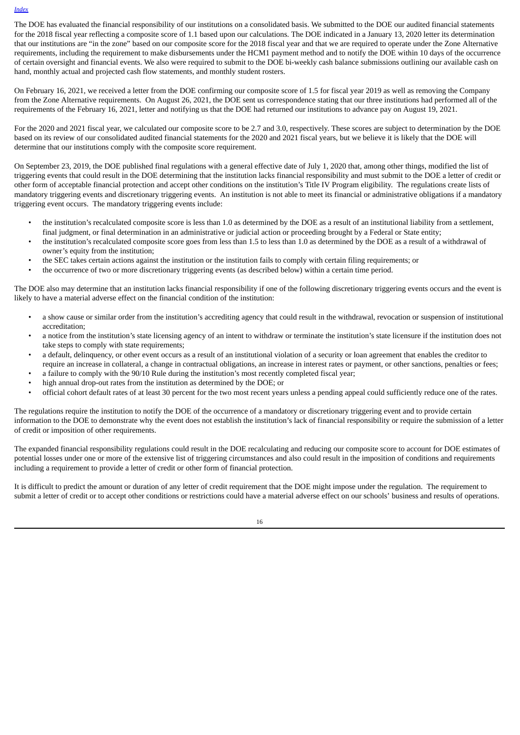The DOE has evaluated the financial responsibility of our institutions on a consolidated basis. We submitted to the DOE our audited financial statements for the 2018 fiscal year reflecting a composite score of 1.1 based upon our calculations. The DOE indicated in a January 13, 2020 letter its determination that our institutions are "in the zone" based on our composite score for the 2018 fiscal year and that we are required to operate under the Zone Alternative requirements, including the requirement to make disbursements under the HCM1 payment method and to notify the DOE within 10 days of the occurrence of certain oversight and financial events. We also were required to submit to the DOE bi-weekly cash balance submissions outlining our available cash on hand, monthly actual and projected cash flow statements, and monthly student rosters.

On February 16, 2021, we received a letter from the DOE confirming our composite score of 1.5 for fiscal year 2019 as well as removing the Company from the Zone Alternative requirements. On August 26, 2021, the DOE sent us correspondence stating that our three institutions had performed all of the requirements of the February 16, 2021, letter and notifying us that the DOE had returned our institutions to advance pay on August 19, 2021.

For the 2020 and 2021 fiscal year, we calculated our composite score to be 2.7 and 3.0, respectively. These scores are subject to determination by the DOE based on its review of our consolidated audited financial statements for the 2020 and 2021 fiscal years, but we believe it is likely that the DOE will determine that our institutions comply with the composite score requirement.

On September 23, 2019, the DOE published final regulations with a general effective date of July 1, 2020 that, among other things, modified the list of triggering events that could result in the DOE determining that the institution lacks financial responsibility and must submit to the DOE a letter of credit or other form of acceptable financial protection and accept other conditions on the institution's Title IV Program eligibility. The regulations create lists of mandatory triggering events and discretionary triggering events. An institution is not able to meet its financial or administrative obligations if a mandatory triggering event occurs. The mandatory triggering events include:

- the institution's recalculated composite score is less than 1.0 as determined by the DOE as a result of an institutional liability from a settlement, final judgment, or final determination in an administrative or judicial action or proceeding brought by a Federal or State entity;
- the institution's recalculated composite score goes from less than 1.5 to less than 1.0 as determined by the DOE as a result of a withdrawal of owner's equity from the institution;
- the SEC takes certain actions against the institution or the institution fails to comply with certain filing requirements; or
- the occurrence of two or more discretionary triggering events (as described below) within a certain time period.

The DOE also may determine that an institution lacks financial responsibility if one of the following discretionary triggering events occurs and the event is likely to have a material adverse effect on the financial condition of the institution:

- a show cause or similar order from the institution's accrediting agency that could result in the withdrawal, revocation or suspension of institutional accreditation;
- a notice from the institution's state licensing agency of an intent to withdraw or terminate the institution's state licensure if the institution does not take steps to comply with state requirements;
- a default, delinquency, or other event occurs as a result of an institutional violation of a security or loan agreement that enables the creditor to require an increase in collateral, a change in contractual obligations, an increase in interest rates or payment, or other sanctions, penalties or fees;
- a failure to comply with the 90/10 Rule during the institution's most recently completed fiscal year;
- high annual drop-out rates from the institution as determined by the DOE; or
- official cohort default rates of at least 30 percent for the two most recent years unless a pending appeal could sufficiently reduce one of the rates.

The regulations require the institution to notify the DOE of the occurrence of a mandatory or discretionary triggering event and to provide certain information to the DOE to demonstrate why the event does not establish the institution's lack of financial responsibility or require the submission of a letter of credit or imposition of other requirements.

The expanded financial responsibility regulations could result in the DOE recalculating and reducing our composite score to account for DOE estimates of potential losses under one or more of the extensive list of triggering circumstances and also could result in the imposition of conditions and requirements including a requirement to provide a letter of credit or other form of financial protection.

It is difficult to predict the amount or duration of any letter of credit requirement that the DOE might impose under the regulation. The requirement to submit a letter of credit or to accept other conditions or restrictions could have a material adverse effect on our schools' business and results of operations.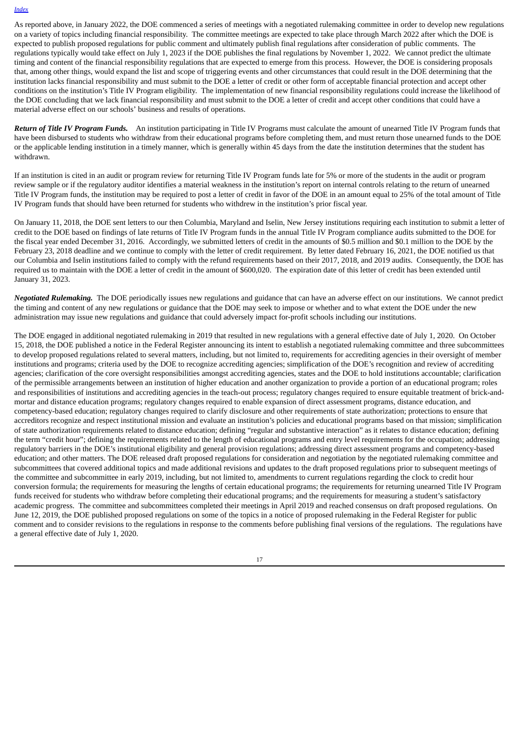As reported above, in January 2022, the DOE commenced a series of meetings with a negotiated rulemaking committee in order to develop new regulations on a variety of topics including financial responsibility. The committee meetings are expected to take place through March 2022 after which the DOE is expected to publish proposed regulations for public comment and ultimately publish final regulations after consideration of public comments. The regulations typically would take effect on July 1, 2023 if the DOE publishes the final regulations by November 1, 2022. We cannot predict the ultimate timing and content of the financial responsibility regulations that are expected to emerge from this process. However, the DOE is considering proposals that, among other things, would expand the list and scope of triggering events and other circumstances that could result in the DOE determining that the institution lacks financial responsibility and must submit to the DOE a letter of credit or other form of acceptable financial protection and accept other conditions on the institution's Title IV Program eligibility. The implementation of new financial responsibility regulations could increase the likelihood of the DOE concluding that we lack financial responsibility and must submit to the DOE a letter of credit and accept other conditions that could have a material adverse effect on our schools' business and results of operations.

*Return of Title IV Program Funds.* An institution participating in Title IV Programs must calculate the amount of unearned Title IV Program funds that have been disbursed to students who withdraw from their educational programs before completing them, and must return those unearned funds to the DOE or the applicable lending institution in a timely manner, which is generally within 45 days from the date the institution determines that the student has withdrawn.

If an institution is cited in an audit or program review for returning Title IV Program funds late for 5% or more of the students in the audit or program review sample or if the regulatory auditor identifies a material weakness in the institution's report on internal controls relating to the return of unearned Title IV Program funds, the institution may be required to post a letter of credit in favor of the DOE in an amount equal to 25% of the total amount of Title IV Program funds that should have been returned for students who withdrew in the institution's prior fiscal year.

On January 11, 2018, the DOE sent letters to our then Columbia, Maryland and Iselin, New Jersey institutions requiring each institution to submit a letter of credit to the DOE based on findings of late returns of Title IV Program funds in the annual Title IV Program compliance audits submitted to the DOE for the fiscal year ended December 31, 2016. Accordingly, we submitted letters of credit in the amounts of \$0.5 million and \$0.1 million to the DOE by the February 23, 2018 deadline and we continue to comply with the letter of credit requirement. By letter dated February 16, 2021, the DOE notified us that our Columbia and Iselin institutions failed to comply with the refund requirements based on their 2017, 2018, and 2019 audits. Consequently, the DOE has required us to maintain with the DOE a letter of credit in the amount of \$600,020. The expiration date of this letter of credit has been extended until January 31, 2023.

*Negotiated Rulemaking.* The DOE periodically issues new regulations and guidance that can have an adverse effect on our institutions. We cannot predict the timing and content of any new regulations or guidance that the DOE may seek to impose or whether and to what extent the DOE under the new administration may issue new regulations and guidance that could adversely impact for-profit schools including our institutions.

The DOE engaged in additional negotiated rulemaking in 2019 that resulted in new regulations with a general effective date of July 1, 2020. On October 15, 2018, the DOE published a notice in the Federal Register announcing its intent to establish a negotiated rulemaking committee and three subcommittees to develop proposed regulations related to several matters, including, but not limited to, requirements for accrediting agencies in their oversight of member institutions and programs; criteria used by the DOE to recognize accrediting agencies; simplification of the DOE's recognition and review of accrediting agencies; clarification of the core oversight responsibilities amongst accrediting agencies, states and the DOE to hold institutions accountable; clarification of the permissible arrangements between an institution of higher education and another organization to provide a portion of an educational program; roles and responsibilities of institutions and accrediting agencies in the teach-out process; regulatory changes required to ensure equitable treatment of brick-andmortar and distance education programs; regulatory changes required to enable expansion of direct assessment programs, distance education, and competency-based education; regulatory changes required to clarify disclosure and other requirements of state authorization; protections to ensure that accreditors recognize and respect institutional mission and evaluate an institution's policies and educational programs based on that mission; simplification of state authorization requirements related to distance education; defining "regular and substantive interaction" as it relates to distance education; defining the term "credit hour"; defining the requirements related to the length of educational programs and entry level requirements for the occupation; addressing regulatory barriers in the DOE's institutional eligibility and general provision regulations; addressing direct assessment programs and competency-based education; and other matters. The DOE released draft proposed regulations for consideration and negotiation by the negotiated rulemaking committee and subcommittees that covered additional topics and made additional revisions and updates to the draft proposed regulations prior to subsequent meetings of the committee and subcommittee in early 2019, including, but not limited to, amendments to current regulations regarding the clock to credit hour conversion formula; the requirements for measuring the lengths of certain educational programs; the requirements for returning unearned Title IV Program funds received for students who withdraw before completing their educational programs; and the requirements for measuring a student's satisfactory academic progress. The committee and subcommittees completed their meetings in April 2019 and reached consensus on draft proposed regulations. On June 12, 2019, the DOE published proposed regulations on some of the topics in a notice of proposed rulemaking in the Federal Register for public comment and to consider revisions to the regulations in response to the comments before publishing final versions of the regulations. The regulations have a general effective date of July 1, 2020.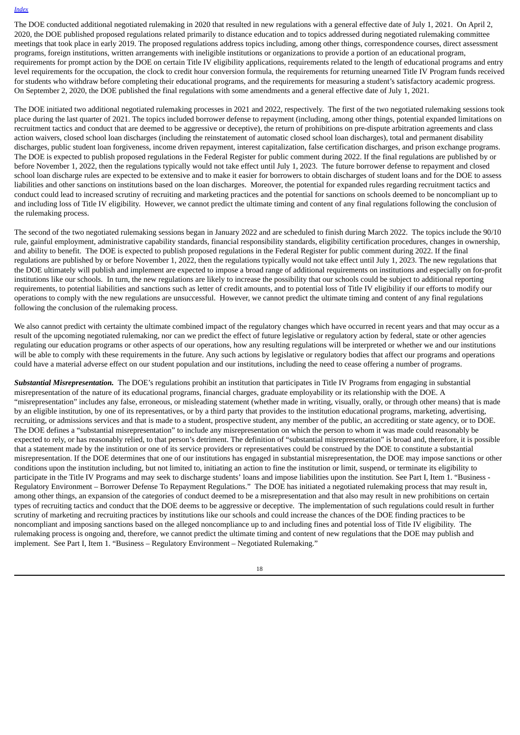The DOE conducted additional negotiated rulemaking in 2020 that resulted in new regulations with a general effective date of July 1, 2021. On April 2, 2020, the DOE published proposed regulations related primarily to distance education and to topics addressed during negotiated rulemaking committee meetings that took place in early 2019. The proposed regulations address topics including, among other things, correspondence courses, direct assessment programs, foreign institutions, written arrangements with ineligible institutions or organizations to provide a portion of an educational program, requirements for prompt action by the DOE on certain Title IV eligibility applications, requirements related to the length of educational programs and entry level requirements for the occupation, the clock to credit hour conversion formula, the requirements for returning unearned Title IV Program funds received for students who withdraw before completing their educational programs, and the requirements for measuring a student's satisfactory academic progress. On September 2, 2020, the DOE published the final regulations with some amendments and a general effective date of July 1, 2021.

The DOE initiated two additional negotiated rulemaking processes in 2021 and 2022, respectively. The first of the two negotiated rulemaking sessions took place during the last quarter of 2021. The topics included borrower defense to repayment (including, among other things, potential expanded limitations on recruitment tactics and conduct that are deemed to be aggressive or deceptive), the return of prohibitions on pre-dispute arbitration agreements and class action waivers, closed school loan discharges (including the reinstatement of automatic closed school loan discharges), total and permanent disability discharges, public student loan forgiveness, income driven repayment, interest capitalization, false certification discharges, and prison exchange programs. The DOE is expected to publish proposed regulations in the Federal Register for public comment during 2022. If the final regulations are published by or before November 1, 2022, then the regulations typically would not take effect until July 1, 2023. The future borrower defense to repayment and closed school loan discharge rules are expected to be extensive and to make it easier for borrowers to obtain discharges of student loans and for the DOE to assess liabilities and other sanctions on institutions based on the loan discharges. Moreover, the potential for expanded rules regarding recruitment tactics and conduct could lead to increased scrutiny of recruiting and marketing practices and the potential for sanctions on schools deemed to be noncompliant up to and including loss of Title IV eligibility. However, we cannot predict the ultimate timing and content of any final regulations following the conclusion of the rulemaking process.

The second of the two negotiated rulemaking sessions began in January 2022 and are scheduled to finish during March 2022. The topics include the 90/10 rule, gainful employment, administrative capability standards, financial responsibility standards, eligibility certification procedures, changes in ownership, and ability to benefit. The DOE is expected to publish proposed regulations in the Federal Register for public comment during 2022. If the final regulations are published by or before November 1, 2022, then the regulations typically would not take effect until July 1, 2023. The new regulations that the DOE ultimately will publish and implement are expected to impose a broad range of additional requirements on institutions and especially on for-profit institutions like our schools. In turn, the new regulations are likely to increase the possibility that our schools could be subject to additional reporting requirements, to potential liabilities and sanctions such as letter of credit amounts, and to potential loss of Title IV eligibility if our efforts to modify our operations to comply with the new regulations are unsuccessful. However, we cannot predict the ultimate timing and content of any final regulations following the conclusion of the rulemaking process.

We also cannot predict with certainty the ultimate combined impact of the regulatory changes which have occurred in recent years and that may occur as a result of the upcoming negotiated rulemaking, nor can we predict the effect of future legislative or regulatory action by federal, state or other agencies regulating our education programs or other aspects of our operations, how any resulting regulations will be interpreted or whether we and our institutions will be able to comply with these requirements in the future. Any such actions by legislative or regulatory bodies that affect our programs and operations could have a material adverse effect on our student population and our institutions, including the need to cease offering a number of programs.

*Substantial Misrepresentation.* The DOE's regulations prohibit an institution that participates in Title IV Programs from engaging in substantial misrepresentation of the nature of its educational programs, financial charges, graduate employability or its relationship with the DOE. A "misrepresentation" includes any false, erroneous, or misleading statement (whether made in writing, visually, orally, or through other means) that is made by an eligible institution, by one of its representatives, or by a third party that provides to the institution educational programs, marketing, advertising, recruiting, or admissions services and that is made to a student, prospective student, any member of the public, an accrediting or state agency, or to DOE. The DOE defines a "substantial misrepresentation" to include any misrepresentation on which the person to whom it was made could reasonably be expected to rely, or has reasonably relied, to that person's detriment. The definition of "substantial misrepresentation" is broad and, therefore, it is possible that a statement made by the institution or one of its service providers or representatives could be construed by the DOE to constitute a substantial misrepresentation. If the DOE determines that one of our institutions has engaged in substantial misrepresentation, the DOE may impose sanctions or other conditions upon the institution including, but not limited to, initiating an action to fine the institution or limit, suspend, or terminate its eligibility to participate in the Title IV Programs and may seek to discharge students' loans and impose liabilities upon the institution. See Part I, Item 1. "Business -Regulatory Environment – Borrower Defense To Repayment Regulations." The DOE has initiated a negotiated rulemaking process that may result in, among other things, an expansion of the categories of conduct deemed to be a misrepresentation and that also may result in new prohibitions on certain types of recruiting tactics and conduct that the DOE deems to be aggressive or deceptive. The implementation of such regulations could result in further scrutiny of marketing and recruiting practices by institutions like our schools and could increase the chances of the DOE finding practices to be noncompliant and imposing sanctions based on the alleged noncompliance up to and including fines and potential loss of Title IV eligibility. The rulemaking process is ongoing and, therefore, we cannot predict the ultimate timing and content of new regulations that the DOE may publish and implement. See Part I, Item 1. "Business – Regulatory Environment – Negotiated Rulemaking."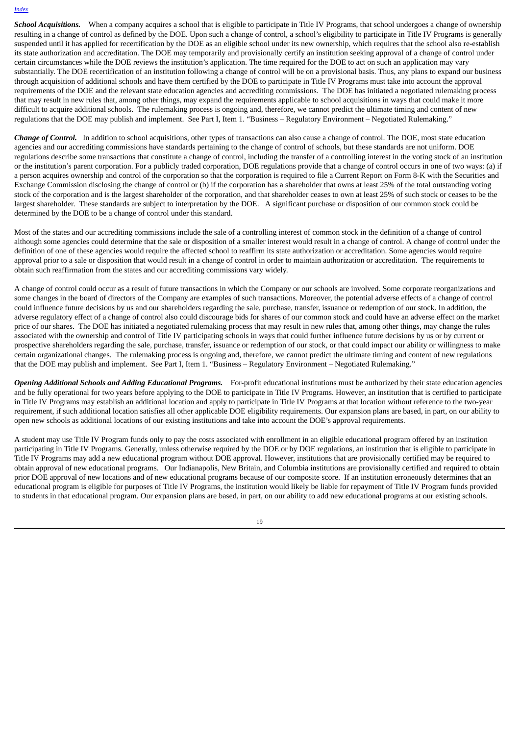*School Acquisitions.* When a company acquires a school that is eligible to participate in Title IV Programs, that school undergoes a change of ownership resulting in a change of control as defined by the DOE. Upon such a change of control, a school's eligibility to participate in Title IV Programs is generally suspended until it has applied for recertification by the DOE as an eligible school under its new ownership, which requires that the school also re-establish its state authorization and accreditation. The DOE may temporarily and provisionally certify an institution seeking approval of a change of control under certain circumstances while the DOE reviews the institution's application. The time required for the DOE to act on such an application may vary substantially. The DOE recertification of an institution following a change of control will be on a provisional basis. Thus, any plans to expand our business through acquisition of additional schools and have them certified by the DOE to participate in Title IV Programs must take into account the approval requirements of the DOE and the relevant state education agencies and accrediting commissions. The DOE has initiated a negotiated rulemaking process that may result in new rules that, among other things, may expand the requirements applicable to school acquisitions in ways that could make it more difficult to acquire additional schools. The rulemaking process is ongoing and, therefore, we cannot predict the ultimate timing and content of new regulations that the DOE may publish and implement. See Part I, Item 1. "Business – Regulatory Environment – Negotiated Rulemaking."

*Change of Control.* In addition to school acquisitions, other types of transactions can also cause a change of control. The DOE, most state education agencies and our accrediting commissions have standards pertaining to the change of control of schools, but these standards are not uniform. DOE regulations describe some transactions that constitute a change of control, including the transfer of a controlling interest in the voting stock of an institution or the institution's parent corporation. For a publicly traded corporation, DOE regulations provide that a change of control occurs in one of two ways: (a) if a person acquires ownership and control of the corporation so that the corporation is required to file a Current Report on Form 8-K with the Securities and Exchange Commission disclosing the change of control or (b) if the corporation has a shareholder that owns at least 25% of the total outstanding voting stock of the corporation and is the largest shareholder of the corporation, and that shareholder ceases to own at least 25% of such stock or ceases to be the largest shareholder. These standards are subject to interpretation by the DOE. A significant purchase or disposition of our common stock could be determined by the DOE to be a change of control under this standard.

Most of the states and our accrediting commissions include the sale of a controlling interest of common stock in the definition of a change of control although some agencies could determine that the sale or disposition of a smaller interest would result in a change of control. A change of control under the definition of one of these agencies would require the affected school to reaffirm its state authorization or accreditation. Some agencies would require approval prior to a sale or disposition that would result in a change of control in order to maintain authorization or accreditation. The requirements to obtain such reaffirmation from the states and our accrediting commissions vary widely.

A change of control could occur as a result of future transactions in which the Company or our schools are involved. Some corporate reorganizations and some changes in the board of directors of the Company are examples of such transactions. Moreover, the potential adverse effects of a change of control could influence future decisions by us and our shareholders regarding the sale, purchase, transfer, issuance or redemption of our stock. In addition, the adverse regulatory effect of a change of control also could discourage bids for shares of our common stock and could have an adverse effect on the market price of our shares. The DOE has initiated a negotiated rulemaking process that may result in new rules that, among other things, may change the rules associated with the ownership and control of Title IV participating schools in ways that could further influence future decisions by us or by current or prospective shareholders regarding the sale, purchase, transfer, issuance or redemption of our stock, or that could impact our ability or willingness to make certain organizational changes. The rulemaking process is ongoing and, therefore, we cannot predict the ultimate timing and content of new regulations that the DOE may publish and implement. See Part I, Item 1. "Business – Regulatory Environment – Negotiated Rulemaking."

*Opening Additional Schools and Adding Educational Programs.* For-profit educational institutions must be authorized by their state education agencies and be fully operational for two years before applying to the DOE to participate in Title IV Programs. However, an institution that is certified to participate in Title IV Programs may establish an additional location and apply to participate in Title IV Programs at that location without reference to the two-year requirement, if such additional location satisfies all other applicable DOE eligibility requirements. Our expansion plans are based, in part, on our ability to open new schools as additional locations of our existing institutions and take into account the DOE's approval requirements.

A student may use Title IV Program funds only to pay the costs associated with enrollment in an eligible educational program offered by an institution participating in Title IV Programs. Generally, unless otherwise required by the DOE or by DOE regulations, an institution that is eligible to participate in Title IV Programs may add a new educational program without DOE approval. However, institutions that are provisionally certified may be required to obtain approval of new educational programs. Our Indianapolis, New Britain, and Columbia institutions are provisionally certified and required to obtain prior DOE approval of new locations and of new educational programs because of our composite score. If an institution erroneously determines that an educational program is eligible for purposes of Title IV Programs, the institution would likely be liable for repayment of Title IV Program funds provided to students in that educational program. Our expansion plans are based, in part, on our ability to add new educational programs at our existing schools.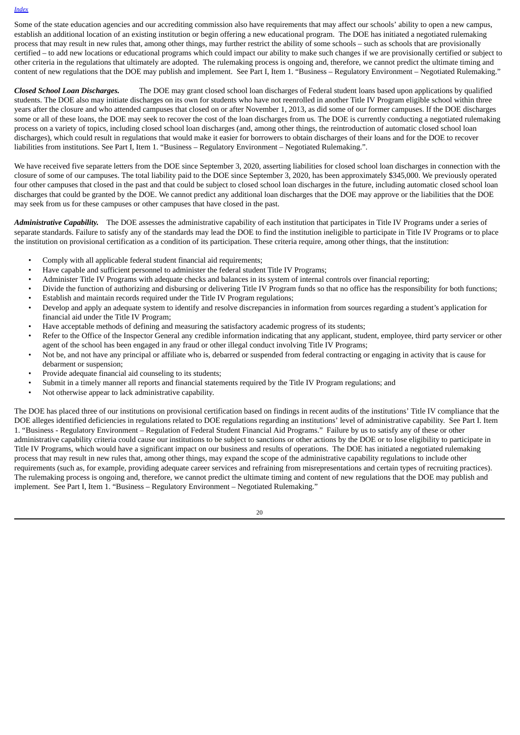Some of the state education agencies and our accrediting commission also have requirements that may affect our schools' ability to open a new campus, establish an additional location of an existing institution or begin offering a new educational program. The DOE has initiated a negotiated rulemaking process that may result in new rules that, among other things, may further restrict the ability of some schools – such as schools that are provisionally certified – to add new locations or educational programs which could impact our ability to make such changes if we are provisionally certified or subject to other criteria in the regulations that ultimately are adopted. The rulemaking process is ongoing and, therefore, we cannot predict the ultimate timing and content of new regulations that the DOE may publish and implement. See Part I, Item 1. "Business – Regulatory Environment – Negotiated Rulemaking."

*Closed School Loan Discharges.* The DOE may grant closed school loan discharges of Federal student loans based upon applications by qualified students. The DOE also may initiate discharges on its own for students who have not reenrolled in another Title IV Program eligible school within three years after the closure and who attended campuses that closed on or after November 1, 2013, as did some of our former campuses. If the DOE discharges some or all of these loans, the DOE may seek to recover the cost of the loan discharges from us. The DOE is currently conducting a negotiated rulemaking process on a variety of topics, including closed school loan discharges (and, among other things, the reintroduction of automatic closed school loan discharges), which could result in regulations that would make it easier for borrowers to obtain discharges of their loans and for the DOE to recover liabilities from institutions. See Part I, Item 1. "Business – Regulatory Environment – Negotiated Rulemaking.".

We have received five separate letters from the DOE since September 3, 2020, asserting liabilities for closed school loan discharges in connection with the closure of some of our campuses. The total liability paid to the DOE since September 3, 2020, has been approximately \$345,000. We previously operated four other campuses that closed in the past and that could be subject to closed school loan discharges in the future, including automatic closed school loan discharges that could be granted by the DOE. We cannot predict any additional loan discharges that the DOE may approve or the liabilities that the DOE may seek from us for these campuses or other campuses that have closed in the past.

*Administrative Capability.* The DOE assesses the administrative capability of each institution that participates in Title IV Programs under a series of separate standards. Failure to satisfy any of the standards may lead the DOE to find the institution ineligible to participate in Title IV Programs or to place the institution on provisional certification as a condition of its participation. These criteria require, among other things, that the institution:

- Comply with all applicable federal student financial aid requirements;
- Have capable and sufficient personnel to administer the federal student Title IV Programs;
- Administer Title IV Programs with adequate checks and balances in its system of internal controls over financial reporting;
- Divide the function of authorizing and disbursing or delivering Title IV Program funds so that no office has the responsibility for both functions;
- Establish and maintain records required under the Title IV Program regulations;
- Develop and apply an adequate system to identify and resolve discrepancies in information from sources regarding a student's application for financial aid under the Title IV Program;
- Have acceptable methods of defining and measuring the satisfactory academic progress of its students;
- Refer to the Office of the Inspector General any credible information indicating that any applicant, student, employee, third party servicer or other agent of the school has been engaged in any fraud or other illegal conduct involving Title IV Programs;
- Not be, and not have any principal or affiliate who is, debarred or suspended from federal contracting or engaging in activity that is cause for debarment or suspension;
- Provide adequate financial aid counseling to its students;
- Submit in a timely manner all reports and financial statements required by the Title IV Program regulations; and
- Not otherwise appear to lack administrative capability.

The DOE has placed three of our institutions on provisional certification based on findings in recent audits of the institutions' Title IV compliance that the DOE alleges identified deficiencies in regulations related to DOE regulations regarding an institutions' level of administrative capability. See Part I. Item 1. "Business - Regulatory Environment – Regulation of Federal Student Financial Aid Programs." Failure by us to satisfy any of these or other administrative capability criteria could cause our institutions to be subject to sanctions or other actions by the DOE or to lose eligibility to participate in Title IV Programs, which would have a significant impact on our business and results of operations. The DOE has initiated a negotiated rulemaking process that may result in new rules that, among other things, may expand the scope of the administrative capability regulations to include other requirements (such as, for example, providing adequate career services and refraining from misrepresentations and certain types of recruiting practices). The rulemaking process is ongoing and, therefore, we cannot predict the ultimate timing and content of new regulations that the DOE may publish and implement. See Part I, Item 1. "Business – Regulatory Environment – Negotiated Rulemaking."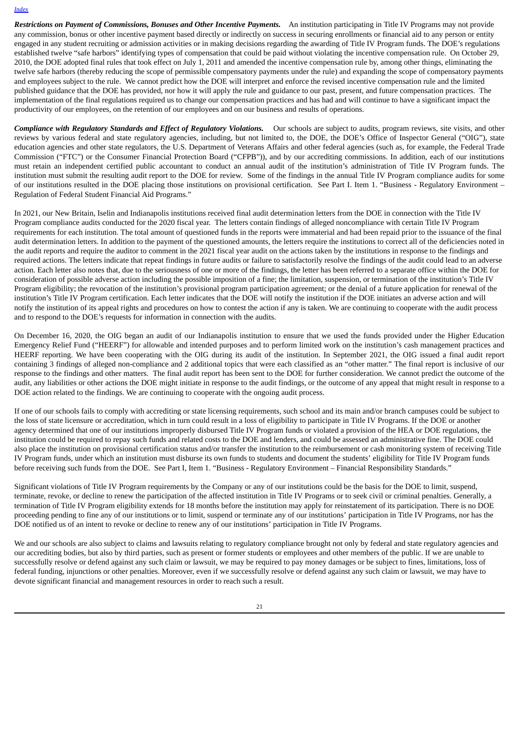*Restrictions on Payment of Commissions, Bonuses and Other Incentive Payments.* An institution participating in Title IV Programs may not provide any commission, bonus or other incentive payment based directly or indirectly on success in securing enrollments or financial aid to any person or entity engaged in any student recruiting or admission activities or in making decisions regarding the awarding of Title IV Program funds. The DOE's regulations established twelve "safe harbors" identifying types of compensation that could be paid without violating the incentive compensation rule. On October 29, 2010, the DOE adopted final rules that took effect on July 1, 2011 and amended the incentive compensation rule by, among other things, eliminating the twelve safe harbors (thereby reducing the scope of permissible compensatory payments under the rule) and expanding the scope of compensatory payments and employees subject to the rule. We cannot predict how the DOE will interpret and enforce the revised incentive compensation rule and the limited published guidance that the DOE has provided, nor how it will apply the rule and guidance to our past, present, and future compensation practices. The implementation of the final regulations required us to change our compensation practices and has had and will continue to have a significant impact the productivity of our employees, on the retention of our employees and on our business and results of operations.

*Compliance with Regulatory Standards and Effect of Regulatory Violations.* Our schools are subject to audits, program reviews, site visits, and other reviews by various federal and state regulatory agencies, including, but not limited to, the DOE, the DOE's Office of Inspector General ("OIG"), state education agencies and other state regulators, the U.S. Department of Veterans Affairs and other federal agencies (such as, for example, the Federal Trade Commission ("FTC") or the Consumer Financial Protection Board ("CFPB")), and by our accrediting commissions. In addition, each of our institutions must retain an independent certified public accountant to conduct an annual audit of the institution's administration of Title IV Program funds. The institution must submit the resulting audit report to the DOE for review. Some of the findings in the annual Title IV Program compliance audits for some of our institutions resulted in the DOE placing those institutions on provisional certification. See Part I. Item 1. "Business - Regulatory Environment – Regulation of Federal Student Financial Aid Programs."

In 2021, our New Britain, Iselin and Indianapolis institutions received final audit determination letters from the DOE in connection with the Title IV Program compliance audits conducted for the 2020 fiscal year. The letters contain findings of alleged noncompliance with certain Title IV Program requirements for each institution. The total amount of questioned funds in the reports were immaterial and had been repaid prior to the issuance of the final audit determination letters. In addition to the payment of the questioned amounts, the letters require the institutions to correct all of the deficiencies noted in the audit reports and require the auditor to comment in the 2021 fiscal year audit on the actions taken by the institutions in response to the findings and required actions. The letters indicate that repeat findings in future audits or failure to satisfactorily resolve the findings of the audit could lead to an adverse action. Each letter also notes that, due to the seriousness of one or more of the findings, the letter has been referred to a separate office within the DOE for consideration of possible adverse action including the possible imposition of a fine; the limitation, suspension, or termination of the institution's Title IV Program eligibility; the revocation of the institution's provisional program participation agreement; or the denial of a future application for renewal of the institution's Title IV Program certification. Each letter indicates that the DOE will notify the institution if the DOE initiates an adverse action and will notify the institution of its appeal rights and procedures on how to contest the action if any is taken. We are continuing to cooperate with the audit process and to respond to the DOE's requests for information in connection with the audits.

On December 16, 2020, the OIG began an audit of our Indianapolis institution to ensure that we used the funds provided under the Higher Education Emergency Relief Fund ("HEERF") for allowable and intended purposes and to perform limited work on the institution's cash management practices and HEERF reporting. We have been cooperating with the OIG during its audit of the institution. In September 2021, the OIG issued a final audit report containing 3 findings of alleged non-compliance and 2 additional topics that were each classified as an "other matter." The final report is inclusive of our response to the findings and other matters. The final audit report has been sent to the DOE for further consideration. We cannot predict the outcome of the audit, any liabilities or other actions the DOE might initiate in response to the audit findings, or the outcome of any appeal that might result in response to a DOE action related to the findings. We are continuing to cooperate with the ongoing audit process.

If one of our schools fails to comply with accrediting or state licensing requirements, such school and its main and/or branch campuses could be subject to the loss of state licensure or accreditation, which in turn could result in a loss of eligibility to participate in Title IV Programs. If the DOE or another agency determined that one of our institutions improperly disbursed Title IV Program funds or violated a provision of the HEA or DOE regulations, the institution could be required to repay such funds and related costs to the DOE and lenders, and could be assessed an administrative fine. The DOE could also place the institution on provisional certification status and/or transfer the institution to the reimbursement or cash monitoring system of receiving Title IV Program funds, under which an institution must disburse its own funds to students and document the students' eligibility for Title IV Program funds before receiving such funds from the DOE. See Part I, Item 1. "Business - Regulatory Environment – Financial Responsibility Standards."

Significant violations of Title IV Program requirements by the Company or any of our institutions could be the basis for the DOE to limit, suspend, terminate, revoke, or decline to renew the participation of the affected institution in Title IV Programs or to seek civil or criminal penalties. Generally, a termination of Title IV Program eligibility extends for 18 months before the institution may apply for reinstatement of its participation. There is no DOE proceeding pending to fine any of our institutions or to limit, suspend or terminate any of our institutions' participation in Title IV Programs, nor has the DOE notified us of an intent to revoke or decline to renew any of our institutions' participation in Title IV Programs.

We and our schools are also subject to claims and lawsuits relating to regulatory compliance brought not only by federal and state regulatory agencies and our accrediting bodies, but also by third parties, such as present or former students or employees and other members of the public. If we are unable to successfully resolve or defend against any such claim or lawsuit, we may be required to pay money damages or be subject to fines, limitations, loss of federal funding, injunctions or other penalties. Moreover, even if we successfully resolve or defend against any such claim or lawsuit, we may have to devote significant financial and management resources in order to reach such a result.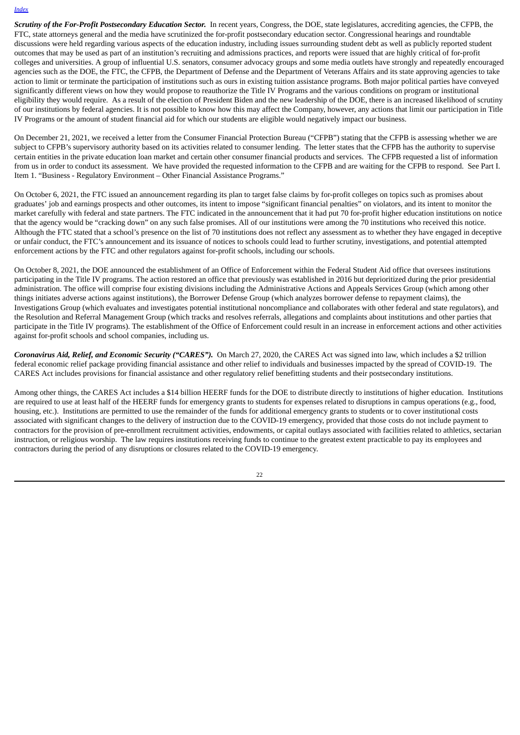*Scrutiny of the For-Profit Postsecondary Education Sector.* In recent years, Congress, the DOE, state legislatures, accrediting agencies, the CFPB, the FTC, state attorneys general and the media have scrutinized the for-profit postsecondary education sector. Congressional hearings and roundtable discussions were held regarding various aspects of the education industry, including issues surrounding student debt as well as publicly reported student outcomes that may be used as part of an institution's recruiting and admissions practices, and reports were issued that are highly critical of for-profit colleges and universities. A group of influential U.S. senators, consumer advocacy groups and some media outlets have strongly and repeatedly encouraged agencies such as the DOE, the FTC, the CFPB, the Department of Defense and the Department of Veterans Affairs and its state approving agencies to take action to limit or terminate the participation of institutions such as ours in existing tuition assistance programs. Both major political parties have conveyed significantly different views on how they would propose to reauthorize the Title IV Programs and the various conditions on program or institutional eligibility they would require. As a result of the election of President Biden and the new leadership of the DOE, there is an increased likelihood of scrutiny of our institutions by federal agencies. It is not possible to know how this may affect the Company, however, any actions that limit our participation in Title IV Programs or the amount of student financial aid for which our students are eligible would negatively impact our business.

On December 21, 2021, we received a letter from the Consumer Financial Protection Bureau ("CFPB") stating that the CFPB is assessing whether we are subject to CFPB's supervisory authority based on its activities related to consumer lending. The letter states that the CFPB has the authority to supervise certain entities in the private education loan market and certain other consumer financial products and services. The CFPB requested a list of information from us in order to conduct its assessment. We have provided the requested information to the CFPB and are waiting for the CFPB to respond. See Part I. Item 1. "Business - Regulatory Environment – Other Financial Assistance Programs."

On October 6, 2021, the FTC issued an announcement regarding its plan to target false claims by for-profit colleges on topics such as promises about graduates' job and earnings prospects and other outcomes, its intent to impose "significant financial penalties" on violators, and its intent to monitor the market carefully with federal and state partners. The FTC indicated in the announcement that it had put 70 for-profit higher education institutions on notice that the agency would be "cracking down" on any such false promises. All of our institutions were among the 70 institutions who received this notice. Although the FTC stated that a school's presence on the list of 70 institutions does not reflect any assessment as to whether they have engaged in deceptive or unfair conduct, the FTC's announcement and its issuance of notices to schools could lead to further scrutiny, investigations, and potential attempted enforcement actions by the FTC and other regulators against for-profit schools, including our schools.

On October 8, 2021, the DOE announced the establishment of an Office of Enforcement within the Federal Student Aid office that oversees institutions participating in the Title IV programs. The action restored an office that previously was established in 2016 but deprioritized during the prior presidential administration. The office will comprise four existing divisions including the Administrative Actions and Appeals Services Group (which among other things initiates adverse actions against institutions), the Borrower Defense Group (which analyzes borrower defense to repayment claims), the Investigations Group (which evaluates and investigates potential institutional noncompliance and collaborates with other federal and state regulators), and the Resolution and Referral Management Group (which tracks and resolves referrals, allegations and complaints about institutions and other parties that participate in the Title IV programs). The establishment of the Office of Enforcement could result in an increase in enforcement actions and other activities against for-profit schools and school companies, including us.

*Coronavirus Aid, Relief, and Economic Security ("CARES").* On March 27, 2020, the CARES Act was signed into law, which includes a \$2 trillion federal economic relief package providing financial assistance and other relief to individuals and businesses impacted by the spread of COVID-19. The CARES Act includes provisions for financial assistance and other regulatory relief benefitting students and their postsecondary institutions.

Among other things, the CARES Act includes a \$14 billion HEERF funds for the DOE to distribute directly to institutions of higher education. Institutions are required to use at least half of the HEERF funds for emergency grants to students for expenses related to disruptions in campus operations (e.g., food, housing, etc.). Institutions are permitted to use the remainder of the funds for additional emergency grants to students or to cover institutional costs associated with significant changes to the delivery of instruction due to the COVID-19 emergency, provided that those costs do not include payment to contractors for the provision of pre-enrollment recruitment activities, endowments, or capital outlays associated with facilities related to athletics, sectarian instruction, or religious worship. The law requires institutions receiving funds to continue to the greatest extent practicable to pay its employees and contractors during the period of any disruptions or closures related to the COVID-19 emergency.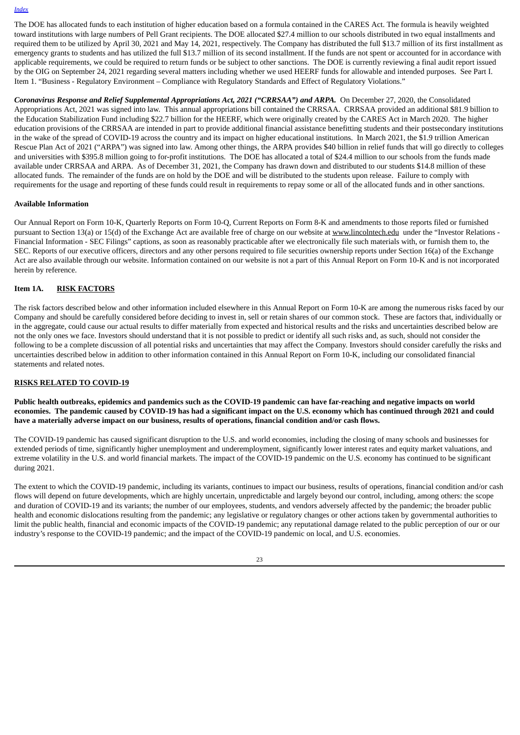The DOE has allocated funds to each institution of higher education based on a formula contained in the CARES Act. The formula is heavily weighted toward institutions with large numbers of Pell Grant recipients. The DOE allocated \$27.4 million to our schools distributed in two equal installments and required them to be utilized by April 30, 2021 and May 14, 2021, respectively. The Company has distributed the full \$13.7 million of its first installment as emergency grants to students and has utilized the full \$13.7 million of its second installment. If the funds are not spent or accounted for in accordance with applicable requirements, we could be required to return funds or be subject to other sanctions. The DOE is currently reviewing a final audit report issued by the OIG on September 24, 2021 regarding several matters including whether we used HEERF funds for allowable and intended purposes. See Part I. Item 1. "Business - Regulatory Environment – Compliance with Regulatory Standards and Effect of Regulatory Violations."

*Coronavirus Response and Relief Supplemental Appropriations Act, 2021 ("CRRSAA") and ARPA.* On December 27, 2020, the Consolidated Appropriations Act, 2021 was signed into law. This annual appropriations bill contained the CRRSAA. CRRSAA provided an additional \$81.9 billion to the Education Stabilization Fund including \$22.7 billion for the HEERF, which were originally created by the CARES Act in March 2020. The higher education provisions of the CRRSAA are intended in part to provide additional financial assistance benefitting students and their postsecondary institutions in the wake of the spread of COVID-19 across the country and its impact on higher educational institutions. In March 2021, the \$1.9 trillion American Rescue Plan Act of 2021 ("ARPA") was signed into law. Among other things, the ARPA provides \$40 billion in relief funds that will go directly to colleges and universities with \$395.8 million going to for-profit institutions. The DOE has allocated a total of \$24.4 million to our schools from the funds made available under CRRSAA and ARPA. As of December 31, 2021, the Company has drawn down and distributed to our students \$14.8 million of these allocated funds. The remainder of the funds are on hold by the DOE and will be distributed to the students upon release. Failure to comply with requirements for the usage and reporting of these funds could result in requirements to repay some or all of the allocated funds and in other sanctions.

#### **Available Information**

Our Annual Report on Form 10-K, Quarterly Reports on Form 10-Q, Current Reports on Form 8-K and amendments to those reports filed or furnished pursuant to Section 13(a) or 15(d) of the Exchange Act are available free of charge on our website at www.lincolntech.edu under the "Investor Relations -Financial Information - SEC Filings" captions, as soon as reasonably practicable after we electronically file such materials with, or furnish them to, the SEC. Reports of our executive officers, directors and any other persons required to file securities ownership reports under Section 16(a) of the Exchange Act are also available through our website. Information contained on our website is not a part of this Annual Report on Form 10-K and is not incorporated herein by reference.

#### <span id="page-26-0"></span>**Item 1A. RISK FACTORS**

The risk factors described below and other information included elsewhere in this Annual Report on Form 10-K are among the numerous risks faced by our Company and should be carefully considered before deciding to invest in, sell or retain shares of our common stock. These are factors that, individually or in the aggregate, could cause our actual results to differ materially from expected and historical results and the risks and uncertainties described below are not the only ones we face. Investors should understand that it is not possible to predict or identify all such risks and, as such, should not consider the following to be a complete discussion of all potential risks and uncertainties that may affect the Company. Investors should consider carefully the risks and uncertainties described below in addition to other information contained in this Annual Report on Form 10-K, including our consolidated financial statements and related notes.

#### **RISKS RELATED TO COVID-19**

Public health outbreaks, epidemics and pandemics such as the COVID-19 pandemic can have far-reaching and negative impacts on world economies. The pandemic caused by COVID-19 has had a significant impact on the U.S. economy which has continued through 2021 and could **have a materially adverse impact on our business, results of operations, financial condition and/or cash flows.**

The COVID-19 pandemic has caused significant disruption to the U.S. and world economies, including the closing of many schools and businesses for extended periods of time, significantly higher unemployment and underemployment, significantly lower interest rates and equity market valuations, and extreme volatility in the U.S. and world financial markets. The impact of the COVID-19 pandemic on the U.S. economy has continued to be significant during 2021.

The extent to which the COVID-19 pandemic, including its variants, continues to impact our business, results of operations, financial condition and/or cash flows will depend on future developments, which are highly uncertain, unpredictable and largely beyond our control, including, among others: the scope and duration of COVID-19 and its variants; the number of our employees, students, and vendors adversely affected by the pandemic; the broader public health and economic dislocations resulting from the pandemic; any legislative or regulatory changes or other actions taken by governmental authorities to limit the public health, financial and economic impacts of the COVID-19 pandemic; any reputational damage related to the public perception of our or our industry's response to the COVID-19 pandemic; and the impact of the COVID-19 pandemic on local, and U.S. economies.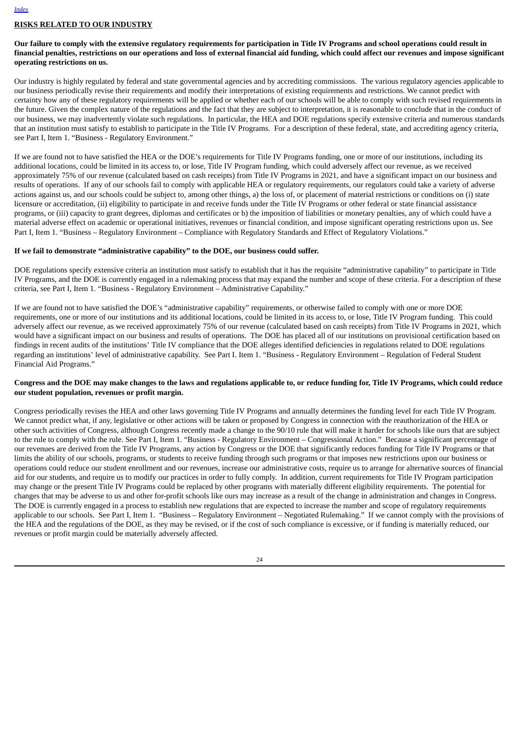## **RISKS RELATED TO OUR INDUSTRY**

## Our failure to comply with the extensive regulatory requirements for participation in Title IV Programs and school operations could result in financial penalties, restrictions on our operations and loss of external financial aid funding, which could affect our revenues and impose significant **operating restrictions on us.**

Our industry is highly regulated by federal and state governmental agencies and by accrediting commissions. The various regulatory agencies applicable to our business periodically revise their requirements and modify their interpretations of existing requirements and restrictions. We cannot predict with certainty how any of these regulatory requirements will be applied or whether each of our schools will be able to comply with such revised requirements in the future. Given the complex nature of the regulations and the fact that they are subject to interpretation, it is reasonable to conclude that in the conduct of our business, we may inadvertently violate such regulations. In particular, the HEA and DOE regulations specify extensive criteria and numerous standards that an institution must satisfy to establish to participate in the Title IV Programs. For a description of these federal, state, and accrediting agency criteria, see Part I, Item 1. "Business - Regulatory Environment."

If we are found not to have satisfied the HEA or the DOE's requirements for Title IV Programs funding, one or more of our institutions, including its additional locations, could be limited in its access to, or lose, Title IV Program funding, which could adversely affect our revenue, as we received approximately 75% of our revenue (calculated based on cash receipts) from Title IV Programs in 2021, and have a significant impact on our business and results of operations. If any of our schools fail to comply with applicable HEA or regulatory requirements, our regulators could take a variety of adverse actions against us, and our schools could be subject to, among other things, a) the loss of, or placement of material restrictions or conditions on (i) state licensure or accreditation, (ii) eligibility to participate in and receive funds under the Title IV Programs or other federal or state financial assistance programs, or (iii) capacity to grant degrees, diplomas and certificates or b) the imposition of liabilities or monetary penalties, any of which could have a material adverse effect on academic or operational initiatives, revenues or financial condition, and impose significant operating restrictions upon us. See Part I, Item 1. "Business – Regulatory Environment – Compliance with Regulatory Standards and Effect of Regulatory Violations."

## **If we fail to demonstrate "administrative capability" to the DOE, our business could suffer.**

DOE regulations specify extensive criteria an institution must satisfy to establish that it has the requisite "administrative capability" to participate in Title IV Programs, and the DOE is currently engaged in a rulemaking process that may expand the number and scope of these criteria. For a description of these criteria, see Part I, Item 1. "Business - Regulatory Environment – Administrative Capability."

If we are found not to have satisfied the DOE's "administrative capability" requirements, or otherwise failed to comply with one or more DOE requirements, one or more of our institutions and its additional locations, could be limited in its access to, or lose, Title IV Program funding. This could adversely affect our revenue, as we received approximately 75% of our revenue (calculated based on cash receipts) from Title IV Programs in 2021, which would have a significant impact on our business and results of operations. The DOE has placed all of our institutions on provisional certification based on findings in recent audits of the institutions' Title IV compliance that the DOE alleges identified deficiencies in regulations related to DOE regulations regarding an institutions' level of administrative capability. See Part I. Item 1. "Business - Regulatory Environment – Regulation of Federal Student Financial Aid Programs."

## Congress and the DOE may make changes to the laws and regulations applicable to, or reduce funding for, Title IV Programs, which could reduce **our student population, revenues or profit margin.**

Congress periodically revises the HEA and other laws governing Title IV Programs and annually determines the funding level for each Title IV Program. We cannot predict what, if any, legislative or other actions will be taken or proposed by Congress in connection with the reauthorization of the HEA or other such activities of Congress, although Congress recently made a change to the 90/10 rule that will make it harder for schools like ours that are subject to the rule to comply with the rule. See Part I, Item 1. "Business - Regulatory Environment – Congressional Action." Because a significant percentage of our revenues are derived from the Title IV Programs, any action by Congress or the DOE that significantly reduces funding for Title IV Programs or that limits the ability of our schools, programs, or students to receive funding through such programs or that imposes new restrictions upon our business or operations could reduce our student enrollment and our revenues, increase our administrative costs, require us to arrange for alternative sources of financial aid for our students, and require us to modify our practices in order to fully comply. In addition, current requirements for Title IV Program participation may change or the present Title IV Programs could be replaced by other programs with materially different eligibility requirements. The potential for changes that may be adverse to us and other for-profit schools like ours may increase as a result of the change in administration and changes in Congress. The DOE is currently engaged in a process to establish new regulations that are expected to increase the number and scope of regulatory requirements applicable to our schools. See Part I, Item 1. "Business – Regulatory Environment – Negotiated Rulemaking." If we cannot comply with the provisions of the HEA and the regulations of the DOE, as they may be revised, or if the cost of such compliance is excessive, or if funding is materially reduced, our revenues or profit margin could be materially adversely affected.

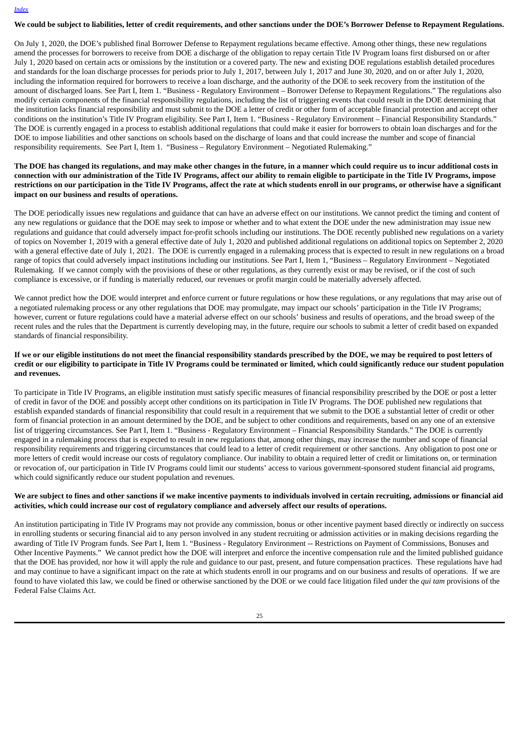#### We could be subject to liabilities, letter of credit requirements, and other sanctions under the DOE's Borrower Defense to Repayment Regulations.

On July 1, 2020, the DOE's published final Borrower Defense to Repayment regulations became effective. Among other things, these new regulations amend the processes for borrowers to receive from DOE a discharge of the obligation to repay certain Title IV Program loans first disbursed on or after July 1, 2020 based on certain acts or omissions by the institution or a covered party. The new and existing DOE regulations establish detailed procedures and standards for the loan discharge processes for periods prior to July 1, 2017, between July 1, 2017 and June 30, 2020, and on or after July 1, 2020, including the information required for borrowers to receive a loan discharge, and the authority of the DOE to seek recovery from the institution of the amount of discharged loans. See Part I, Item 1. "Business - Regulatory Environment – Borrower Defense to Repayment Regulations." The regulations also modify certain components of the financial responsibility regulations, including the list of triggering events that could result in the DOE determining that the institution lacks financial responsibility and must submit to the DOE a letter of credit or other form of acceptable financial protection and accept other conditions on the institution's Title IV Program eligibility. See Part I, Item 1. "Business - Regulatory Environment – Financial Responsibility Standards." The DOE is currently engaged in a process to establish additional regulations that could make it easier for borrowers to obtain loan discharges and for the DOE to impose liabilities and other sanctions on schools based on the discharge of loans and that could increase the number and scope of financial responsibility requirements. See Part I, Item 1. "Business – Regulatory Environment – Negotiated Rulemaking."

## The DOE has changed its regulations, and may make other changes in the future, in a manner which could require us to incur additional costs in connection with our administration of the Title IV Programs, affect our ability to remain eligible to participate in the Title IV Programs, impose restrictions on our participation in the Title IV Programs, affect the rate at which students enroll in our programs, or otherwise have a significant **impact on our business and results of operations.**

The DOE periodically issues new regulations and guidance that can have an adverse effect on our institutions. We cannot predict the timing and content of any new regulations or guidance that the DOE may seek to impose or whether and to what extent the DOE under the new administration may issue new regulations and guidance that could adversely impact for-profit schools including our institutions. The DOE recently published new regulations on a variety of topics on November 1, 2019 with a general effective date of July 1, 2020 and published additional regulations on additional topics on September 2, 2020 with a general effective date of July 1, 2021. The DOE is currently engaged in a rulemaking process that is expected to result in new regulations on a broad range of topics that could adversely impact institutions including our institutions. See Part I, Item 1, "Business – Regulatory Environment – Negotiated Rulemaking. If we cannot comply with the provisions of these or other regulations, as they currently exist or may be revised, or if the cost of such compliance is excessive, or if funding is materially reduced, our revenues or profit margin could be materially adversely affected.

We cannot predict how the DOE would interpret and enforce current or future regulations or how these regulations, or any regulations that may arise out of a negotiated rulemaking process or any other regulations that DOE may promulgate, may impact our schools' participation in the Title IV Programs; however, current or future regulations could have a material adverse effect on our schools' business and results of operations, and the broad sweep of the recent rules and the rules that the Department is currently developing may, in the future, require our schools to submit a letter of credit based on expanded standards of financial responsibility.

## If we or our eligible institutions do not meet the financial responsibility standards prescribed by the DOE, we may be required to post letters of credit or our eligibility to participate in Title IV Programs could be terminated or limited, which could significantly reduce our student population **and revenues.**

To participate in Title IV Programs, an eligible institution must satisfy specific measures of financial responsibility prescribed by the DOE or post a letter of credit in favor of the DOE and possibly accept other conditions on its participation in Title IV Programs. The DOE published new regulations that establish expanded standards of financial responsibility that could result in a requirement that we submit to the DOE a substantial letter of credit or other form of financial protection in an amount determined by the DOE, and be subject to other conditions and requirements, based on any one of an extensive list of triggering circumstances. See Part I, Item 1. "Business - Regulatory Environment – Financial Responsibility Standards." The DOE is currently engaged in a rulemaking process that is expected to result in new regulations that, among other things, may increase the number and scope of financial responsibility requirements and triggering circumstances that could lead to a letter of credit requirement or other sanctions. Any obligation to post one or more letters of credit would increase our costs of regulatory compliance. Our inability to obtain a required letter of credit or limitations on, or termination or revocation of, our participation in Title IV Programs could limit our students' access to various government-sponsored student financial aid programs, which could significantly reduce our student population and revenues.

#### We are subject to fines and other sanctions if we make incentive payments to individuals involved in certain recruiting, admissions or financial aid activities, which could increase our cost of regulatory compliance and adversely affect our results of operations.

An institution participating in Title IV Programs may not provide any commission, bonus or other incentive payment based directly or indirectly on success in enrolling students or securing financial aid to any person involved in any student recruiting or admission activities or in making decisions regarding the awarding of Title IV Program funds. See Part I, Item 1. "Business - Regulatory Environment -- Restrictions on Payment of Commissions, Bonuses and Other Incentive Payments." We cannot predict how the DOE will interpret and enforce the incentive compensation rule and the limited published guidance that the DOE has provided, nor how it will apply the rule and guidance to our past, present, and future compensation practices. These regulations have had and may continue to have a significant impact on the rate at which students enroll in our programs and on our business and results of operations. If we are found to have violated this law, we could be fined or otherwise sanctioned by the DOE or we could face litigation filed under the *qui tam* provisions of the Federal False Claims Act.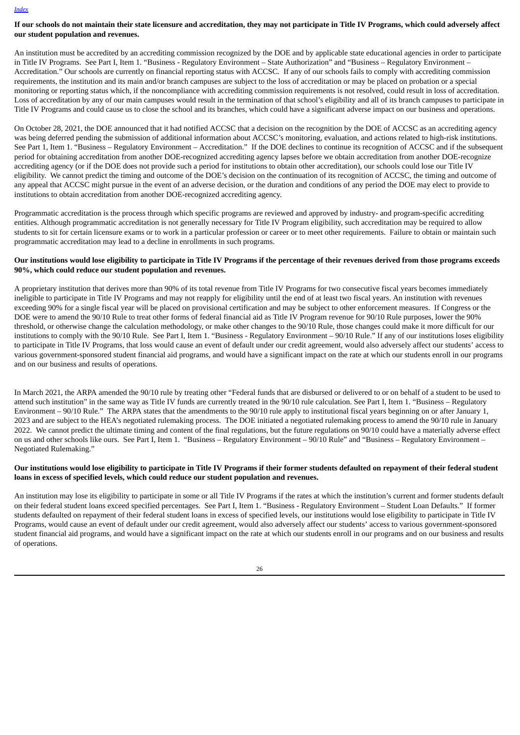## If our schools do not maintain their state licensure and accreditation, they may not participate in Title IV Programs, which could adversely affect **our student population and revenues.**

An institution must be accredited by an accrediting commission recognized by the DOE and by applicable state educational agencies in order to participate in Title IV Programs. See Part I, Item 1. "Business - Regulatory Environment – State Authorization" and "Business – Regulatory Environment – Accreditation." Our schools are currently on financial reporting status with ACCSC. If any of our schools fails to comply with accrediting commission requirements, the institution and its main and/or branch campuses are subject to the loss of accreditation or may be placed on probation or a special monitoring or reporting status which, if the noncompliance with accrediting commission requirements is not resolved, could result in loss of accreditation. Loss of accreditation by any of our main campuses would result in the termination of that school's eligibility and all of its branch campuses to participate in Title IV Programs and could cause us to close the school and its branches, which could have a significant adverse impact on our business and operations.

On October 28, 2021, the DOE announced that it had notified ACCSC that a decision on the recognition by the DOE of ACCSC as an accrediting agency was being deferred pending the submission of additional information about ACCSC's monitoring, evaluation, and actions related to high-risk institutions. See Part 1, Item 1. "Business – Regulatory Environment – Accreditation." If the DOE declines to continue its recognition of ACCSC and if the subsequent period for obtaining accreditation from another DOE-recognized accrediting agency lapses before we obtain accreditation from another DOE-recognize accrediting agency (or if the DOE does not provide such a period for institutions to obtain other accreditation), our schools could lose our Title IV eligibility. We cannot predict the timing and outcome of the DOE's decision on the continuation of its recognition of ACCSC, the timing and outcome of any appeal that ACCSC might pursue in the event of an adverse decision, or the duration and conditions of any period the DOE may elect to provide to institutions to obtain accreditation from another DOE-recognized accrediting agency.

Programmatic accreditation is the process through which specific programs are reviewed and approved by industry- and program-specific accrediting entities. Although programmatic accreditation is not generally necessary for Title IV Program eligibility, such accreditation may be required to allow students to sit for certain licensure exams or to work in a particular profession or career or to meet other requirements. Failure to obtain or maintain such programmatic accreditation may lead to a decline in enrollments in such programs.

#### Our institutions would lose eligibility to participate in Title IV Programs if the percentage of their revenues derived from those programs exceeds **90%, which could reduce our student population and revenues.**

A proprietary institution that derives more than 90% of its total revenue from Title IV Programs for two consecutive fiscal years becomes immediately ineligible to participate in Title IV Programs and may not reapply for eligibility until the end of at least two fiscal years. An institution with revenues exceeding 90% for a single fiscal year will be placed on provisional certification and may be subject to other enforcement measures. If Congress or the DOE were to amend the 90/10 Rule to treat other forms of federal financial aid as Title IV Program revenue for 90/10 Rule purposes, lower the 90% threshold, or otherwise change the calculation methodology, or make other changes to the 90/10 Rule, those changes could make it more difficult for our institutions to comply with the 90/10 Rule. See Part I, Item 1. "Business - Regulatory Environment – 90/10 Rule." If any of our institutions loses eligibility to participate in Title IV Programs, that loss would cause an event of default under our credit agreement, would also adversely affect our students' access to various government-sponsored student financial aid programs, and would have a significant impact on the rate at which our students enroll in our programs and on our business and results of operations.

In March 2021, the ARPA amended the 90/10 rule by treating other "Federal funds that are disbursed or delivered to or on behalf of a student to be used to attend such institution" in the same way as Title IV funds are currently treated in the 90/10 rule calculation. See Part I, Item 1. "Business – Regulatory Environment – 90/10 Rule." The ARPA states that the amendments to the 90/10 rule apply to institutional fiscal years beginning on or after January 1, 2023 and are subject to the HEA's negotiated rulemaking process. The DOE initiated a negotiated rulemaking process to amend the 90/10 rule in January 2022. We cannot predict the ultimate timing and content of the final regulations, but the future regulations on 90/10 could have a materially adverse effect on us and other schools like ours. See Part I, Item 1. "Business – Regulatory Environment – 90/10 Rule" and "Business – Regulatory Environment – Negotiated Rulemaking."

## Our institutions would lose eligibility to participate in Title IV Programs if their former students defaulted on repayment of their federal student **loans in excess of specified levels, which could reduce our student population and revenues.**

An institution may lose its eligibility to participate in some or all Title IV Programs if the rates at which the institution's current and former students default on their federal student loans exceed specified percentages. See Part I, Item 1. "Business - Regulatory Environment – Student Loan Defaults." If former students defaulted on repayment of their federal student loans in excess of specified levels, our institutions would lose eligibility to participate in Title IV Programs, would cause an event of default under our credit agreement, would also adversely affect our students' access to various government-sponsored student financial aid programs, and would have a significant impact on the rate at which our students enroll in our programs and on our business and results of operations.

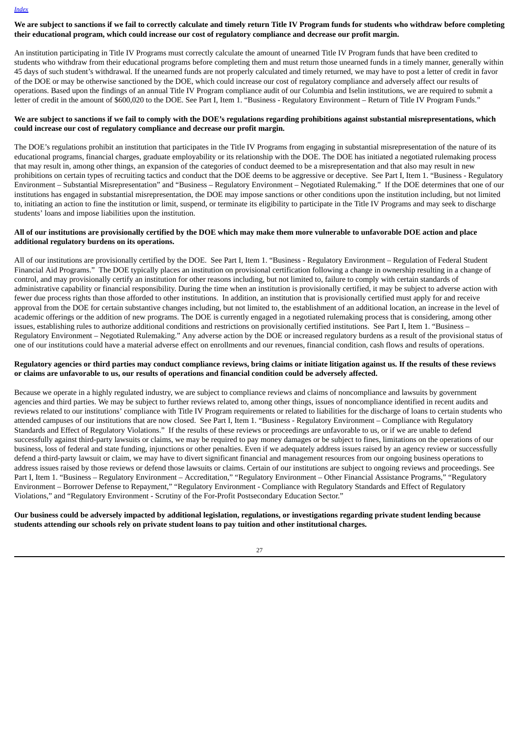## We are subject to sanctions if we fail to correctly calculate and timely return Title IV Program funds for students who withdraw before completing their educational program, which could increase our cost of regulatory compliance and decrease our profit margin.

An institution participating in Title IV Programs must correctly calculate the amount of unearned Title IV Program funds that have been credited to students who withdraw from their educational programs before completing them and must return those unearned funds in a timely manner, generally within 45 days of such student's withdrawal. If the unearned funds are not properly calculated and timely returned, we may have to post a letter of credit in favor of the DOE or may be otherwise sanctioned by the DOE, which could increase our cost of regulatory compliance and adversely affect our results of operations. Based upon the findings of an annual Title IV Program compliance audit of our Columbia and Iselin institutions, we are required to submit a letter of credit in the amount of \$600,020 to the DOE. See Part I, Item 1. "Business - Regulatory Environment – Return of Title IV Program Funds."

## We are subject to sanctions if we fail to comply with the DOE's regulations regarding prohibitions against substantial misrepresentations, which **could increase our cost of regulatory compliance and decrease our profit margin.**

The DOE's regulations prohibit an institution that participates in the Title IV Programs from engaging in substantial misrepresentation of the nature of its educational programs, financial charges, graduate employability or its relationship with the DOE. The DOE has initiated a negotiated rulemaking process that may result in, among other things, an expansion of the categories of conduct deemed to be a misrepresentation and that also may result in new prohibitions on certain types of recruiting tactics and conduct that the DOE deems to be aggressive or deceptive. See Part I, Item 1. "Business - Regulatory Environment – Substantial Misrepresentation" and "Business – Regulatory Environment – Negotiated Rulemaking." If the DOE determines that one of our institutions has engaged in substantial misrepresentation, the DOE may impose sanctions or other conditions upon the institution including, but not limited to, initiating an action to fine the institution or limit, suspend, or terminate its eligibility to participate in the Title IV Programs and may seek to discharge students' loans and impose liabilities upon the institution.

#### All of our institutions are provisionally certified by the DOE which may make them more vulnerable to unfavorable DOE action and place **additional regulatory burdens on its operations.**

All of our institutions are provisionally certified by the DOE. See Part I, Item 1. "Business - Regulatory Environment – Regulation of Federal Student Financial Aid Programs." The DOE typically places an institution on provisional certification following a change in ownership resulting in a change of control, and may provisionally certify an institution for other reasons including, but not limited to, failure to comply with certain standards of administrative capability or financial responsibility. During the time when an institution is provisionally certified, it may be subject to adverse action with fewer due process rights than those afforded to other institutions. In addition, an institution that is provisionally certified must apply for and receive approval from the DOE for certain substantive changes including, but not limited to, the establishment of an additional location, an increase in the level of academic offerings or the addition of new programs. The DOE is currently engaged in a negotiated rulemaking process that is considering, among other issues, establishing rules to authorize additional conditions and restrictions on provisionally certified institutions. See Part I, Item 1. "Business – Regulatory Environment – Negotiated Rulemaking." Any adverse action by the DOE or increased regulatory burdens as a result of the provisional status of one of our institutions could have a material adverse effect on enrollments and our revenues, financial condition, cash flows and results of operations.

## Regulatory agencies or third parties may conduct compliance reviews, bring claims or initiate litigation against us. If the results of these reviews or claims are unfavorable to us, our results of operations and financial condition could be adversely affected.

Because we operate in a highly regulated industry, we are subject to compliance reviews and claims of noncompliance and lawsuits by government agencies and third parties. We may be subject to further reviews related to, among other things, issues of noncompliance identified in recent audits and reviews related to our institutions' compliance with Title IV Program requirements or related to liabilities for the discharge of loans to certain students who attended campuses of our institutions that are now closed. See Part I, Item 1. "Business - Regulatory Environment – Compliance with Regulatory Standards and Effect of Regulatory Violations." If the results of these reviews or proceedings are unfavorable to us, or if we are unable to defend successfully against third-party lawsuits or claims, we may be required to pay money damages or be subject to fines, limitations on the operations of our business, loss of federal and state funding, injunctions or other penalties. Even if we adequately address issues raised by an agency review or successfully defend a third-party lawsuit or claim, we may have to divert significant financial and management resources from our ongoing business operations to address issues raised by those reviews or defend those lawsuits or claims. Certain of our institutions are subject to ongoing reviews and proceedings. See Part I, Item 1. "Business – Regulatory Environment – Accreditation," "Regulatory Environment – Other Financial Assistance Programs," "Regulatory Environment – Borrower Defense to Repayment," "Regulatory Environment - Compliance with Regulatory Standards and Effect of Regulatory Violations," and "Regulatory Environment - Scrutiny of the For-Profit Postsecondary Education Sector."

#### Our business could be adversely impacted by additional legislation, regulations, or investigations regarding private student lending because **students attending our schools rely on private student loans to pay tuition and other institutional charges.**

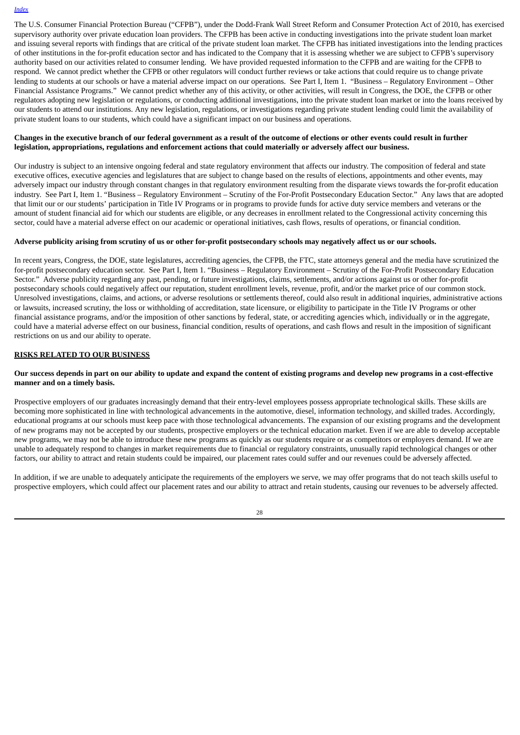The U.S. Consumer Financial Protection Bureau ("CFPB"), under the Dodd-Frank Wall Street Reform and Consumer Protection Act of 2010, has exercised supervisory authority over private education loan providers. The CFPB has been active in conducting investigations into the private student loan market and issuing several reports with findings that are critical of the private student loan market. The CFPB has initiated investigations into the lending practices of other institutions in the for-profit education sector and has indicated to the Company that it is assessing whether we are subject to CFPB's supervisory authority based on our activities related to consumer lending. We have provided requested information to the CFPB and are waiting for the CFPB to respond. We cannot predict whether the CFPB or other regulators will conduct further reviews or take actions that could require us to change private lending to students at our schools or have a material adverse impact on our operations. See Part I, Item 1. "Business – Regulatory Environment – Other Financial Assistance Programs." We cannot predict whether any of this activity, or other activities, will result in Congress, the DOE, the CFPB or other regulators adopting new legislation or regulations, or conducting additional investigations, into the private student loan market or into the loans received by our students to attend our institutions. Any new legislation, regulations, or investigations regarding private student lending could limit the availability of private student loans to our students, which could have a significant impact on our business and operations.

## Changes in the executive branch of our federal government as a result of the outcome of elections or other events could result in further **legislation, appropriations, regulations and enforcement actions that could materially or adversely affect our business.**

Our industry is subject to an intensive ongoing federal and state regulatory environment that affects our industry. The composition of federal and state executive offices, executive agencies and legislatures that are subject to change based on the results of elections, appointments and other events, may adversely impact our industry through constant changes in that regulatory environment resulting from the disparate views towards the for-profit education industry. See Part I, Item 1. "Business – Regulatory Environment – Scrutiny of the For-Profit Postsecondary Education Sector." Any laws that are adopted that limit our or our students' participation in Title IV Programs or in programs to provide funds for active duty service members and veterans or the amount of student financial aid for which our students are eligible, or any decreases in enrollment related to the Congressional activity concerning this sector, could have a material adverse effect on our academic or operational initiatives, cash flows, results of operations, or financial condition.

## Adverse publicity arising from scrutiny of us or other for-profit postsecondary schools may negatively affect us or our schools.

In recent years, Congress, the DOE, state legislatures, accrediting agencies, the CFPB, the FTC, state attorneys general and the media have scrutinized the for-profit postsecondary education sector. See Part I, Item 1. "Business – Regulatory Environment – Scrutiny of the For-Profit Postsecondary Education Sector." Adverse publicity regarding any past, pending, or future investigations, claims, settlements, and/or actions against us or other for-profit postsecondary schools could negatively affect our reputation, student enrollment levels, revenue, profit, and/or the market price of our common stock. Unresolved investigations, claims, and actions, or adverse resolutions or settlements thereof, could also result in additional inquiries, administrative actions or lawsuits, increased scrutiny, the loss or withholding of accreditation, state licensure, or eligibility to participate in the Title IV Programs or other financial assistance programs, and/or the imposition of other sanctions by federal, state, or accrediting agencies which, individually or in the aggregate, could have a material adverse effect on our business, financial condition, results of operations, and cash flows and result in the imposition of significant restrictions on us and our ability to operate.

## **RISKS RELATED TO OUR BUSINESS**

## Our success depends in part on our ability to update and expand the content of existing programs and develop new programs in a cost-effective **manner and on a timely basis.**

Prospective employers of our graduates increasingly demand that their entry-level employees possess appropriate technological skills. These skills are becoming more sophisticated in line with technological advancements in the automotive, diesel, information technology, and skilled trades. Accordingly, educational programs at our schools must keep pace with those technological advancements. The expansion of our existing programs and the development of new programs may not be accepted by our students, prospective employers or the technical education market. Even if we are able to develop acceptable new programs, we may not be able to introduce these new programs as quickly as our students require or as competitors or employers demand. If we are unable to adequately respond to changes in market requirements due to financial or regulatory constraints, unusually rapid technological changes or other factors, our ability to attract and retain students could be impaired, our placement rates could suffer and our revenues could be adversely affected.

In addition, if we are unable to adequately anticipate the requirements of the employers we serve, we may offer programs that do not teach skills useful to prospective employers, which could affect our placement rates and our ability to attract and retain students, causing our revenues to be adversely affected.

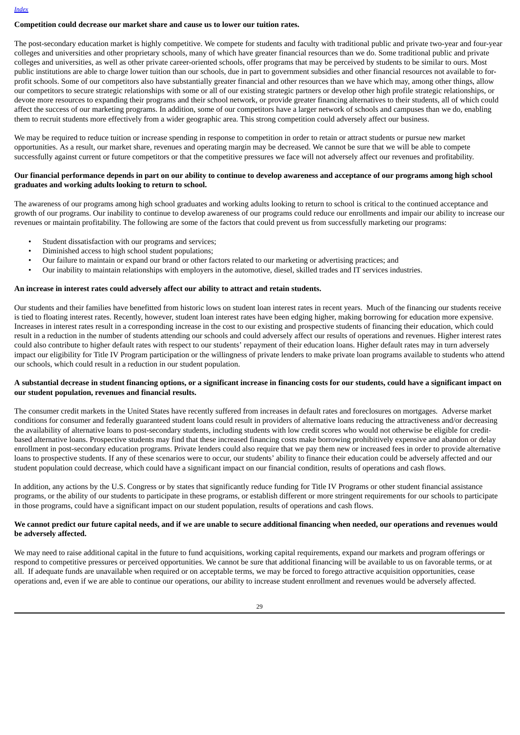#### **Competition could decrease our market share and cause us to lower our tuition rates.**

The post-secondary education market is highly competitive. We compete for students and faculty with traditional public and private two-year and four-year colleges and universities and other proprietary schools, many of which have greater financial resources than we do. Some traditional public and private colleges and universities, as well as other private career-oriented schools, offer programs that may be perceived by students to be similar to ours. Most public institutions are able to charge lower tuition than our schools, due in part to government subsidies and other financial resources not available to forprofit schools. Some of our competitors also have substantially greater financial and other resources than we have which may, among other things, allow our competitors to secure strategic relationships with some or all of our existing strategic partners or develop other high profile strategic relationships, or devote more resources to expanding their programs and their school network, or provide greater financing alternatives to their students, all of which could affect the success of our marketing programs. In addition, some of our competitors have a larger network of schools and campuses than we do, enabling them to recruit students more effectively from a wider geographic area. This strong competition could adversely affect our business.

We may be required to reduce tuition or increase spending in response to competition in order to retain or attract students or pursue new market opportunities. As a result, our market share, revenues and operating margin may be decreased. We cannot be sure that we will be able to compete successfully against current or future competitors or that the competitive pressures we face will not adversely affect our revenues and profitability.

## Our financial performance depends in part on our ability to continue to develop awareness and acceptance of our programs among high school **graduates and working adults looking to return to school.**

The awareness of our programs among high school graduates and working adults looking to return to school is critical to the continued acceptance and growth of our programs. Our inability to continue to develop awareness of our programs could reduce our enrollments and impair our ability to increase our revenues or maintain profitability. The following are some of the factors that could prevent us from successfully marketing our programs:

- Student dissatisfaction with our programs and services;
- Diminished access to high school student populations;
- Our failure to maintain or expand our brand or other factors related to our marketing or advertising practices; and
- Our inability to maintain relationships with employers in the automotive, diesel, skilled trades and IT services industries.

#### **An increase in interest rates could adversely affect our ability to attract and retain students.**

Our students and their families have benefitted from historic lows on student loan interest rates in recent years. Much of the financing our students receive is tied to floating interest rates. Recently, however, student loan interest rates have been edging higher, making borrowing for education more expensive. Increases in interest rates result in a corresponding increase in the cost to our existing and prospective students of financing their education, which could result in a reduction in the number of students attending our schools and could adversely affect our results of operations and revenues. Higher interest rates could also contribute to higher default rates with respect to our students' repayment of their education loans. Higher default rates may in turn adversely impact our eligibility for Title IV Program participation or the willingness of private lenders to make private loan programs available to students who attend our schools, which could result in a reduction in our student population.

#### A substantial decrease in student financing options, or a significant increase in financing costs for our students, could have a significant impact on **our student population, revenues and financial results.**

The consumer credit markets in the United States have recently suffered from increases in default rates and foreclosures on mortgages. Adverse market conditions for consumer and federally guaranteed student loans could result in providers of alternative loans reducing the attractiveness and/or decreasing the availability of alternative loans to post-secondary students, including students with low credit scores who would not otherwise be eligible for creditbased alternative loans. Prospective students may find that these increased financing costs make borrowing prohibitively expensive and abandon or delay enrollment in post-secondary education programs. Private lenders could also require that we pay them new or increased fees in order to provide alternative loans to prospective students. If any of these scenarios were to occur, our students' ability to finance their education could be adversely affected and our student population could decrease, which could have a significant impact on our financial condition, results of operations and cash flows.

In addition, any actions by the U.S. Congress or by states that significantly reduce funding for Title IV Programs or other student financial assistance programs, or the ability of our students to participate in these programs, or establish different or more stringent requirements for our schools to participate in those programs, could have a significant impact on our student population, results of operations and cash flows.

## We cannot predict our future capital needs, and if we are unable to secure additional financing when needed, our operations and revenues would **be adversely affected.**

We may need to raise additional capital in the future to fund acquisitions, working capital requirements, expand our markets and program offerings or respond to competitive pressures or perceived opportunities. We cannot be sure that additional financing will be available to us on favorable terms, or at all. If adequate funds are unavailable when required or on acceptable terms, we may be forced to forego attractive acquisition opportunities, cease operations and, even if we are able to continue our operations, our ability to increase student enrollment and revenues would be adversely affected.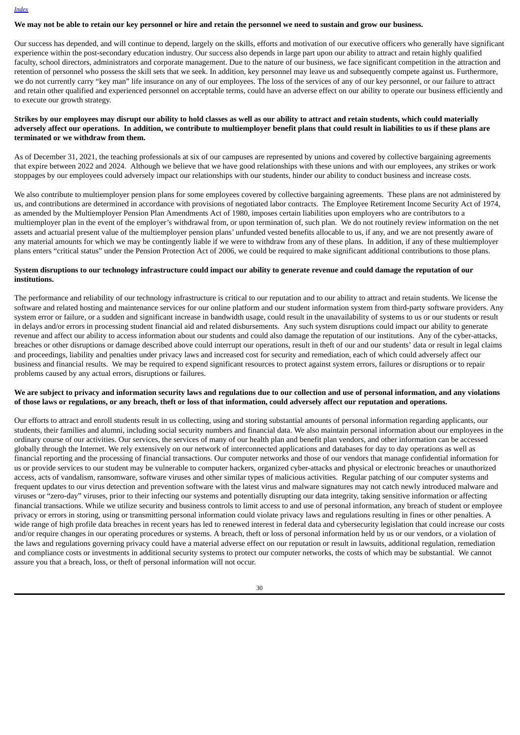#### We may not be able to retain our key personnel or hire and retain the personnel we need to sustain and grow our business.

Our success has depended, and will continue to depend, largely on the skills, efforts and motivation of our executive officers who generally have significant experience within the post-secondary education industry. Our success also depends in large part upon our ability to attract and retain highly qualified faculty, school directors, administrators and corporate management. Due to the nature of our business, we face significant competition in the attraction and retention of personnel who possess the skill sets that we seek. In addition, key personnel may leave us and subsequently compete against us. Furthermore, we do not currently carry "key man" life insurance on any of our employees. The loss of the services of any of our key personnel, or our failure to attract and retain other qualified and experienced personnel on acceptable terms, could have an adverse effect on our ability to operate our business efficiently and to execute our growth strategy.

## Strikes by our employees may disrupt our ability to hold classes as well as our ability to attract and retain students, which could materially adversely affect our operations. In addition, we contribute to multiemployer benefit plans that could result in liabilities to us if these plans are **terminated or we withdraw from them.**

As of December 31, 2021, the teaching professionals at six of our campuses are represented by unions and covered by collective bargaining agreements that expire between 2022 and 2024. Although we believe that we have good relationships with these unions and with our employees, any strikes or work stoppages by our employees could adversely impact our relationships with our students, hinder our ability to conduct business and increase costs.

We also contribute to multiemployer pension plans for some employees covered by collective bargaining agreements. These plans are not administered by us, and contributions are determined in accordance with provisions of negotiated labor contracts. The Employee Retirement Income Security Act of 1974, as amended by the Multiemployer Pension Plan Amendments Act of 1980, imposes certain liabilities upon employers who are contributors to a multiemployer plan in the event of the employer's withdrawal from, or upon termination of, such plan. We do not routinely review information on the net assets and actuarial present value of the multiemployer pension plans' unfunded vested benefits allocable to us, if any, and we are not presently aware of any material amounts for which we may be contingently liable if we were to withdraw from any of these plans. In addition, if any of these multiemployer plans enters "critical status" under the Pension Protection Act of 2006, we could be required to make significant additional contributions to those plans.

#### System disruptions to our technology infrastructure could impact our ability to generate revenue and could damage the reputation of our **institutions.**

The performance and reliability of our technology infrastructure is critical to our reputation and to our ability to attract and retain students. We license the software and related hosting and maintenance services for our online platform and our student information system from third-party software providers. Any system error or failure, or a sudden and significant increase in bandwidth usage, could result in the unavailability of systems to us or our students or result in delays and/or errors in processing student financial aid and related disbursements. Any such system disruptions could impact our ability to generate revenue and affect our ability to access information about our students and could also damage the reputation of our institutions. Any of the cyber-attacks, breaches or other disruptions or damage described above could interrupt our operations, result in theft of our and our students' data or result in legal claims and proceedings, liability and penalties under privacy laws and increased cost for security and remediation, each of which could adversely affect our business and financial results. We may be required to expend significant resources to protect against system errors, failures or disruptions or to repair problems caused by any actual errors, disruptions or failures.

#### We are subject to privacy and information security laws and regulations due to our collection and use of personal information, and any violations of those laws or regulations, or any breach, theft or loss of that information, could adversely affect our reputation and operations.

Our efforts to attract and enroll students result in us collecting, using and storing substantial amounts of personal information regarding applicants, our students, their families and alumni, including social security numbers and financial data. We also maintain personal information about our employees in the ordinary course of our activities. Our services, the services of many of our health plan and benefit plan vendors, and other information can be accessed globally through the Internet. We rely extensively on our network of interconnected applications and databases for day to day operations as well as financial reporting and the processing of financial transactions. Our computer networks and those of our vendors that manage confidential information for us or provide services to our student may be vulnerable to computer hackers, organized cyber-attacks and physical or electronic breaches or unauthorized access, acts of vandalism, ransomware, software viruses and other similar types of malicious activities. Regular patching of our computer systems and frequent updates to our virus detection and prevention software with the latest virus and malware signatures may not catch newly introduced malware and viruses or "zero-day" viruses, prior to their infecting our systems and potentially disrupting our data integrity, taking sensitive information or affecting financial transactions. While we utilize security and business controls to limit access to and use of personal information, any breach of student or employee privacy or errors in storing, using or transmitting personal information could violate privacy laws and regulations resulting in fines or other penalties. A wide range of high profile data breaches in recent years has led to renewed interest in federal data and cybersecurity legislation that could increase our costs and/or require changes in our operating procedures or systems. A breach, theft or loss of personal information held by us or our vendors, or a violation of the laws and regulations governing privacy could have a material adverse effect on our reputation or result in lawsuits, additional regulation, remediation and compliance costs or investments in additional security systems to protect our computer networks, the costs of which may be substantial. We cannot assure you that a breach, loss, or theft of personal information will not occur.

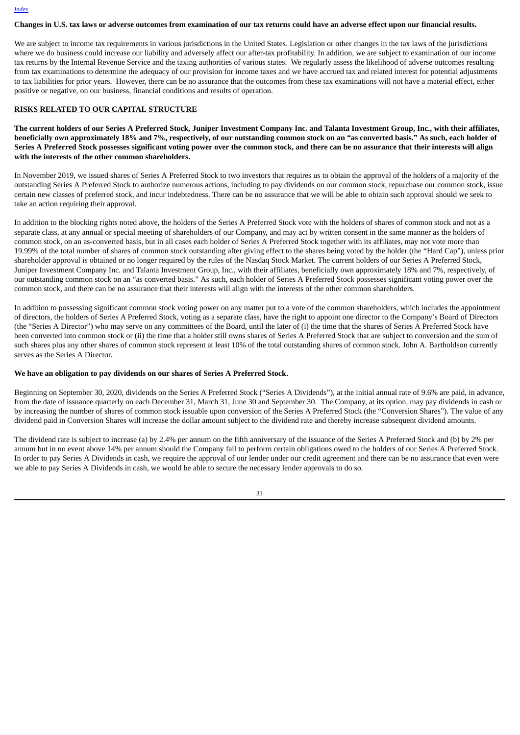#### Changes in U.S. tax laws or adverse outcomes from examination of our tax returns could have an adverse effect upon our financial results.

We are subject to income tax requirements in various jurisdictions in the United States. Legislation or other changes in the tax laws of the jurisdictions where we do business could increase our liability and adversely affect our after-tax profitability. In addition, we are subject to examination of our income tax returns by the Internal Revenue Service and the taxing authorities of various states. We regularly assess the likelihood of adverse outcomes resulting from tax examinations to determine the adequacy of our provision for income taxes and we have accrued tax and related interest for potential adjustments to tax liabilities for prior years. However, there can be no assurance that the outcomes from these tax examinations will not have a material effect, either positive or negative, on our business, financial conditions and results of operation.

## **RISKS RELATED TO OUR CAPITAL STRUCTURE**

The current holders of our Series A Preferred Stock, Juniper Investment Company Inc. and Talanta Investment Group, Inc., with their affiliates, beneficially own approximately 18% and 7%, respectively, of our outstanding common stock on an "as converted basis." As such, each holder of Series A Preferred Stock possesses significant voting power over the common stock, and there can be no assurance that their interests will align **with the interests of the other common shareholders.**

In November 2019, we issued shares of Series A Preferred Stock to two investors that requires us to obtain the approval of the holders of a majority of the outstanding Series A Preferred Stock to authorize numerous actions, including to pay dividends on our common stock, repurchase our common stock, issue certain new classes of preferred stock, and incur indebtedness. There can be no assurance that we will be able to obtain such approval should we seek to take an action requiring their approval.

In addition to the blocking rights noted above, the holders of the Series A Preferred Stock vote with the holders of shares of common stock and not as a separate class, at any annual or special meeting of shareholders of our Company, and may act by written consent in the same manner as the holders of common stock, on an as-converted basis, but in all cases each holder of Series A Preferred Stock together with its affiliates, may not vote more than 19.99% of the total number of shares of common stock outstanding after giving effect to the shares being voted by the holder (the "Hard Cap"), unless prior shareholder approval is obtained or no longer required by the rules of the Nasdaq Stock Market. The current holders of our Series A Preferred Stock, Juniper Investment Company Inc. and Talanta Investment Group, Inc., with their affiliates, beneficially own approximately 18% and 7%, respectively, of our outstanding common stock on an "as converted basis." As such, each holder of Series A Preferred Stock possesses significant voting power over the common stock, and there can be no assurance that their interests will align with the interests of the other common shareholders.

In addition to possessing significant common stock voting power on any matter put to a vote of the common shareholders, which includes the appointment of directors, the holders of Series A Preferred Stock, voting as a separate class, have the right to appoint one director to the Company's Board of Directors (the "Series A Director") who may serve on any committees of the Board, until the later of (i) the time that the shares of Series A Preferred Stock have been converted into common stock or (ii) the time that a holder still owns shares of Series A Preferred Stock that are subject to conversion and the sum of such shares plus any other shares of common stock represent at least 10% of the total outstanding shares of common stock. John A. Bartholdson currently serves as the Series A Director.

#### **We have an obligation to pay dividends on our shares of Series A Preferred Stock.**

Beginning on September 30, 2020, dividends on the Series A Preferred Stock ("Series A Dividends"), at the initial annual rate of 9.6% are paid, in advance, from the date of issuance quarterly on each December 31, March 31, June 30 and September 30. The Company, at its option, may pay dividends in cash or by increasing the number of shares of common stock issuable upon conversion of the Series A Preferred Stock (the "Conversion Shares"). The value of any dividend paid in Conversion Shares will increase the dollar amount subject to the dividend rate and thereby increase subsequent dividend amounts.

The dividend rate is subject to increase (a) by 2.4% per annum on the fifth anniversary of the issuance of the Series A Preferred Stock and (b) by 2% per annum but in no event above 14% per annum should the Company fail to perform certain obligations owed to the holders of our Series A Preferred Stock. In order to pay Series A Dividends in cash, we require the approval of our lender under our credit agreement and there can be no assurance that even were we able to pay Series A Dividends in cash, we would be able to secure the necessary lender approvals to do so.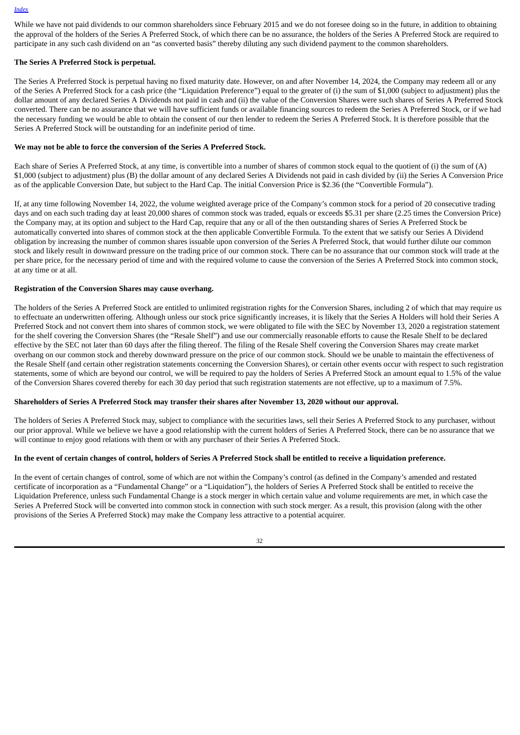While we have not paid dividends to our common shareholders since February 2015 and we do not foresee doing so in the future, in addition to obtaining the approval of the holders of the Series A Preferred Stock, of which there can be no assurance, the holders of the Series A Preferred Stock are required to participate in any such cash dividend on an "as converted basis" thereby diluting any such dividend payment to the common shareholders.

## **The Series A Preferred Stock is perpetual.**

The Series A Preferred Stock is perpetual having no fixed maturity date. However, on and after November 14, 2024, the Company may redeem all or any of the Series A Preferred Stock for a cash price (the "Liquidation Preference") equal to the greater of (i) the sum of \$1,000 (subject to adjustment) plus the dollar amount of any declared Series A Dividends not paid in cash and (ii) the value of the Conversion Shares were such shares of Series A Preferred Stock converted. There can be no assurance that we will have sufficient funds or available financing sources to redeem the Series A Preferred Stock, or if we had the necessary funding we would be able to obtain the consent of our then lender to redeem the Series A Preferred Stock. It is therefore possible that the Series A Preferred Stock will be outstanding for an indefinite period of time.

## **We may not be able to force the conversion of the Series A Preferred Stock.**

Each share of Series A Preferred Stock, at any time, is convertible into a number of shares of common stock equal to the quotient of (i) the sum of (A) \$1,000 (subject to adjustment) plus (B) the dollar amount of any declared Series A Dividends not paid in cash divided by (ii) the Series A Conversion Price as of the applicable Conversion Date, but subject to the Hard Cap. The initial Conversion Price is \$2.36 (the "Convertible Formula").

If, at any time following November 14, 2022, the volume weighted average price of the Company's common stock for a period of 20 consecutive trading days and on each such trading day at least 20,000 shares of common stock was traded, equals or exceeds \$5.31 per share (2.25 times the Conversion Price) the Company may, at its option and subject to the Hard Cap, require that any or all of the then outstanding shares of Series A Preferred Stock be automatically converted into shares of common stock at the then applicable Convertible Formula. To the extent that we satisfy our Series A Dividend obligation by increasing the number of common shares issuable upon conversion of the Series A Preferred Stock, that would further dilute our common stock and likely result in downward pressure on the trading price of our common stock. There can be no assurance that our common stock will trade at the per share price, for the necessary period of time and with the required volume to cause the conversion of the Series A Preferred Stock into common stock, at any time or at all.

#### **Registration of the Conversion Shares may cause overhang.**

The holders of the Series A Preferred Stock are entitled to unlimited registration rights for the Conversion Shares, including 2 of which that may require us to effectuate an underwritten offering. Although unless our stock price significantly increases, it is likely that the Series A Holders will hold their Series A Preferred Stock and not convert them into shares of common stock, we were obligated to file with the SEC by November 13, 2020 a registration statement for the shelf covering the Conversion Shares (the "Resale Shelf") and use our commercially reasonable efforts to cause the Resale Shelf to be declared effective by the SEC not later than 60 days after the filing thereof. The filing of the Resale Shelf covering the Conversion Shares may create market overhang on our common stock and thereby downward pressure on the price of our common stock. Should we be unable to maintain the effectiveness of the Resale Shelf (and certain other registration statements concerning the Conversion Shares), or certain other events occur with respect to such registration statements, some of which are beyond our control, we will be required to pay the holders of Series A Preferred Stock an amount equal to 1.5% of the value of the Conversion Shares covered thereby for each 30 day period that such registration statements are not effective, up to a maximum of 7.5%.

#### Shareholders of Series A Preferred Stock may transfer their shares after November 13, 2020 without our approval.

The holders of Series A Preferred Stock may, subject to compliance with the securities laws, sell their Series A Preferred Stock to any purchaser, without our prior approval. While we believe we have a good relationship with the current holders of Series A Preferred Stock, there can be no assurance that we will continue to enjoy good relations with them or with any purchaser of their Series A Preferred Stock.

## In the event of certain changes of control, holders of Series A Preferred Stock shall be entitled to receive a liquidation preference.

In the event of certain changes of control, some of which are not within the Company's control (as defined in the Company's amended and restated certificate of incorporation as a "Fundamental Change" or a "Liquidation"), the holders of Series A Preferred Stock shall be entitled to receive the Liquidation Preference, unless such Fundamental Change is a stock merger in which certain value and volume requirements are met, in which case the Series A Preferred Stock will be converted into common stock in connection with such stock merger. As a result, this provision (along with the other provisions of the Series A Preferred Stock) may make the Company less attractive to a potential acquirer.

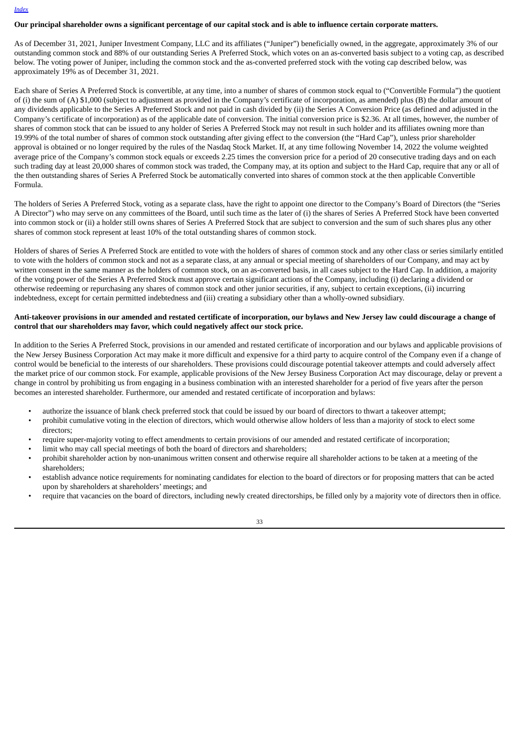#### Our principal shareholder owns a significant percentage of our capital stock and is able to influence certain corporate matters.

As of December 31, 2021, Juniper Investment Company, LLC and its affiliates ("Juniper") beneficially owned, in the aggregate, approximately 3% of our outstanding common stock and 88% of our outstanding Series A Preferred Stock, which votes on an as-converted basis subject to a voting cap, as described below. The voting power of Juniper, including the common stock and the as-converted preferred stock with the voting cap described below, was approximately 19% as of December 31, 2021.

Each share of Series A Preferred Stock is convertible, at any time, into a number of shares of common stock equal to ("Convertible Formula") the quotient of (i) the sum of (A) \$1,000 (subject to adjustment as provided in the Company's certificate of incorporation, as amended) plus (B) the dollar amount of any dividends applicable to the Series A Preferred Stock and not paid in cash divided by (ii) the Series A Conversion Price (as defined and adjusted in the Company's certificate of incorporation) as of the applicable date of conversion. The initial conversion price is \$2.36. At all times, however, the number of shares of common stock that can be issued to any holder of Series A Preferred Stock may not result in such holder and its affiliates owning more than 19.99% of the total number of shares of common stock outstanding after giving effect to the conversion (the "Hard Cap"), unless prior shareholder approval is obtained or no longer required by the rules of the Nasdaq Stock Market. If, at any time following November 14, 2022 the volume weighted average price of the Company's common stock equals or exceeds 2.25 times the conversion price for a period of 20 consecutive trading days and on each such trading day at least 20,000 shares of common stock was traded, the Company may, at its option and subject to the Hard Cap, require that any or all of the then outstanding shares of Series A Preferred Stock be automatically converted into shares of common stock at the then applicable Convertible Formula.

The holders of Series A Preferred Stock, voting as a separate class, have the right to appoint one director to the Company's Board of Directors (the "Series A Director") who may serve on any committees of the Board, until such time as the later of (i) the shares of Series A Preferred Stock have been converted into common stock or (ii) a holder still owns shares of Series A Preferred Stock that are subject to conversion and the sum of such shares plus any other shares of common stock represent at least 10% of the total outstanding shares of common stock.

Holders of shares of Series A Preferred Stock are entitled to vote with the holders of shares of common stock and any other class or series similarly entitled to vote with the holders of common stock and not as a separate class, at any annual or special meeting of shareholders of our Company, and may act by written consent in the same manner as the holders of common stock, on an as-converted basis, in all cases subject to the Hard Cap. In addition, a majority of the voting power of the Series A Preferred Stock must approve certain significant actions of the Company, including (i) declaring a dividend or otherwise redeeming or repurchasing any shares of common stock and other junior securities, if any, subject to certain exceptions, (ii) incurring indebtedness, except for certain permitted indebtedness and (iii) creating a subsidiary other than a wholly-owned subsidiary.

### Anti-takeover provisions in our amended and restated certificate of incorporation, our bylaws and New Jersey law could discourage a change of **control that our shareholders may favor, which could negatively affect our stock price.**

In addition to the Series A Preferred Stock, provisions in our amended and restated certificate of incorporation and our bylaws and applicable provisions of the New Jersey Business Corporation Act may make it more difficult and expensive for a third party to acquire control of the Company even if a change of control would be beneficial to the interests of our shareholders. These provisions could discourage potential takeover attempts and could adversely affect the market price of our common stock. For example, applicable provisions of the New Jersey Business Corporation Act may discourage, delay or prevent a change in control by prohibiting us from engaging in a business combination with an interested shareholder for a period of five years after the person becomes an interested shareholder. Furthermore, our amended and restated certificate of incorporation and bylaws:

- authorize the issuance of blank check preferred stock that could be issued by our board of directors to thwart a takeover attempt;
- prohibit cumulative voting in the election of directors, which would otherwise allow holders of less than a majority of stock to elect some directors<sup>.</sup>
- require super-majority voting to effect amendments to certain provisions of our amended and restated certificate of incorporation;
- limit who may call special meetings of both the board of directors and shareholders;
- prohibit shareholder action by non-unanimous written consent and otherwise require all shareholder actions to be taken at a meeting of the shareholders;
- establish advance notice requirements for nominating candidates for election to the board of directors or for proposing matters that can be acted upon by shareholders at shareholders' meetings; and
- require that vacancies on the board of directors, including newly created directorships, be filled only by a majority vote of directors then in office.

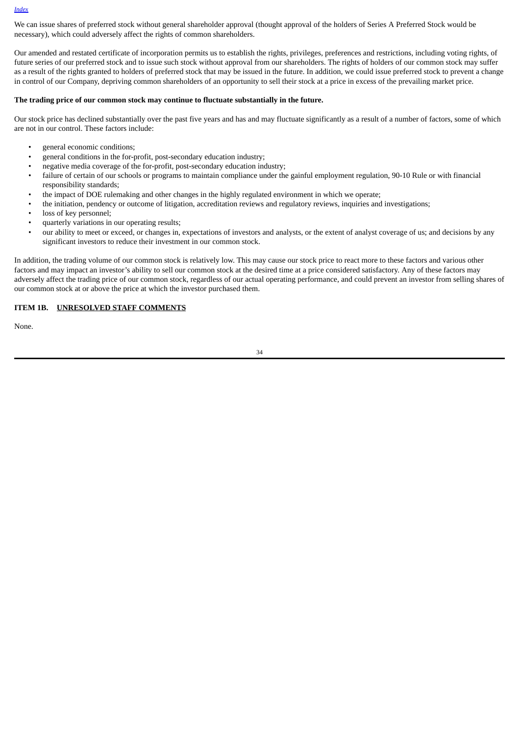We can issue shares of preferred stock without general shareholder approval (thought approval of the holders of Series A Preferred Stock would be necessary), which could adversely affect the rights of common shareholders.

Our amended and restated certificate of incorporation permits us to establish the rights, privileges, preferences and restrictions, including voting rights, of future series of our preferred stock and to issue such stock without approval from our shareholders. The rights of holders of our common stock may suffer as a result of the rights granted to holders of preferred stock that may be issued in the future. In addition, we could issue preferred stock to prevent a change in control of our Company, depriving common shareholders of an opportunity to sell their stock at a price in excess of the prevailing market price.

#### **The trading price of our common stock may continue to fluctuate substantially in the future.**

Our stock price has declined substantially over the past five years and has and may fluctuate significantly as a result of a number of factors, some of which are not in our control. These factors include:

- general economic conditions;
- general conditions in the for-profit, post-secondary education industry;
- negative media coverage of the for-profit, post-secondary education industry;
- failure of certain of our schools or programs to maintain compliance under the gainful employment regulation, 90-10 Rule or with financial responsibility standards;
- the impact of DOE rulemaking and other changes in the highly regulated environment in which we operate;
- the initiation, pendency or outcome of litigation, accreditation reviews and regulatory reviews, inquiries and investigations;
- loss of key personnel;
- quarterly variations in our operating results;
- our ability to meet or exceed, or changes in, expectations of investors and analysts, or the extent of analyst coverage of us; and decisions by any significant investors to reduce their investment in our common stock.

In addition, the trading volume of our common stock is relatively low. This may cause our stock price to react more to these factors and various other factors and may impact an investor's ability to sell our common stock at the desired time at a price considered satisfactory. Any of these factors may adversely affect the trading price of our common stock, regardless of our actual operating performance, and could prevent an investor from selling shares of our common stock at or above the price at which the investor purchased them.

#### **ITEM 1B. UNRESOLVED STAFF COMMENTS**

None.

#### 34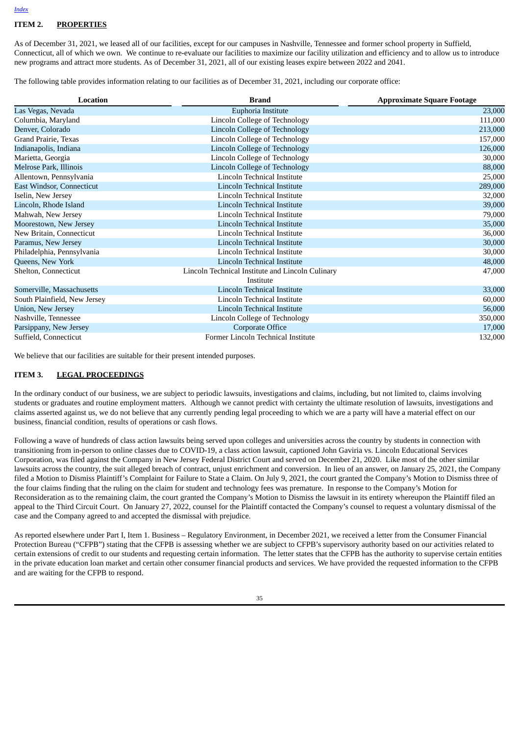# **ITEM 2. PROPERTIES**

As of December 31, 2021, we leased all of our facilities, except for our campuses in Nashville, Tennessee and former school property in Suffield, Connecticut, all of which we own. We continue to re-evaluate our facilities to maximize our facility utilization and efficiency and to allow us to introduce new programs and attract more students. As of December 31, 2021, all of our existing leases expire between 2022 and 2041.

The following table provides information relating to our facilities as of December 31, 2021, including our corporate office:

| Location                     | <b>Brand</b>                                     | <b>Approximate Square Footage</b> |
|------------------------------|--------------------------------------------------|-----------------------------------|
| Las Vegas, Nevada            | Euphoria Institute                               | 23,000                            |
| Columbia, Maryland           | Lincoln College of Technology                    | 111,000                           |
| Denver, Colorado             | <b>Lincoln College of Technology</b>             | 213,000                           |
| Grand Prairie, Texas         | Lincoln College of Technology                    | 157,000                           |
| Indianapolis, Indiana        | <b>Lincoln College of Technology</b>             | 126,000                           |
| Marietta, Georgia            | <b>Lincoln College of Technology</b>             | 30,000                            |
| Melrose Park, Illinois       | Lincoln College of Technology                    | 88,000                            |
| Allentown, Pennsylvania      | Lincoln Technical Institute                      | 25,000                            |
| East Windsor, Connecticut    | <b>Lincoln Technical Institute</b>               | 289,000                           |
| Iselin, New Jersey           | Lincoln Technical Institute                      | 32,000                            |
| Lincoln, Rhode Island        | Lincoln Technical Institute                      | 39,000                            |
| Mahwah, New Jersey           | Lincoln Technical Institute                      | 79,000                            |
| Moorestown, New Jersey       | Lincoln Technical Institute                      | 35,000                            |
| New Britain, Connecticut     | Lincoln Technical Institute                      | 36,000                            |
| Paramus, New Jersey          | Lincoln Technical Institute                      | 30,000                            |
| Philadelphia, Pennsylvania   | Lincoln Technical Institute                      | 30,000                            |
| Queens, New York             | Lincoln Technical Institute                      | 48,000                            |
| Shelton, Connecticut         | Lincoln Technical Institute and Lincoln Culinary | 47,000                            |
|                              | Institute                                        |                                   |
| Somerville, Massachusetts    | Lincoln Technical Institute                      | 33,000                            |
| South Plainfield, New Jersey | Lincoln Technical Institute                      | 60,000                            |
| Union, New Jersey            | Lincoln Technical Institute                      | 56,000                            |
| Nashville, Tennessee         | Lincoln College of Technology                    | 350,000                           |
| Parsippany, New Jersey       | Corporate Office                                 | 17,000                            |
| Suffield, Connecticut        | Former Lincoln Technical Institute               | 132,000                           |

We believe that our facilities are suitable for their present intended purposes.

### **ITEM 3. LEGAL PROCEEDINGS**

In the ordinary conduct of our business, we are subject to periodic lawsuits, investigations and claims, including, but not limited to, claims involving students or graduates and routine employment matters. Although we cannot predict with certainty the ultimate resolution of lawsuits, investigations and claims asserted against us, we do not believe that any currently pending legal proceeding to which we are a party will have a material effect on our business, financial condition, results of operations or cash flows.

Following a wave of hundreds of class action lawsuits being served upon colleges and universities across the country by students in connection with transitioning from in-person to online classes due to COVID-19, a class action lawsuit, captioned John Gaviria vs. Lincoln Educational Services Corporation, was filed against the Company in New Jersey Federal District Court and served on December 21, 2020. Like most of the other similar lawsuits across the country, the suit alleged breach of contract, unjust enrichment and conversion. In lieu of an answer, on January 25, 2021, the Company filed a Motion to Dismiss Plaintiff's Complaint for Failure to State a Claim. On July 9, 2021, the court granted the Company's Motion to Dismiss three of the four claims finding that the ruling on the claim for student and technology fees was premature. In response to the Company's Motion for Reconsideration as to the remaining claim, the court granted the Company's Motion to Dismiss the lawsuit in its entirety whereupon the Plaintiff filed an appeal to the Third Circuit Court. On January 27, 2022, counsel for the Plaintiff contacted the Company's counsel to request a voluntary dismissal of the case and the Company agreed to and accepted the dismissal with prejudice.

As reported elsewhere under Part I, Item 1. Business – Regulatory Environment, in December 2021, we received a letter from the Consumer Financial Protection Bureau ("CFPB") stating that the CFPB is assessing whether we are subject to CFPB's supervisory authority based on our activities related to certain extensions of credit to our students and requesting certain information. The letter states that the CFPB has the authority to supervise certain entities in the private education loan market and certain other consumer financial products and services. We have provided the requested information to the CFPB and are waiting for the CFPB to respond.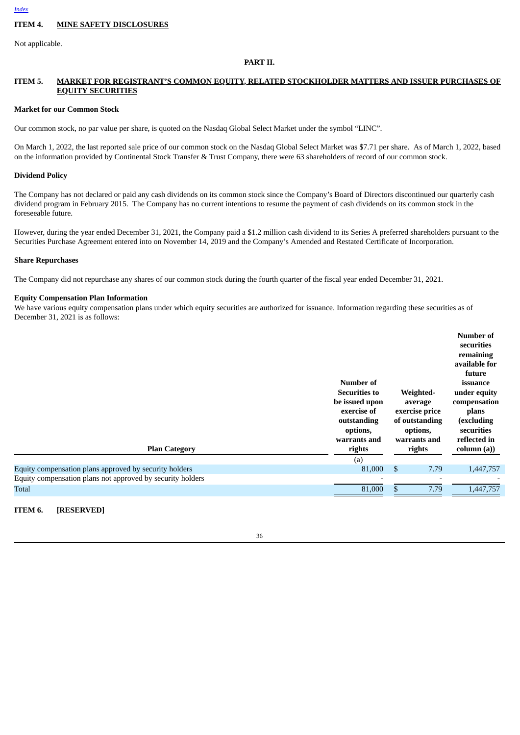# **ITEM 4. MINE SAFETY DISCLOSURES**

Not applicable.

*[Index](#page-2-0)*

### **PART II.**

# **ITEM 5. MARKET FOR REGISTRANT'S COMMON EQUITY, RELATED STOCKHOLDER MATTERS AND ISSUER PURCHASES OF EQUITY SECURITIES**

#### **Market for our Common Stock**

Our common stock, no par value per share, is quoted on the Nasdaq Global Select Market under the symbol "LINC".

On March 1, 2022, the last reported sale price of our common stock on the Nasdaq Global Select Market was \$7.71 per share. As of March 1, 2022, based on the information provided by Continental Stock Transfer & Trust Company, there were 63 shareholders of record of our common stock.

#### **Dividend Policy**

The Company has not declared or paid any cash dividends on its common stock since the Company's Board of Directors discontinued our quarterly cash dividend program in February 2015. The Company has no current intentions to resume the payment of cash dividends on its common stock in the foreseeable future.

However, during the year ended December 31, 2021, the Company paid a \$1.2 million cash dividend to its Series A preferred shareholders pursuant to the Securities Purchase Agreement entered into on November 14, 2019 and the Company's Amended and Restated Certificate of Incorporation.

#### **Share Repurchases**

The Company did not repurchase any shares of our common stock during the fourth quarter of the fiscal year ended December 31, 2021.

#### **Equity Compensation Plan Information**

We have various equity compensation plans under which equity securities are authorized for issuance. Information regarding these securities as of December 31, 2021 is as follows:

| <b>Plan Category</b>                                       | Number of<br><b>Securities to</b><br>be issued upon<br>exercise of<br>outstanding<br>options,<br>warrants and<br>rights<br>(a) | Weighted-<br>average<br>exercise price<br>of outstanding<br>options,<br>warrants and<br>rights | Number of<br>securities<br>remaining<br>available for<br>future<br>issuance<br>under equity<br>compensation<br>plans<br><i>(excluding)</i><br>securities<br>reflected in<br>column (a)) |
|------------------------------------------------------------|--------------------------------------------------------------------------------------------------------------------------------|------------------------------------------------------------------------------------------------|-----------------------------------------------------------------------------------------------------------------------------------------------------------------------------------------|
| Equity compensation plans approved by security holders     | 81,000                                                                                                                         | \$<br>7.79                                                                                     | 1,447,757                                                                                                                                                                               |
| Equity compensation plans not approved by security holders |                                                                                                                                |                                                                                                |                                                                                                                                                                                         |
| Total                                                      | 81,000                                                                                                                         | \$<br>7.79                                                                                     | 1,447,757                                                                                                                                                                               |

# **ITEM 6. [RESERVED]**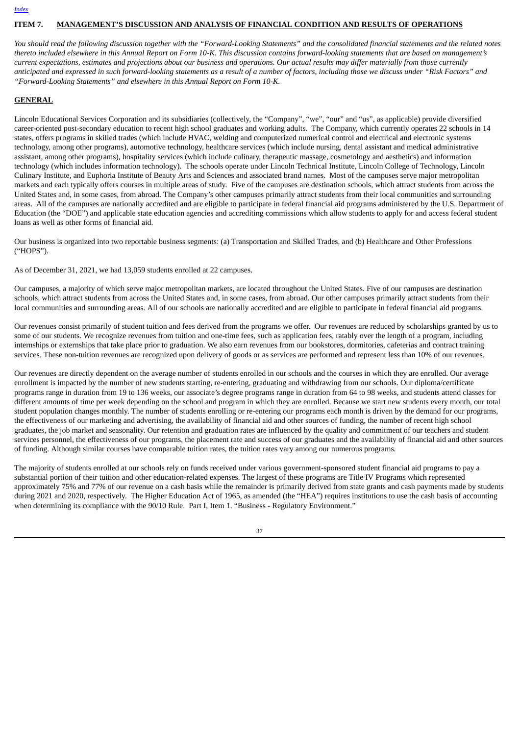#### **ITEM 7. MANAGEMENT'S DISCUSSION AND ANALYSIS OF FINANCIAL CONDITION AND RESULTS OF OPERATIONS**

You should read the following discussion together with the "Forward-Looking Statements" and the consolidated financial statements and the related notes thereto included elsewhere in this Annual Report on Form 10-K. This discussion contains forward-looking statements that are based on management's current expectations, estimates and projections about our business and operations. Our actual results may differ materially from those currently anticipated and expressed in such forward-looking statements as a result of a number of factors, including those we discuss under "Risk Factors" and *"Forward-Looking Statements" and elsewhere in this Annual Report on Form 10-K.*

### **GENERAL**

Lincoln Educational Services Corporation and its subsidiaries (collectively, the "Company", "we", "our" and "us", as applicable) provide diversified career-oriented post-secondary education to recent high school graduates and working adults. The Company, which currently operates 22 schools in 14 states, offers programs in skilled trades (which include HVAC, welding and computerized numerical control and electrical and electronic systems technology, among other programs), automotive technology, healthcare services (which include nursing, dental assistant and medical administrative assistant, among other programs), hospitality services (which include culinary, therapeutic massage, cosmetology and aesthetics) and information technology (which includes information technology). The schools operate under Lincoln Technical Institute, Lincoln College of Technology, Lincoln Culinary Institute, and Euphoria Institute of Beauty Arts and Sciences and associated brand names. Most of the campuses serve major metropolitan markets and each typically offers courses in multiple areas of study. Five of the campuses are destination schools, which attract students from across the United States and, in some cases, from abroad. The Company's other campuses primarily attract students from their local communities and surrounding areas. All of the campuses are nationally accredited and are eligible to participate in federal financial aid programs administered by the U.S. Department of Education (the "DOE") and applicable state education agencies and accrediting commissions which allow students to apply for and access federal student loans as well as other forms of financial aid.

Our business is organized into two reportable business segments: (a) Transportation and Skilled Trades, and (b) Healthcare and Other Professions ("HOPS").

As of December 31, 2021, we had 13,059 students enrolled at 22 campuses.

Our campuses, a majority of which serve major metropolitan markets, are located throughout the United States. Five of our campuses are destination schools, which attract students from across the United States and, in some cases, from abroad. Our other campuses primarily attract students from their local communities and surrounding areas. All of our schools are nationally accredited and are eligible to participate in federal financial aid programs.

Our revenues consist primarily of student tuition and fees derived from the programs we offer. Our revenues are reduced by scholarships granted by us to some of our students. We recognize revenues from tuition and one-time fees, such as application fees, ratably over the length of a program, including internships or externships that take place prior to graduation. We also earn revenues from our bookstores, dormitories, cafeterias and contract training services. These non-tuition revenues are recognized upon delivery of goods or as services are performed and represent less than 10% of our revenues.

Our revenues are directly dependent on the average number of students enrolled in our schools and the courses in which they are enrolled. Our average enrollment is impacted by the number of new students starting, re-entering, graduating and withdrawing from our schools. Our diploma/certificate programs range in duration from 19 to 136 weeks, our associate's degree programs range in duration from 64 to 98 weeks, and students attend classes for different amounts of time per week depending on the school and program in which they are enrolled. Because we start new students every month, our total student population changes monthly. The number of students enrolling or re-entering our programs each month is driven by the demand for our programs, the effectiveness of our marketing and advertising, the availability of financial aid and other sources of funding, the number of recent high school graduates, the job market and seasonality. Our retention and graduation rates are influenced by the quality and commitment of our teachers and student services personnel, the effectiveness of our programs, the placement rate and success of our graduates and the availability of financial aid and other sources of funding. Although similar courses have comparable tuition rates, the tuition rates vary among our numerous programs.

The majority of students enrolled at our schools rely on funds received under various government-sponsored student financial aid programs to pay a substantial portion of their tuition and other education-related expenses. The largest of these programs are Title IV Programs which represented approximately 75% and 77% of our revenue on a cash basis while the remainder is primarily derived from state grants and cash payments made by students during 2021 and 2020, respectively. The Higher Education Act of 1965, as amended (the "HEA") requires institutions to use the cash basis of accounting when determining its compliance with the 90/10 Rule. Part I, Item 1. "Business - Regulatory Environment."

37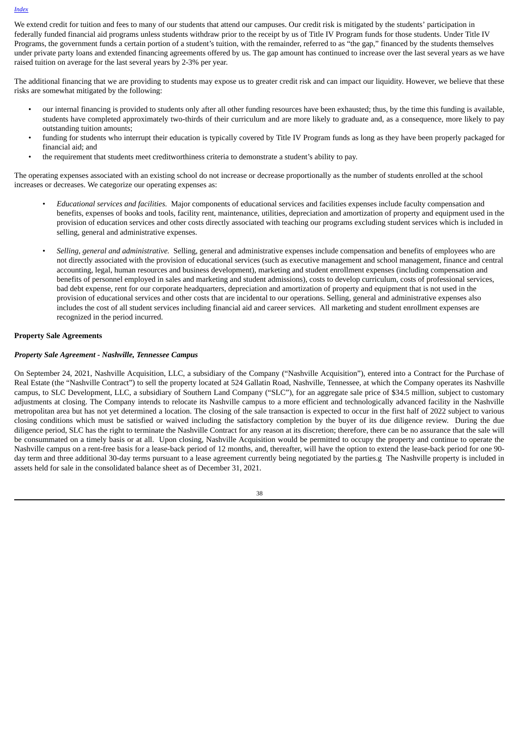We extend credit for tuition and fees to many of our students that attend our campuses. Our credit risk is mitigated by the students' participation in federally funded financial aid programs unless students withdraw prior to the receipt by us of Title IV Program funds for those students. Under Title IV Programs, the government funds a certain portion of a student's tuition, with the remainder, referred to as "the gap," financed by the students themselves under private party loans and extended financing agreements offered by us. The gap amount has continued to increase over the last several years as we have raised tuition on average for the last several years by 2-3% per year.

The additional financing that we are providing to students may expose us to greater credit risk and can impact our liquidity. However, we believe that these risks are somewhat mitigated by the following:

- our internal financing is provided to students only after all other funding resources have been exhausted; thus, by the time this funding is available, students have completed approximately two-thirds of their curriculum and are more likely to graduate and, as a consequence, more likely to pay outstanding tuition amounts;
- funding for students who interrupt their education is typically covered by Title IV Program funds as long as they have been properly packaged for financial aid; and
- the requirement that students meet creditworthiness criteria to demonstrate a student's ability to pay.

The operating expenses associated with an existing school do not increase or decrease proportionally as the number of students enrolled at the school increases or decreases. We categorize our operating expenses as:

- *Educational services and facilities.* Major components of educational services and facilities expenses include faculty compensation and benefits, expenses of books and tools, facility rent, maintenance, utilities, depreciation and amortization of property and equipment used in the provision of education services and other costs directly associated with teaching our programs excluding student services which is included in selling, general and administrative expenses.
- *Selling, general and administrative.* Selling, general and administrative expenses include compensation and benefits of employees who are not directly associated with the provision of educational services (such as executive management and school management, finance and central accounting, legal, human resources and business development), marketing and student enrollment expenses (including compensation and benefits of personnel employed in sales and marketing and student admissions), costs to develop curriculum, costs of professional services, bad debt expense, rent for our corporate headquarters, depreciation and amortization of property and equipment that is not used in the provision of educational services and other costs that are incidental to our operations. Selling, general and administrative expenses also includes the cost of all student services including financial aid and career services. All marketing and student enrollment expenses are recognized in the period incurred.

#### **Property Sale Agreements**

#### *Property Sale Agreement - Nashville, Tennessee Campus*

On September 24, 2021, Nashville Acquisition, LLC, a subsidiary of the Company ("Nashville Acquisition"), entered into a Contract for the Purchase of Real Estate (the "Nashville Contract") to sell the property located at 524 Gallatin Road, Nashville, Tennessee, at which the Company operates its Nashville campus, to SLC Development, LLC, a subsidiary of Southern Land Company ("SLC"), for an aggregate sale price of \$34.5 million, subject to customary adjustments at closing. The Company intends to relocate its Nashville campus to a more efficient and technologically advanced facility in the Nashville metropolitan area but has not yet determined a location. The closing of the sale transaction is expected to occur in the first half of 2022 subject to various closing conditions which must be satisfied or waived including the satisfactory completion by the buyer of its due diligence review. During the due diligence period, SLC has the right to terminate the Nashville Contract for any reason at its discretion; therefore, there can be no assurance that the sale will be consummated on a timely basis or at all. Upon closing, Nashville Acquisition would be permitted to occupy the property and continue to operate the Nashville campus on a rent-free basis for a lease-back period of 12 months, and, thereafter, will have the option to extend the lease-back period for one 90 day term and three additional 30-day terms pursuant to a lease agreement currently being negotiated by the parties.g The Nashville property is included in assets held for sale in the consolidated balance sheet as of December 31, 2021.

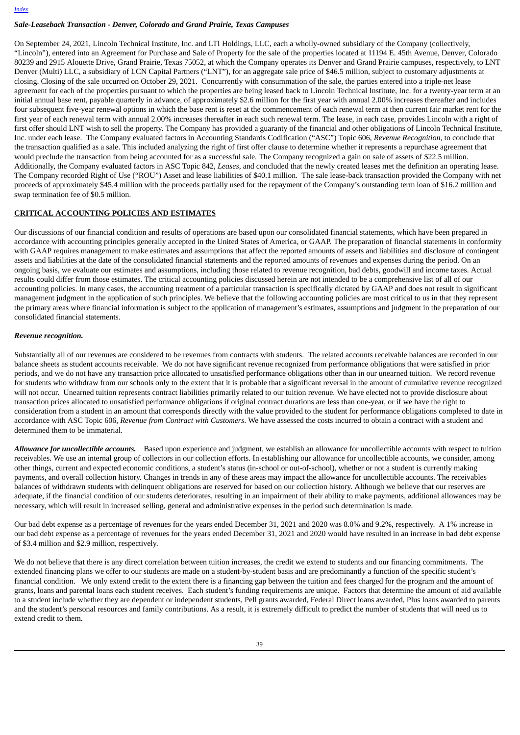### *Sale-Leaseback Transaction - Denver, Colorado and Grand Prairie, Texas Campuses*

On September 24, 2021, Lincoln Technical Institute, Inc. and LTI Holdings, LLC, each a wholly-owned subsidiary of the Company (collectively, "Lincoln"), entered into an Agreement for Purchase and Sale of Property for the sale of the properties located at 11194 E. 45th Avenue, Denver, Colorado 80239 and 2915 Alouette Drive, Grand Prairie, Texas 75052, at which the Company operates its Denver and Grand Prairie campuses, respectively, to LNT Denver (Multi) LLC, a subsidiary of LCN Capital Partners ("LNT"), for an aggregate sale price of \$46.5 million, subject to customary adjustments at closing. Closing of the sale occurred on October 29, 2021. Concurrently with consummation of the sale, the parties entered into a triple-net lease agreement for each of the properties pursuant to which the properties are being leased back to Lincoln Technical Institute, Inc. for a twenty-year term at an initial annual base rent, payable quarterly in advance, of approximately \$2.6 million for the first year with annual 2.00% increases thereafter and includes four subsequent five-year renewal options in which the base rent is reset at the commencement of each renewal term at then current fair market rent for the first year of each renewal term with annual 2.00% increases thereafter in each such renewal term. The lease, in each case, provides Lincoln with a right of first offer should LNT wish to sell the property. The Company has provided a guaranty of the financial and other obligations of Lincoln Technical Institute, Inc. under each lease. The Company evaluated factors in Accounting Standards Codification ("ASC") Topic 606, *Revenue Recognition*, to conclude that the transaction qualified as a sale. This included analyzing the right of first offer clause to determine whether it represents a repurchase agreement that would preclude the transaction from being accounted for as a successful sale. The Company recognized a gain on sale of assets of \$22.5 million. Additionally, the Company evaluated factors in ASC Topic 842, *Leases*, and concluded that the newly created leases met the definition an operating lease. The Company recorded Right of Use ("ROU") Asset and lease liabilities of \$40.1 million. The sale lease-back transaction provided the Company with net proceeds of approximately \$45.4 million with the proceeds partially used for the repayment of the Company's outstanding term loan of \$16.2 million and swap termination fee of \$0.5 million.

### **CRITICAL ACCOUNTING POLICIES AND ESTIMATES**

Our discussions of our financial condition and results of operations are based upon our consolidated financial statements, which have been prepared in accordance with accounting principles generally accepted in the United States of America, or GAAP. The preparation of financial statements in conformity with GAAP requires management to make estimates and assumptions that affect the reported amounts of assets and liabilities and disclosure of contingent assets and liabilities at the date of the consolidated financial statements and the reported amounts of revenues and expenses during the period. On an ongoing basis, we evaluate our estimates and assumptions, including those related to revenue recognition, bad debts, goodwill and income taxes. Actual results could differ from those estimates. The critical accounting policies discussed herein are not intended to be a comprehensive list of all of our accounting policies. In many cases, the accounting treatment of a particular transaction is specifically dictated by GAAP and does not result in significant management judgment in the application of such principles. We believe that the following accounting policies are most critical to us in that they represent the primary areas where financial information is subject to the application of management's estimates, assumptions and judgment in the preparation of our consolidated financial statements.

#### *Revenue recognition.*

Substantially all of our revenues are considered to be revenues from contracts with students. The related accounts receivable balances are recorded in our balance sheets as student accounts receivable. We do not have significant revenue recognized from performance obligations that were satisfied in prior periods, and we do not have any transaction price allocated to unsatisfied performance obligations other than in our unearned tuition. We record revenue for students who withdraw from our schools only to the extent that it is probable that a significant reversal in the amount of cumulative revenue recognized will not occur. Unearned tuition represents contract liabilities primarily related to our tuition revenue. We have elected not to provide disclosure about transaction prices allocated to unsatisfied performance obligations if original contract durations are less than one-year, or if we have the right to consideration from a student in an amount that corresponds directly with the value provided to the student for performance obligations completed to date in accordance with ASC Topic 606, *Revenue from Contract with Customers*. We have assessed the costs incurred to obtain a contract with a student and determined them to be immaterial.

*Allowance for uncollectible accounts.* Based upon experience and judgment, we establish an allowance for uncollectible accounts with respect to tuition receivables. We use an internal group of collectors in our collection efforts. In establishing our allowance for uncollectible accounts, we consider, among other things, current and expected economic conditions, a student's status (in-school or out-of-school), whether or not a student is currently making payments, and overall collection history. Changes in trends in any of these areas may impact the allowance for uncollectible accounts. The receivables balances of withdrawn students with delinquent obligations are reserved for based on our collection history. Although we believe that our reserves are adequate, if the financial condition of our students deteriorates, resulting in an impairment of their ability to make payments, additional allowances may be necessary, which will result in increased selling, general and administrative expenses in the period such determination is made.

Our bad debt expense as a percentage of revenues for the years ended December 31, 2021 and 2020 was 8.0% and 9.2%, respectively. A 1% increase in our bad debt expense as a percentage of revenues for the years ended December 31, 2021 and 2020 would have resulted in an increase in bad debt expense of \$3.4 million and \$2.9 million, respectively.

We do not believe that there is any direct correlation between tuition increases, the credit we extend to students and our financing commitments. The extended financing plans we offer to our students are made on a student-by-student basis and are predominantly a function of the specific student's financial condition. We only extend credit to the extent there is a financing gap between the tuition and fees charged for the program and the amount of grants, loans and parental loans each student receives. Each student's funding requirements are unique. Factors that determine the amount of aid available to a student include whether they are dependent or independent students, Pell grants awarded, Federal Direct loans awarded, Plus loans awarded to parents and the student's personal resources and family contributions. As a result, it is extremely difficult to predict the number of students that will need us to extend credit to them.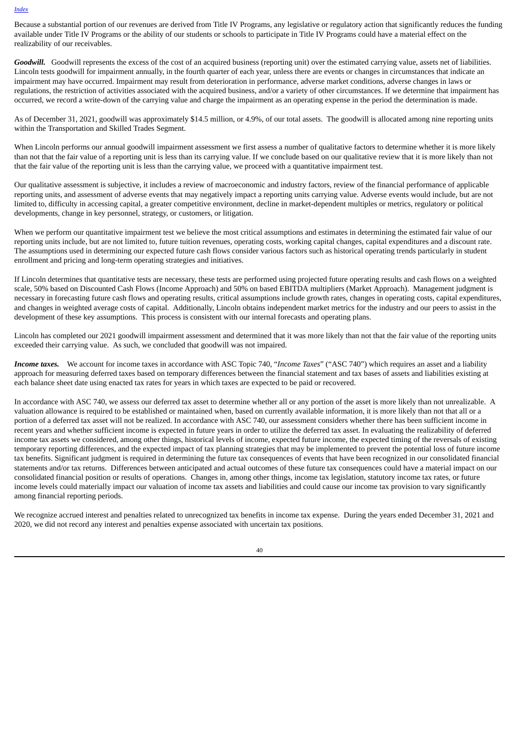Because a substantial portion of our revenues are derived from Title IV Programs, any legislative or regulatory action that significantly reduces the funding available under Title IV Programs or the ability of our students or schools to participate in Title IV Programs could have a material effect on the realizability of our receivables.

Goodwill. Goodwill represents the excess of the cost of an acquired business (reporting unit) over the estimated carrying value, assets net of liabilities. Lincoln tests goodwill for impairment annually, in the fourth quarter of each year, unless there are events or changes in circumstances that indicate an impairment may have occurred. Impairment may result from deterioration in performance, adverse market conditions, adverse changes in laws or regulations, the restriction of activities associated with the acquired business, and/or a variety of other circumstances. If we determine that impairment has occurred, we record a write-down of the carrying value and charge the impairment as an operating expense in the period the determination is made.

As of December 31, 2021, goodwill was approximately \$14.5 million, or 4.9%, of our total assets. The goodwill is allocated among nine reporting units within the Transportation and Skilled Trades Segment.

When Lincoln performs our annual goodwill impairment assessment we first assess a number of qualitative factors to determine whether it is more likely than not that the fair value of a reporting unit is less than its carrying value. If we conclude based on our qualitative review that it is more likely than not that the fair value of the reporting unit is less than the carrying value, we proceed with a quantitative impairment test.

Our qualitative assessment is subjective, it includes a review of macroeconomic and industry factors, review of the financial performance of applicable reporting units, and assessment of adverse events that may negatively impact a reporting units carrying value. Adverse events would include, but are not limited to, difficulty in accessing capital, a greater competitive environment, decline in market-dependent multiples or metrics, regulatory or political developments, change in key personnel, strategy, or customers, or litigation.

When we perform our quantitative impairment test we believe the most critical assumptions and estimates in determining the estimated fair value of our reporting units include, but are not limited to, future tuition revenues, operating costs, working capital changes, capital expenditures and a discount rate. The assumptions used in determining our expected future cash flows consider various factors such as historical operating trends particularly in student enrollment and pricing and long-term operating strategies and initiatives.

If Lincoln determines that quantitative tests are necessary, these tests are performed using projected future operating results and cash flows on a weighted scale, 50% based on Discounted Cash Flows (Income Approach) and 50% on based EBITDA multipliers (Market Approach). Management judgment is necessary in forecasting future cash flows and operating results, critical assumptions include growth rates, changes in operating costs, capital expenditures, and changes in weighted average costs of capital. Additionally, Lincoln obtains independent market metrics for the industry and our peers to assist in the development of these key assumptions. This process is consistent with our internal forecasts and operating plans.

Lincoln has completed our 2021 goodwill impairment assessment and determined that it was more likely than not that the fair value of the reporting units exceeded their carrying value. As such, we concluded that goodwill was not impaired.

*Income taxes.* We account for income taxes in accordance with ASC Topic 740, "*Income Taxes*" ("ASC 740") which requires an asset and a liability approach for measuring deferred taxes based on temporary differences between the financial statement and tax bases of assets and liabilities existing at each balance sheet date using enacted tax rates for years in which taxes are expected to be paid or recovered.

In accordance with ASC 740, we assess our deferred tax asset to determine whether all or any portion of the asset is more likely than not unrealizable. A valuation allowance is required to be established or maintained when, based on currently available information, it is more likely than not that all or a portion of a deferred tax asset will not be realized. In accordance with ASC 740, our assessment considers whether there has been sufficient income in recent years and whether sufficient income is expected in future years in order to utilize the deferred tax asset. In evaluating the realizability of deferred income tax assets we considered, among other things, historical levels of income, expected future income, the expected timing of the reversals of existing temporary reporting differences, and the expected impact of tax planning strategies that may be implemented to prevent the potential loss of future income tax benefits. Significant judgment is required in determining the future tax consequences of events that have been recognized in our consolidated financial statements and/or tax returns. Differences between anticipated and actual outcomes of these future tax consequences could have a material impact on our consolidated financial position or results of operations. Changes in, among other things, income tax legislation, statutory income tax rates, or future income levels could materially impact our valuation of income tax assets and liabilities and could cause our income tax provision to vary significantly among financial reporting periods.

We recognize accrued interest and penalties related to unrecognized tax benefits in income tax expense. During the years ended December 31, 2021 and 2020, we did not record any interest and penalties expense associated with uncertain tax positions.

40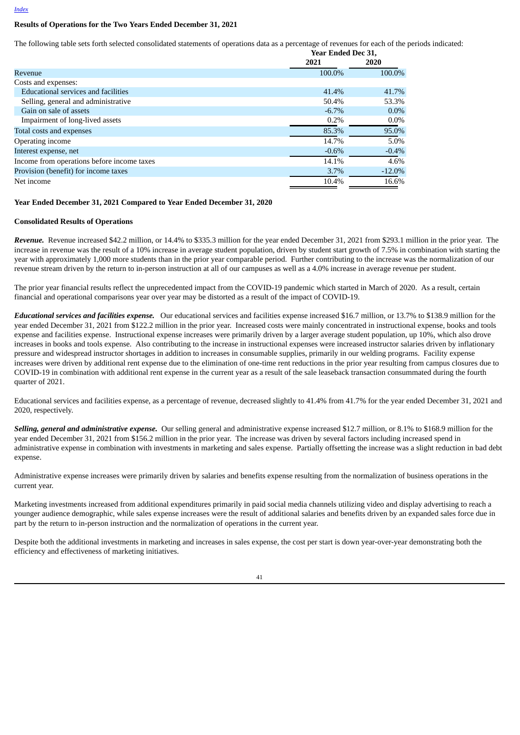### **Results of Operations for the Two Years Ended December 31, 2021**

The following table sets forth selected consolidated statements of operations data as a percentage of revenues for each of the periods indicated: **Year Ended Dec 31,**

|                                            | rear Eingen der 91, |          |  |  |
|--------------------------------------------|---------------------|----------|--|--|
|                                            | 2021                | 2020     |  |  |
| Revenue                                    | 100.0%              | 100.0%   |  |  |
| Costs and expenses:                        |                     |          |  |  |
| Educational services and facilities        | 41.4%               | 41.7%    |  |  |
| Selling, general and administrative        | 50.4%               | 53.3%    |  |  |
| Gain on sale of assets                     | $-6.7\%$            | $0.0\%$  |  |  |
| Impairment of long-lived assets            | 0.2%                | $0.0\%$  |  |  |
| Total costs and expenses                   | 85.3%               | 95.0%    |  |  |
| Operating income                           | 14.7%               | 5.0%     |  |  |
| Interest expense, net                      | $-0.6%$             | $-0.4%$  |  |  |
| Income from operations before income taxes | 14.1%               | 4.6%     |  |  |
| Provision (benefit) for income taxes       | 3.7%                | $-12.0%$ |  |  |
| Net income                                 | 10.4%               | 16.6%    |  |  |

#### **Year Ended December 31, 2021 Compared to Year Ended December 31, 2020**

#### **Consolidated Results of Operations**

*Revenue.* Revenue increased \$42.2 million, or 14.4% to \$335.3 million for the year ended December 31, 2021 from \$293.1 million in the prior year. The increase in revenue was the result of a 10% increase in average student population, driven by student start growth of 7.5% in combination with starting the year with approximately 1,000 more students than in the prior year comparable period. Further contributing to the increase was the normalization of our revenue stream driven by the return to in-person instruction at all of our campuses as well as a 4.0% increase in average revenue per student.

The prior year financial results reflect the unprecedented impact from the COVID-19 pandemic which started in March of 2020. As a result, certain financial and operational comparisons year over year may be distorted as a result of the impact of COVID-19.

*Educational services and facilities expense.* Our educational services and facilities expense increased \$16.7 million, or 13.7% to \$138.9 million for the year ended December 31, 2021 from \$122.2 million in the prior year. Increased costs were mainly concentrated in instructional expense, books and tools expense and facilities expense. Instructional expense increases were primarily driven by a larger average student population, up 10%, which also drove increases in books and tools expense. Also contributing to the increase in instructional expenses were increased instructor salaries driven by inflationary pressure and widespread instructor shortages in addition to increases in consumable supplies, primarily in our welding programs. Facility expense increases were driven by additional rent expense due to the elimination of one-time rent reductions in the prior year resulting from campus closures due to COVID-19 in combination with additional rent expense in the current year as a result of the sale leaseback transaction consummated during the fourth quarter of 2021.

Educational services and facilities expense, as a percentage of revenue, decreased slightly to 41.4% from 41.7% for the year ended December 31, 2021 and 2020, respectively.

*Selling, general and administrative expense.* Our selling general and administrative expense increased \$12.7 million, or 8.1% to \$168.9 million for the year ended December 31, 2021 from \$156.2 million in the prior year. The increase was driven by several factors including increased spend in administrative expense in combination with investments in marketing and sales expense. Partially offsetting the increase was a slight reduction in bad debt expense.

Administrative expense increases were primarily driven by salaries and benefits expense resulting from the normalization of business operations in the current year.

Marketing investments increased from additional expenditures primarily in paid social media channels utilizing video and display advertising to reach a younger audience demographic, while sales expense increases were the result of additional salaries and benefits driven by an expanded sales force due in part by the return to in-person instruction and the normalization of operations in the current year.

Despite both the additional investments in marketing and increases in sales expense, the cost per start is down year-over-year demonstrating both the efficiency and effectiveness of marketing initiatives.

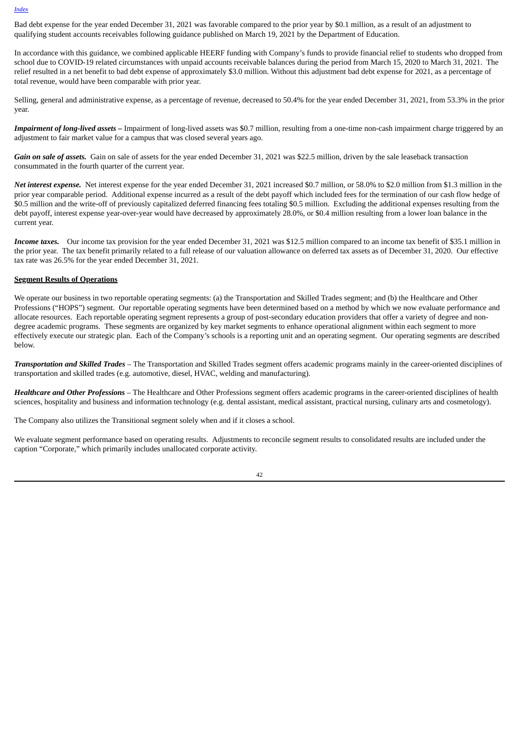Bad debt expense for the year ended December 31, 2021 was favorable compared to the prior year by \$0.1 million, as a result of an adjustment to qualifying student accounts receivables following guidance published on March 19, 2021 by the Department of Education.

In accordance with this guidance, we combined applicable HEERF funding with Company's funds to provide financial relief to students who dropped from school due to COVID-19 related circumstances with unpaid accounts receivable balances during the period from March 15, 2020 to March 31, 2021. The relief resulted in a net benefit to bad debt expense of approximately \$3.0 million. Without this adjustment bad debt expense for 2021, as a percentage of total revenue, would have been comparable with prior year.

Selling, general and administrative expense, as a percentage of revenue, decreased to 50.4% for the year ended December 31, 2021, from 53.3% in the prior year.

*Impairment of long-lived assets* **–** Impairment of long-lived assets was \$0.7 million, resulting from a one-time non-cash impairment charge triggered by an adjustment to fair market value for a campus that was closed several years ago.

*Gain on sale of assets.* Gain on sale of assets for the year ended December 31, 2021 was \$22.5 million, driven by the sale leaseback transaction consummated in the fourth quarter of the current year.

*Net interest expense.* Net interest expense for the year ended December 31, 2021 increased \$0.7 million, or 58.0% to \$2.0 million from \$1.3 million in the prior year comparable period. Additional expense incurred as a result of the debt payoff which included fees for the termination of our cash flow hedge of \$0.5 million and the write-off of previously capitalized deferred financing fees totaling \$0.5 million. Excluding the additional expenses resulting from the debt payoff, interest expense year-over-year would have decreased by approximately 28.0%, or \$0.4 million resulting from a lower loan balance in the current year.

*Income taxes.* Our income tax provision for the year ended December 31, 2021 was \$12.5 million compared to an income tax benefit of \$35.1 million in the prior year. The tax benefit primarily related to a full release of our valuation allowance on deferred tax assets as of December 31, 2020. Our effective tax rate was 26.5% for the year ended December 31, 2021.

### **Segment Results of Operations**

We operate our business in two reportable operating segments: (a) the Transportation and Skilled Trades segment; and (b) the Healthcare and Other Professions ("HOPS") segment. Our reportable operating segments have been determined based on a method by which we now evaluate performance and allocate resources. Each reportable operating segment represents a group of post-secondary education providers that offer a variety of degree and nondegree academic programs. These segments are organized by key market segments to enhance operational alignment within each segment to more effectively execute our strategic plan. Each of the Company's schools is a reporting unit and an operating segment. Our operating segments are described below.

*Transportation and Skilled Trades* – The Transportation and Skilled Trades segment offers academic programs mainly in the career-oriented disciplines of transportation and skilled trades (e.g. automotive, diesel, HVAC, welding and manufacturing).

*Healthcare and Other Professions* – The Healthcare and Other Professions segment offers academic programs in the career-oriented disciplines of health sciences, hospitality and business and information technology (e.g. dental assistant, medical assistant, practical nursing, culinary arts and cosmetology).

The Company also utilizes the Transitional segment solely when and if it closes a school.

We evaluate segment performance based on operating results. Adjustments to reconcile segment results to consolidated results are included under the caption "Corporate," which primarily includes unallocated corporate activity.

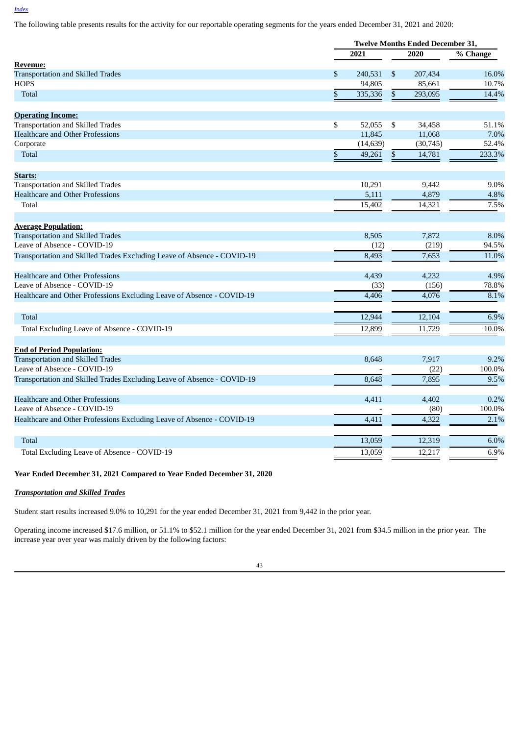The following table presents results for the activity for our reportable operating segments for the years ended December 31, 2021 and 2020:

|                                                                         | <b>Twelve Months Ended December 31,</b> |           |                         |           |          |
|-------------------------------------------------------------------------|-----------------------------------------|-----------|-------------------------|-----------|----------|
|                                                                         |                                         | 2021      |                         | 2020      | % Change |
| Revenue:                                                                |                                         |           |                         |           |          |
| <b>Transportation and Skilled Trades</b>                                | \$                                      | 240,531   | $\mathbb{S}$            | 207,434   | 16.0%    |
| <b>HOPS</b>                                                             |                                         | 94,805    |                         | 85,661    | 10.7%    |
| <b>Total</b>                                                            | \$                                      | 335,336   | $\sqrt[6]{\frac{1}{2}}$ | 293,095   | 14.4%    |
| <b>Operating Income:</b>                                                |                                         |           |                         |           |          |
| <b>Transportation and Skilled Trades</b>                                | \$                                      | 52,055    | \$                      | 34,458    | 51.1%    |
| <b>Healthcare and Other Professions</b>                                 |                                         | 11,845    |                         | 11,068    | 7.0%     |
| Corporate                                                               |                                         | (14, 639) |                         | (30, 745) | 52.4%    |
| <b>Total</b>                                                            | \$                                      | 49,261    | \$                      | 14,781    | 233.3%   |
| Starts:                                                                 |                                         |           |                         |           |          |
| <b>Transportation and Skilled Trades</b>                                |                                         | 10,291    |                         | 9,442     | 9.0%     |
| <b>Healthcare and Other Professions</b>                                 |                                         | 5,111     |                         | 4,879     | 4.8%     |
| Total                                                                   |                                         | 15,402    |                         | 14,321    | 7.5%     |
| <b>Average Population:</b>                                              |                                         |           |                         |           |          |
| <b>Transportation and Skilled Trades</b>                                |                                         | 8,505     |                         | 7,872     | 8.0%     |
| Leave of Absence - COVID-19                                             |                                         | (12)      |                         | (219)     | 94.5%    |
| Transportation and Skilled Trades Excluding Leave of Absence - COVID-19 |                                         | 8,493     |                         | 7.653     | 11.0%    |
| <b>Healthcare and Other Professions</b>                                 |                                         | 4,439     |                         | 4,232     | 4.9%     |
| Leave of Absence - COVID-19                                             |                                         | (33)      |                         | (156)     | 78.8%    |
| Healthcare and Other Professions Excluding Leave of Absence - COVID-19  |                                         | 4,406     |                         | 4,076     | 8.1%     |
| Total                                                                   |                                         | 12,944    |                         | 12,104    | 6.9%     |
| Total Excluding Leave of Absence - COVID-19                             |                                         | 12,899    |                         | 11,729    | 10.0%    |
| <b>End of Period Population:</b>                                        |                                         |           |                         |           |          |
| <b>Transportation and Skilled Trades</b>                                |                                         | 8,648     |                         | 7,917     | 9.2%     |
| Leave of Absence - COVID-19                                             |                                         |           |                         | (22)      | 100.0%   |
| Transportation and Skilled Trades Excluding Leave of Absence - COVID-19 |                                         | 8,648     |                         | 7,895     | 9.5%     |
| <b>Healthcare and Other Professions</b>                                 |                                         | 4,411     |                         | 4,402     | 0.2%     |
| Leave of Absence - COVID-19                                             |                                         |           |                         | (80)      | 100.0%   |
| Healthcare and Other Professions Excluding Leave of Absence - COVID-19  |                                         | 4,411     |                         | 4,322     | 2.1%     |
| <b>Total</b>                                                            |                                         | 13,059    |                         | 12,319    | 6.0%     |
| Total Excluding Leave of Absence - COVID-19                             |                                         | 13,059    |                         | 12,217    | 6.9%     |

# **Year Ended December 31, 2021 Compared to Year Ended December 31, 2020**

# *Transportation and Skilled Trades*

Student start results increased 9.0% to 10,291 for the year ended December 31, 2021 from 9,442 in the prior year.

Operating income increased \$17.6 million, or 51.1% to \$52.1 million for the year ended December 31, 2021 from \$34.5 million in the prior year. The increase year over year was mainly driven by the following factors: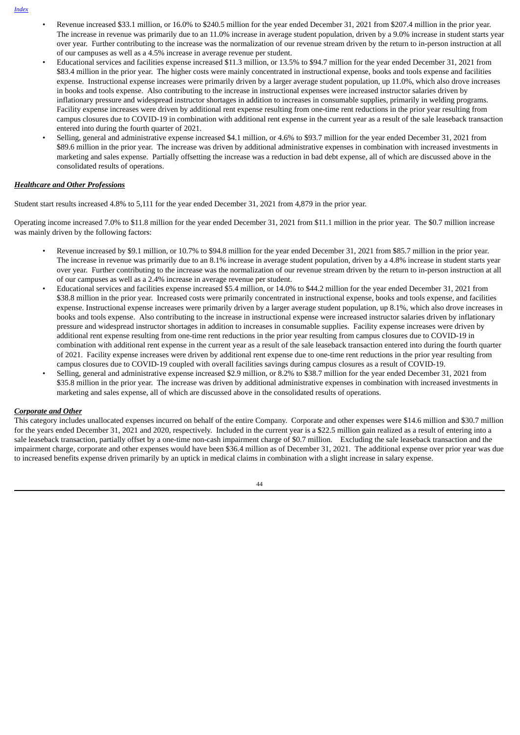- Revenue increased \$33.1 million, or 16.0% to \$240.5 million for the year ended December 31, 2021 from \$207.4 million in the prior year. The increase in revenue was primarily due to an 11.0% increase in average student population, driven by a 9.0% increase in student starts year over year. Further contributing to the increase was the normalization of our revenue stream driven by the return to in-person instruction at all of our campuses as well as a 4.5% increase in average revenue per student.
- Educational services and facilities expense increased \$11.3 million, or 13.5% to \$94.7 million for the year ended December 31, 2021 from \$83.4 million in the prior year. The higher costs were mainly concentrated in instructional expense, books and tools expense and facilities expense. Instructional expense increases were primarily driven by a larger average student population, up 11.0%, which also drove increases in books and tools expense. Also contributing to the increase in instructional expenses were increased instructor salaries driven by inflationary pressure and widespread instructor shortages in addition to increases in consumable supplies, primarily in welding programs. Facility expense increases were driven by additional rent expense resulting from one-time rent reductions in the prior year resulting from campus closures due to COVID-19 in combination with additional rent expense in the current year as a result of the sale leaseback transaction entered into during the fourth quarter of 2021.
- Selling, general and administrative expense increased \$4.1 million, or 4.6% to \$93.7 million for the year ended December 31, 2021 from \$89.6 million in the prior year. The increase was driven by additional administrative expenses in combination with increased investments in marketing and sales expense. Partially offsetting the increase was a reduction in bad debt expense, all of which are discussed above in the consolidated results of operations.

### *Healthcare and Other Professions*

Student start results increased 4.8% to 5,111 for the year ended December 31, 2021 from 4,879 in the prior year.

Operating income increased 7.0% to \$11.8 million for the year ended December 31, 2021 from \$11.1 million in the prior year. The \$0.7 million increase was mainly driven by the following factors:

- Revenue increased by \$9.1 million, or 10.7% to \$94.8 million for the year ended December 31, 2021 from \$85.7 million in the prior year. The increase in revenue was primarily due to an 8.1% increase in average student population, driven by a 4.8% increase in student starts year over year. Further contributing to the increase was the normalization of our revenue stream driven by the return to in-person instruction at all of our campuses as well as a 2.4% increase in average revenue per student.
- Educational services and facilities expense increased \$5.4 million, or 14.0% to \$44.2 million for the year ended December 31, 2021 from \$38.8 million in the prior year. Increased costs were primarily concentrated in instructional expense, books and tools expense, and facilities expense. Instructional expense increases were primarily driven by a larger average student population, up 8.1%, which also drove increases in books and tools expense. Also contributing to the increase in instructional expense were increased instructor salaries driven by inflationary pressure and widespread instructor shortages in addition to increases in consumable supplies. Facility expense increases were driven by additional rent expense resulting from one-time rent reductions in the prior year resulting from campus closures due to COVID-19 in combination with additional rent expense in the current year as a result of the sale leaseback transaction entered into during the fourth quarter of 2021. Facility expense increases were driven by additional rent expense due to one-time rent reductions in the prior year resulting from campus closures due to COVID-19 coupled with overall facilities savings during campus closures as a result of COVID-19.
- Selling, general and administrative expense increased \$2.9 million, or 8.2% to \$38.7 million for the year ended December 31, 2021 from \$35.8 million in the prior year. The increase was driven by additional administrative expenses in combination with increased investments in marketing and sales expense, all of which are discussed above in the consolidated results of operations.

#### *Corporate and Other*

This category includes unallocated expenses incurred on behalf of the entire Company. Corporate and other expenses were \$14.6 million and \$30.7 million for the years ended December 31, 2021 and 2020, respectively. Included in the current year is a \$22.5 million gain realized as a result of entering into a sale leaseback transaction, partially offset by a one-time non-cash impairment charge of \$0.7 million. Excluding the sale leaseback transaction and the impairment charge, corporate and other expenses would have been \$36.4 million as of December 31, 2021. The additional expense over prior year was due to increased benefits expense driven primarily by an uptick in medical claims in combination with a slight increase in salary expense.

44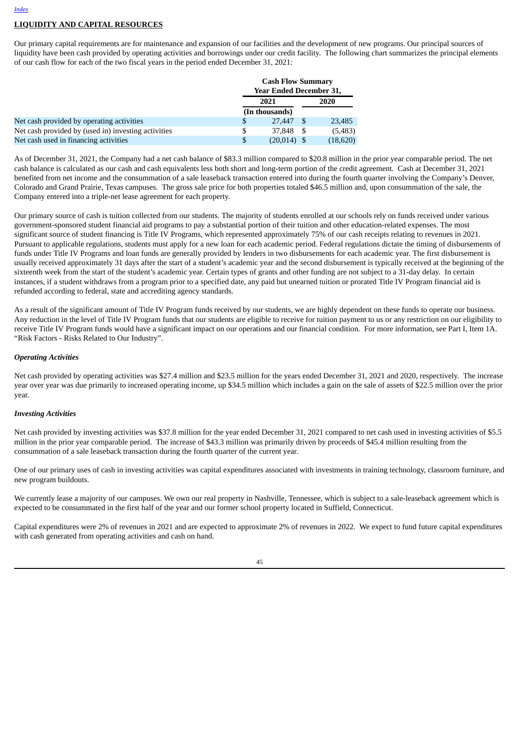# **LIQUIDITY AND CAPITAL RESOURCES**

Our primary capital requirements are for maintenance and expansion of our facilities and the development of new programs. Our principal sources of liquidity have been cash provided by operating activities and borrowings under our credit facility. The following chart summarizes the principal elements of our cash flow for each of the two fiscal years in the period ended December 31, 2021:

|                                                     | <b>Cash Flow Summary</b><br><b>Year Ended December 31,</b> |                |  |          |
|-----------------------------------------------------|------------------------------------------------------------|----------------|--|----------|
|                                                     | 2021                                                       | 2020           |  |          |
|                                                     |                                                            | (In thousands) |  |          |
| Net cash provided by operating activities           | S                                                          | 27,447         |  | 23,485   |
| Net cash provided by (used in) investing activities | S                                                          | 37.848         |  | (5, 483) |
| Net cash used in financing activities               | \$                                                         | (20, 014)      |  | (18,620) |

As of December 31, 2021, the Company had a net cash balance of \$83.3 million compared to \$20.8 million in the prior year comparable period. The net cash balance is calculated as our cash and cash equivalents less both short and long-term portion of the credit agreement. Cash at December 31, 2021 benefited from net income and the consummation of a sale leaseback transaction entered into during the fourth quarter involving the Company's Denver, Colorado and Grand Prairie, Texas campuses. The gross sale price for both properties totaled \$46.5 million and, upon consummation of the sale, the Company entered into a triple-net lease agreement for each property.

Our primary source of cash is tuition collected from our students. The majority of students enrolled at our schools rely on funds received under various government-sponsored student financial aid programs to pay a substantial portion of their tuition and other education-related expenses. The most significant source of student financing is Title IV Programs, which represented approximately 75% of our cash receipts relating to revenues in 2021. Pursuant to applicable regulations, students must apply for a new loan for each academic period. Federal regulations dictate the timing of disbursements of funds under Title IV Programs and loan funds are generally provided by lenders in two disbursements for each academic year. The first disbursement is usually received approximately 31 days after the start of a student's academic year and the second disbursement is typically received at the beginning of the sixteenth week from the start of the student's academic year. Certain types of grants and other funding are not subject to a 31-day delay. In certain instances, if a student withdraws from a program prior to a specified date, any paid but unearned tuition or prorated Title IV Program financial aid is refunded according to federal, state and accrediting agency standards.

As a result of the significant amount of Title IV Program funds received by our students, we are highly dependent on these funds to operate our business. Any reduction in the level of Title IV Program funds that our students are eligible to receive for tuition payment to us or any restriction on our eligibility to receive Title IV Program funds would have a significant impact on our operations and our financial condition. For more information, see Part I, Item 1A. "Risk Factors - Risks Related to Our Industry".

### *Operating Activities*

Net cash provided by operating activities was \$27.4 million and \$23.5 million for the years ended December 31, 2021 and 2020, respectively. The increase year over year was due primarily to increased operating income, up \$34.5 million which includes a gain on the sale of assets of \$22.5 million over the prior year.

#### *Investing Activities*

Net cash provided by investing activities was \$37.8 million for the year ended December 31, 2021 compared to net cash used in investing activities of \$5.5 million in the prior year comparable period. The increase of \$43.3 million was primarily driven by proceeds of \$45.4 million resulting from the consummation of a sale leaseback transaction during the fourth quarter of the current year.

One of our primary uses of cash in investing activities was capital expenditures associated with investments in training technology, classroom furniture, and new program buildouts.

We currently lease a majority of our campuses. We own our real property in Nashville, Tennessee, which is subject to a sale-leaseback agreement which is expected to be consummated in the first half of the year and our former school property located in Suffield, Connecticut.

Capital expenditures were 2% of revenues in 2021 and are expected to approximate 2% of revenues in 2022. We expect to fund future capital expenditures with cash generated from operating activities and cash on hand.

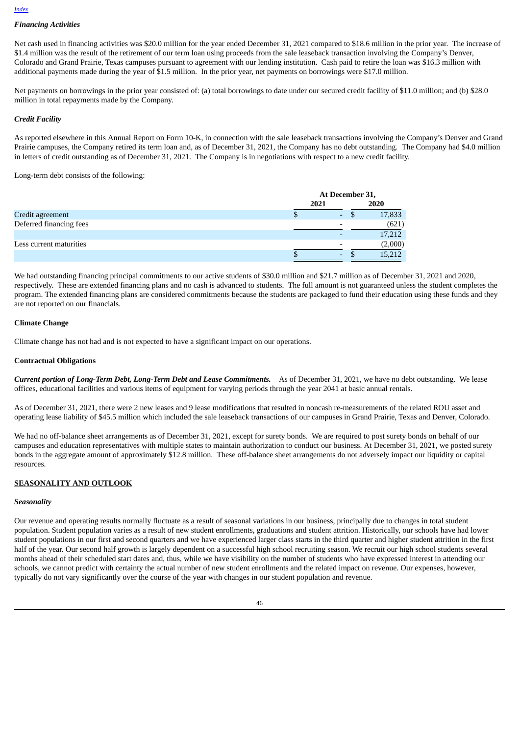### *Financing Activities*

Net cash used in financing activities was \$20.0 million for the year ended December 31, 2021 compared to \$18.6 million in the prior year. The increase of \$1.4 million was the result of the retirement of our term loan using proceeds from the sale leaseback transaction involving the Company's Denver, Colorado and Grand Prairie, Texas campuses pursuant to agreement with our lending institution. Cash paid to retire the loan was \$16.3 million with additional payments made during the year of \$1.5 million. In the prior year, net payments on borrowings were \$17.0 million.

Net payments on borrowings in the prior year consisted of: (a) total borrowings to date under our secured credit facility of \$11.0 million; and (b) \$28.0 million in total repayments made by the Company.

#### *Credit Facility*

As reported elsewhere in this Annual Report on Form 10-K, in connection with the sale leaseback transactions involving the Company's Denver and Grand Prairie campuses, the Company retired its term loan and, as of December 31, 2021, the Company has no debt outstanding. The Company had \$4.0 million in letters of credit outstanding as of December 31, 2021. The Company is in negotiations with respect to a new credit facility.

Long-term debt consists of the following:

|                         |      | At December 31, |         |  |  |
|-------------------------|------|-----------------|---------|--|--|
|                         | 2021 |                 | 2020    |  |  |
| Credit agreement        |      | -               | 17,833  |  |  |
| Deferred financing fees |      |                 | (621)   |  |  |
|                         |      |                 | 17,212  |  |  |
| Less current maturities |      |                 | (2,000) |  |  |
|                         |      |                 | 15.212  |  |  |

We had outstanding financing principal commitments to our active students of \$30.0 million and \$21.7 million as of December 31, 2021 and 2020, respectively. These are extended financing plans and no cash is advanced to students. The full amount is not guaranteed unless the student completes the program. The extended financing plans are considered commitments because the students are packaged to fund their education using these funds and they are not reported on our financials.

#### **Climate Change**

Climate change has not had and is not expected to have a significant impact on our operations.

#### **Contractual Obligations**

*Current portion of Long-Term Debt, Long-Term Debt and Lease Commitments.* As of December 31, 2021, we have no debt outstanding. We lease offices, educational facilities and various items of equipment for varying periods through the year 2041 at basic annual rentals.

As of December 31, 2021, there were 2 new leases and 9 lease modifications that resulted in noncash re-measurements of the related ROU asset and operating lease liability of \$45.5 million which included the sale leaseback transactions of our campuses in Grand Prairie, Texas and Denver, Colorado.

We had no off-balance sheet arrangements as of December 31, 2021, except for surety bonds. We are required to post surety bonds on behalf of our campuses and education representatives with multiple states to maintain authorization to conduct our business. At December 31, 2021, we posted surety bonds in the aggregate amount of approximately \$12.8 million. These off-balance sheet arrangements do not adversely impact our liquidity or capital resources.

# **SEASONALITY AND OUTLOOK**

#### *Seasonality*

Our revenue and operating results normally fluctuate as a result of seasonal variations in our business, principally due to changes in total student population. Student population varies as a result of new student enrollments, graduations and student attrition. Historically, our schools have had lower student populations in our first and second quarters and we have experienced larger class starts in the third quarter and higher student attrition in the first half of the year. Our second half growth is largely dependent on a successful high school recruiting season. We recruit our high school students several months ahead of their scheduled start dates and, thus, while we have visibility on the number of students who have expressed interest in attending our schools, we cannot predict with certainty the actual number of new student enrollments and the related impact on revenue. Our expenses, however, typically do not vary significantly over the course of the year with changes in our student population and revenue.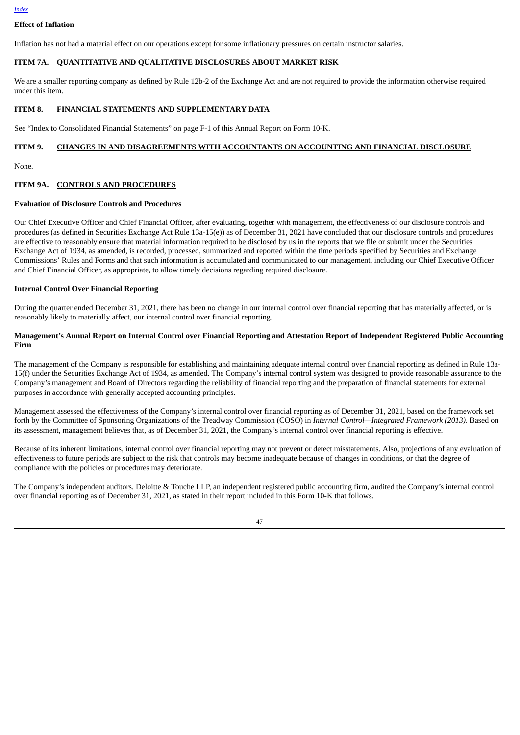### **Effect of Inflation**

Inflation has not had a material effect on our operations except for some inflationary pressures on certain instructor salaries.

#### **ITEM 7A. QUANTITATIVE AND QUALITATIVE DISCLOSURES ABOUT MARKET RISK**

We are a smaller reporting company as defined by Rule 12b-2 of the Exchange Act and are not required to provide the information otherwise required under this item.

#### **ITEM 8. FINANCIAL STATEMENTS AND SUPPLEMENTARY DATA**

See "Index to Consolidated Financial Statements" on page F-1 of this Annual Report on Form 10-K.

# **ITEM 9. CHANGES IN AND DISAGREEMENTS WITH ACCOUNTANTS ON ACCOUNTING AND FINANCIAL DISCLOSURE**

None.

#### **ITEM 9A. CONTROLS AND PROCEDURES**

#### **Evaluation of Disclosure Controls and Procedures**

Our Chief Executive Officer and Chief Financial Officer, after evaluating, together with management, the effectiveness of our disclosure controls and procedures (as defined in Securities Exchange Act Rule 13a-15(e)) as of December 31, 2021 have concluded that our disclosure controls and procedures are effective to reasonably ensure that material information required to be disclosed by us in the reports that we file or submit under the Securities Exchange Act of 1934, as amended, is recorded, processed, summarized and reported within the time periods specified by Securities and Exchange Commissions' Rules and Forms and that such information is accumulated and communicated to our management, including our Chief Executive Officer and Chief Financial Officer, as appropriate, to allow timely decisions regarding required disclosure.

#### **Internal Control Over Financial Reporting**

During the quarter ended December 31, 2021, there has been no change in our internal control over financial reporting that has materially affected, or is reasonably likely to materially affect, our internal control over financial reporting.

# Management's Annual Report on Internal Control over Financial Reporting and Attestation Report of Independent Registered Public Accounting **Firm**

The management of the Company is responsible for establishing and maintaining adequate internal control over financial reporting as defined in Rule 13a-15(f) under the Securities Exchange Act of 1934, as amended. The Company's internal control system was designed to provide reasonable assurance to the Company's management and Board of Directors regarding the reliability of financial reporting and the preparation of financial statements for external purposes in accordance with generally accepted accounting principles.

Management assessed the effectiveness of the Company's internal control over financial reporting as of December 31, 2021, based on the framework set forth by the Committee of Sponsoring Organizations of the Treadway Commission (COSO) in *Internal Control—Integrated Framework (2013)*. Based on its assessment, management believes that, as of December 31, 2021, the Company's internal control over financial reporting is effective.

Because of its inherent limitations, internal control over financial reporting may not prevent or detect misstatements. Also, projections of any evaluation of effectiveness to future periods are subject to the risk that controls may become inadequate because of changes in conditions, or that the degree of compliance with the policies or procedures may deteriorate.

The Company's independent auditors, Deloitte & Touche LLP, an independent registered public accounting firm, audited the Company's internal control over financial reporting as of December 31, 2021, as stated in their report included in this Form 10-K that follows.

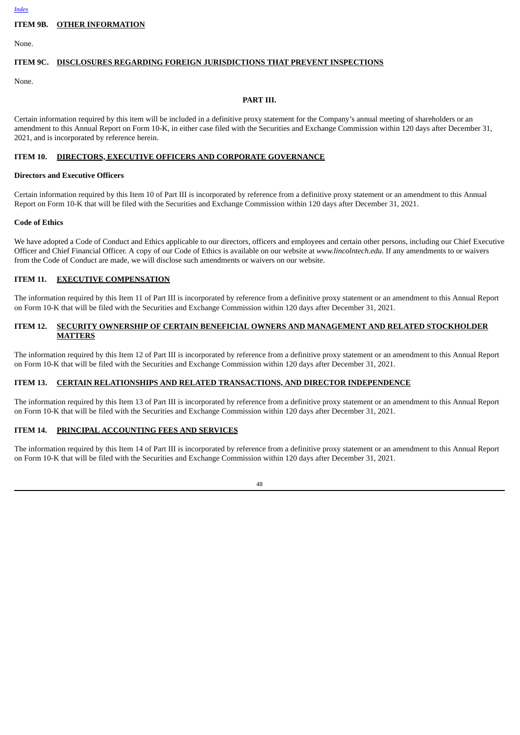# **ITEM 9B. OTHER INFORMATION**

None.

# **ITEM 9C. DISCLOSURES REGARDING FOREIGN JURISDICTIONS THAT PREVENT INSPECTIONS**

None.

#### **PART III.**

Certain information required by this item will be included in a definitive proxy statement for the Company's annual meeting of shareholders or an amendment to this Annual Report on Form 10-K, in either case filed with the Securities and Exchange Commission within 120 days after December 31, 2021, and is incorporated by reference herein.

#### **ITEM 10. DIRECTORS, EXECUTIVE OFFICERS AND CORPORATE GOVERNANCE**

### **Directors and Executive Officers**

Certain information required by this Item 10 of Part III is incorporated by reference from a definitive proxy statement or an amendment to this Annual Report on Form 10-K that will be filed with the Securities and Exchange Commission within 120 days after December 31, 2021.

#### **Code of Ethics**

We have adopted a Code of Conduct and Ethics applicable to our directors, officers and employees and certain other persons, including our Chief Executive Officer and Chief Financial Officer. A copy of our Code of Ethics is available on our website at *www.lincolntech.edu*. If any amendments to or waivers from the Code of Conduct are made, we will disclose such amendments or waivers on our website.

### **ITEM 11. EXECUTIVE COMPENSATION**

The information required by this Item 11 of Part III is incorporated by reference from a definitive proxy statement or an amendment to this Annual Report on Form 10-K that will be filed with the Securities and Exchange Commission within 120 days after December 31, 2021.

### **ITEM 12. SECURITY OWNERSHIP OF CERTAIN BENEFICIAL OWNERS AND MANAGEMENT AND RELATED STOCKHOLDER MATTERS**

The information required by this Item 12 of Part III is incorporated by reference from a definitive proxy statement or an amendment to this Annual Report on Form 10-K that will be filed with the Securities and Exchange Commission within 120 days after December 31, 2021.

#### **ITEM 13. CERTAIN RELATIONSHIPS AND RELATED TRANSACTIONS, AND DIRECTOR INDEPENDENCE**

The information required by this Item 13 of Part III is incorporated by reference from a definitive proxy statement or an amendment to this Annual Report on Form 10-K that will be filed with the Securities and Exchange Commission within 120 days after December 31, 2021.

#### **ITEM 14. PRINCIPAL ACCOUNTING FEES AND SERVICES**

The information required by this Item 14 of Part III is incorporated by reference from a definitive proxy statement or an amendment to this Annual Report on Form 10-K that will be filed with the Securities and Exchange Commission within 120 days after December 31, 2021.

48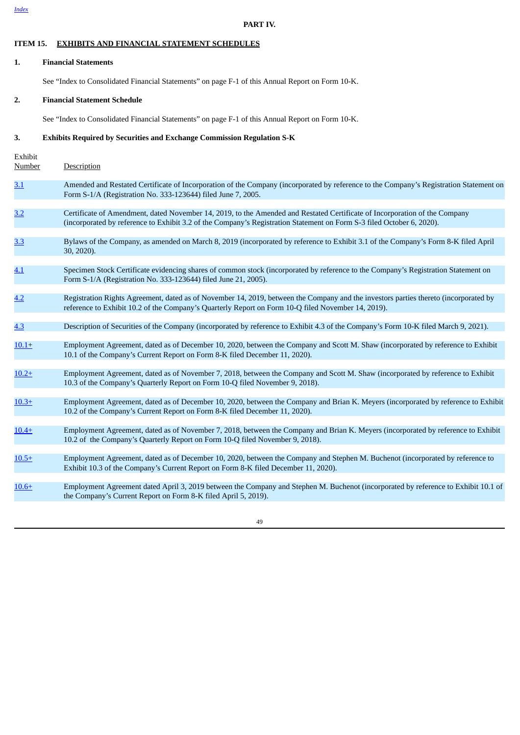**PART IV.**

### **ITEM 15. EXHIBITS AND FINANCIAL STATEMENT SCHEDULES**

### **1. Financial Statements**

See "Index to Consolidated Financial Statements" on page F-1 of this Annual Report on Form 10-K.

#### **2. Financial Statement Schedule**

See "Index to Consolidated Financial Statements" on page F-1 of this Annual Report on Form 10-K.

#### **3. Exhibits Required by Securities and Exchange Commission Regulation S-K**

Exhibit Number Description [3.1](https://www.sec.gov/Archives/edgar/data/1286613/000104746905016616/a2158903zex-3_2.htm) Amended and Restated Certificate of Incorporation of the Company (incorporated by reference to the Company's Registration Statement on Form S-1/A (Registration No. 333-123644) filed June 7, 2005. [3.2](https://www.sec.gov/Archives/edgar/data/1286613/000101905620000522/ex3_2.htm) Certificate of Amendment, dated November 14, 2019, to the Amended and Restated Certificate of Incorporation of the Company (incorporated by reference to Exhibit 3.2 of the Company's Registration Statement on Form S-3 filed October 6, 2020). [3.3](https://www.sec.gov/Archives/edgar/data/1286613/000110465905030164/a05-11114_3ex3d1.htm) Bylaws of the Company, as amended on March 8, 2019 (incorporated by reference to Exhibit 3.1 of the Company's Form 8-K filed April 30, 2020). [4.1](https://www.sec.gov/Archives/edgar/data/1286613/000104746905017781/a2159767zex-4_1.htm) Specimen Stock Certificate evidencing shares of common stock (incorporated by reference to the Company's Registration Statement on Form S-1/A (Registration No. 333-123644) filed June 21, 2005). [4.2](https://www.sec.gov/Archives/edgar/data/1286613/000114036119020643/ex10_2.htm) Registration Rights Agreement, dated as of November 14, 2019, between the Company and the investors parties thereto (incorporated by reference to Exhibit 10.2 of the Company's Quarterly Report on Form 10-Q filed November 14, 2019). [4.3](https://www.sec.gov/Archives/edgar/data/1286613/000114036121007700/brhc10021355_ex4-3.htm) Description of Securities of the Company (incorporated by reference to Exhibit 4.3 of the Company's Form 10-K filed March 9, 2021). [10.1+](https://www.sec.gov/Archives/edgar/data/1286613/000114036120028175/brhc10017872_ex10-1.htm) Employment Agreement, dated as of December 10, 2020, between the Company and Scott M. Shaw (incorporated by reference to Exhibit 10.1 of the Company's Current Report on Form 8-K filed December 11, 2020). [10.2+](https://www.sec.gov/Archives/edgar/data/1286613/000114036118042837/ex10_3.htm) Employment Agreement, dated as of November 7, 2018, between the Company and Scott M. Shaw (incorporated by reference to Exhibit 10.3 of the Company's Quarterly Report on Form 10-Q filed November 9, 2018). [10.3+](https://www.sec.gov/Archives/edgar/data/1286613/000114036120028175/brhc10017872_ex10-2.htm) Employment Agreement, dated as of December 10, 2020, between the Company and Brian K. Meyers (incorporated by reference to Exhibit 10.2 of the Company's Current Report on Form 8-K filed December 11, 2020). [10.4+](https://www.sec.gov/Archives/edgar/data/1286613/000114036118042837/ex10_4.htm) Employment Agreement, dated as of November 7, 2018, between the Company and Brian K. Meyers (incorporated by reference to Exhibit 10.2 of the Company's Quarterly Report on Form 10-Q filed November 9, 2018). [10.5+](https://www.sec.gov/Archives/edgar/data/1286613/000114036120028175/brhc10017872_ex10-3.htm) Employment Agreement, dated as of December 10, 2020, between the Company and Stephen M. Buchenot (incorporated by reference to Exhibit 10.3 of the Company's Current Report on Form 8-K filed December 11, 2020). [10.6+](https://www.sec.gov/Archives/edgar/data/1286613/000114036119006635/ex10_1.htm) Employment Agreement dated April 3, 2019 between the Company and Stephen M. Buchenot (incorporated by reference to Exhibit 10.1 of the Company's Current Report on Form 8-K filed April 5, 2019).

49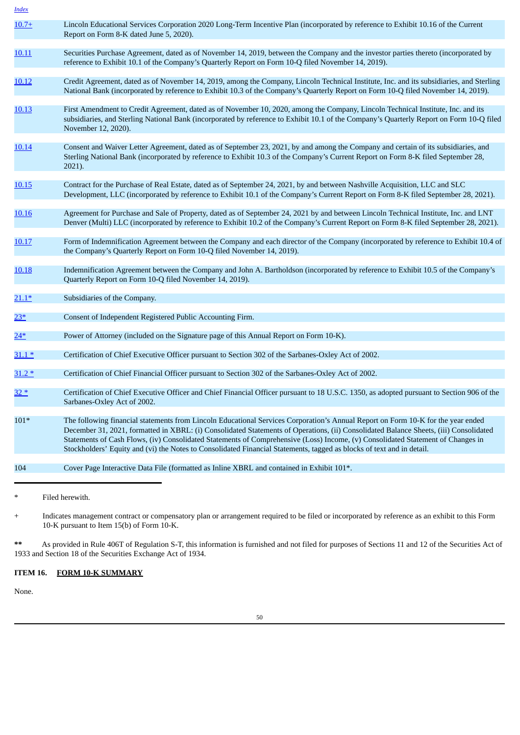| <b>Index</b>   |                                                                                                                                                                                                                                                                                                                                                                                                                                                                                                                                       |
|----------------|---------------------------------------------------------------------------------------------------------------------------------------------------------------------------------------------------------------------------------------------------------------------------------------------------------------------------------------------------------------------------------------------------------------------------------------------------------------------------------------------------------------------------------------|
| $10.7+$        | Lincoln Educational Services Corporation 2020 Long-Term Incentive Plan (incorporated by reference to Exhibit 10.16 of the Current<br>Report on Form 8-K dated June 5, 2020).                                                                                                                                                                                                                                                                                                                                                          |
| <u> 10.11</u>  | Securities Purchase Agreement, dated as of November 14, 2019, between the Company and the investor parties thereto (incorporated by<br>reference to Exhibit 10.1 of the Company's Quarterly Report on Form 10-Q filed November 14, 2019).                                                                                                                                                                                                                                                                                             |
| <u>10.12</u>   | Credit Agreement, dated as of November 14, 2019, among the Company, Lincoln Technical Institute, Inc. and its subsidiaries, and Sterling<br>National Bank (incorporated by reference to Exhibit 10.3 of the Company's Quarterly Report on Form 10-Q filed November 14, 2019).                                                                                                                                                                                                                                                         |
| <u>10.13</u>   | First Amendment to Credit Agreement, dated as of November 10, 2020, among the Company, Lincoln Technical Institute, Inc. and its<br>subsidiaries, and Sterling National Bank (incorporated by reference to Exhibit 10.1 of the Company's Quarterly Report on Form 10-Q filed<br>November 12, 2020).                                                                                                                                                                                                                                   |
| <u>10.14</u>   | Consent and Waiver Letter Agreement, dated as of September 23, 2021, by and among the Company and certain of its subsidiaries, and<br>Sterling National Bank (incorporated by reference to Exhibit 10.3 of the Company's Current Report on Form 8-K filed September 28,<br>2021).                                                                                                                                                                                                                                                     |
| 10.15          | Contract for the Purchase of Real Estate, dated as of September 24, 2021, by and between Nashville Acquisition, LLC and SLC<br>Development, LLC (incorporated by reference to Exhibit 10.1 of the Company's Current Report on Form 8-K filed September 28, 2021).                                                                                                                                                                                                                                                                     |
| <u> 10.16</u>  | Agreement for Purchase and Sale of Property, dated as of September 24, 2021 by and between Lincoln Technical Institute, Inc. and LNT<br>Denver (Multi) LLC (incorporated by reference to Exhibit 10.2 of the Company's Current Report on Form 8-K filed September 28, 2021).                                                                                                                                                                                                                                                          |
| <u>10.17</u>   | Form of Indemnification Agreement between the Company and each director of the Company (incorporated by reference to Exhibit 10.4 of<br>the Company's Quarterly Report on Form 10-Q filed November 14, 2019).                                                                                                                                                                                                                                                                                                                         |
| 10.18          | Indemnification Agreement between the Company and John A. Bartholdson (incorporated by reference to Exhibit 10.5 of the Company's<br>Quarterly Report on Form 10-Q filed November 14, 2019).                                                                                                                                                                                                                                                                                                                                          |
| $21.1*$        | Subsidiaries of the Company.                                                                                                                                                                                                                                                                                                                                                                                                                                                                                                          |
| <u> 23*</u>    | Consent of Independent Registered Public Accounting Firm.                                                                                                                                                                                                                                                                                                                                                                                                                                                                             |
| <u>24*</u>     | Power of Attorney (included on the Signature page of this Annual Report on Form 10-K).                                                                                                                                                                                                                                                                                                                                                                                                                                                |
| 31.1 *         | Certification of Chief Executive Officer pursuant to Section 302 of the Sarbanes-Oxley Act of 2002.                                                                                                                                                                                                                                                                                                                                                                                                                                   |
| <u>31.2 * </u> | Certification of Chief Financial Officer pursuant to Section 302 of the Sarbanes-Oxley Act of 2002.                                                                                                                                                                                                                                                                                                                                                                                                                                   |
| $32 *$         | Certification of Chief Executive Officer and Chief Financial Officer pursuant to 18 U.S.C. 1350, as adopted pursuant to Section 906 of the<br>Sarbanes-Oxley Act of 2002.                                                                                                                                                                                                                                                                                                                                                             |
| $101*$         | The following financial statements from Lincoln Educational Services Corporation's Annual Report on Form 10-K for the year ended<br>December 31, 2021, formatted in XBRL: (i) Consolidated Statements of Operations, (ii) Consolidated Balance Sheets, (iii) Consolidated<br>Statements of Cash Flows, (iv) Consolidated Statements of Comprehensive (Loss) Income, (v) Consolidated Statement of Changes in<br>Stockholders' Equity and (vi) the Notes to Consolidated Financial Statements, tagged as blocks of text and in detail. |
| 104            | Cover Page Interactive Data File (formatted as Inline XBRL and contained in Exhibit 101*.                                                                                                                                                                                                                                                                                                                                                                                                                                             |
|                |                                                                                                                                                                                                                                                                                                                                                                                                                                                                                                                                       |

\* Filed herewith.

+ Indicates management contract or compensatory plan or arrangement required to be filed or incorporated by reference as an exhibit to this Form 10-K pursuant to Item 15(b) of Form 10-K.

**\*\*** As provided in Rule 406T of Regulation S-T, this information is furnished and not filed for purposes of Sections 11 and 12 of the Securities Act of 1933 and Section 18 of the Securities Exchange Act of 1934.

# **ITEM 16. FORM 10-K SUMMARY**

None.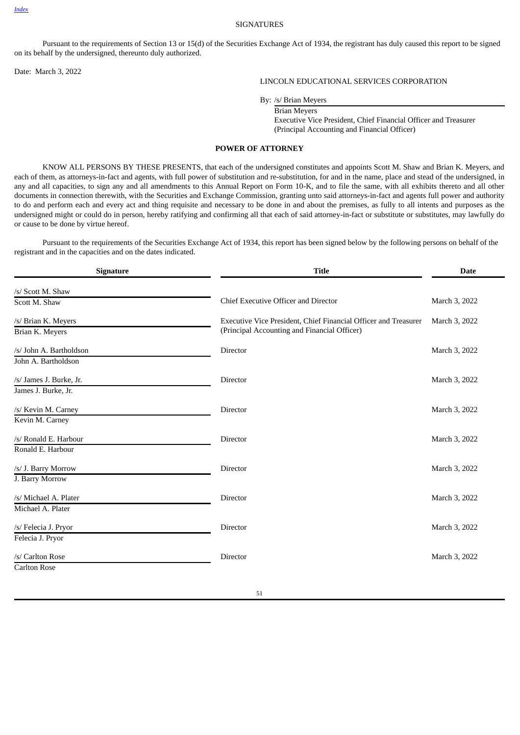#### **SIGNATURES**

<span id="page-54-0"></span>Pursuant to the requirements of Section 13 or 15(d) of the Securities Exchange Act of 1934, the registrant has duly caused this report to be signed on its behalf by the undersigned, thereunto duly authorized.

Date: March 3, 2022

### LINCOLN EDUCATIONAL SERVICES CORPORATION

By: /s/ Brian Meyers

Brian Meyers Executive Vice President, Chief Financial Officer and Treasurer (Principal Accounting and Financial Officer)

### **POWER OF ATTORNEY**

KNOW ALL PERSONS BY THESE PRESENTS, that each of the undersigned constitutes and appoints Scott M. Shaw and Brian K. Meyers, and each of them, as attorneys-in-fact and agents, with full power of substitution and re-substitution, for and in the name, place and stead of the undersigned, in any and all capacities, to sign any and all amendments to this Annual Report on Form 10-K, and to file the same, with all exhibits thereto and all other documents in connection therewith, with the Securities and Exchange Commission, granting unto said attorneys-in-fact and agents full power and authority to do and perform each and every act and thing requisite and necessary to be done in and about the premises, as fully to all intents and purposes as the undersigned might or could do in person, hereby ratifying and confirming all that each of said attorney-in-fact or substitute or substitutes, may lawfully do or cause to be done by virtue hereof.

Pursuant to the requirements of the Securities Exchange Act of 1934, this report has been signed below by the following persons on behalf of the registrant and in the capacities and on the dates indicated.

| Signature                                      | <b>Title</b>                                                                                                    | <b>Date</b>   |
|------------------------------------------------|-----------------------------------------------------------------------------------------------------------------|---------------|
| /s/ Scott M. Shaw<br>Scott M. Shaw             | Chief Executive Officer and Director                                                                            | March 3, 2022 |
| /s/ Brian K. Meyers<br>Brian K. Meyers         | Executive Vice President, Chief Financial Officer and Treasurer<br>(Principal Accounting and Financial Officer) | March 3, 2022 |
| /s/ John A. Bartholdson<br>John A. Bartholdson | Director                                                                                                        | March 3, 2022 |
| /s/ James J. Burke, Jr.<br>James J. Burke, Jr. | <b>Director</b>                                                                                                 | March 3, 2022 |
| /s/ Kevin M. Carney<br>Kevin M. Carney         | Director                                                                                                        | March 3, 2022 |
| /s/ Ronald E. Harbour<br>Ronald E. Harbour     | <b>Director</b>                                                                                                 | March 3, 2022 |
| /s/ J. Barry Morrow<br>J. Barry Morrow         | Director                                                                                                        | March 3, 2022 |
| /s/ Michael A. Plater<br>Michael A. Plater     | Director                                                                                                        | March 3, 2022 |
| /s/ Felecia J. Pryor<br>Felecia J. Pryor       | <b>Director</b>                                                                                                 | March 3, 2022 |
| /s/ Carlton Rose<br><b>Carlton Rose</b>        | <b>Director</b>                                                                                                 | March 3, 2022 |
|                                                |                                                                                                                 |               |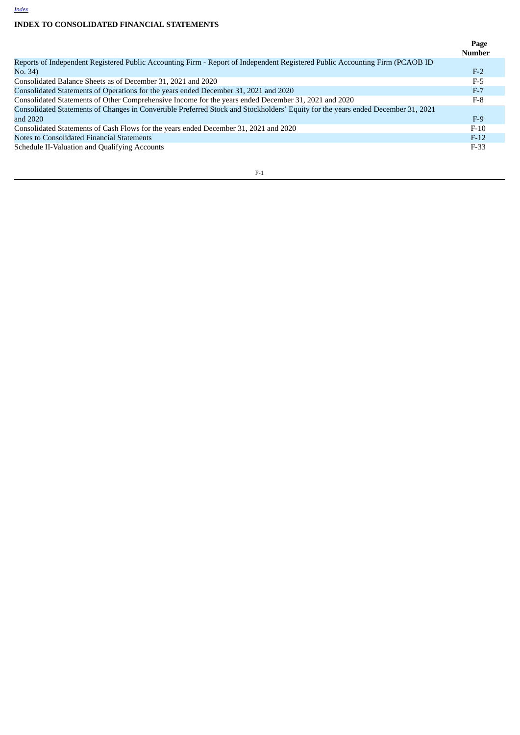# **INDEX TO CONSOLIDATED FINANCIAL STATEMENTS**

# **Page Number** Reports of Independent Registered Public Accounting Firm - Report of Independent Registered Public Accounting Firm (PCAOB ID No. 34) F-2 Consolidated Balance Sheets as of December 31, 2021 and 2020 F-5

| Consolidated Statements of Operations for the years ended December 31, 2021 and 2020                                             | $F-7$  |
|----------------------------------------------------------------------------------------------------------------------------------|--------|
| Consolidated Statements of Other Comprehensive Income for the years ended December 31, 2021 and 2020                             | $F-8$  |
| Consolidated Statements of Changes in Convertible Preferred Stock and Stockholders' Equity for the years ended December 31, 2021 |        |
| and 2020                                                                                                                         | $F-9$  |
| Consolidated Statements of Cash Flows for the years ended December 31, 2021 and 2020                                             | $F-10$ |
| Notes to Consolidated Financial Statements                                                                                       | $F-12$ |
| Schedule II-Valuation and Qualifying Accounts                                                                                    | F-33   |
|                                                                                                                                  |        |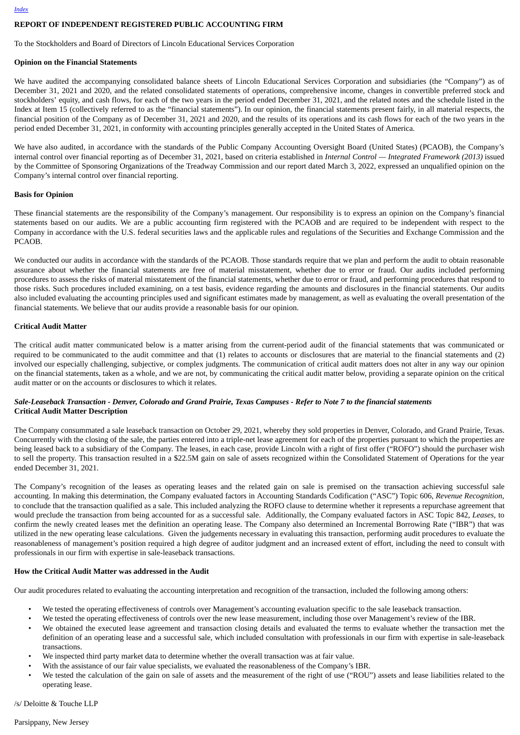# **REPORT OF INDEPENDENT REGISTERED PUBLIC ACCOUNTING FIRM**

To the Stockholders and Board of Directors of Lincoln Educational Services Corporation

#### **Opinion on the Financial Statements**

We have audited the accompanying consolidated balance sheets of Lincoln Educational Services Corporation and subsidiaries (the "Company") as of December 31, 2021 and 2020, and the related consolidated statements of operations, comprehensive income, changes in convertible preferred stock and stockholders' equity, and cash flows, for each of the two years in the period ended December 31, 2021, and the related notes and the schedule listed in the Index at Item 15 (collectively referred to as the "financial statements"). In our opinion, the financial statements present fairly, in all material respects, the financial position of the Company as of December 31, 2021 and 2020, and the results of its operations and its cash flows for each of the two years in the period ended December 31, 2021, in conformity with accounting principles generally accepted in the United States of America.

We have also audited, in accordance with the standards of the Public Company Accounting Oversight Board (United States) (PCAOB), the Company's internal control over financial reporting as of December 31, 2021, based on criteria established in *Internal Control — Integrated Framework (2013)* issued by the Committee of Sponsoring Organizations of the Treadway Commission and our report dated March 3, 2022*,* expressed an unqualified opinion on the Company's internal control over financial reporting.

#### **Basis for Opinion**

These financial statements are the responsibility of the Company's management. Our responsibility is to express an opinion on the Company's financial statements based on our audits. We are a public accounting firm registered with the PCAOB and are required to be independent with respect to the Company in accordance with the U.S. federal securities laws and the applicable rules and regulations of the Securities and Exchange Commission and the PCAOB.

We conducted our audits in accordance with the standards of the PCAOB. Those standards require that we plan and perform the audit to obtain reasonable assurance about whether the financial statements are free of material misstatement, whether due to error or fraud. Our audits included performing procedures to assess the risks of material misstatement of the financial statements, whether due to error or fraud, and performing procedures that respond to those risks. Such procedures included examining, on a test basis, evidence regarding the amounts and disclosures in the financial statements. Our audits also included evaluating the accounting principles used and significant estimates made by management, as well as evaluating the overall presentation of the financial statements. We believe that our audits provide a reasonable basis for our opinion.

#### **Critical Audit Matter**

The critical audit matter communicated below is a matter arising from the current-period audit of the financial statements that was communicated or required to be communicated to the audit committee and that (1) relates to accounts or disclosures that are material to the financial statements and (2) involved our especially challenging, subjective, or complex judgments. The communication of critical audit matters does not alter in any way our opinion on the financial statements, taken as a whole, and we are not, by communicating the critical audit matter below, providing a separate opinion on the critical audit matter or on the accounts or disclosures to which it relates.

#### Sale-Leaseback Transaction - Denver, Colorado and Grand Prairie, Texas Campuses - Refer to Note 7 to the financial statements **Critical Audit Matter Description**

The Company consummated a sale leaseback transaction on October 29, 2021, whereby they sold properties in Denver, Colorado, and Grand Prairie, Texas. Concurrently with the closing of the sale, the parties entered into a triple-net lease agreement for each of the properties pursuant to which the properties are being leased back to a subsidiary of the Company. The leases, in each case, provide Lincoln with a right of first offer ("ROFO") should the purchaser wish to sell the property. This transaction resulted in a \$22.5M gain on sale of assets recognized within the Consolidated Statement of Operations for the year ended December 31, 2021.

The Company's recognition of the leases as operating leases and the related gain on sale is premised on the transaction achieving successful sale accounting. In making this determination, the Company evaluated factors in Accounting Standards Codification ("ASC") Topic 606, *Revenue Recognition*, to conclude that the transaction qualified as a sale. This included analyzing the ROFO clause to determine whether it represents a repurchase agreement that would preclude the transaction from being accounted for as a successful sale. Additionally, the Company evaluated factors in ASC Topic 842, *Leases*, to confirm the newly created leases met the definition an operating lease. The Company also determined an Incremental Borrowing Rate ("IBR") that was utilized in the new operating lease calculations. Given the judgements necessary in evaluating this transaction, performing audit procedures to evaluate the reasonableness of management's position required a high degree of auditor judgment and an increased extent of effort, including the need to consult with professionals in our firm with expertise in sale-leaseback transactions.

#### **How the Critical Audit Matter was addressed in the Audit**

Our audit procedures related to evaluating the accounting interpretation and recognition of the transaction, included the following among others:

- We tested the operating effectiveness of controls over Management's accounting evaluation specific to the sale leaseback transaction.
- We tested the operating effectiveness of controls over the new lease measurement, including those over Management's review of the IBR.
- We obtained the executed lease agreement and transaction closing details and evaluated the terms to evaluate whether the transaction met the definition of an operating lease and a successful sale, which included consultation with professionals in our firm with expertise in sale-leaseback transactions.
- We inspected third party market data to determine whether the overall transaction was at fair value.
- With the assistance of our fair value specialists, we evaluated the reasonableness of the Company's IBR.
- We tested the calculation of the gain on sale of assets and the measurement of the right of use ("ROU") assets and lease liabilities related to the operating lease.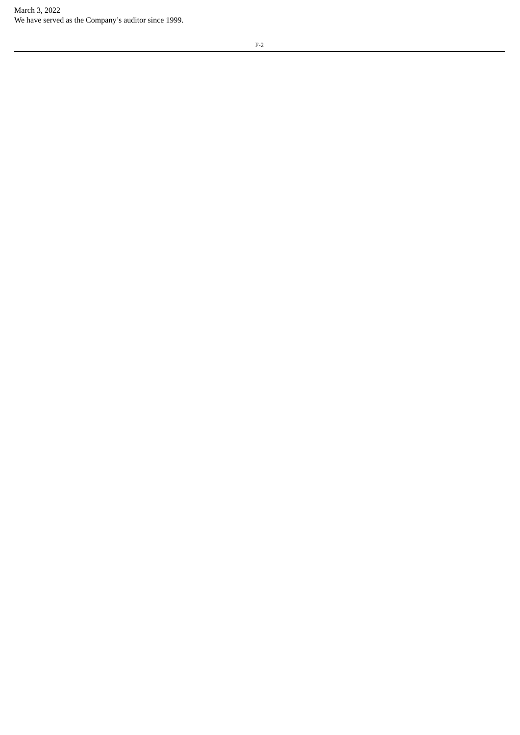March 3, 2022 We have served as the Company's auditor since 1999.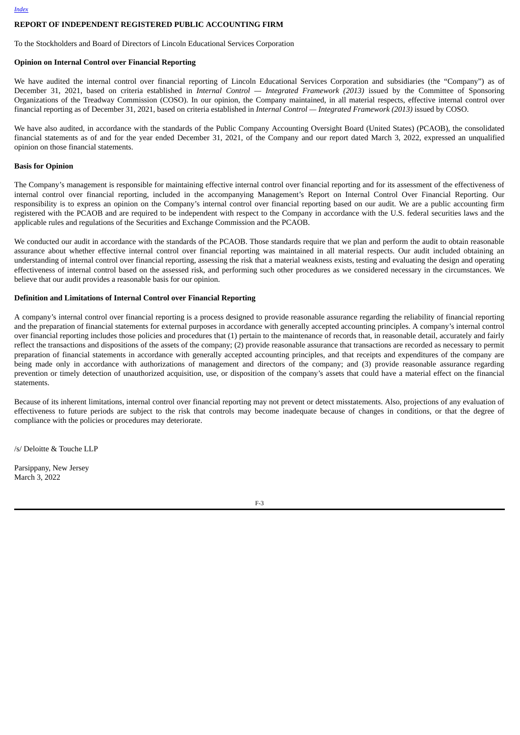### **REPORT OF INDEPENDENT REGISTERED PUBLIC ACCOUNTING FIRM**

To the Stockholders and Board of Directors of Lincoln Educational Services Corporation

#### **Opinion on Internal Control over Financial Reporting**

We have audited the internal control over financial reporting of Lincoln Educational Services Corporation and subsidiaries (the "Company") as of December 31, 2021, based on criteria established in *Internal Control — Integrated Framework (2013)* issued by the Committee of Sponsoring Organizations of the Treadway Commission (COSO). In our opinion, the Company maintained, in all material respects, effective internal control over financial reporting as of December 31, 2021, based on criteria established in *Internal Control — Integrated Framework (2013)* issued by COSO.

We have also audited, in accordance with the standards of the Public Company Accounting Oversight Board (United States) (PCAOB), the consolidated financial statements as of and for the year ended December 31, 2021, of the Company and our report dated March 3, 2022, expressed an unqualified opinion on those financial statements.

#### **Basis for Opinion**

The Company's management is responsible for maintaining effective internal control over financial reporting and for its assessment of the effectiveness of internal control over financial reporting, included in the accompanying Management's Report on Internal Control Over Financial Reporting. Our responsibility is to express an opinion on the Company's internal control over financial reporting based on our audit. We are a public accounting firm registered with the PCAOB and are required to be independent with respect to the Company in accordance with the U.S. federal securities laws and the applicable rules and regulations of the Securities and Exchange Commission and the PCAOB.

We conducted our audit in accordance with the standards of the PCAOB. Those standards require that we plan and perform the audit to obtain reasonable assurance about whether effective internal control over financial reporting was maintained in all material respects. Our audit included obtaining an understanding of internal control over financial reporting, assessing the risk that a material weakness exists, testing and evaluating the design and operating effectiveness of internal control based on the assessed risk, and performing such other procedures as we considered necessary in the circumstances. We believe that our audit provides a reasonable basis for our opinion.

#### **Definition and Limitations of Internal Control over Financial Reporting**

A company's internal control over financial reporting is a process designed to provide reasonable assurance regarding the reliability of financial reporting and the preparation of financial statements for external purposes in accordance with generally accepted accounting principles. A company's internal control over financial reporting includes those policies and procedures that (1) pertain to the maintenance of records that, in reasonable detail, accurately and fairly reflect the transactions and dispositions of the assets of the company; (2) provide reasonable assurance that transactions are recorded as necessary to permit preparation of financial statements in accordance with generally accepted accounting principles, and that receipts and expenditures of the company are being made only in accordance with authorizations of management and directors of the company; and (3) provide reasonable assurance regarding prevention or timely detection of unauthorized acquisition, use, or disposition of the company's assets that could have a material effect on the financial statements.

Because of its inherent limitations, internal control over financial reporting may not prevent or detect misstatements. Also, projections of any evaluation of effectiveness to future periods are subject to the risk that controls may become inadequate because of changes in conditions, or that the degree of compliance with the policies or procedures may deteriorate.

/s/ Deloitte & Touche LLP

Parsippany, New Jersey March 3, 2022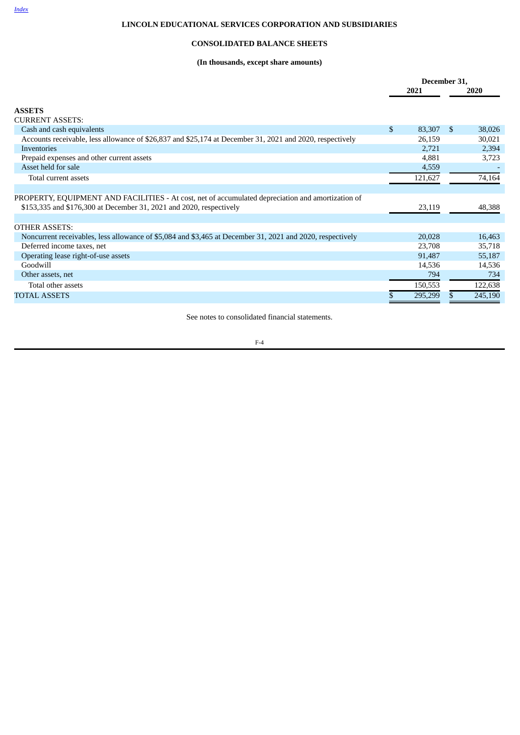# **CONSOLIDATED BALANCE SHEETS**

# **(In thousands, except share amounts)**

|                                                                                                                                                                          | December 31, |         |     |         |
|--------------------------------------------------------------------------------------------------------------------------------------------------------------------------|--------------|---------|-----|---------|
|                                                                                                                                                                          |              | 2021    |     | 2020    |
| <b>ASSETS</b>                                                                                                                                                            |              |         |     |         |
| <b>CURRENT ASSETS:</b>                                                                                                                                                   |              |         |     |         |
| Cash and cash equivalents                                                                                                                                                | \$           | 83,307  | -\$ | 38,026  |
| Accounts receivable, less allowance of \$26,837 and \$25,174 at December 31, 2021 and 2020, respectively                                                                 |              | 26,159  |     | 30,021  |
| Inventories                                                                                                                                                              |              | 2,721   |     | 2,394   |
| Prepaid expenses and other current assets                                                                                                                                |              | 4,881   |     | 3,723   |
| Asset held for sale                                                                                                                                                      |              | 4,559   |     |         |
| Total current assets                                                                                                                                                     |              | 121,627 |     | 74,164  |
|                                                                                                                                                                          |              |         |     |         |
| PROPERTY, EQUIPMENT AND FACILITIES - At cost, net of accumulated depreciation and amortization of<br>\$153,335 and \$176,300 at December 31, 2021 and 2020, respectively |              | 23,119  |     | 48,388  |
| <b>OTHER ASSETS:</b>                                                                                                                                                     |              |         |     |         |
| Noncurrent receivables, less allowance of \$5,084 and \$3,465 at December 31, 2021 and 2020, respectively                                                                |              | 20,028  |     | 16,463  |
| Deferred income taxes, net                                                                                                                                               |              | 23,708  |     | 35,718  |
| Operating lease right-of-use assets                                                                                                                                      |              | 91,487  |     | 55,187  |
| Goodwill                                                                                                                                                                 |              | 14,536  |     | 14,536  |
| Other assets, net                                                                                                                                                        |              | 794     |     | 734     |
| Total other assets                                                                                                                                                       |              | 150,553 |     | 122,638 |
| <b>TOTAL ASSETS</b>                                                                                                                                                      |              | 295,299 |     | 245,190 |

See notes to consolidated financial statements.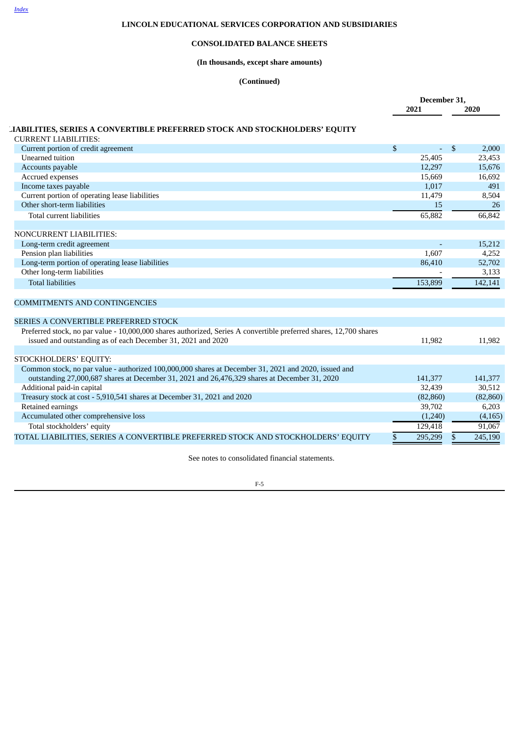# **LINCOLN EDUCATIONAL SERVICES CORPORATION AND SUBSIDIARIES**

# **CONSOLIDATED BALANCE SHEETS**

# **(In thousands, except share amounts)**

# **(Continued)**

|                                                                                                                    | December 31, |                |                |           |
|--------------------------------------------------------------------------------------------------------------------|--------------|----------------|----------------|-----------|
|                                                                                                                    |              | 2021           |                | 2020      |
|                                                                                                                    |              |                |                |           |
| LIABILITIES, SERIES A CONVERTIBLE PREFERRED STOCK AND STOCKHOLDERS' EQUITY                                         |              |                |                |           |
| <b>CURRENT LIABILITIES:</b>                                                                                        |              |                |                |           |
| Current portion of credit agreement                                                                                | \$           | $\blacksquare$ | $\mathfrak{s}$ | 2,000     |
| Unearned tuition                                                                                                   |              | 25,405         |                | 23,453    |
| Accounts payable                                                                                                   |              | 12,297         |                | 15,676    |
| Accrued expenses                                                                                                   |              | 15,669         |                | 16,692    |
| Income taxes payable                                                                                               |              | 1,017          |                | 491       |
| Current portion of operating lease liabilities                                                                     |              | 11,479         |                | 8,504     |
| Other short-term liabilities                                                                                       |              | 15             |                | 26        |
| Total current liabilities                                                                                          |              | 65,882         |                | 66,842    |
|                                                                                                                    |              |                |                |           |
| <b>NONCURRENT LIABILITIES:</b>                                                                                     |              |                |                |           |
| Long-term credit agreement                                                                                         |              |                |                | 15,212    |
| Pension plan liabilities                                                                                           |              | 1.607          |                | 4,252     |
| Long-term portion of operating lease liabilities                                                                   |              | 86,410         |                | 52,702    |
| Other long-term liabilities                                                                                        |              |                |                | 3,133     |
| <b>Total liabilities</b>                                                                                           |              | 153.899        |                | 142,141   |
|                                                                                                                    |              |                |                |           |
| <b>COMMITMENTS AND CONTINGENCIES</b>                                                                               |              |                |                |           |
| <b>SERIES A CONVERTIBLE PREFERRED STOCK</b>                                                                        |              |                |                |           |
| Preferred stock, no par value - 10,000,000 shares authorized, Series A convertible preferred shares, 12,700 shares |              |                |                |           |
| issued and outstanding as of each December 31, 2021 and 2020                                                       |              | 11,982         |                | 11,982    |
|                                                                                                                    |              |                |                |           |
| STOCKHOLDERS' EQUITY:                                                                                              |              |                |                |           |
| Common stock, no par value - authorized 100,000,000 shares at December 31, 2021 and 2020, issued and               |              |                |                |           |
| outstanding 27,000,687 shares at December 31, 2021 and 26,476,329 shares at December 31, 2020                      |              | 141,377        |                | 141,377   |
| Additional paid-in capital                                                                                         |              | 32,439         |                | 30,512    |
| Treasury stock at cost - 5,910,541 shares at December 31, 2021 and 2020                                            |              | (82, 860)      |                | (82, 860) |
| Retained earnings                                                                                                  |              | 39,702         |                | 6,203     |
| Accumulated other comprehensive loss                                                                               |              | (1,240)        |                | (4,165)   |
| Total stockholders' equity                                                                                         |              | 129,418        |                | 91,067    |
|                                                                                                                    |              |                |                |           |
| TOTAL LIABILITIES, SERIES A CONVERTIBLE PREFERRED STOCK AND STOCKHOLDERS' EQUITY                                   | \$           | 295,299        | $\mathfrak{S}$ | 245,190   |

See notes to consolidated financial statements.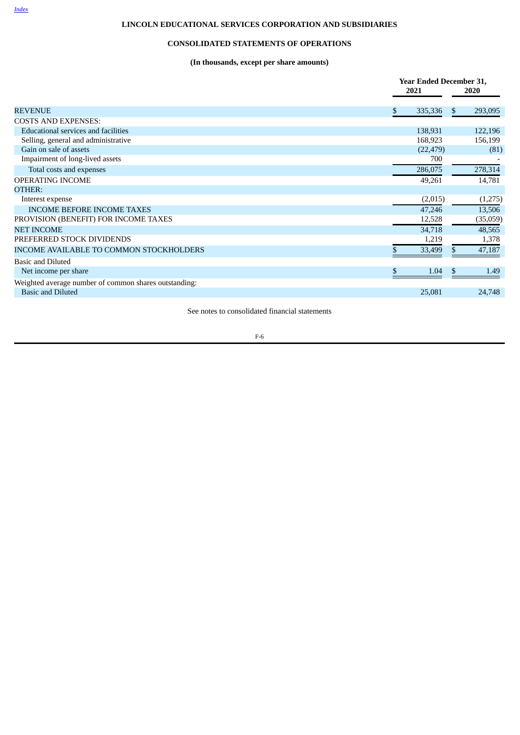# **CONSOLIDATED STATEMENTS OF OPERATIONS**

# **(In thousands, except per share amounts)**

|                                                       | <b>Year Ended December 31,</b><br>2021 | 2020          |
|-------------------------------------------------------|----------------------------------------|---------------|
| <b>REVENUE</b>                                        | \$<br>335,336                          | -S<br>293,095 |
| <b>COSTS AND EXPENSES:</b>                            |                                        |               |
| <b>Educational services and facilities</b>            | 138,931                                | 122,196       |
| Selling, general and administrative                   | 168,923                                | 156,199       |
| Gain on sale of assets                                | (22, 479)                              | (81)          |
| Impairment of long-lived assets                       | 700                                    |               |
| Total costs and expenses                              | 286,075                                | 278,314       |
| <b>OPERATING INCOME</b>                               | 49,261                                 | 14,781        |
| <b>OTHER:</b>                                         |                                        |               |
| Interest expense                                      | (2,015)                                | (1,275)       |
| <b>INCOME BEFORE INCOME TAXES</b>                     | 47,246                                 | 13,506        |
| PROVISION (BENEFIT) FOR INCOME TAXES                  | 12,528                                 | (35,059)      |
| <b>NET INCOME</b>                                     | 34,718                                 | 48,565        |
| PREFERRED STOCK DIVIDENDS                             | 1,219                                  | 1,378         |
| INCOME AVAILABLE TO COMMON STOCKHOLDERS               | 33,499<br>S.                           | 47,187<br>\$  |
| <b>Basic and Diluted</b>                              |                                        |               |
| Net income per share                                  | \$<br>1.04                             | \$.<br>1.49   |
| Weighted average number of common shares outstanding: |                                        |               |
| <b>Basic and Diluted</b>                              | 25,081                                 | 24,748        |
|                                                       |                                        |               |

See notes to consolidated financial statements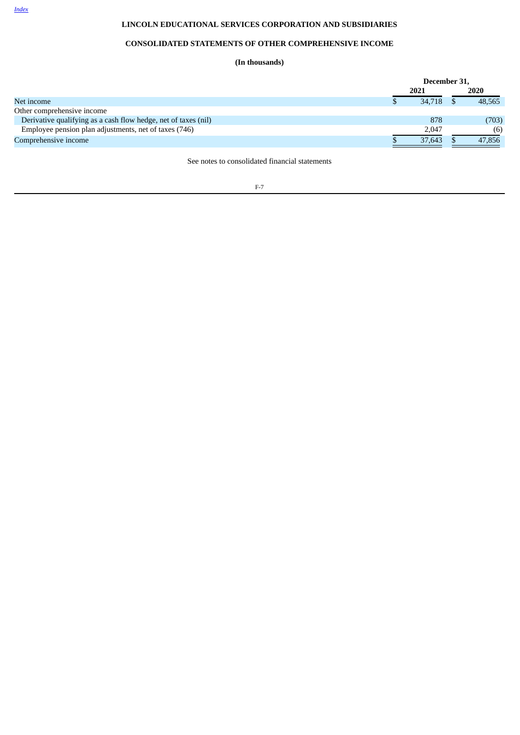# **CONSOLIDATED STATEMENTS OF OTHER COMPREHENSIVE INCOME**

# **(In thousands)**

|                                                                | December 31, |        |  |
|----------------------------------------------------------------|--------------|--------|--|
|                                                                | 2021         | 2020   |  |
| Net income                                                     | 34,718       | 48,565 |  |
| Other comprehensive income                                     |              |        |  |
| Derivative qualifying as a cash flow hedge, net of taxes (nil) | 878          | (703)  |  |
| Employee pension plan adjustments, net of taxes (746)          | 2.047        | (6)    |  |
| Comprehensive income                                           | 37.643       | 47,856 |  |

See notes to consolidated financial statements

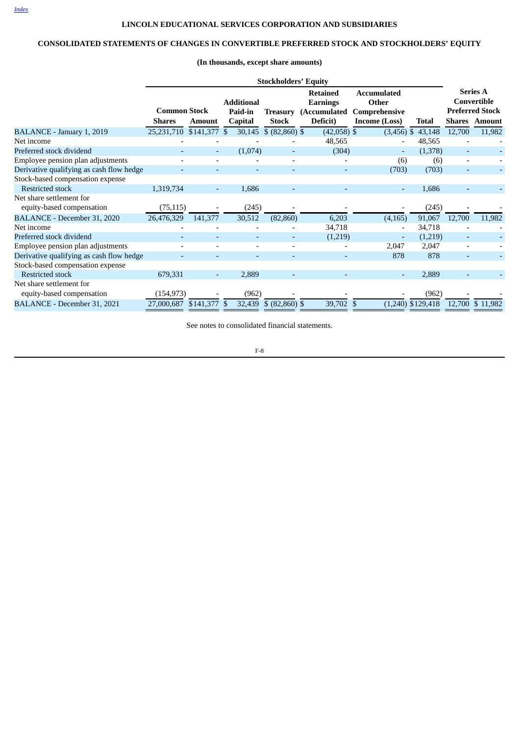# **CONSOLIDATED STATEMENTS OF CHANGES IN CONVERTIBLE PREFERRED STOCK AND STOCKHOLDERS' EQUITY**

# **(In thousands, except share amounts)**

|                                                       | <b>Stockholders' Equity</b> |               |                              |                       |                                                             |                                              |                     |                                                          |                  |
|-------------------------------------------------------|-----------------------------|---------------|------------------------------|-----------------------|-------------------------------------------------------------|----------------------------------------------|---------------------|----------------------------------------------------------|------------------|
|                                                       | <b>Common Stock</b>         |               | <b>Additional</b><br>Paid-in |                       | <b>Retained</b><br><b>Earnings</b><br>Treasury (Accumulated | <b>Accumulated</b><br>Other<br>Comprehensive |                     | <b>Series A</b><br>Convertible<br><b>Preferred Stock</b> |                  |
|                                                       | <b>Shares</b>               | <b>Amount</b> | Capital                      | <b>Stock</b>          | Deficit)                                                    | Income (Loss)                                | Total               | Shares                                                   | <b>Amount</b>    |
| BALANCE - January 1, 2019                             | 25,231,710 \$141,377 \$     |               | 30,145                       | $$ (82,860)$ \$       | $(42,058)$ \$                                               | $(3,456)$ \$                                 | 43,148              | 12,700                                                   | 11,982           |
| Net income                                            |                             |               |                              |                       | 48,565                                                      |                                              | 48,565              |                                                          |                  |
| Preferred stock dividend                              |                             | ۰             | (1,074)                      |                       | (304)                                                       | $\overline{\phantom{0}}$                     | (1,378)             |                                                          |                  |
| Employee pension plan adjustments                     |                             |               |                              |                       |                                                             | (6)                                          | (6)                 | $\blacksquare$                                           |                  |
| Derivative qualifying as cash flow hedge              |                             |               |                              |                       |                                                             | (703)                                        | (703)               |                                                          |                  |
| Stock-based compensation expense                      |                             |               |                              |                       |                                                             |                                              |                     |                                                          |                  |
| <b>Restricted stock</b>                               | 1,319,734                   |               | 1,686                        |                       |                                                             | ٠                                            | 1,686               |                                                          |                  |
| Net share settlement for                              |                             |               |                              |                       |                                                             |                                              |                     |                                                          |                  |
| equity-based compensation                             | (75, 115)                   |               | (245)                        |                       |                                                             |                                              | (245)               |                                                          |                  |
| BALANCE - December 31, 2020                           | 26,476,329                  | 141,377       | 30,512                       | (82, 860)             | 6,203                                                       | (4, 165)                                     | 91,067              | 12,700                                                   | 11,982           |
| Net income                                            |                             |               |                              |                       | 34,718                                                      |                                              | 34,718              |                                                          |                  |
| Preferred stock dividend                              |                             |               |                              |                       | (1,219)                                                     |                                              | (1,219)             |                                                          |                  |
| Employee pension plan adjustments                     |                             |               |                              |                       |                                                             | 2,047                                        | 2,047               |                                                          |                  |
| Derivative qualifying as cash flow hedge              |                             |               |                              |                       |                                                             | 878                                          | 878                 |                                                          |                  |
| Stock-based compensation expense                      |                             |               |                              |                       |                                                             |                                              |                     |                                                          |                  |
| <b>Restricted stock</b>                               | 679,331                     |               | 2,889                        |                       |                                                             |                                              | 2,889               |                                                          |                  |
| Net share settlement for<br>equity-based compensation | (154, 973)                  |               | (962)                        |                       |                                                             |                                              | (962)               |                                                          |                  |
| BALANCE - December 31, 2021                           | 27,000,687 \$141,377 \$     |               |                              | 32,439 \$ (82,860) \$ | 39,702 \$                                                   |                                              | $(1,240)$ \$129,418 |                                                          | 12,700 \$ 11,982 |

See notes to consolidated financial statements.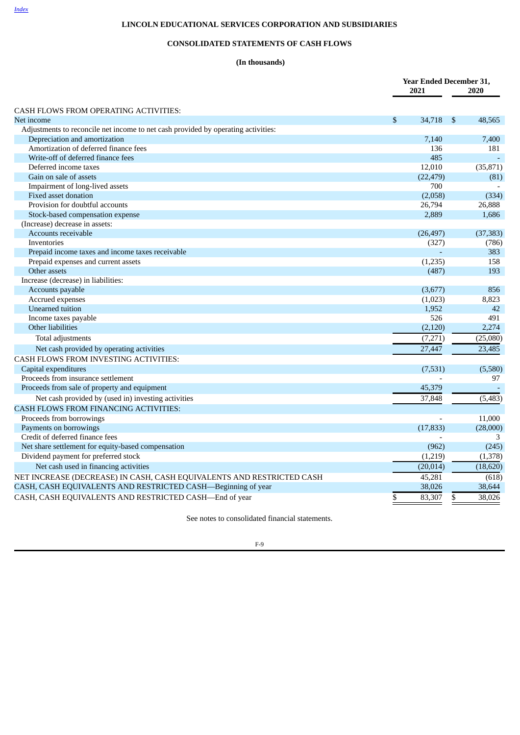# **CONSOLIDATED STATEMENTS OF CASH FLOWS**

# **(In thousands)**

|                                                                                   | Year Ended December 31,<br>2021 |                | 2020      |  |
|-----------------------------------------------------------------------------------|---------------------------------|----------------|-----------|--|
| CASH FLOWS FROM OPERATING ACTIVITIES:                                             |                                 |                |           |  |
| Net income                                                                        | \$<br>34,718                    | $\mathfrak{L}$ | 48,565    |  |
| Adjustments to reconcile net income to net cash provided by operating activities: |                                 |                |           |  |
| Depreciation and amortization                                                     | 7,140                           |                | 7,400     |  |
| Amortization of deferred finance fees                                             | 136                             |                | 181       |  |
| Write-off of deferred finance fees                                                | 485                             |                |           |  |
| Deferred income taxes                                                             | 12,010                          |                | (35, 871) |  |
| Gain on sale of assets                                                            | (22, 479)                       |                | (81)      |  |
| Impairment of long-lived assets                                                   | 700                             |                |           |  |
| Fixed asset donation                                                              | (2,058)                         |                | (334)     |  |
| Provision for doubtful accounts                                                   | 26,794                          |                | 26,888    |  |
| Stock-based compensation expense                                                  | 2,889                           |                | 1,686     |  |
| (Increase) decrease in assets:                                                    |                                 |                |           |  |
| Accounts receivable                                                               | (26, 497)                       |                | (37, 383) |  |
| Inventories                                                                       | (327)                           |                | (786)     |  |
| Prepaid income taxes and income taxes receivable                                  |                                 |                | 383       |  |
| Prepaid expenses and current assets                                               | (1,235)                         |                | 158       |  |
| Other assets                                                                      | (487)                           |                | 193       |  |
| Increase (decrease) in liabilities:                                               |                                 |                |           |  |
| Accounts payable                                                                  | (3,677)                         |                | 856       |  |
| Accrued expenses                                                                  | (1,023)                         |                | 8,823     |  |
| <b>Unearned</b> tuition                                                           | 1,952                           |                | 42        |  |
| Income taxes payable                                                              | 526                             |                | 491       |  |
| Other liabilities                                                                 | (2, 120)                        |                | 2,274     |  |
| Total adjustments                                                                 | (7,271)                         |                | (25,080)  |  |
| Net cash provided by operating activities                                         | 27,447                          |                | 23,485    |  |
| CASH FLOWS FROM INVESTING ACTIVITIES:                                             |                                 |                |           |  |
| Capital expenditures                                                              | (7,531)                         |                | (5,580)   |  |
| Proceeds from insurance settlement                                                |                                 |                | 97        |  |
| Proceeds from sale of property and equipment                                      | 45,379                          |                |           |  |
| Net cash provided by (used in) investing activities                               | 37,848                          |                | (5, 483)  |  |
| CASH FLOWS FROM FINANCING ACTIVITIES:                                             |                                 |                |           |  |
| Proceeds from borrowings                                                          |                                 |                | 11,000    |  |
| Payments on borrowings                                                            | (17, 833)                       |                | (28,000)  |  |
| Credit of deferred finance fees                                                   |                                 |                | 3         |  |
| Net share settlement for equity-based compensation                                | (962)                           |                | (245)     |  |
| Dividend payment for preferred stock                                              | (1,219)                         |                | (1,378)   |  |
| Net cash used in financing activities                                             | (20, 014)                       |                | (18, 620) |  |
| NET INCREASE (DECREASE) IN CASH, CASH EQUIVALENTS AND RESTRICTED CASH             | 45,281                          |                |           |  |
|                                                                                   |                                 |                | (618)     |  |
| CASH, CASH EQUIVALENTS AND RESTRICTED CASH-Beginning of year                      | 38,026                          |                | 38,644    |  |
| CASH, CASH EQUIVALENTS AND RESTRICTED CASH-End of year                            | 83,307<br>\$                    | \$             | 38,026    |  |

See notes to consolidated financial statements.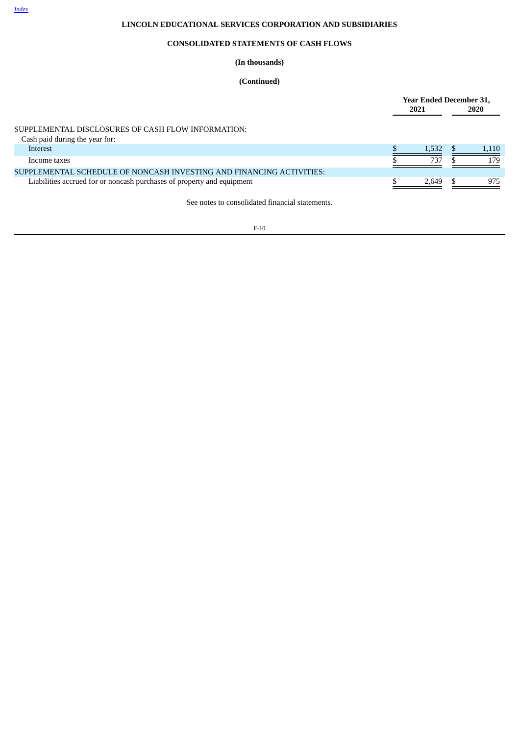# **LINCOLN EDUCATIONAL SERVICES CORPORATION AND SUBSIDIARIES**

# **CONSOLIDATED STATEMENTS OF CASH FLOWS**

# **(In thousands)**

# **(Continued)**

|                                                                                      |  | 2021  |    | <b>Year Ended December 31,</b><br><b>2020</b> |  |
|--------------------------------------------------------------------------------------|--|-------|----|-----------------------------------------------|--|
| SUPPLEMENTAL DISCLOSURES OF CASH FLOW INFORMATION:<br>Cash paid during the year for: |  |       |    |                                               |  |
| Interest                                                                             |  | 1.532 |    | 1,110                                         |  |
| Income taxes                                                                         |  | 737   |    | 179                                           |  |
| SUPPLEMENTAL SCHEDULE OF NONCASH INVESTING AND FINANCING ACTIVITIES:                 |  |       |    |                                               |  |
| Liabilities accrued for or noncash purchases of property and equipment               |  | 2.649 | £. | 975                                           |  |
|                                                                                      |  |       |    |                                               |  |

See notes to consolidated financial statements.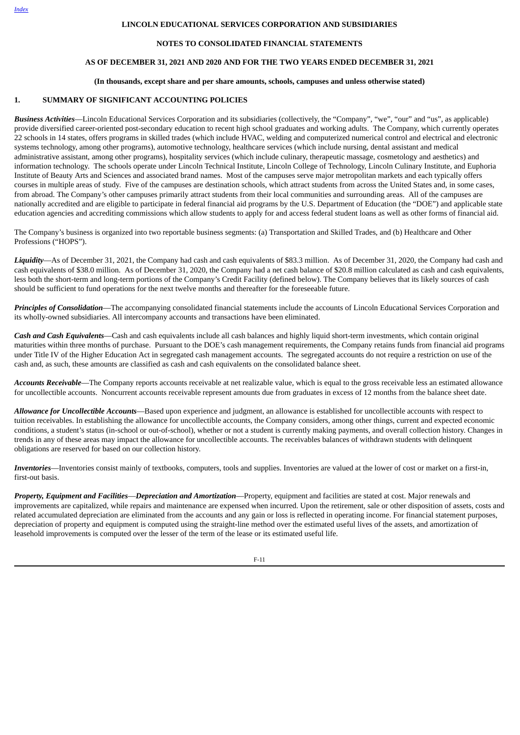#### **NOTES TO CONSOLIDATED FINANCIAL STATEMENTS**

# **AS OF DECEMBER 31, 2021 AND 2020 AND FOR THE TWO YEARS ENDED DECEMBER 31, 2021**

#### **(In thousands, except share and per share amounts, schools, campuses and unless otherwise stated)**

#### **1. SUMMARY OF SIGNIFICANT ACCOUNTING POLICIES**

*Business Activities*—Lincoln Educational Services Corporation and its subsidiaries (collectively, the "Company", "we", "our" and "us", as applicable) provide diversified career-oriented post-secondary education to recent high school graduates and working adults. The Company, which currently operates 22 schools in 14 states, offers programs in skilled trades (which include HVAC, welding and computerized numerical control and electrical and electronic systems technology, among other programs), automotive technology, healthcare services (which include nursing, dental assistant and medical administrative assistant, among other programs), hospitality services (which include culinary, therapeutic massage, cosmetology and aesthetics) and information technology. The schools operate under Lincoln Technical Institute, Lincoln College of Technology, Lincoln Culinary Institute, and Euphoria Institute of Beauty Arts and Sciences and associated brand names. Most of the campuses serve major metropolitan markets and each typically offers courses in multiple areas of study. Five of the campuses are destination schools, which attract students from across the United States and, in some cases, from abroad. The Company's other campuses primarily attract students from their local communities and surrounding areas. All of the campuses are nationally accredited and are eligible to participate in federal financial aid programs by the U.S. Department of Education (the "DOE") and applicable state education agencies and accrediting commissions which allow students to apply for and access federal student loans as well as other forms of financial aid.

The Company's business is organized into two reportable business segments: (a) Transportation and Skilled Trades, and (b) Healthcare and Other Professions ("HOPS").

*Liquidity*—As of December 31, 2021, the Company had cash and cash equivalents of \$83.3 million. As of December 31, 2020, the Company had cash and cash equivalents of \$38.0 million. As of December 31, 2020, the Company had a net cash balance of \$20.8 million calculated as cash and cash equivalents, less both the short-term and long-term portions of the Company's Credit Facility (defined below). The Company believes that its likely sources of cash should be sufficient to fund operations for the next twelve months and thereafter for the foreseeable future.

*Principles of Consolidation*—The accompanying consolidated financial statements include the accounts of Lincoln Educational Services Corporation and its wholly-owned subsidiaries. All intercompany accounts and transactions have been eliminated.

*Cash and Cash Equivalents*—Cash and cash equivalents include all cash balances and highly liquid short-term investments, which contain original maturities within three months of purchase. Pursuant to the DOE's cash management requirements, the Company retains funds from financial aid programs under Title IV of the Higher Education Act in segregated cash management accounts. The segregated accounts do not require a restriction on use of the cash and, as such, these amounts are classified as cash and cash equivalents on the consolidated balance sheet.

*Accounts Receivable*—The Company reports accounts receivable at net realizable value, which is equal to the gross receivable less an estimated allowance for uncollectible accounts. Noncurrent accounts receivable represent amounts due from graduates in excess of 12 months from the balance sheet date.

*Allowance for Uncollectible Accounts*—Based upon experience and judgment, an allowance is established for uncollectible accounts with respect to tuition receivables. In establishing the allowance for uncollectible accounts, the Company considers, among other things, current and expected economic conditions, a student's status (in-school or out-of-school), whether or not a student is currently making payments, and overall collection history. Changes in trends in any of these areas may impact the allowance for uncollectible accounts. The receivables balances of withdrawn students with delinquent obligations are reserved for based on our collection history.

*Inventories*—Inventories consist mainly of textbooks, computers, tools and supplies. Inventories are valued at the lower of cost or market on a first-in, first-out basis.

*Property, Equipment and Facilities*—*Depreciation and Amortization*—Property, equipment and facilities are stated at cost. Major renewals and improvements are capitalized, while repairs and maintenance are expensed when incurred. Upon the retirement, sale or other disposition of assets, costs and related accumulated depreciation are eliminated from the accounts and any gain or loss is reflected in operating income. For financial statement purposes, depreciation of property and equipment is computed using the straight-line method over the estimated useful lives of the assets, and amortization of leasehold improvements is computed over the lesser of the term of the lease or its estimated useful life.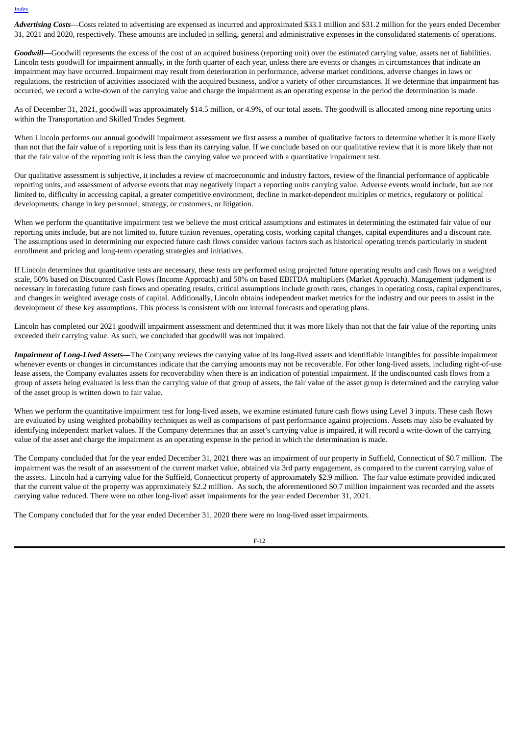*Advertising Costs*—Costs related to advertising are expensed as incurred and approximated \$33.1 million and \$31.2 million for the years ended December 31, 2021 and 2020, respectively. These amounts are included in selling, general and administrative expenses in the consolidated statements of operations.

Goodwill—Goodwill represents the excess of the cost of an acquired business (reporting unit) over the estimated carrying value, assets net of liabilities. Lincoln tests goodwill for impairment annually, in the forth quarter of each year, unless there are events or changes in circumstances that indicate an impairment may have occurred. Impairment may result from deterioration in performance, adverse market conditions, adverse changes in laws or regulations, the restriction of activities associated with the acquired business, and/or a variety of other circumstances. If we determine that impairment has occurred, we record a write-down of the carrying value and charge the impairment as an operating expense in the period the determination is made.

As of December 31, 2021, goodwill was approximately \$14.5 million, or 4.9%, of our total assets. The goodwill is allocated among nine reporting units within the Transportation and Skilled Trades Segment.

When Lincoln performs our annual goodwill impairment assessment we first assess a number of qualitative factors to determine whether it is more likely than not that the fair value of a reporting unit is less than its carrying value. If we conclude based on our qualitative review that it is more likely than not that the fair value of the reporting unit is less than the carrying value we proceed with a quantitative impairment test.

Our qualitative assessment is subjective, it includes a review of macroeconomic and industry factors, review of the financial performance of applicable reporting units, and assessment of adverse events that may negatively impact a reporting units carrying value. Adverse events would include, but are not limited to, difficulty in accessing capital, a greater competitive environment, decline in market-dependent multiples or metrics, regulatory or political developments, change in key personnel, strategy, or customers, or litigation.

When we perform the quantitative impairment test we believe the most critical assumptions and estimates in determining the estimated fair value of our reporting units include, but are not limited to, future tuition revenues, operating costs, working capital changes, capital expenditures and a discount rate. The assumptions used in determining our expected future cash flows consider various factors such as historical operating trends particularly in student enrollment and pricing and long-term operating strategies and initiatives.

If Lincoln determines that quantitative tests are necessary, these tests are performed using projected future operating results and cash flows on a weighted scale, 50% based on Discounted Cash Flows (Income Approach) and 50% on based EBITDA multipliers (Market Approach). Management judgment is necessary in forecasting future cash flows and operating results, critical assumptions include growth rates, changes in operating costs, capital expenditures, and changes in weighted average costs of capital. Additionally, Lincoln obtains independent market metrics for the industry and our peers to assist in the development of these key assumptions. This process is consistent with our internal forecasts and operating plans.

Lincoln has completed our 2021 goodwill impairment assessment and determined that it was more likely than not that the fair value of the reporting units exceeded their carrying value. As such, we concluded that goodwill was not impaired.

*Impairment of Long-Lived Assets***—**The Company reviews the carrying value of its long-lived assets and identifiable intangibles for possible impairment whenever events or changes in circumstances indicate that the carrying amounts may not be recoverable. For other long-lived assets, including right-of-use lease assets, the Company evaluates assets for recoverability when there is an indication of potential impairment. If the undiscounted cash flows from a group of assets being evaluated is less than the carrying value of that group of assets, the fair value of the asset group is determined and the carrying value of the asset group is written down to fair value.

When we perform the quantitative impairment test for long-lived assets, we examine estimated future cash flows using Level 3 inputs. These cash flows are evaluated by using weighted probability techniques as well as comparisons of past performance against projections. Assets may also be evaluated by identifying independent market values. If the Company determines that an asset's carrying value is impaired, it will record a write-down of the carrying value of the asset and charge the impairment as an operating expense in the period in which the determination is made.

The Company concluded that for the year ended December 31, 2021 there was an impairment of our property in Suffield, Connecticut of \$0.7 million. The impairment was the result of an assessment of the current market value, obtained via 3rd party engagement, as compared to the current carrying value of the assets. Lincoln had a carrying value for the Suffield, Connecticut property of approximately \$2.9 million. The fair value estimate provided indicated that the current value of the property was approximately \$2.2 million. As such, the aforementioned \$0.7 million impairment was recorded and the assets carrying value reduced. There were no other long-lived asset impairments for the year ended December 31, 2021.

The Company concluded that for the year ended December 31, 2020 there were no long-lived asset impairments.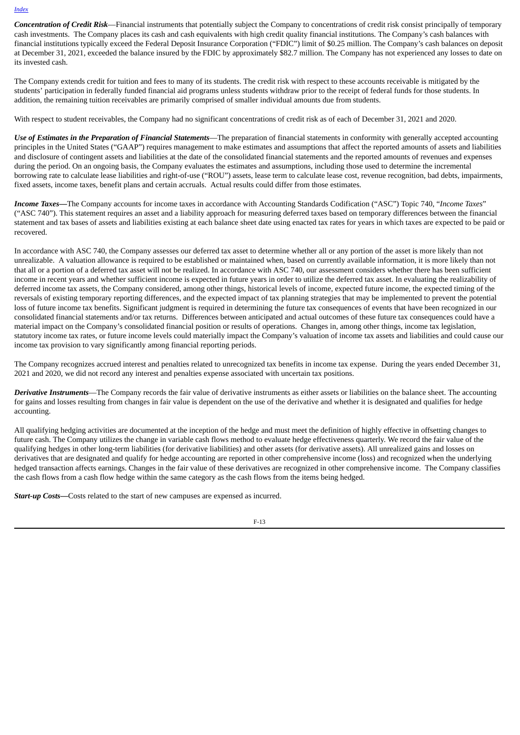*Concentration of Credit Risk*—Financial instruments that potentially subject the Company to concentrations of credit risk consist principally of temporary cash investments. The Company places its cash and cash equivalents with high credit quality financial institutions. The Company's cash balances with financial institutions typically exceed the Federal Deposit Insurance Corporation ("FDIC") limit of \$0.25 million. The Company's cash balances on deposit at December 31, 2021, exceeded the balance insured by the FDIC by approximately \$82.7 million. The Company has not experienced any losses to date on its invested cash.

The Company extends credit for tuition and fees to many of its students. The credit risk with respect to these accounts receivable is mitigated by the students' participation in federally funded financial aid programs unless students withdraw prior to the receipt of federal funds for those students. In addition, the remaining tuition receivables are primarily comprised of smaller individual amounts due from students.

With respect to student receivables, the Company had no significant concentrations of credit risk as of each of December 31, 2021 and 2020.

*Use of Estimates in the Preparation of Financial Statements*—The preparation of financial statements in conformity with generally accepted accounting principles in the United States ("GAAP") requires management to make estimates and assumptions that affect the reported amounts of assets and liabilities and disclosure of contingent assets and liabilities at the date of the consolidated financial statements and the reported amounts of revenues and expenses during the period. On an ongoing basis, the Company evaluates the estimates and assumptions, including those used to determine the incremental borrowing rate to calculate lease liabilities and right-of-use ("ROU") assets, lease term to calculate lease cost, revenue recognition, bad debts, impairments, fixed assets, income taxes, benefit plans and certain accruals. Actual results could differ from those estimates.

*Income Taxes***—**The Company accounts for income taxes in accordance with Accounting Standards Codification ("ASC") Topic 740, "*Income Taxes*" ("ASC 740"). This statement requires an asset and a liability approach for measuring deferred taxes based on temporary differences between the financial statement and tax bases of assets and liabilities existing at each balance sheet date using enacted tax rates for years in which taxes are expected to be paid or recovered.

In accordance with ASC 740, the Company assesses our deferred tax asset to determine whether all or any portion of the asset is more likely than not unrealizable. A valuation allowance is required to be established or maintained when, based on currently available information, it is more likely than not that all or a portion of a deferred tax asset will not be realized. In accordance with ASC 740, our assessment considers whether there has been sufficient income in recent years and whether sufficient income is expected in future years in order to utilize the deferred tax asset. In evaluating the realizability of deferred income tax assets, the Company considered, among other things, historical levels of income, expected future income, the expected timing of the reversals of existing temporary reporting differences, and the expected impact of tax planning strategies that may be implemented to prevent the potential loss of future income tax benefits. Significant judgment is required in determining the future tax consequences of events that have been recognized in our consolidated financial statements and/or tax returns. Differences between anticipated and actual outcomes of these future tax consequences could have a material impact on the Company's consolidated financial position or results of operations. Changes in, among other things, income tax legislation, statutory income tax rates, or future income levels could materially impact the Company's valuation of income tax assets and liabilities and could cause our income tax provision to vary significantly among financial reporting periods.

The Company recognizes accrued interest and penalties related to unrecognized tax benefits in income tax expense. During the years ended December 31, 2021 and 2020, we did not record any interest and penalties expense associated with uncertain tax positions.

*Derivative Instruments*—The Company records the fair value of derivative instruments as either assets or liabilities on the balance sheet. The accounting for gains and losses resulting from changes in fair value is dependent on the use of the derivative and whether it is designated and qualifies for hedge accounting.

All qualifying hedging activities are documented at the inception of the hedge and must meet the definition of highly effective in offsetting changes to future cash. The Company utilizes the change in variable cash flows method to evaluate hedge effectiveness quarterly. We record the fair value of the qualifying hedges in other long-term liabilities (for derivative liabilities) and other assets (for derivative assets). All unrealized gains and losses on derivatives that are designated and qualify for hedge accounting are reported in other comprehensive income (loss) and recognized when the underlying hedged transaction affects earnings. Changes in the fair value of these derivatives are recognized in other comprehensive income. The Company classifies the cash flows from a cash flow hedge within the same category as the cash flows from the items being hedged.

*Start-up Costs***—**Costs related to the start of new campuses are expensed as incurred.

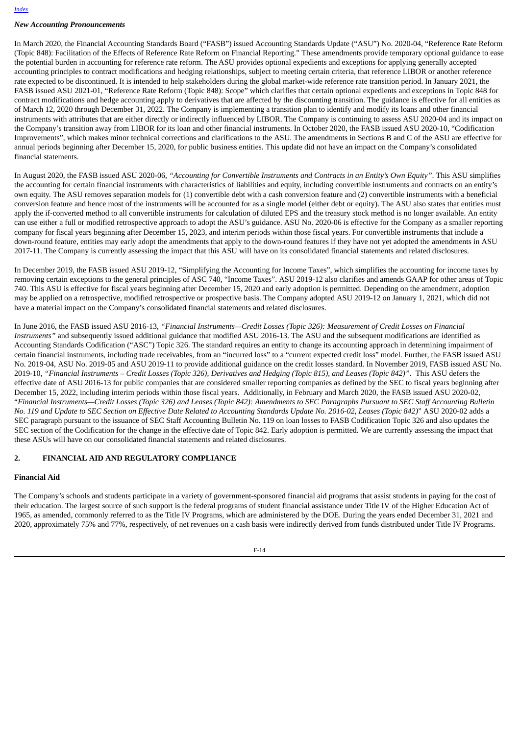# *New Accounting Pronouncements*

In March 2020, the Financial Accounting Standards Board ("FASB") issued Accounting Standards Update ("ASU") No. 2020-04, "Reference Rate Reform (Topic 848): Facilitation of the Effects of Reference Rate Reform on Financial Reporting." These amendments provide temporary optional guidance to ease the potential burden in accounting for reference rate reform. The ASU provides optional expedients and exceptions for applying generally accepted accounting principles to contract modifications and hedging relationships, subject to meeting certain criteria, that reference LIBOR or another reference rate expected to be discontinued. It is intended to help stakeholders during the global market-wide reference rate transition period. In January 2021, the FASB issued ASU 2021-01, "Reference Rate Reform (Topic 848): Scope" which clarifies that certain optional expedients and exceptions in Topic 848 for contract modifications and hedge accounting apply to derivatives that are affected by the discounting transition. The guidance is effective for all entities as of March 12, 2020 through December 31, 2022. The Company is implementing a transition plan to identify and modify its loans and other financial instruments with attributes that are either directly or indirectly influenced by LIBOR. The Company is continuing to assess ASU 2020-04 and its impact on the Company's transition away from LIBOR for its loan and other financial instruments. In October 2020, the FASB issued ASU 2020-10, "Codification Improvements", which makes minor technical corrections and clarifications to the ASU. The amendments in Sections B and C of the ASU are effective for annual periods beginning after December 15, 2020, for public business entities. This update did not have an impact on the Company's consolidated financial statements.

In August 2020, the FASB issued ASU 2020-06, *"Accounting for Convertible Instruments and Contracts in an Entity's Own Equity"*. This ASU simplifies the accounting for certain financial instruments with characteristics of liabilities and equity, including convertible instruments and contracts on an entity's own equity. The ASU removes separation models for (1) convertible debt with a cash conversion feature and (2) convertible instruments with a beneficial conversion feature and hence most of the instruments will be accounted for as a single model (either debt or equity). The ASU also states that entities must apply the if-converted method to all convertible instruments for calculation of diluted EPS and the treasury stock method is no longer available. An entity can use either a full or modified retrospective approach to adopt the ASU's guidance. ASU No. 2020-06 is effective for the Company as a smaller reporting company for fiscal years beginning after December 15, 2023, and interim periods within those fiscal years. For convertible instruments that include a down-round feature, entities may early adopt the amendments that apply to the down-round features if they have not yet adopted the amendments in ASU 2017-11. The Company is currently assessing the impact that this ASU will have on its consolidated financial statements and related disclosures.

In December 2019, the FASB issued ASU 2019-12, "Simplifying the Accounting for Income Taxes", which simplifies the accounting for income taxes by removing certain exceptions to the general principles of ASC 740, "Income Taxes". ASU 2019-12 also clarifies and amends GAAP for other areas of Topic 740. This ASU is effective for fiscal years beginning after December 15, 2020 and early adoption is permitted. Depending on the amendment, adoption may be applied on a retrospective, modified retrospective or prospective basis. The Company adopted ASU 2019-12 on January 1, 2021, which did not have a material impact on the Company's consolidated financial statements and related disclosures.

In June 2016, the FASB issued ASU 2016-13, *"Financial Instruments—Credit Losses (Topic 326): Measurement of Credit Losses on Financial Instruments"* and subsequently issued additional guidance that modified ASU 2016-13. The ASU and the subsequent modifications are identified as Accounting Standards Codification ("ASC") Topic 326. The standard requires an entity to change its accounting approach in determining impairment of certain financial instruments, including trade receivables, from an "incurred loss" to a "current expected credit loss" model. Further, the FASB issued ASU No. 2019-04, ASU No. 2019-05 and ASU 2019-11 to provide additional guidance on the credit losses standard. In November 2019, FASB issued ASU No. 2019-10, "Financial Instruments - Credit Losses (Topic 326), Derivatives and Hedging (Topic 815), and Leases (Topic 842)". This ASU defers the effective date of ASU 2016-13 for public companies that are considered smaller reporting companies as defined by the SEC to fiscal years beginning after December 15, 2022, including interim periods within those fiscal years. Additionally, in February and March 2020, the FASB issued ASU 2020-02, "Financial Instruments—Credit Losses (Topic 326) and Leases (Topic 842): Amendments to SEC Paragraphs Pursuant to SEC Staff Accounting Bulletin No. 119 and Update to SEC Section on Effective Date Related to Accounting Standards Update No. 2016-02, Leases (Topic 842)" ASU 2020-02 adds a SEC paragraph pursuant to the issuance of SEC Staff Accounting Bulletin No. 119 on loan losses to FASB Codification Topic 326 and also updates the SEC section of the Codification for the change in the effective date of Topic 842. Early adoption is permitted. We are currently assessing the impact that these ASUs will have on our consolidated financial statements and related disclosures.

#### **2. FINANCIAL AID AND REGULATORY COMPLIANCE**

#### **Financial Aid**

The Company's schools and students participate in a variety of government-sponsored financial aid programs that assist students in paying for the cost of their education. The largest source of such support is the federal programs of student financial assistance under Title IV of the Higher Education Act of 1965, as amended, commonly referred to as the Title IV Programs, which are administered by the DOE. During the years ended December 31, 2021 and 2020, approximately 75% and 77%, respectively, of net revenues on a cash basis were indirectly derived from funds distributed under Title IV Programs.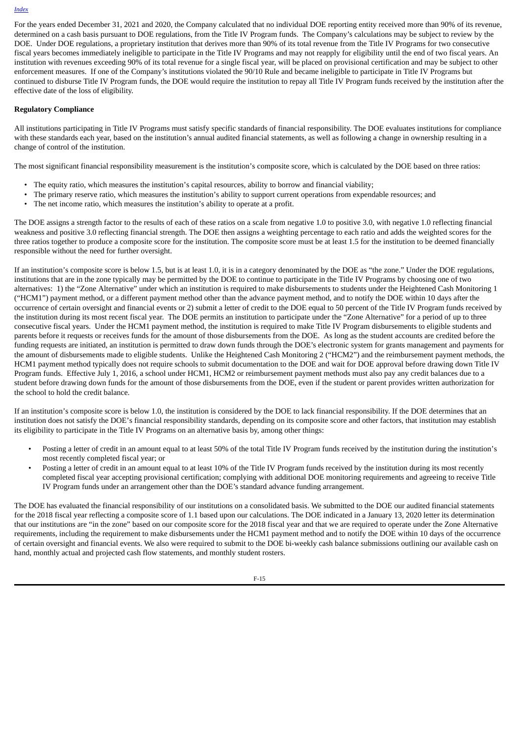For the years ended December 31, 2021 and 2020, the Company calculated that no individual DOE reporting entity received more than 90% of its revenue, determined on a cash basis pursuant to DOE regulations, from the Title IV Program funds. The Company's calculations may be subject to review by the DOE. Under DOE regulations, a proprietary institution that derives more than 90% of its total revenue from the Title IV Programs for two consecutive fiscal years becomes immediately ineligible to participate in the Title IV Programs and may not reapply for eligibility until the end of two fiscal years. An institution with revenues exceeding 90% of its total revenue for a single fiscal year, will be placed on provisional certification and may be subject to other enforcement measures. If one of the Company's institutions violated the 90/10 Rule and became ineligible to participate in Title IV Programs but continued to disburse Title IV Program funds, the DOE would require the institution to repay all Title IV Program funds received by the institution after the effective date of the loss of eligibility.

### **Regulatory Compliance**

All institutions participating in Title IV Programs must satisfy specific standards of financial responsibility. The DOE evaluates institutions for compliance with these standards each year, based on the institution's annual audited financial statements, as well as following a change in ownership resulting in a change of control of the institution.

The most significant financial responsibility measurement is the institution's composite score, which is calculated by the DOE based on three ratios:

- The equity ratio, which measures the institution's capital resources, ability to borrow and financial viability;
- The primary reserve ratio, which measures the institution's ability to support current operations from expendable resources; and
- The net income ratio, which measures the institution's ability to operate at a profit.

The DOE assigns a strength factor to the results of each of these ratios on a scale from negative 1.0 to positive 3.0, with negative 1.0 reflecting financial weakness and positive 3.0 reflecting financial strength. The DOE then assigns a weighting percentage to each ratio and adds the weighted scores for the three ratios together to produce a composite score for the institution. The composite score must be at least 1.5 for the institution to be deemed financially responsible without the need for further oversight.

If an institution's composite score is below 1.5, but is at least 1.0, it is in a category denominated by the DOE as "the zone." Under the DOE regulations, institutions that are in the zone typically may be permitted by the DOE to continue to participate in the Title IV Programs by choosing one of two alternatives: 1) the "Zone Alternative" under which an institution is required to make disbursements to students under the Heightened Cash Monitoring 1 ("HCM1") payment method, or a different payment method other than the advance payment method, and to notify the DOE within 10 days after the occurrence of certain oversight and financial events or 2) submit a letter of credit to the DOE equal to 50 percent of the Title IV Program funds received by the institution during its most recent fiscal year. The DOE permits an institution to participate under the "Zone Alternative" for a period of up to three consecutive fiscal years. Under the HCM1 payment method, the institution is required to make Title IV Program disbursements to eligible students and parents before it requests or receives funds for the amount of those disbursements from the DOE. As long as the student accounts are credited before the funding requests are initiated, an institution is permitted to draw down funds through the DOE's electronic system for grants management and payments for the amount of disbursements made to eligible students. Unlike the Heightened Cash Monitoring 2 ("HCM2") and the reimbursement payment methods, the HCM1 payment method typically does not require schools to submit documentation to the DOE and wait for DOE approval before drawing down Title IV Program funds. Effective July 1, 2016, a school under HCM1, HCM2 or reimbursement payment methods must also pay any credit balances due to a student before drawing down funds for the amount of those disbursements from the DOE, even if the student or parent provides written authorization for the school to hold the credit balance.

If an institution's composite score is below 1.0, the institution is considered by the DOE to lack financial responsibility. If the DOE determines that an institution does not satisfy the DOE's financial responsibility standards, depending on its composite score and other factors, that institution may establish its eligibility to participate in the Title IV Programs on an alternative basis by, among other things:

- Posting a letter of credit in an amount equal to at least 50% of the total Title IV Program funds received by the institution during the institution's most recently completed fiscal year; or
- Posting a letter of credit in an amount equal to at least 10% of the Title IV Program funds received by the institution during its most recently completed fiscal year accepting provisional certification; complying with additional DOE monitoring requirements and agreeing to receive Title IV Program funds under an arrangement other than the DOE's standard advance funding arrangement.

The DOE has evaluated the financial responsibility of our institutions on a consolidated basis. We submitted to the DOE our audited financial statements for the 2018 fiscal year reflecting a composite score of 1.1 based upon our calculations. The DOE indicated in a January 13, 2020 letter its determination that our institutions are "in the zone" based on our composite score for the 2018 fiscal year and that we are required to operate under the Zone Alternative requirements, including the requirement to make disbursements under the HCM1 payment method and to notify the DOE within 10 days of the occurrence of certain oversight and financial events. We also were required to submit to the DOE bi-weekly cash balance submissions outlining our available cash on hand, monthly actual and projected cash flow statements, and monthly student rosters.

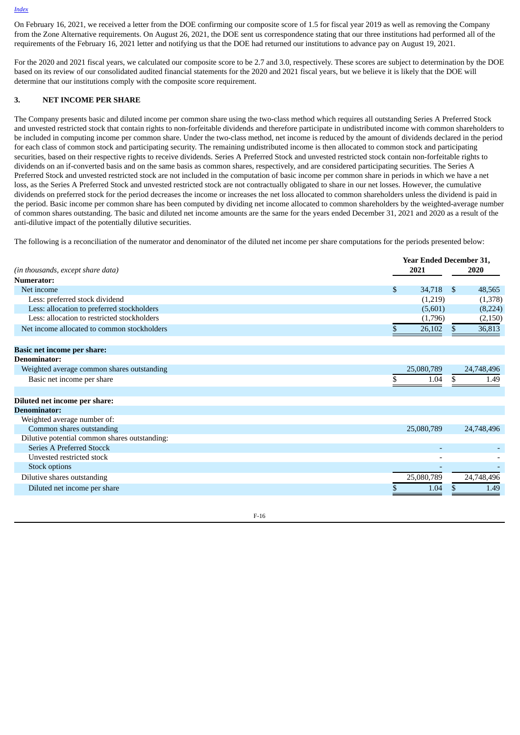On February 16, 2021, we received a letter from the DOE confirming our composite score of 1.5 for fiscal year 2019 as well as removing the Company from the Zone Alternative requirements. On August 26, 2021, the DOE sent us correspondence stating that our three institutions had performed all of the requirements of the February 16, 2021 letter and notifying us that the DOE had returned our institutions to advance pay on August 19, 2021.

For the 2020 and 2021 fiscal years, we calculated our composite score to be 2.7 and 3.0, respectively. These scores are subject to determination by the DOE based on its review of our consolidated audited financial statements for the 2020 and 2021 fiscal years, but we believe it is likely that the DOE will determine that our institutions comply with the composite score requirement.

### **3. NET INCOME PER SHARE**

The Company presents basic and diluted income per common share using the two-class method which requires all outstanding Series A Preferred Stock and unvested restricted stock that contain rights to non-forfeitable dividends and therefore participate in undistributed income with common shareholders to be included in computing income per common share. Under the two-class method, net income is reduced by the amount of dividends declared in the period for each class of common stock and participating security. The remaining undistributed income is then allocated to common stock and participating securities, based on their respective rights to receive dividends. Series A Preferred Stock and unvested restricted stock contain non-forfeitable rights to dividends on an if-converted basis and on the same basis as common shares, respectively, and are considered participating securities. The Series A Preferred Stock and unvested restricted stock are not included in the computation of basic income per common share in periods in which we have a net loss, as the Series A Preferred Stock and unvested restricted stock are not contractually obligated to share in our net losses. However, the cumulative dividends on preferred stock for the period decreases the income or increases the net loss allocated to common shareholders unless the dividend is paid in the period. Basic income per common share has been computed by dividing net income allocated to common shareholders by the weighted-average number of common shares outstanding. The basic and diluted net income amounts are the same for the years ended December 31, 2021 and 2020 as a result of the anti-dilutive impact of the potentially dilutive securities.

The following is a reconciliation of the numerator and denominator of the diluted net income per share computations for the periods presented below:

| 2021<br>2020<br>(in thousands, except share data)<br>Numerator:<br>Net income<br>\$<br>34,718<br>-\$<br>48,565<br>Less: preferred stock dividend<br>(1,219)<br>(1,378)<br>Less: allocation to preferred stockholders<br>(5,601)<br>(8,224)<br>Less: allocation to restricted stockholders<br>(1,796)<br>(2, 150)<br>Net income allocated to common stockholders<br>26,102<br>36,813<br>SБ.<br><b>Basic net income per share:</b><br><b>Denominator:</b> | <b>Year Ended December 31,</b> |  |
|---------------------------------------------------------------------------------------------------------------------------------------------------------------------------------------------------------------------------------------------------------------------------------------------------------------------------------------------------------------------------------------------------------------------------------------------------------|--------------------------------|--|
|                                                                                                                                                                                                                                                                                                                                                                                                                                                         |                                |  |
|                                                                                                                                                                                                                                                                                                                                                                                                                                                         |                                |  |
|                                                                                                                                                                                                                                                                                                                                                                                                                                                         |                                |  |
|                                                                                                                                                                                                                                                                                                                                                                                                                                                         |                                |  |
|                                                                                                                                                                                                                                                                                                                                                                                                                                                         |                                |  |
|                                                                                                                                                                                                                                                                                                                                                                                                                                                         |                                |  |
|                                                                                                                                                                                                                                                                                                                                                                                                                                                         |                                |  |
|                                                                                                                                                                                                                                                                                                                                                                                                                                                         |                                |  |
|                                                                                                                                                                                                                                                                                                                                                                                                                                                         |                                |  |
| Weighted average common shares outstanding<br>25,080,789<br>24,748,496                                                                                                                                                                                                                                                                                                                                                                                  |                                |  |
| Basic net income per share<br>1.04                                                                                                                                                                                                                                                                                                                                                                                                                      | 1.49                           |  |
| Diluted net income per share:                                                                                                                                                                                                                                                                                                                                                                                                                           |                                |  |
| <b>Denominator:</b>                                                                                                                                                                                                                                                                                                                                                                                                                                     |                                |  |
| Weighted average number of:                                                                                                                                                                                                                                                                                                                                                                                                                             |                                |  |
| Common shares outstanding<br>25,080,789<br>24,748,496                                                                                                                                                                                                                                                                                                                                                                                                   |                                |  |
| Dilutive potential common shares outstanding:                                                                                                                                                                                                                                                                                                                                                                                                           |                                |  |
| <b>Series A Preferred Stocck</b>                                                                                                                                                                                                                                                                                                                                                                                                                        |                                |  |
| Unvested restricted stock                                                                                                                                                                                                                                                                                                                                                                                                                               |                                |  |
| Stock options                                                                                                                                                                                                                                                                                                                                                                                                                                           |                                |  |
| Dilutive shares outstanding<br>25,080,789<br>24,748,496                                                                                                                                                                                                                                                                                                                                                                                                 |                                |  |
| Diluted net income per share<br>1.04<br>S.                                                                                                                                                                                                                                                                                                                                                                                                              | 1.49                           |  |

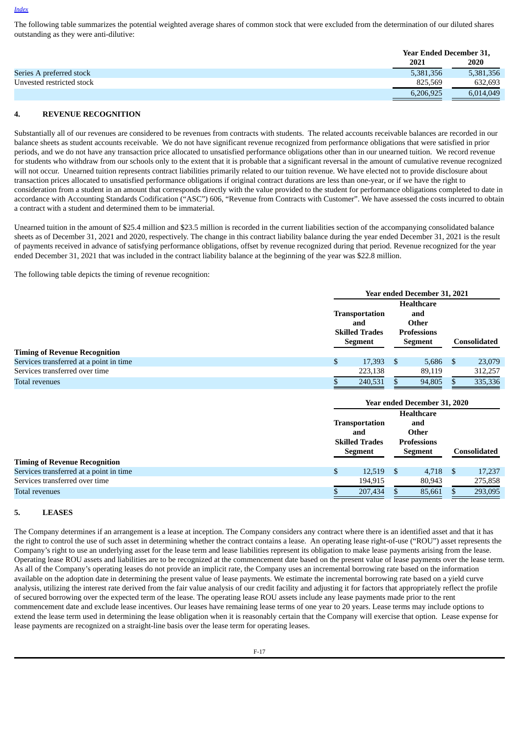The following table summarizes the potential weighted average shares of common stock that were excluded from the determination of our diluted shares outstanding as they were anti-dilutive:

|                           | <b>Year Ended December 31,</b> |           |
|---------------------------|--------------------------------|-----------|
|                           | 2021                           | 2020      |
| Series A preferred stock  | 5,381,356                      | 5,381,356 |
| Unvested restricted stock | 825.569                        | 632,693   |
|                           | 6,206,925                      | 6.014.049 |

#### **4. REVENUE RECOGNITION**

Substantially all of our revenues are considered to be revenues from contracts with students. The related accounts receivable balances are recorded in our balance sheets as student accounts receivable. We do not have significant revenue recognized from performance obligations that were satisfied in prior periods, and we do not have any transaction price allocated to unsatisfied performance obligations other than in our unearned tuition. We record revenue for students who withdraw from our schools only to the extent that it is probable that a significant reversal in the amount of cumulative revenue recognized will not occur. Unearned tuition represents contract liabilities primarily related to our tuition revenue. We have elected not to provide disclosure about transaction prices allocated to unsatisfied performance obligations if original contract durations are less than one-year, or if we have the right to consideration from a student in an amount that corresponds directly with the value provided to the student for performance obligations completed to date in accordance with Accounting Standards Codification ("ASC") 606, "Revenue from Contracts with Customer". We have assessed the costs incurred to obtain a contract with a student and determined them to be immaterial.

Unearned tuition in the amount of \$25.4 million and \$23.5 million is recorded in the current liabilities section of the accompanying consolidated balance sheets as of December 31, 2021 and 2020, respectively. The change in this contract liability balance during the year ended December 31, 2021 is the result of payments received in advance of satisfying performance obligations, offset by revenue recognized during that period. Revenue recognized for the year ended December 31, 2021 that was included in the contract liability balance at the beginning of the year was \$22.8 million.

The following table depicts the timing of revenue recognition:

|                                         |                              |                                  | Year ended December 31, 2021 |                                      |    |              |
|-----------------------------------------|------------------------------|----------------------------------|------------------------------|--------------------------------------|----|--------------|
|                                         |                              |                                  |                              | <b>Healthcare</b>                    |    |              |
|                                         | <b>Transportation</b><br>and |                                  |                              | and                                  |    |              |
|                                         |                              |                                  | Other                        |                                      |    |              |
|                                         |                              | <b>Skilled Trades</b><br>Segment |                              | <b>Professions</b><br><b>Segment</b> |    | Consolidated |
| <b>Timing of Revenue Recognition</b>    |                              |                                  |                              |                                      |    |              |
| Services transferred at a point in time | \$.                          | 17,393                           | - S                          | 5,686                                | -S | 23,079       |
| Services transferred over time          |                              | 223,138                          |                              | 89,119                               |    | 312,257      |
| Total revenues                          |                              | 240,531                          |                              | 94,805                               |    | 335,336      |

|                                         |                                                                  |    | Year ended December 31, 2020                                              |              |         |  |
|-----------------------------------------|------------------------------------------------------------------|----|---------------------------------------------------------------------------|--------------|---------|--|
|                                         | <b>Transportation</b><br>and<br><b>Skilled Trades</b><br>Segment |    | <b>Healthcare</b><br>and<br>Other<br><b>Professions</b><br><b>Segment</b> | Consolidated |         |  |
| <b>Timing of Revenue Recognition</b>    |                                                                  |    |                                                                           |              |         |  |
| Services transferred at a point in time | \$<br>12,519                                                     | -S | 4,718                                                                     | - 5          | 17,237  |  |
| Services transferred over time          | 194,915                                                          |    | 80,943                                                                    |              | 275,858 |  |
| Total revenues                          | 207,434                                                          |    | 85,661                                                                    |              | 293,095 |  |

#### **5. LEASES**

The Company determines if an arrangement is a lease at inception. The Company considers any contract where there is an identified asset and that it has the right to control the use of such asset in determining whether the contract contains a lease. An operating lease right-of-use ("ROU") asset represents the Company's right to use an underlying asset for the lease term and lease liabilities represent its obligation to make lease payments arising from the lease. Operating lease ROU assets and liabilities are to be recognized at the commencement date based on the present value of lease payments over the lease term. As all of the Company's operating leases do not provide an implicit rate, the Company uses an incremental borrowing rate based on the information available on the adoption date in determining the present value of lease payments. We estimate the incremental borrowing rate based on a yield curve analysis, utilizing the interest rate derived from the fair value analysis of our credit facility and adjusting it for factors that appropriately reflect the profile of secured borrowing over the expected term of the lease. The operating lease ROU assets include any lease payments made prior to the rent commencement date and exclude lease incentives. Our leases have remaining lease terms of one year to 20 years. Lease terms may include options to extend the lease term used in determining the lease obligation when it is reasonably certain that the Company will exercise that option. Lease expense for lease payments are recognized on a straight-line basis over the lease term for operating leases.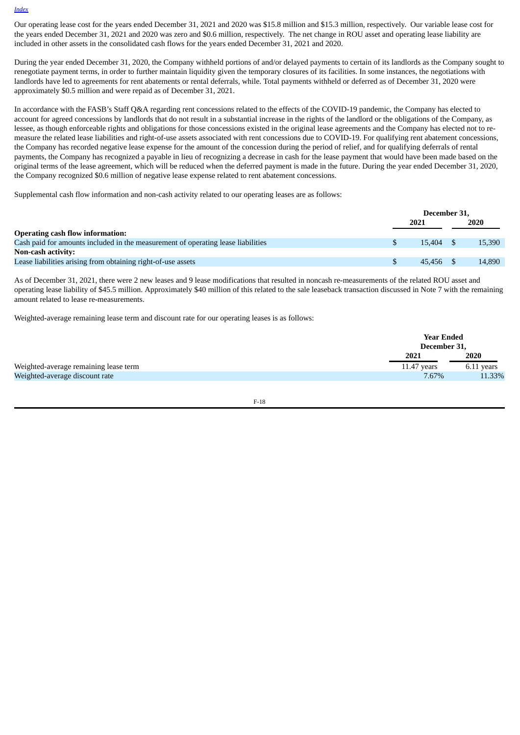Our operating lease cost for the years ended December 31, 2021 and 2020 was \$15.8 million and \$15.3 million, respectively. Our variable lease cost for the years ended December 31, 2021 and 2020 was zero and \$0.6 million, respectively. The net change in ROU asset and operating lease liability are included in other assets in the consolidated cash flows for the years ended December 31, 2021 and 2020.

During the year ended December 31, 2020, the Company withheld portions of and/or delayed payments to certain of its landlords as the Company sought to renegotiate payment terms, in order to further maintain liquidity given the temporary closures of its facilities. In some instances, the negotiations with landlords have led to agreements for rent abatements or rental deferrals, while. Total payments withheld or deferred as of December 31, 2020 were approximately \$0.5 million and were repaid as of December 31, 2021.

In accordance with the FASB's Staff Q&A regarding rent concessions related to the effects of the COVID-19 pandemic, the Company has elected to account for agreed concessions by landlords that do not result in a substantial increase in the rights of the landlord or the obligations of the Company, as lessee, as though enforceable rights and obligations for those concessions existed in the original lease agreements and the Company has elected not to remeasure the related lease liabilities and right-of-use assets associated with rent concessions due to COVID-19. For qualifying rent abatement concessions, the Company has recorded negative lease expense for the amount of the concession during the period of relief, and for qualifying deferrals of rental payments, the Company has recognized a payable in lieu of recognizing a decrease in cash for the lease payment that would have been made based on the original terms of the lease agreement, which will be reduced when the deferred payment is made in the future. During the year ended December 31, 2020, the Company recognized \$0.6 million of negative lease expense related to rent abatement concessions.

Supplemental cash flow information and non-cash activity related to our operating leases are as follows:

|                                                                                  | December 31, |             |  |        |  |
|----------------------------------------------------------------------------------|--------------|-------------|--|--------|--|
|                                                                                  |              | 2021        |  | 2020   |  |
| <b>Operating cash flow information:</b>                                          |              |             |  |        |  |
| Cash paid for amounts included in the measurement of operating lease liabilities |              | $15.404$ \$ |  | 15,390 |  |
| <b>Non-cash activity:</b>                                                        |              |             |  |        |  |
| Lease liabilities arising from obtaining right-of-use assets                     |              | 45.456      |  | 14.890 |  |

As of December 31, 2021, there were 2 new leases and 9 lease modifications that resulted in noncash re-measurements of the related ROU asset and operating lease liability of \$45.5 million. Approximately \$40 million of this related to the sale leaseback transaction discussed in Note 7 with the remaining amount related to lease re-measurements.

Weighted-average remaining lease term and discount rate for our operating leases is as follows:

|                                       | <b>Year Ended</b> |            |
|---------------------------------------|-------------------|------------|
|                                       | December 31,      |            |
|                                       | 2021              | 2020       |
| Weighted-average remaining lease term | $11.47$ years     | 6.11 years |
| Weighted-average discount rate        | 7.67%             | 11.33%     |

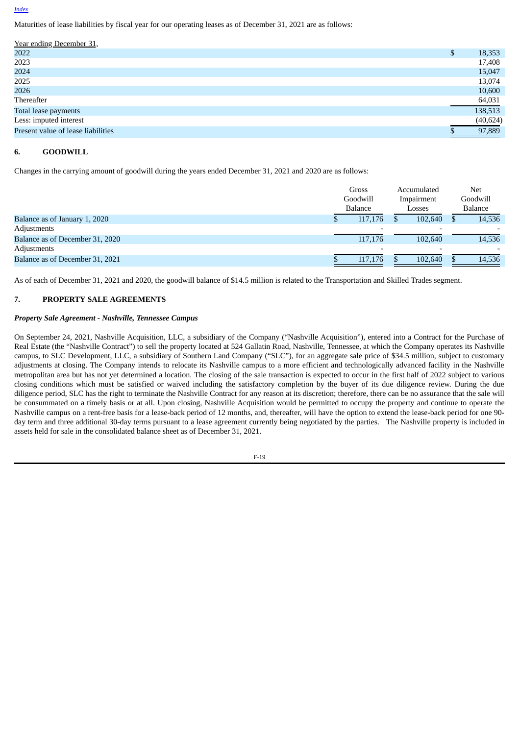Maturities of lease liabilities by fiscal year for our operating leases as of December 31, 2021 are as follows:

| Year ending December 31,           |              |
|------------------------------------|--------------|
| 2022                               | \$<br>18,353 |
| 2023                               | 17,408       |
| 2024                               | 15,047       |
| 2025                               | 13,074       |
| 2026                               | 10,600       |
| Thereafter                         | 64,031       |
| Total lease payments               | 138,513      |
| Less: imputed interest             | (40, 624)    |
| Present value of lease liabilities | 97,889       |
|                                    |              |

## **6. GOODWILL**

Changes in the carrying amount of goodwill during the years ended December 31, 2021 and 2020 are as follows:

|                                 | Gross<br>Goodwill<br>Balance | Accumulated<br>Impairment<br>Losses | <b>Net</b><br>Goodwill<br>Balance |
|---------------------------------|------------------------------|-------------------------------------|-----------------------------------|
| Balance as of January 1, 2020   | 117,176                      | 102.640                             | 14,536                            |
| Adjustments                     | $\overline{\phantom{0}}$     | $\overline{\phantom{0}}$            |                                   |
| Balance as of December 31, 2020 | 117,176                      | 102,640                             | 14,536                            |
| Adjustments                     | -                            |                                     |                                   |
| Balance as of December 31, 2021 | 117,176                      | 102.640                             | 14,536                            |

As of each of December 31, 2021 and 2020, the goodwill balance of \$14.5 million is related to the Transportation and Skilled Trades segment.

## **7. PROPERTY SALE AGREEMENTS**

#### *Property Sale Agreement - Nashville, Tennessee Campus*

On September 24, 2021, Nashville Acquisition, LLC, a subsidiary of the Company ("Nashville Acquisition"), entered into a Contract for the Purchase of Real Estate (the "Nashville Contract") to sell the property located at 524 Gallatin Road, Nashville, Tennessee, at which the Company operates its Nashville campus, to SLC Development, LLC, a subsidiary of Southern Land Company ("SLC"), for an aggregate sale price of \$34.5 million, subject to customary adjustments at closing. The Company intends to relocate its Nashville campus to a more efficient and technologically advanced facility in the Nashville metropolitan area but has not yet determined a location. The closing of the sale transaction is expected to occur in the first half of 2022 subject to various closing conditions which must be satisfied or waived including the satisfactory completion by the buyer of its due diligence review. During the due diligence period, SLC has the right to terminate the Nashville Contract for any reason at its discretion; therefore, there can be no assurance that the sale will be consummated on a timely basis or at all. Upon closing, Nashville Acquisition would be permitted to occupy the property and continue to operate the Nashville campus on a rent-free basis for a lease-back period of 12 months, and, thereafter, will have the option to extend the lease-back period for one 90 day term and three additional 30-day terms pursuant to a lease agreement currently being negotiated by the parties. The Nashville property is included in assets held for sale in the consolidated balance sheet as of December 31, 2021.

F-19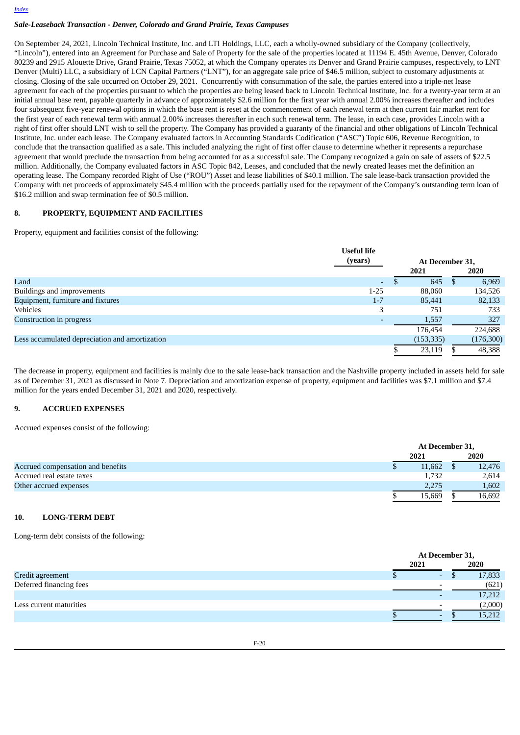## *Sale-Leaseback Transaction - Denver, Colorado and Grand Prairie, Texas Campuses*

On September 24, 2021, Lincoln Technical Institute, Inc. and LTI Holdings, LLC, each a wholly-owned subsidiary of the Company (collectively, "Lincoln"), entered into an Agreement for Purchase and Sale of Property for the sale of the properties located at 11194 E. 45th Avenue, Denver, Colorado 80239 and 2915 Alouette Drive, Grand Prairie, Texas 75052, at which the Company operates its Denver and Grand Prairie campuses, respectively, to LNT Denver (Multi) LLC, a subsidiary of LCN Capital Partners ("LNT"), for an aggregate sale price of \$46.5 million, subject to customary adjustments at closing. Closing of the sale occurred on October 29, 2021. Concurrently with consummation of the sale, the parties entered into a triple-net lease agreement for each of the properties pursuant to which the properties are being leased back to Lincoln Technical Institute, Inc. for a twenty-year term at an initial annual base rent, payable quarterly in advance of approximately \$2.6 million for the first year with annual 2.00% increases thereafter and includes four subsequent five-year renewal options in which the base rent is reset at the commencement of each renewal term at then current fair market rent for the first year of each renewal term with annual 2.00% increases thereafter in each such renewal term. The lease, in each case, provides Lincoln with a right of first offer should LNT wish to sell the property. The Company has provided a guaranty of the financial and other obligations of Lincoln Technical Institute, Inc. under each lease. The Company evaluated factors in Accounting Standards Codification ("ASC") Topic 606, Revenue Recognition, to conclude that the transaction qualified as a sale. This included analyzing the right of first offer clause to determine whether it represents a repurchase agreement that would preclude the transaction from being accounted for as a successful sale. The Company recognized a gain on sale of assets of \$22.5 million. Additionally, the Company evaluated factors in ASC Topic 842, Leases, and concluded that the newly created leases met the definition an operating lease. The Company recorded Right of Use ("ROU") Asset and lease liabilities of \$40.1 million. The sale lease-back transaction provided the Company with net proceeds of approximately \$45.4 million with the proceeds partially used for the repayment of the Company's outstanding term loan of \$16.2 million and swap termination fee of \$0.5 million.

## **8. PROPERTY, EQUIPMENT AND FACILITIES**

Property, equipment and facilities consist of the following:

|                                                | <b>Useful life</b>       |                 |            |   |             |
|------------------------------------------------|--------------------------|-----------------|------------|---|-------------|
|                                                | (years)                  | At December 31, |            |   |             |
|                                                |                          |                 | 2021       |   | <b>2020</b> |
| Land                                           | ۰                        | D               | 645        | Ж | 6,969       |
| Buildings and improvements                     | $1 - 25$                 |                 | 88,060     |   | 134,526     |
| Equipment, furniture and fixtures              | $1 - 7$                  |                 | 85,441     |   | 82,133      |
| Vehicles                                       | 3                        |                 | 751        |   | 733         |
| Construction in progress                       | $\overline{\phantom{0}}$ |                 | 1,557      |   | 327         |
|                                                |                          |                 | 176,454    |   | 224,688     |
| Less accumulated depreciation and amortization |                          |                 | (153, 335) |   | (176, 300)  |
|                                                |                          | C               | 23,119     |   | 48,388      |

The decrease in property, equipment and facilities is mainly due to the sale lease-back transaction and the Nashville property included in assets held for sale as of December 31, 2021 as discussed in Note 7. Depreciation and amortization expense of property, equipment and facilities was \$7.1 million and \$7.4 million for the years ended December 31, 2021 and 2020, respectively.

#### **9. ACCRUED EXPENSES**

Accrued expenses consist of the following:

|                                   |      | At December 31, |        |  |
|-----------------------------------|------|-----------------|--------|--|
|                                   | 2021 |                 | 2020   |  |
| Accrued compensation and benefits |      | 11.662          | 12.476 |  |
| Accrued real estate taxes         |      | 1,732           | 2,614  |  |
| Other accrued expenses            |      | 2,275           | 1,602  |  |
|                                   |      | 15,669          | 16,692 |  |

#### **10. LONG-TERM DEBT**

Long-term debt consists of the following:

|                         |      | At December 31,          |         |  |  |
|-------------------------|------|--------------------------|---------|--|--|
|                         | 2021 |                          | 2020    |  |  |
| Credit agreement        |      | ۰.                       | 17,833  |  |  |
| Deferred financing fees |      | -                        | (621)   |  |  |
|                         |      |                          | 17,212  |  |  |
| Less current maturities |      |                          | (2,000) |  |  |
|                         |      | $\overline{\phantom{0}}$ | 15,212  |  |  |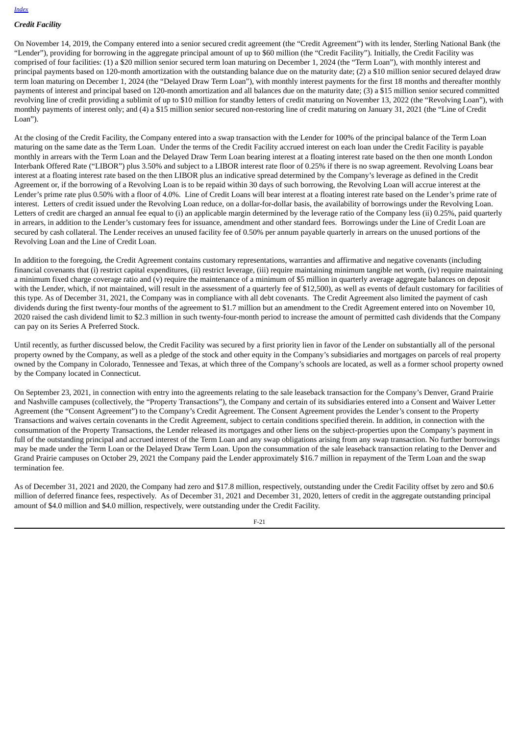# *Credit Facility*

On November 14, 2019, the Company entered into a senior secured credit agreement (the "Credit Agreement") with its lender, Sterling National Bank (the "Lender"), providing for borrowing in the aggregate principal amount of up to \$60 million (the "Credit Facility"). Initially, the Credit Facility was comprised of four facilities: (1) a \$20 million senior secured term loan maturing on December 1, 2024 (the "Term Loan"), with monthly interest and principal payments based on 120-month amortization with the outstanding balance due on the maturity date; (2) a \$10 million senior secured delayed draw term loan maturing on December 1, 2024 (the "Delayed Draw Term Loan"), with monthly interest payments for the first 18 months and thereafter monthly payments of interest and principal based on 120-month amortization and all balances due on the maturity date; (3) a \$15 million senior secured committed revolving line of credit providing a sublimit of up to \$10 million for standby letters of credit maturing on November 13, 2022 (the "Revolving Loan"), with monthly payments of interest only; and (4) a \$15 million senior secured non-restoring line of credit maturing on January 31, 2021 (the "Line of Credit Loan").

At the closing of the Credit Facility, the Company entered into a swap transaction with the Lender for 100% of the principal balance of the Term Loan maturing on the same date as the Term Loan. Under the terms of the Credit Facility accrued interest on each loan under the Credit Facility is payable monthly in arrears with the Term Loan and the Delayed Draw Term Loan bearing interest at a floating interest rate based on the then one month London Interbank Offered Rate ("LIBOR") plus 3.50% and subject to a LIBOR interest rate floor of 0.25% if there is no swap agreement. Revolving Loans bear interest at a floating interest rate based on the then LIBOR plus an indicative spread determined by the Company's leverage as defined in the Credit Agreement or, if the borrowing of a Revolving Loan is to be repaid within 30 days of such borrowing, the Revolving Loan will accrue interest at the Lender's prime rate plus 0.50% with a floor of 4.0%. Line of Credit Loans will bear interest at a floating interest rate based on the Lender's prime rate of interest. Letters of credit issued under the Revolving Loan reduce, on a dollar-for-dollar basis, the availability of borrowings under the Revolving Loan. Letters of credit are charged an annual fee equal to (i) an applicable margin determined by the leverage ratio of the Company less (ii) 0.25%, paid quarterly in arrears, in addition to the Lender's customary fees for issuance, amendment and other standard fees. Borrowings under the Line of Credit Loan are secured by cash collateral. The Lender receives an unused facility fee of 0.50% per annum payable quarterly in arrears on the unused portions of the Revolving Loan and the Line of Credit Loan.

In addition to the foregoing, the Credit Agreement contains customary representations, warranties and affirmative and negative covenants (including financial covenants that (i) restrict capital expenditures, (ii) restrict leverage, (iii) require maintaining minimum tangible net worth, (iv) require maintaining a minimum fixed charge coverage ratio and (v) require the maintenance of a minimum of \$5 million in quarterly average aggregate balances on deposit with the Lender, which, if not maintained, will result in the assessment of a quarterly fee of \$12,500), as well as events of default customary for facilities of this type. As of December 31, 2021, the Company was in compliance with all debt covenants. The Credit Agreement also limited the payment of cash dividends during the first twenty-four months of the agreement to \$1.7 million but an amendment to the Credit Agreement entered into on November 10, 2020 raised the cash dividend limit to \$2.3 million in such twenty-four-month period to increase the amount of permitted cash dividends that the Company can pay on its Series A Preferred Stock.

Until recently, as further discussed below, the Credit Facility was secured by a first priority lien in favor of the Lender on substantially all of the personal property owned by the Company, as well as a pledge of the stock and other equity in the Company's subsidiaries and mortgages on parcels of real property owned by the Company in Colorado, Tennessee and Texas, at which three of the Company's schools are located, as well as a former school property owned by the Company located in Connecticut.

On September 23, 2021, in connection with entry into the agreements relating to the sale leaseback transaction for the Company's Denver, Grand Prairie and Nashville campuses (collectively, the "Property Transactions"), the Company and certain of its subsidiaries entered into a Consent and Waiver Letter Agreement (the "Consent Agreement") to the Company's Credit Agreement. The Consent Agreement provides the Lender's consent to the Property Transactions and waives certain covenants in the Credit Agreement, subject to certain conditions specified therein. In addition, in connection with the consummation of the Property Transactions, the Lender released its mortgages and other liens on the subject-properties upon the Company's payment in full of the outstanding principal and accrued interest of the Term Loan and any swap obligations arising from any swap transaction. No further borrowings may be made under the Term Loan or the Delayed Draw Term Loan. Upon the consummation of the sale leaseback transaction relating to the Denver and Grand Prairie campuses on October 29, 2021 the Company paid the Lender approximately \$16.7 million in repayment of the Term Loan and the swap termination fee.

As of December 31, 2021 and 2020, the Company had zero and \$17.8 million, respectively, outstanding under the Credit Facility offset by zero and \$0.6 million of deferred finance fees, respectively. As of December 31, 2021 and December 31, 2020, letters of credit in the aggregate outstanding principal amount of \$4.0 million and \$4.0 million, respectively, were outstanding under the Credit Facility.

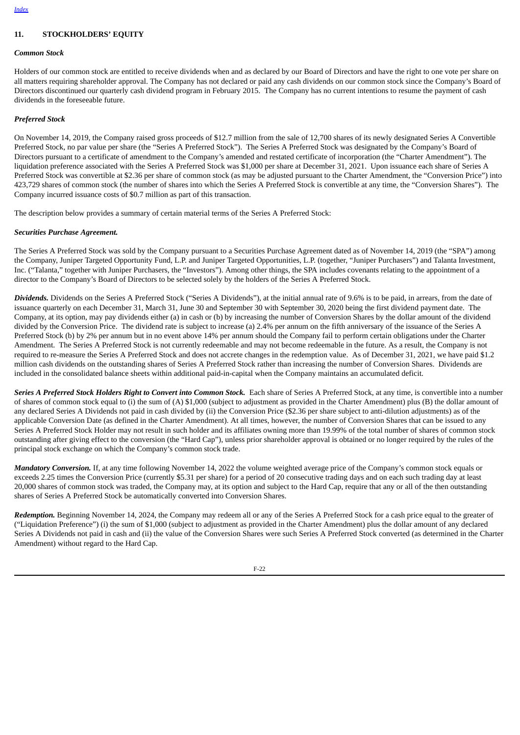## **11. STOCKHOLDERS' EQUITY**

#### *Common Stock*

Holders of our common stock are entitled to receive dividends when and as declared by our Board of Directors and have the right to one vote per share on all matters requiring shareholder approval. The Company has not declared or paid any cash dividends on our common stock since the Company's Board of Directors discontinued our quarterly cash dividend program in February 2015. The Company has no current intentions to resume the payment of cash dividends in the foreseeable future.

#### *Preferred Stock*

On November 14, 2019, the Company raised gross proceeds of \$12.7 million from the sale of 12,700 shares of its newly designated Series A Convertible Preferred Stock, no par value per share (the "Series A Preferred Stock"). The Series A Preferred Stock was designated by the Company's Board of Directors pursuant to a certificate of amendment to the Company's amended and restated certificate of incorporation (the "Charter Amendment"). The liquidation preference associated with the Series A Preferred Stock was \$1,000 per share at December 31, 2021. Upon issuance each share of Series A Preferred Stock was convertible at \$2.36 per share of common stock (as may be adjusted pursuant to the Charter Amendment, the "Conversion Price") into 423,729 shares of common stock (the number of shares into which the Series A Preferred Stock is convertible at any time, the "Conversion Shares"). The Company incurred issuance costs of \$0.7 million as part of this transaction.

The description below provides a summary of certain material terms of the Series A Preferred Stock:

#### *Securities Purchase Agreement.*

The Series A Preferred Stock was sold by the Company pursuant to a Securities Purchase Agreement dated as of November 14, 2019 (the "SPA") among the Company, Juniper Targeted Opportunity Fund, L.P. and Juniper Targeted Opportunities, L.P. (together, "Juniper Purchasers") and Talanta Investment, Inc. ("Talanta," together with Juniper Purchasers, the "Investors"). Among other things, the SPA includes covenants relating to the appointment of a director to the Company's Board of Directors to be selected solely by the holders of the Series A Preferred Stock.

*Dividends.* Dividends on the Series A Preferred Stock ("Series A Dividends"), at the initial annual rate of 9.6% is to be paid, in arrears, from the date of issuance quarterly on each December 31, March 31, June 30 and September 30 with September 30, 2020 being the first dividend payment date. The Company, at its option, may pay dividends either (a) in cash or (b) by increasing the number of Conversion Shares by the dollar amount of the dividend divided by the Conversion Price. The dividend rate is subject to increase (a) 2.4% per annum on the fifth anniversary of the issuance of the Series A Preferred Stock (b) by 2% per annum but in no event above 14% per annum should the Company fail to perform certain obligations under the Charter Amendment. The Series A Preferred Stock is not currently redeemable and may not become redeemable in the future. As a result, the Company is not required to re-measure the Series A Preferred Stock and does not accrete changes in the redemption value. As of December 31, 2021, we have paid \$1.2 million cash dividends on the outstanding shares of Series A Preferred Stock rather than increasing the number of Conversion Shares. Dividends are included in the consolidated balance sheets within additional paid-in-capital when the Company maintains an accumulated deficit.

Series A Preferred Stock Holders Right to Convert into Common Stock. Each share of Series A Preferred Stock, at any time, is convertible into a number of shares of common stock equal to (i) the sum of (A) \$1,000 (subject to adjustment as provided in the Charter Amendment) plus (B) the dollar amount of any declared Series A Dividends not paid in cash divided by (ii) the Conversion Price (\$2.36 per share subject to anti-dilution adjustments) as of the applicable Conversion Date (as defined in the Charter Amendment). At all times, however, the number of Conversion Shares that can be issued to any Series A Preferred Stock Holder may not result in such holder and its affiliates owning more than 19.99% of the total number of shares of common stock outstanding after giving effect to the conversion (the "Hard Cap"), unless prior shareholder approval is obtained or no longer required by the rules of the principal stock exchange on which the Company's common stock trade.

*Mandatory Conversion.* If, at any time following November 14, 2022 the volume weighted average price of the Company's common stock equals or exceeds 2.25 times the Conversion Price (currently \$5.31 per share) for a period of 20 consecutive trading days and on each such trading day at least 20,000 shares of common stock was traded, the Company may, at its option and subject to the Hard Cap, require that any or all of the then outstanding shares of Series A Preferred Stock be automatically converted into Conversion Shares.

*Redemption.* Beginning November 14, 2024, the Company may redeem all or any of the Series A Preferred Stock for a cash price equal to the greater of ("Liquidation Preference") (i) the sum of \$1,000 (subject to adjustment as provided in the Charter Amendment) plus the dollar amount of any declared Series A Dividends not paid in cash and (ii) the value of the Conversion Shares were such Series A Preferred Stock converted (as determined in the Charter Amendment) without regard to the Hard Cap.

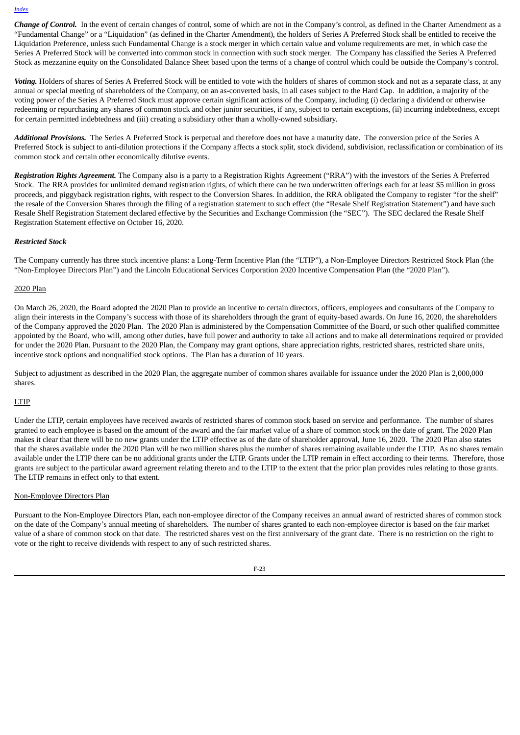*Change of Control.* In the event of certain changes of control, some of which are not in the Company's control, as defined in the Charter Amendment as a "Fundamental Change" or a "Liquidation" (as defined in the Charter Amendment), the holders of Series A Preferred Stock shall be entitled to receive the Liquidation Preference, unless such Fundamental Change is a stock merger in which certain value and volume requirements are met, in which case the Series A Preferred Stock will be converted into common stock in connection with such stock merger. The Company has classified the Series A Preferred Stock as mezzanine equity on the Consolidated Balance Sheet based upon the terms of a change of control which could be outside the Company's control.

*Voting.* Holders of shares of Series A Preferred Stock will be entitled to vote with the holders of shares of common stock and not as a separate class, at any annual or special meeting of shareholders of the Company, on an as-converted basis, in all cases subject to the Hard Cap. In addition, a majority of the voting power of the Series A Preferred Stock must approve certain significant actions of the Company, including (i) declaring a dividend or otherwise redeeming or repurchasing any shares of common stock and other junior securities, if any, subject to certain exceptions, (ii) incurring indebtedness, except for certain permitted indebtedness and (iii) creating a subsidiary other than a wholly-owned subsidiary.

*Additional Provisions.* The Series A Preferred Stock is perpetual and therefore does not have a maturity date. The conversion price of the Series A Preferred Stock is subject to anti-dilution protections if the Company affects a stock split, stock dividend, subdivision, reclassification or combination of its common stock and certain other economically dilutive events.

*Registration Rights Agreement.* The Company also is a party to a Registration Rights Agreement ("RRA") with the investors of the Series A Preferred Stock. The RRA provides for unlimited demand registration rights, of which there can be two underwritten offerings each for at least \$5 million in gross proceeds, and piggyback registration rights, with respect to the Conversion Shares. In addition, the RRA obligated the Company to register "for the shelf" the resale of the Conversion Shares through the filing of a registration statement to such effect (the "Resale Shelf Registration Statement") and have such Resale Shelf Registration Statement declared effective by the Securities and Exchange Commission (the "SEC"). The SEC declared the Resale Shelf Registration Statement effective on October 16, 2020.

#### *Restricted Stock*

The Company currently has three stock incentive plans: a Long-Term Incentive Plan (the "LTIP"), a Non-Employee Directors Restricted Stock Plan (the "Non-Employee Directors Plan") and the Lincoln Educational Services Corporation 2020 Incentive Compensation Plan (the "2020 Plan").

#### 2020 Plan

On March 26, 2020, the Board adopted the 2020 Plan to provide an incentive to certain directors, officers, employees and consultants of the Company to align their interests in the Company's success with those of its shareholders through the grant of equity-based awards. On June 16, 2020, the shareholders of the Company approved the 2020 Plan. The 2020 Plan is administered by the Compensation Committee of the Board, or such other qualified committee appointed by the Board, who will, among other duties, have full power and authority to take all actions and to make all determinations required or provided for under the 2020 Plan. Pursuant to the 2020 Plan, the Company may grant options, share appreciation rights, restricted shares, restricted share units, incentive stock options and nonqualified stock options. The Plan has a duration of 10 years.

Subject to adjustment as described in the 2020 Plan, the aggregate number of common shares available for issuance under the 2020 Plan is 2,000,000 shares.

## LTIP

Under the LTIP, certain employees have received awards of restricted shares of common stock based on service and performance. The number of shares granted to each employee is based on the amount of the award and the fair market value of a share of common stock on the date of grant. The 2020 Plan makes it clear that there will be no new grants under the LTIP effective as of the date of shareholder approval, June 16, 2020. The 2020 Plan also states that the shares available under the 2020 Plan will be two million shares plus the number of shares remaining available under the LTIP. As no shares remain available under the LTIP there can be no additional grants under the LTIP. Grants under the LTIP remain in effect according to their terms. Therefore, those grants are subject to the particular award agreement relating thereto and to the LTIP to the extent that the prior plan provides rules relating to those grants. The LTIP remains in effect only to that extent.

#### Non-Employee Directors Plan

Pursuant to the Non-Employee Directors Plan, each non-employee director of the Company receives an annual award of restricted shares of common stock on the date of the Company's annual meeting of shareholders. The number of shares granted to each non-employee director is based on the fair market value of a share of common stock on that date. The restricted shares vest on the first anniversary of the grant date. There is no restriction on the right to vote or the right to receive dividends with respect to any of such restricted shares.

F-23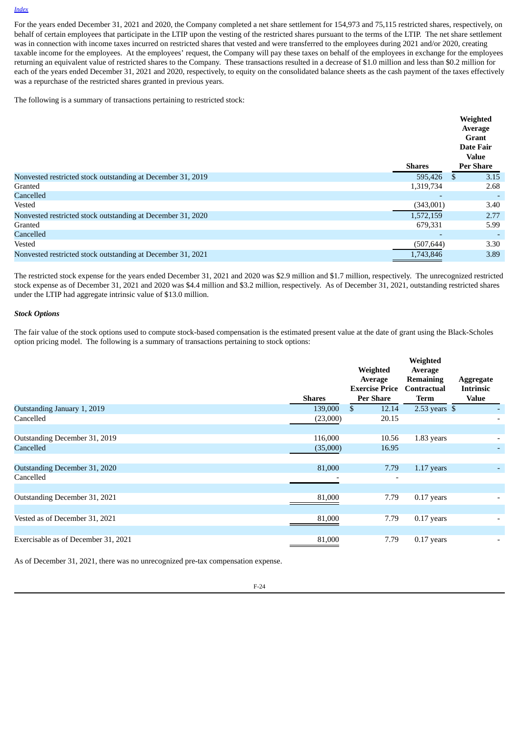For the years ended December 31, 2021 and 2020, the Company completed a net share settlement for 154,973 and 75,115 restricted shares, respectively, on behalf of certain employees that participate in the LTIP upon the vesting of the restricted shares pursuant to the terms of the LTIP. The net share settlement was in connection with income taxes incurred on restricted shares that vested and were transferred to the employees during 2021 and/or 2020, creating taxable income for the employees. At the employees' request, the Company will pay these taxes on behalf of the employees in exchange for the employees returning an equivalent value of restricted shares to the Company. These transactions resulted in a decrease of \$1.0 million and less than \$0.2 million for each of the years ended December 31, 2021 and 2020, respectively, to equity on the consolidated balance sheets as the cash payment of the taxes effectively was a repurchase of the restricted shares granted in previous years.

The following is a summary of transactions pertaining to restricted stock:

|                                                             |                          | Weighted<br>Average<br>Grant<br><b>Date Fair</b><br><b>Value</b> |
|-------------------------------------------------------------|--------------------------|------------------------------------------------------------------|
|                                                             | <b>Shares</b>            | <b>Per Share</b>                                                 |
| Nonvested restricted stock outstanding at December 31, 2019 | 595,426                  | 3.15<br>Ъ                                                        |
| Granted                                                     | 1,319,734                | 2.68                                                             |
| Cancelled                                                   | $\overline{\phantom{0}}$ | ۰                                                                |
| Vested                                                      | (343,001)                | 3.40                                                             |
| Nonvested restricted stock outstanding at December 31, 2020 | 1,572,159                | 2.77                                                             |
| Granted                                                     | 679,331                  | 5.99                                                             |
| Cancelled                                                   |                          |                                                                  |
| Vested                                                      | (507, 644)               | 3.30                                                             |
| Nonvested restricted stock outstanding at December 31, 2021 | 1,743,846                | 3.89                                                             |
|                                                             |                          |                                                                  |

The restricted stock expense for the years ended December 31, 2021 and 2020 was \$2.9 million and \$1.7 million, respectively. The unrecognized restricted stock expense as of December 31, 2021 and 2020 was \$4.4 million and \$3.2 million, respectively. As of December 31, 2021, outstanding restricted shares under the LTIP had aggregate intrinsic value of \$13.0 million.

#### *Stock Options*

The fair value of the stock options used to compute stock-based compensation is the estimated present value at the date of grant using the Black-Scholes option pricing model. The following is a summary of transactions pertaining to stock options:

|                                     |               | Weighted<br>Average<br><b>Exercise Price</b> | Weighted<br>Average<br><b>Remaining</b><br><b>Contractual</b> | Aggregate<br><b>Intrinsic</b> |
|-------------------------------------|---------------|----------------------------------------------|---------------------------------------------------------------|-------------------------------|
|                                     | <b>Shares</b> | <b>Per Share</b>                             | Term                                                          | <b>Value</b>                  |
| Outstanding January 1, 2019         | 139,000       | $\mathbb{S}$<br>12.14                        | 2.53 years $$$                                                |                               |
| Cancelled                           | (23,000)      | 20.15                                        |                                                               |                               |
|                                     |               |                                              |                                                               |                               |
| Outstanding December 31, 2019       | 116,000       | 10.56                                        | 1.83 years                                                    |                               |
| Cancelled                           | (35,000)      | 16.95                                        |                                                               | Ξ.                            |
|                                     |               |                                              |                                                               |                               |
| Outstanding December 31, 2020       | 81,000        | 7.79                                         | $1.17$ years                                                  |                               |
| Cancelled                           |               |                                              |                                                               |                               |
|                                     |               |                                              |                                                               |                               |
| Outstanding December 31, 2021       | 81,000        | 7.79                                         | $0.17$ years                                                  |                               |
|                                     |               |                                              |                                                               |                               |
| Vested as of December 31, 2021      | 81,000        | 7.79                                         | $0.17$ years                                                  |                               |
|                                     |               |                                              |                                                               |                               |
| Exercisable as of December 31, 2021 | 81,000        | 7.79                                         | $0.17$ years                                                  |                               |

As of December 31, 2021, there was no unrecognized pre-tax compensation expense.

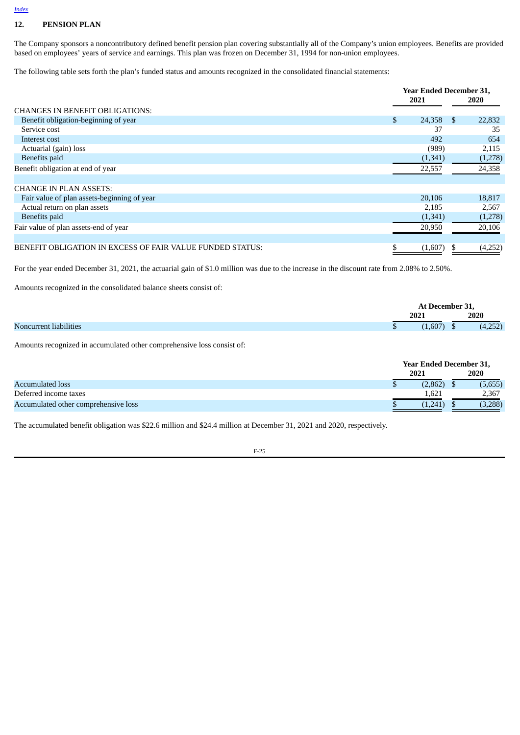# **12. PENSION PLAN**

The Company sponsors a noncontributory defined benefit pension plan covering substantially all of the Company's union employees. Benefits are provided based on employees' years of service and earnings. This plan was frozen on December 31, 1994 for non-union employees.

The following table sets forth the plan's funded status and amounts recognized in the consolidated financial statements:

|                                                           | <b>Year Ended December 31,</b> |     |         |
|-----------------------------------------------------------|--------------------------------|-----|---------|
|                                                           | 2021                           |     | 2020    |
| <b>CHANGES IN BENEFIT OBLIGATIONS:</b>                    |                                |     |         |
| Benefit obligation-beginning of year                      | \$<br>24,358                   | \$. | 22,832  |
| Service cost                                              | 37                             |     | 35      |
| Interest cost                                             | 492                            |     | 654     |
| Actuarial (gain) loss                                     | (989)                          |     | 2,115   |
| Benefits paid                                             | (1,341)                        |     | (1,278) |
| Benefit obligation at end of year                         | 22,557                         |     | 24,358  |
| <b>CHANGE IN PLAN ASSETS:</b>                             |                                |     |         |
| Fair value of plan assets-beginning of year               | 20,106                         |     | 18,817  |
| Actual return on plan assets                              | 2,185                          |     | 2,567   |
| Benefits paid                                             | (1,341)                        |     | (1,278) |
| Fair value of plan assets-end of year                     | 20,950                         |     | 20,106  |
|                                                           |                                |     |         |
| BENEFIT OBLIGATION IN EXCESS OF FAIR VALUE FUNDED STATUS: | (1,607)                        | S   | (4,252) |

For the year ended December 31, 2021, the actuarial gain of \$1.0 million was due to the increase in the discount rate from 2.08% to 2.50%.

Amounts recognized in the consolidated balance sheets consist of:

|                        |   | At December 31, |         |
|------------------------|---|-----------------|---------|
|                        |   | 2021            | 2020    |
| Noncurrent liabilities | Φ | (1,607)         | (4,252) |

Amounts recognized in accumulated other comprehensive loss consist of:

|                                      | <b>Year Ended December 31,</b> |         |
|--------------------------------------|--------------------------------|---------|
|                                      | 2021                           | 2020    |
| <b>Accumulated loss</b>              | (2,862)                        | (5,655) |
| Deferred income taxes                | 1,621                          | 2,367   |
| Accumulated other comprehensive loss | (1,241)                        | (3,288) |

The accumulated benefit obligation was \$22.6 million and \$24.4 million at December 31, 2021 and 2020, respectively.

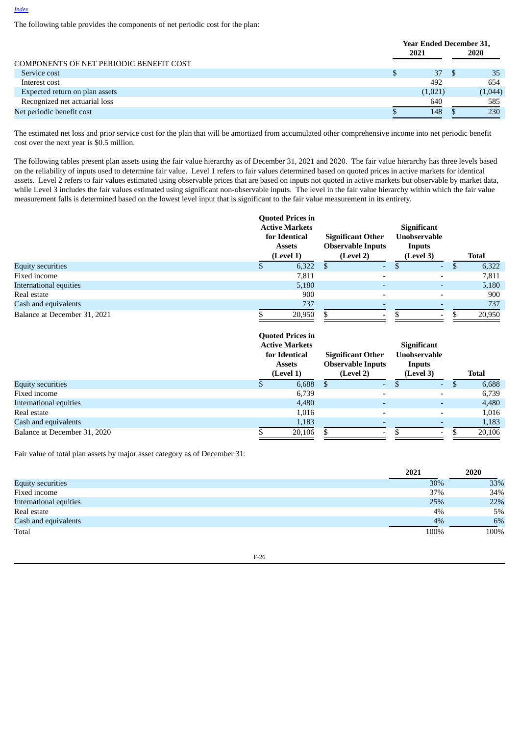The following table provides the components of net periodic cost for the plan:

|                                         | <b>Year Ended December 31,</b> |         |  |             |
|-----------------------------------------|--------------------------------|---------|--|-------------|
|                                         |                                | 2021    |  | <b>2020</b> |
| COMPONENTS OF NET PERIODIC BENEFIT COST |                                |         |  |             |
| Service cost                            | -D.                            | 37      |  | 35          |
| Interest cost                           |                                | 492     |  | 654         |
| Expected return on plan assets          |                                | (1,021) |  | (1,044)     |
| Recognized net actuarial loss           |                                | 640     |  | 585         |
| Net periodic benefit cost               |                                | 148     |  | 230         |

The estimated net loss and prior service cost for the plan that will be amortized from accumulated other comprehensive income into net periodic benefit cost over the next year is \$0.5 million.

The following tables present plan assets using the fair value hierarchy as of December 31, 2021 and 2020. The fair value hierarchy has three levels based on the reliability of inputs used to determine fair value. Level 1 refers to fair values determined based on quoted prices in active markets for identical assets. Level 2 refers to fair values estimated using observable prices that are based on inputs not quoted in active markets but observable by market data, while Level 3 includes the fair values estimated using significant non-observable inputs. The level in the fair value hierarchy within which the fair value measurement falls is determined based on the lowest level input that is significant to the fair value measurement in its entirety.

|                              | <b>Quoted Prices in</b><br><b>Active Markets</b><br>for Identical<br><b>Assets</b><br>(Level 1) | <b>Significant Other</b><br><b>Observable Inputs</b><br>(Level 2) | <b>Significant</b><br><b>Unobservable</b><br>Inputs<br>(Level 3) | <b>Total</b>           |
|------------------------------|-------------------------------------------------------------------------------------------------|-------------------------------------------------------------------|------------------------------------------------------------------|------------------------|
| <b>Equity securities</b>     | 6,322<br>\$.                                                                                    | \$<br>$\overline{\phantom{a}}$                                    | $\overline{\phantom{0}}$                                         | 6,322<br><sup>\$</sup> |
| Fixed income                 | 7,811                                                                                           |                                                                   |                                                                  | 7,811                  |
| International equities       | 5,180                                                                                           |                                                                   | $\overline{\phantom{a}}$                                         | 5,180                  |
| Real estate                  | 900                                                                                             |                                                                   |                                                                  | 900                    |
| Cash and equivalents         | 737                                                                                             |                                                                   |                                                                  | 737                    |
| Balance at December 31, 2021 | 20,950                                                                                          |                                                                   |                                                                  | 20,950                 |
|                              | <b>Quoted Prices in</b><br><b>Active Markets</b><br>for Identical<br><b>Assets</b><br>(Level 1) | <b>Significant Other</b><br><b>Observable Inputs</b><br>(Level 2) | <b>Significant</b><br><b>Unobservable</b><br>Inputs<br>(Level 3) | <b>Total</b>           |
| __<br>.                      | $\sim$ $\sim$                                                                                   |                                                                   |                                                                  | 0.000                  |

| 6,688  | $\overline{\phantom{0}}$ | ۰                        | 6,688  |
|--------|--------------------------|--------------------------|--------|
| 6,739  | $\overline{\phantom{0}}$ | $\overline{\phantom{0}}$ | 6,739  |
| 4,480  |                          | -                        | 4,480  |
| 1,016  | -                        | $\overline{\phantom{a}}$ | 1,016  |
| 1,183  |                          | -                        | 1,183  |
| 20,106 | $\overline{\phantom{0}}$ | $\overline{\phantom{a}}$ | 20,106 |
|        |                          |                          |        |

Fair value of total plan assets by major asset category as of December 31:

|                               | 2021  | 2020 |
|-------------------------------|-------|------|
| <b>Equity securities</b>      | 30%   | 33%  |
| Fixed income                  | 37%   | 34%  |
| <b>International equities</b> | 25%   | 22%  |
| Real estate                   | 4%    | 5%   |
| Cash and equivalents          | $4\%$ | 6%   |
| Total                         | 100%  | 100% |

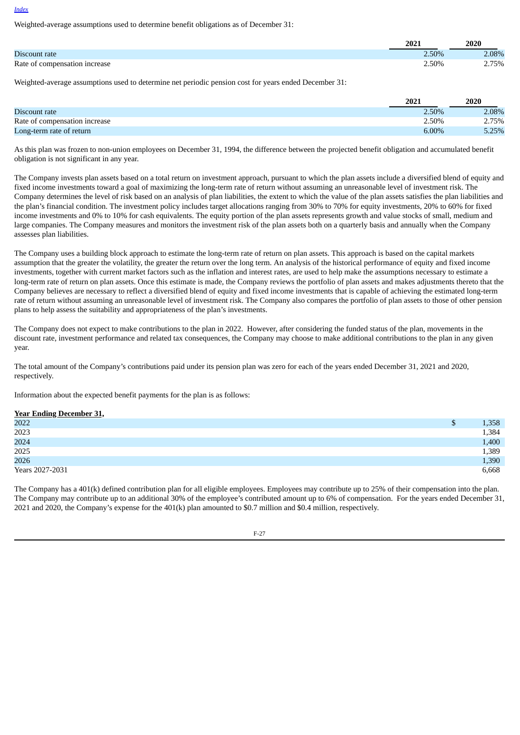Weighted-average assumptions used to determine benefit obligations as of December 31:

|                               | 2021  | 2020  |
|-------------------------------|-------|-------|
| Discount rate                 | 2.50% | 2.08% |
| Rate of compensation increase | 50%   | 2.75% |

Weighted-average assumptions used to determine net periodic pension cost for years ended December 31:

|                               | 2021  | 2020  |
|-------------------------------|-------|-------|
| Discount rate                 | 2.50% | 2.08% |
| Rate of compensation increase | 2.50% | 2.75% |
| Long-term rate of return      | 6.00% | 5.25% |

As this plan was frozen to non-union employees on December 31, 1994, the difference between the projected benefit obligation and accumulated benefit obligation is not significant in any year.

The Company invests plan assets based on a total return on investment approach, pursuant to which the plan assets include a diversified blend of equity and fixed income investments toward a goal of maximizing the long-term rate of return without assuming an unreasonable level of investment risk. The Company determines the level of risk based on an analysis of plan liabilities, the extent to which the value of the plan assets satisfies the plan liabilities and the plan's financial condition. The investment policy includes target allocations ranging from 30% to 70% for equity investments, 20% to 60% for fixed income investments and 0% to 10% for cash equivalents. The equity portion of the plan assets represents growth and value stocks of small, medium and large companies. The Company measures and monitors the investment risk of the plan assets both on a quarterly basis and annually when the Company assesses plan liabilities.

The Company uses a building block approach to estimate the long-term rate of return on plan assets. This approach is based on the capital markets assumption that the greater the volatility, the greater the return over the long term. An analysis of the historical performance of equity and fixed income investments, together with current market factors such as the inflation and interest rates, are used to help make the assumptions necessary to estimate a long-term rate of return on plan assets. Once this estimate is made, the Company reviews the portfolio of plan assets and makes adjustments thereto that the Company believes are necessary to reflect a diversified blend of equity and fixed income investments that is capable of achieving the estimated long-term rate of return without assuming an unreasonable level of investment risk. The Company also compares the portfolio of plan assets to those of other pension plans to help assess the suitability and appropriateness of the plan's investments.

The Company does not expect to make contributions to the plan in 2022. However, after considering the funded status of the plan, movements in the discount rate, investment performance and related tax consequences, the Company may choose to make additional contributions to the plan in any given year.

The total amount of the Company's contributions paid under its pension plan was zero for each of the years ended December 31, 2021 and 2020, respectively.

Information about the expected benefit payments for the plan is as follows:

#### **Year Ending December 31,**

| 2022            | 1,358 |
|-----------------|-------|
| 2023            | 1,384 |
| 2024            | 1,400 |
| 2025            | 1,389 |
| 2026            | 1,390 |
| Years 2027-2031 | 6,668 |

The Company has a 401(k) defined contribution plan for all eligible employees. Employees may contribute up to 25% of their compensation into the plan. The Company may contribute up to an additional 30% of the employee's contributed amount up to 6% of compensation. For the years ended December 31, 2021 and 2020, the Company's expense for the 401(k) plan amounted to \$0.7 million and \$0.4 million, respectively.

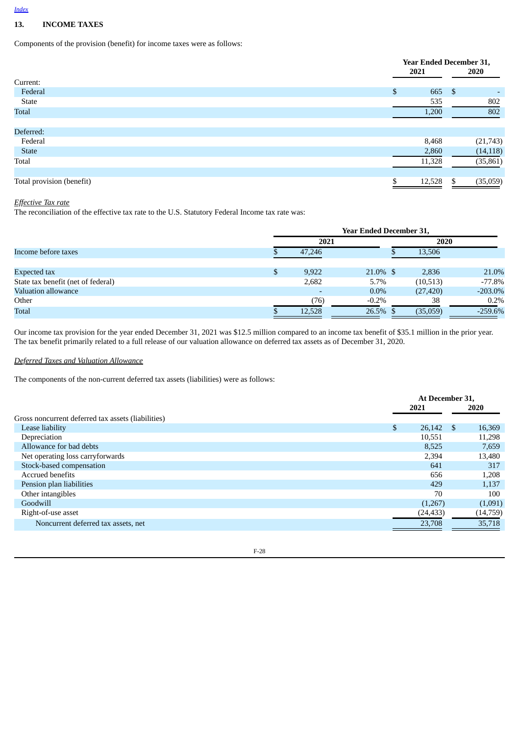# **13. INCOME TAXES**

Components of the provision (benefit) for income taxes were as follows:

|                           | <b>Year Ended December 31,</b> |      |           |
|---------------------------|--------------------------------|------|-----------|
|                           | 2021                           |      | 2020      |
| Current:                  |                                |      |           |
| Federal                   | \$<br>665                      | - \$ |           |
| State                     | 535                            |      | 802       |
| Total                     | 1,200                          |      | 802       |
| Deferred:                 |                                |      |           |
| Federal                   | 8,468                          |      | (21, 743) |
| <b>State</b>              | 2,860                          |      | (14, 118) |
| Total                     | 11,328                         |      | (35, 861) |
|                           |                                |      |           |
| Total provision (benefit) | 12,528                         | \$.  | (35,059)  |

#### *Effective Tax rate*

The reconciliation of the effective tax rate to the U.S. Statutory Federal Income tax rate was:

|                                    | <b>Year Ended December 31,</b> |                          |             |  |           |           |  |  |
|------------------------------------|--------------------------------|--------------------------|-------------|--|-----------|-----------|--|--|
|                                    |                                | 2021                     |             |  | 2020      |           |  |  |
| Income before taxes                |                                | 47,246                   |             |  | 13,506    |           |  |  |
|                                    |                                |                          |             |  |           |           |  |  |
| Expected tax                       | \$                             | 9.922                    | $21.0\%$ \$ |  | 2,836     | 21.0%     |  |  |
| State tax benefit (net of federal) |                                | 2,682                    | 5.7%        |  | (10,513)  | -77.8%    |  |  |
| Valuation allowance                |                                | $\overline{\phantom{0}}$ | $0.0\%$     |  | (27, 420) | $-203.0%$ |  |  |
| Other                              |                                | (76)                     | $-0.2\%$    |  | 38        | 0.2%      |  |  |
| <b>Total</b>                       |                                | 12,528                   | $26.5\%$ \$ |  | (35,059)  | $-259.6%$ |  |  |

Our income tax provision for the year ended December 31, 2021 was \$12.5 million compared to an income tax benefit of \$35.1 million in the prior year. The tax benefit primarily related to a full release of our valuation allowance on deferred tax assets as of December 31, 2020.

## *Deferred Taxes and Valuation Allowance*

The components of the non-current deferred tax assets (liabilities) were as follows:

|                                                    | At December 31. |              |  |  |
|----------------------------------------------------|-----------------|--------------|--|--|
|                                                    | 2021            | <b>2020</b>  |  |  |
| Gross noncurrent deferred tax assets (liabilities) |                 |              |  |  |
| Lease liability                                    | \$<br>26,142    | 16,369<br>-S |  |  |
| Depreciation                                       | 10,551          | 11,298       |  |  |
| Allowance for bad debts                            | 8,525           | 7,659        |  |  |
| Net operating loss carryforwards                   | 2,394           | 13,480       |  |  |
| Stock-based compensation                           | 641             | 317          |  |  |
| Accrued benefits                                   | 656             | 1,208        |  |  |
| Pension plan liabilities                           | 429             | 1,137        |  |  |
| Other intangibles                                  | 70              | 100          |  |  |
| Goodwill                                           | (1,267)         | (1,091)      |  |  |
| Right-of-use asset                                 | (24, 433)       | (14,759)     |  |  |
| Noncurrent deferred tax assets, net                | 23,708          | 35,718       |  |  |

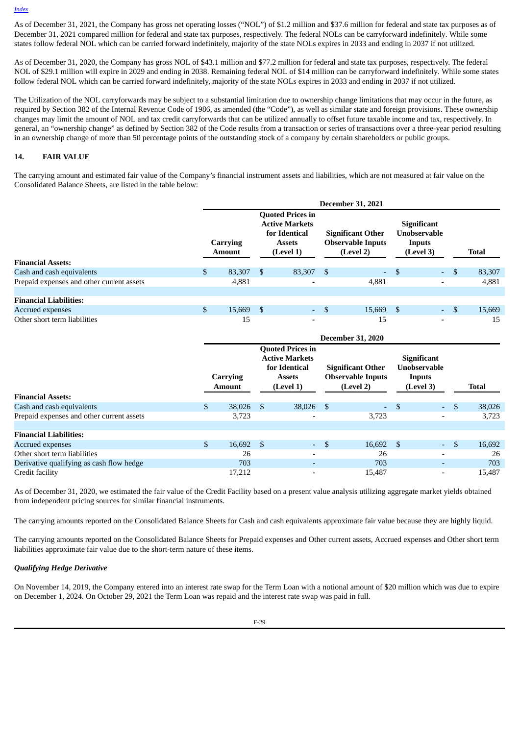As of December 31, 2021, the Company has gross net operating losses ("NOL") of \$1.2 million and \$37.6 million for federal and state tax purposes as of December 31, 2021 compared million for federal and state tax purposes, respectively. The federal NOLs can be carryforward indefinitely. While some states follow federal NOL which can be carried forward indefinitely, majority of the state NOLs expires in 2033 and ending in 2037 if not utilized.

As of December 31, 2020, the Company has gross NOL of \$43.1 million and \$77.2 million for federal and state tax purposes, respectively. The federal NOL of \$29.1 million will expire in 2029 and ending in 2038. Remaining federal NOL of \$14 million can be carryforward indefinitely. While some states follow federal NOL which can be carried forward indefinitely, majority of the state NOLs expires in 2033 and ending in 2037 if not utilized.

The Utilization of the NOL carryforwards may be subject to a substantial limitation due to ownership change limitations that may occur in the future, as required by Section 382 of the Internal Revenue Code of 1986, as amended (the "Code"), as well as similar state and foreign provisions. These ownership changes may limit the amount of NOL and tax credit carryforwards that can be utilized annually to offset future taxable income and tax, respectively. In general, an "ownership change" as defined by Section 382 of the Code results from a transaction or series of transactions over a three-year period resulting in an ownership change of more than 50 percentage points of the outstanding stock of a company by certain shareholders or public groups.

## **14. FAIR VALUE**

The carrying amount and estimated fair value of the Company's financial instrument assets and liabilities, which are not measured at fair value on the Consolidated Balance Sheets, are listed in the table below:

|                                           | <b>December 31, 2021</b> |                                  |      |                                                                                          |      |                                                                   |   |                                                                         |     |              |
|-------------------------------------------|--------------------------|----------------------------------|------|------------------------------------------------------------------------------------------|------|-------------------------------------------------------------------|---|-------------------------------------------------------------------------|-----|--------------|
|                                           |                          | <b>Carrying</b><br><b>Amount</b> |      | <b>Quoted Prices in</b><br><b>Active Markets</b><br>for Identical<br>Assets<br>(Level 1) |      | <b>Significant Other</b><br><b>Observable Inputs</b><br>(Level 2) |   | <b>Significant</b><br><b>Unobservable</b><br><b>Inputs</b><br>(Level 3) |     | <b>Total</b> |
| <b>Financial Assets:</b>                  |                          |                                  |      |                                                                                          |      |                                                                   |   |                                                                         |     |              |
| Cash and cash equivalents                 | \$                       | 83,307                           | - \$ | 83,307                                                                                   | - \$ | $-5$                                                              |   | $\sim$                                                                  | -\$ | 83,307       |
| Prepaid expenses and other current assets |                          | 4,881                            |      |                                                                                          |      | 4,881                                                             |   | $\overline{\phantom{a}}$                                                |     | 4,881        |
|                                           |                          |                                  |      |                                                                                          |      |                                                                   |   |                                                                         |     |              |
| <b>Financial Liabilities:</b>             |                          |                                  |      |                                                                                          |      |                                                                   |   |                                                                         |     |              |
| <b>Accrued expenses</b>                   | \$                       | 15,669                           | - \$ |                                                                                          | $-5$ | 15,669                                                            | S | $-5$                                                                    |     | 15,669       |
| Other short term liabilities              |                          | 15                               |      |                                                                                          |      | 15                                                                |   | $\overline{\phantom{a}}$                                                |     | 15           |

|                                           | <b>December 31, 2020</b> |                                                                                                                                                                                                                                                                              |          |                          |      |           |      |                          |     |        |
|-------------------------------------------|--------------------------|------------------------------------------------------------------------------------------------------------------------------------------------------------------------------------------------------------------------------------------------------------------------------|----------|--------------------------|------|-----------|------|--------------------------|-----|--------|
| <b>Financial Assets:</b>                  |                          | <b>Quoted Prices in</b><br><b>Active Markets</b><br><b>Significant</b><br>for Identical<br><b>Unobservable</b><br><b>Significant Other</b><br><b>Observable Inputs</b><br><b>Carrying</b><br><b>Assets</b><br>Inputs<br>(Level 2)<br>(Level 1)<br>(Level 3)<br><b>Amount</b> |          |                          |      |           |      |                          |     |        |
|                                           |                          |                                                                                                                                                                                                                                                                              |          |                          |      |           |      |                          |     |        |
| Cash and cash equivalents                 | \$                       | 38,026                                                                                                                                                                                                                                                                       | <b>S</b> | 38,026 \$                |      |           | $-5$ | $\blacksquare$           | -\$ | 38,026 |
| Prepaid expenses and other current assets |                          | 3,723                                                                                                                                                                                                                                                                        |          |                          |      | 3,723     |      | $\overline{\phantom{a}}$ |     | 3,723  |
|                                           |                          |                                                                                                                                                                                                                                                                              |          |                          |      |           |      |                          |     |        |
| <b>Financial Liabilities:</b>             |                          |                                                                                                                                                                                                                                                                              |          |                          |      |           |      |                          |     |        |
| <b>Accrued expenses</b>                   | \$                       | $16,692$ \$                                                                                                                                                                                                                                                                  |          |                          | $-5$ | 16,692 \$ |      | $\overline{\phantom{a}}$ | \$  | 16,692 |
| Other short term liabilities              |                          | 26                                                                                                                                                                                                                                                                           |          | $\overline{\phantom{0}}$ |      | 26        |      | $\overline{\phantom{a}}$ |     | 26     |
| Derivative qualifying as cash flow hedge  |                          | 703                                                                                                                                                                                                                                                                          |          |                          |      | 703       |      | $\overline{\phantom{a}}$ |     | 703    |
| Credit facility                           |                          | 17.212                                                                                                                                                                                                                                                                       |          |                          |      | 15.487    |      | $\overline{\phantom{a}}$ |     | 15.487 |

As of December 31, 2020, we estimated the fair value of the Credit Facility based on a present value analysis utilizing aggregate market yields obtained from independent pricing sources for similar financial instruments.

The carrying amounts reported on the Consolidated Balance Sheets for Cash and cash equivalents approximate fair value because they are highly liquid.

The carrying amounts reported on the Consolidated Balance Sheets for Prepaid expenses and Other current assets, Accrued expenses and Other short term liabilities approximate fair value due to the short-term nature of these items.

## *Qualifying Hedge Derivative*

On November 14, 2019, the Company entered into an interest rate swap for the Term Loan with a notional amount of \$20 million which was due to expire on December 1, 2024. On October 29, 2021 the Term Loan was repaid and the interest rate swap was paid in full.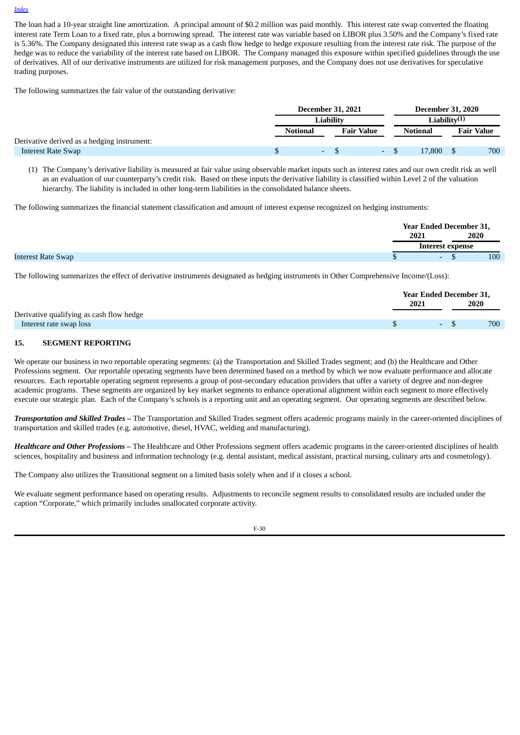The loan had a 10-year straight line amortization. A principal amount of \$0.2 million was paid monthly. This interest rate swap converted the floating interest rate Term Loan to a fixed rate, plus a borrowing spread. The interest rate was variable based on LIBOR plus 3.50% and the Company's fixed rate is 5.36%. The Company designated this interest rate swap as a cash flow hedge to hedge exposure resulting from the interest rate risk. The purpose of the hedge was to reduce the variability of the interest rate based on LIBOR. The Company managed this exposure within specified guidelines through the use of derivatives. All of our derivative instruments are utilized for risk management purposes, and the Company does not use derivatives for speculative trading purposes.

The following summarizes the fair value of the outstanding derivative:

|                                             | <b>December 31, 2021</b>      |  |                          | <b>December 31, 2020</b> |            |  |     |
|---------------------------------------------|-------------------------------|--|--------------------------|--------------------------|------------|--|-----|
|                                             | Liabilitv                     |  |                          | Liability(1)             |            |  |     |
|                                             | Fair Value<br><b>Notional</b> |  | <b>Notional</b>          |                          | Fair Value |  |     |
| Derivative derived as a hedging instrument: |                               |  |                          |                          |            |  |     |
| <b>Interest Rate Swap</b>                   | ٠                             |  | $\overline{\phantom{a}}$ |                          | 17,800     |  | 700 |

(1) The Company's derivative liability is measured at fair value using observable market inputs such as interest rates and our own credit risk as well as an evaluation of our counterparty's credit risk. Based on these inputs the derivative liability is classified within Level 2 of the valuation hierarchy. The liability is included in other long-term liabilities in the consolidated balance sheets.

The following summarizes the financial statement classification and amount of interest expense recognized on hedging instruments:

|                           | <b>Year Ended December 31,</b> |                  |     |
|---------------------------|--------------------------------|------------------|-----|
|                           | 2021                           | 2020             |     |
|                           |                                | Interest expense |     |
| <b>Interest Rate Swap</b> |                                |                  | 100 |

The following summarizes the effect of derivative instruments designated as hedging instruments in Other Comprehensive Income/(Loss):

|                                          |      | <b>Year Ended December 31,</b> |      |     |  |  |
|------------------------------------------|------|--------------------------------|------|-----|--|--|
|                                          | 2021 |                                | 2020 |     |  |  |
| Derivative qualifying as cash flow hedge |      |                                |      |     |  |  |
| Interest rate swap loss                  |      | - 5                            |      | 700 |  |  |

## **15. SEGMENT REPORTING**

We operate our business in two reportable operating segments: (a) the Transportation and Skilled Trades segment; and (b) the Healthcare and Other Professions segment. Our reportable operating segments have been determined based on a method by which we now evaluate performance and allocate resources. Each reportable operating segment represents a group of post-secondary education providers that offer a variety of degree and non-degree academic programs. These segments are organized by key market segments to enhance operational alignment within each segment to more effectively execute our strategic plan. Each of the Company's schools is a reporting unit and an operating segment. Our operating segments are described below.

*Transportation and Skilled Trades –* The Transportation and Skilled Trades segment offers academic programs mainly in the career-oriented disciplines of transportation and skilled trades (e.g. automotive, diesel, HVAC, welding and manufacturing).

*Healthcare and Other Professions –* The Healthcare and Other Professions segment offers academic programs in the career-oriented disciplines of health sciences, hospitality and business and information technology (e.g. dental assistant, medical assistant, practical nursing, culinary arts and cosmetology).

The Company also utilizes the Transitional segment on a limited basis solely when and if it closes a school.

We evaluate segment performance based on operating results. Adjustments to reconcile segment results to consolidated results are included under the caption "Corporate," which primarily includes unallocated corporate activity.

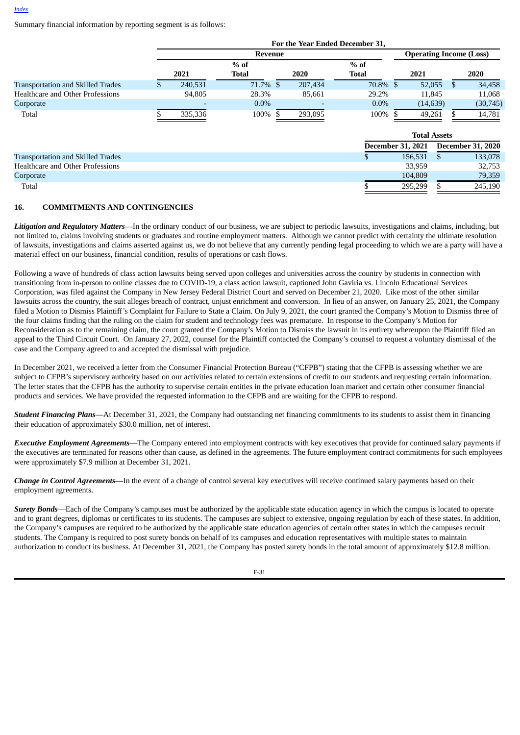Summary financial information by reporting segment is as follows:

|                                          |     |         |              |         | For the Year Ended December 31, |                                |                     |     |                          |
|------------------------------------------|-----|---------|--------------|---------|---------------------------------|--------------------------------|---------------------|-----|--------------------------|
|                                          |     |         | Revenue      |         |                                 | <b>Operating Income (Loss)</b> |                     |     |                          |
|                                          |     |         | $%$ of       |         | $%$ of                          |                                |                     |     |                          |
|                                          |     | 2021    | <b>Total</b> | 2020    | <b>Total</b>                    |                                | 2021                |     | 2020                     |
| <b>Transportation and Skilled Trades</b> | SS. | 240,531 | 71.7% \$     | 207,434 | 70.8% \$                        |                                | 52,055              | \$. | 34,458                   |
| <b>Healthcare and Other Professions</b>  |     | 94,805  | 28.3%        | 85,661  | 29.2%                           |                                | 11,845              |     | 11,068                   |
| Corporate                                |     |         | $0.0\%$      |         | $0.0\%$                         |                                | (14, 639)           |     | (30,745)                 |
| Total                                    |     | 335,336 | 100%         | 293,095 | 100%                            |                                | 49,261              |     | 14,781                   |
|                                          |     |         |              |         |                                 |                                | <b>Total Assets</b> |     |                          |
|                                          |     |         |              |         | <b>December 31, 2021</b>        |                                |                     |     | <b>December 31, 2020</b> |
| <b>Transportation and Skilled Trades</b> |     |         |              |         | \$.                             |                                | 156,531<br>S.       |     | 133,078                  |
| <b>Healthcare and Other Professions</b>  |     |         |              |         |                                 |                                | 33,959              |     | 32,753                   |
| Corporate                                |     |         |              |         |                                 |                                | 104,809             |     | 79,359                   |
| Total                                    |     |         |              |         |                                 |                                | 295,299             |     | 245,190                  |

## **16. COMMITMENTS AND CONTINGENCIES**

*Litigation and Regulatory Matters*—In the ordinary conduct of our business, we are subject to periodic lawsuits, investigations and claims, including, but not limited to, claims involving students or graduates and routine employment matters. Although we cannot predict with certainty the ultimate resolution of lawsuits, investigations and claims asserted against us, we do not believe that any currently pending legal proceeding to which we are a party will have a material effect on our business, financial condition, results of operations or cash flows.

Following a wave of hundreds of class action lawsuits being served upon colleges and universities across the country by students in connection with transitioning from in-person to online classes due to COVID-19, a class action lawsuit, captioned John Gaviria vs. Lincoln Educational Services Corporation, was filed against the Company in New Jersey Federal District Court and served on December 21, 2020. Like most of the other similar lawsuits across the country, the suit alleges breach of contract, unjust enrichment and conversion. In lieu of an answer, on January 25, 2021, the Company filed a Motion to Dismiss Plaintiff's Complaint for Failure to State a Claim. On July 9, 2021, the court granted the Company's Motion to Dismiss three of the four claims finding that the ruling on the claim for student and technology fees was premature. In response to the Company's Motion for Reconsideration as to the remaining claim, the court granted the Company's Motion to Dismiss the lawsuit in its entirety whereupon the Plaintiff filed an appeal to the Third Circuit Court. On January 27, 2022, counsel for the Plaintiff contacted the Company's counsel to request a voluntary dismissal of the case and the Company agreed to and accepted the dismissal with prejudice.

In December 2021, we received a letter from the Consumer Financial Protection Bureau ("CFPB") stating that the CFPB is assessing whether we are subject to CFPB's supervisory authority based on our activities related to certain extensions of credit to our students and requesting certain information. The letter states that the CFPB has the authority to supervise certain entities in the private education loan market and certain other consumer financial products and services. We have provided the requested information to the CFPB and are waiting for the CFPB to respond.

*Student Financing Plans*—At December 31, 2021, the Company had outstanding net financing commitments to its students to assist them in financing their education of approximately \$30.0 million, net of interest.

*Executive Employment Agreements*—The Company entered into employment contracts with key executives that provide for continued salary payments if the executives are terminated for reasons other than cause, as defined in the agreements. The future employment contract commitments for such employees were approximately \$7.9 million at December 31, 2021.

*Change in Control Agreements*—In the event of a change of control several key executives will receive continued salary payments based on their employment agreements.

*Surety Bonds*—Each of the Company's campuses must be authorized by the applicable state education agency in which the campus is located to operate and to grant degrees, diplomas or certificates to its students. The campuses are subject to extensive, ongoing regulation by each of these states. In addition, the Company's campuses are required to be authorized by the applicable state education agencies of certain other states in which the campuses recruit students. The Company is required to post surety bonds on behalf of its campuses and education representatives with multiple states to maintain authorization to conduct its business. At December 31, 2021, the Company has posted surety bonds in the total amount of approximately \$12.8 million.

F-31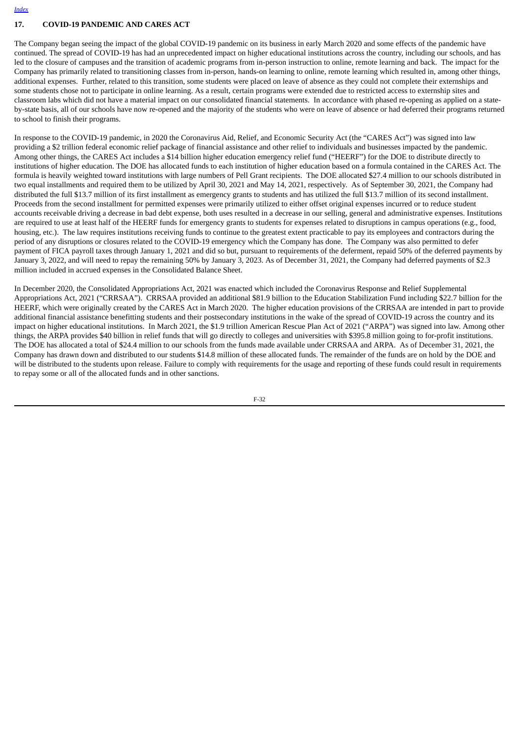# **17. COVID-19 PANDEMIC AND CARES ACT**

The Company began seeing the impact of the global COVID-19 pandemic on its business in early March 2020 and some effects of the pandemic have continued. The spread of COVID-19 has had an unprecedented impact on higher educational institutions across the country, including our schools, and has led to the closure of campuses and the transition of academic programs from in-person instruction to online, remote learning and back. The impact for the Company has primarily related to transitioning classes from in-person, hands-on learning to online, remote learning which resulted in, among other things, additional expenses. Further, related to this transition, some students were placed on leave of absence as they could not complete their externships and some students chose not to participate in online learning. As a result, certain programs were extended due to restricted access to externship sites and classroom labs which did not have a material impact on our consolidated financial statements. In accordance with phased re-opening as applied on a stateby-state basis, all of our schools have now re-opened and the majority of the students who were on leave of absence or had deferred their programs returned to school to finish their programs.

In response to the COVID-19 pandemic, in 2020 the Coronavirus Aid, Relief, and Economic Security Act (the "CARES Act") was signed into law providing a \$2 trillion federal economic relief package of financial assistance and other relief to individuals and businesses impacted by the pandemic. Among other things, the CARES Act includes a \$14 billion higher education emergency relief fund ("HEERF") for the DOE to distribute directly to institutions of higher education. The DOE has allocated funds to each institution of higher education based on a formula contained in the CARES Act. The formula is heavily weighted toward institutions with large numbers of Pell Grant recipients. The DOE allocated \$27.4 million to our schools distributed in two equal installments and required them to be utilized by April 30, 2021 and May 14, 2021, respectively. As of September 30, 2021, the Company had distributed the full \$13.7 million of its first installment as emergency grants to students and has utilized the full \$13.7 million of its second installment. Proceeds from the second installment for permitted expenses were primarily utilized to either offset original expenses incurred or to reduce student accounts receivable driving a decrease in bad debt expense, both uses resulted in a decrease in our selling, general and administrative expenses. Institutions are required to use at least half of the HEERF funds for emergency grants to students for expenses related to disruptions in campus operations (e.g., food, housing, etc.). The law requires institutions receiving funds to continue to the greatest extent practicable to pay its employees and contractors during the period of any disruptions or closures related to the COVID-19 emergency which the Company has done. The Company was also permitted to defer payment of FICA payroll taxes through January 1, 2021 and did so but, pursuant to requirements of the deferment, repaid 50% of the deferred payments by January 3, 2022, and will need to repay the remaining 50% by January 3, 2023. As of December 31, 2021, the Company had deferred payments of \$2.3 million included in accrued expenses in the Consolidated Balance Sheet.

In December 2020, the Consolidated Appropriations Act, 2021 was enacted which included the Coronavirus Response and Relief Supplemental Appropriations Act, 2021 ("CRRSAA"). CRRSAA provided an additional \$81.9 billion to the Education Stabilization Fund including \$22.7 billion for the HEERF, which were originally created by the CARES Act in March 2020. The higher education provisions of the CRRSAA are intended in part to provide additional financial assistance benefitting students and their postsecondary institutions in the wake of the spread of COVID-19 across the country and its impact on higher educational institutions. In March 2021, the \$1.9 trillion American Rescue Plan Act of 2021 ("ARPA") was signed into law. Among other things, the ARPA provides \$40 billion in relief funds that will go directly to colleges and universities with \$395.8 million going to for-profit institutions. The DOE has allocated a total of \$24.4 million to our schools from the funds made available under CRRSAA and ARPA. As of December 31, 2021, the Company has drawn down and distributed to our students \$14.8 million of these allocated funds. The remainder of the funds are on hold by the DOE and will be distributed to the students upon release. Failure to comply with requirements for the usage and reporting of these funds could result in requirements to repay some or all of the allocated funds and in other sanctions.

F-32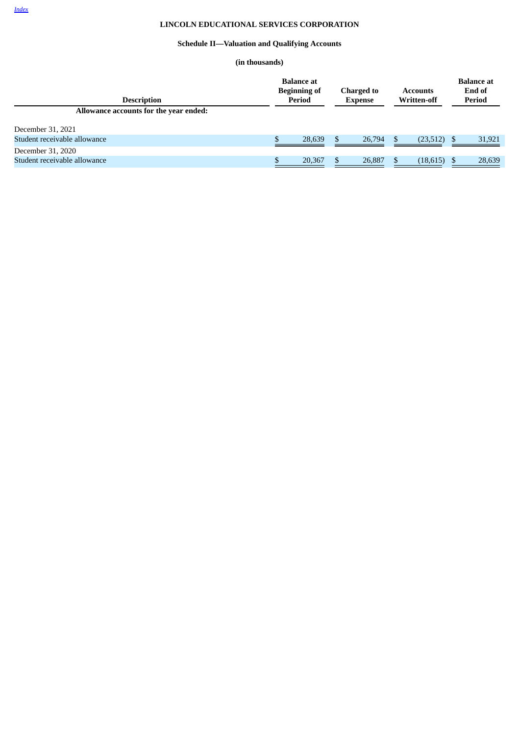# **LINCOLN EDUCATIONAL SERVICES CORPORATION**

# **Schedule II—Valuation and Qualifying Accounts**

# **(in thousands)**

| <b>Description</b>                     |  | <b>Balance at</b><br><b>Beginning of</b><br>Period |  | Charged to<br><b>Expense</b> |  | <b>Accounts</b><br><b>Written-off</b> |  | <b>Balance</b> at<br>End of<br><b>Period</b> |
|----------------------------------------|--|----------------------------------------------------|--|------------------------------|--|---------------------------------------|--|----------------------------------------------|
| Allowance accounts for the year ended: |  |                                                    |  |                              |  |                                       |  |                                              |
| December 31, 2021                      |  |                                                    |  |                              |  |                                       |  |                                              |
| Student receivable allowance           |  | 28.639                                             |  | 26,794                       |  | $(23,512)$ \$                         |  | 31,921                                       |
| December 31, 2020                      |  |                                                    |  |                              |  |                                       |  |                                              |
| Student receivable allowance           |  | 20,367                                             |  | 26,887                       |  | $(18,615)$ \$                         |  | 28,639                                       |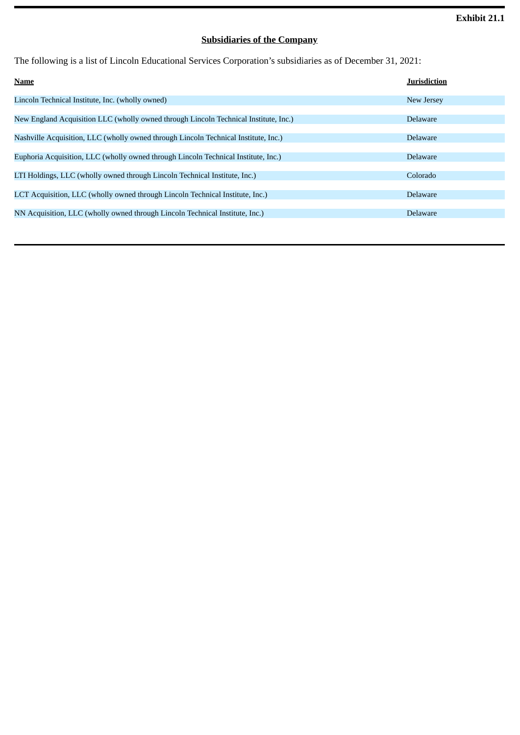# **Subsidiaries of the Company**

The following is a list of Lincoln Educational Services Corporation's subsidiaries as of December 31, 2021:

| Name                                                                                 | <b>Jurisdiction</b> |
|--------------------------------------------------------------------------------------|---------------------|
| Lincoln Technical Institute, Inc. (wholly owned)                                     | New Jersey          |
| New England Acquisition LLC (wholly owned through Lincoln Technical Institute, Inc.) | <b>Delaware</b>     |
|                                                                                      |                     |
| Nashville Acquisition, LLC (wholly owned through Lincoln Technical Institute, Inc.)  | <b>Delaware</b>     |
| Euphoria Acquisition, LLC (wholly owned through Lincoln Technical Institute, Inc.)   | <b>Delaware</b>     |
| LTI Holdings, LLC (wholly owned through Lincoln Technical Institute, Inc.)           | Colorado            |
| LCT Acquisition, LLC (wholly owned through Lincoln Technical Institute, Inc.)        | <b>Delaware</b>     |
| NN Acquisition, LLC (wholly owned through Lincoln Technical Institute, Inc.)         | <b>Delaware</b>     |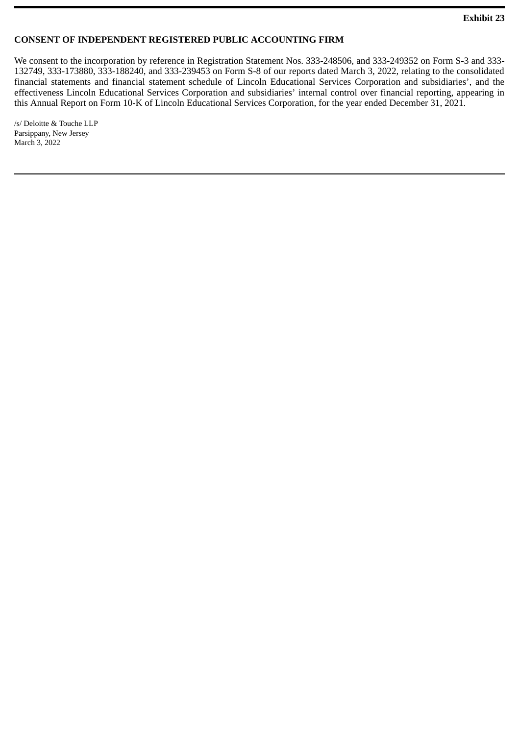# **CONSENT OF INDEPENDENT REGISTERED PUBLIC ACCOUNTING FIRM**

We consent to the incorporation by reference in Registration Statement Nos. 333-248506, and 333-249352 on Form S-3 and 333- 132749, 333-173880, 333-188240, and 333-239453 on Form S-8 of our reports dated March 3, 2022, relating to the consolidated financial statements and financial statement schedule of Lincoln Educational Services Corporation and subsidiaries', and the effectiveness Lincoln Educational Services Corporation and subsidiaries' internal control over financial reporting, appearing in this Annual Report on Form 10-K of Lincoln Educational Services Corporation, for the year ended December 31, 2021.

/s/ Deloitte & Touche LLP Parsippany, New Jersey March 3, 2022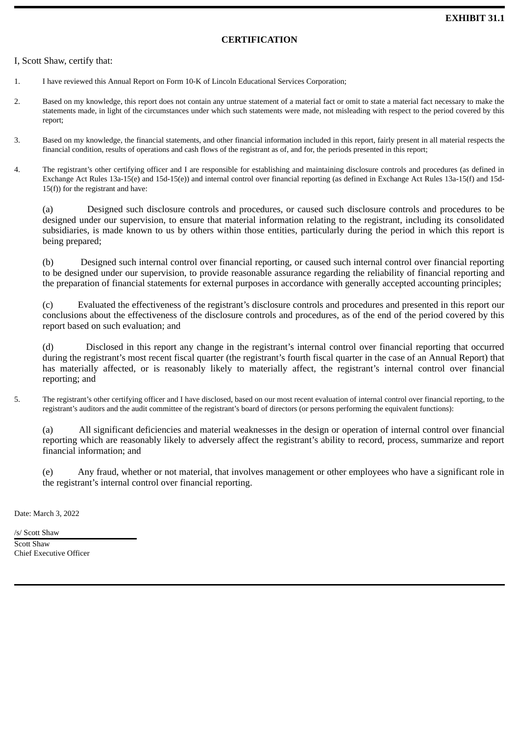# **CERTIFICATION**

# I, Scott Shaw, certify that:

- 1. I have reviewed this Annual Report on Form 10-K of Lincoln Educational Services Corporation;
- 2. Based on my knowledge, this report does not contain any untrue statement of a material fact or omit to state a material fact necessary to make the statements made, in light of the circumstances under which such statements were made, not misleading with respect to the period covered by this report;
- 3. Based on my knowledge, the financial statements, and other financial information included in this report, fairly present in all material respects the financial condition, results of operations and cash flows of the registrant as of, and for, the periods presented in this report;
- 4. The registrant's other certifying officer and I are responsible for establishing and maintaining disclosure controls and procedures (as defined in Exchange Act Rules 13a-15(e) and 15d-15(e)) and internal control over financial reporting (as defined in Exchange Act Rules 13a-15(f) and 15d-15(f)) for the registrant and have:

(a) Designed such disclosure controls and procedures, or caused such disclosure controls and procedures to be designed under our supervision, to ensure that material information relating to the registrant, including its consolidated subsidiaries, is made known to us by others within those entities, particularly during the period in which this report is being prepared;

(b) Designed such internal control over financial reporting, or caused such internal control over financial reporting to be designed under our supervision, to provide reasonable assurance regarding the reliability of financial reporting and the preparation of financial statements for external purposes in accordance with generally accepted accounting principles;

(c) Evaluated the effectiveness of the registrant's disclosure controls and procedures and presented in this report our conclusions about the effectiveness of the disclosure controls and procedures, as of the end of the period covered by this report based on such evaluation; and

(d) Disclosed in this report any change in the registrant's internal control over financial reporting that occurred during the registrant's most recent fiscal quarter (the registrant's fourth fiscal quarter in the case of an Annual Report) that has materially affected, or is reasonably likely to materially affect, the registrant's internal control over financial reporting; and

5. The registrant's other certifying officer and I have disclosed, based on our most recent evaluation of internal control over financial reporting, to the registrant's auditors and the audit committee of the registrant's board of directors (or persons performing the equivalent functions):

(a) All significant deficiencies and material weaknesses in the design or operation of internal control over financial reporting which are reasonably likely to adversely affect the registrant's ability to record, process, summarize and report financial information; and

(e) Any fraud, whether or not material, that involves management or other employees who have a significant role in the registrant's internal control over financial reporting.

Date: March 3, 2022

/s/ Scott Shaw Scott Shaw Chief Executive Officer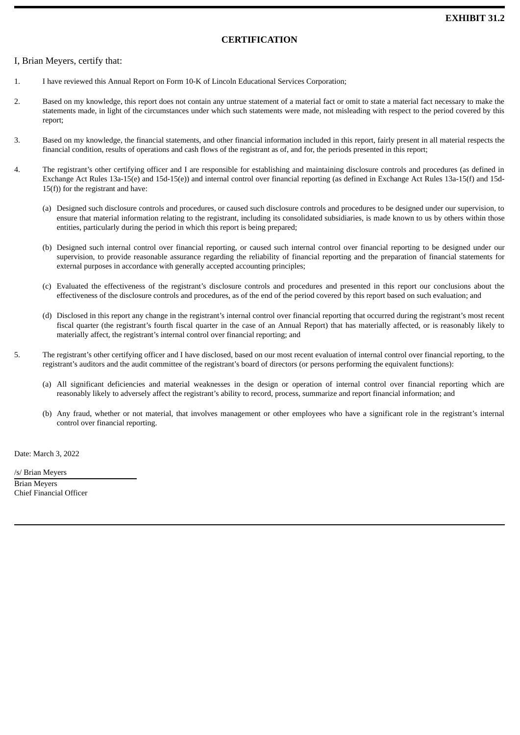# **CERTIFICATION**

## I, Brian Meyers, certify that:

- 1. I have reviewed this Annual Report on Form 10-K of Lincoln Educational Services Corporation;
- 2. Based on my knowledge, this report does not contain any untrue statement of a material fact or omit to state a material fact necessary to make the statements made, in light of the circumstances under which such statements were made, not misleading with respect to the period covered by this report;
- 3. Based on my knowledge, the financial statements, and other financial information included in this report, fairly present in all material respects the financial condition, results of operations and cash flows of the registrant as of, and for, the periods presented in this report;
- 4. The registrant's other certifying officer and I are responsible for establishing and maintaining disclosure controls and procedures (as defined in Exchange Act Rules 13a-15(e) and 15d-15(e)) and internal control over financial reporting (as defined in Exchange Act Rules 13a-15(f) and 15d-15(f)) for the registrant and have:
	- (a) Designed such disclosure controls and procedures, or caused such disclosure controls and procedures to be designed under our supervision, to ensure that material information relating to the registrant, including its consolidated subsidiaries, is made known to us by others within those entities, particularly during the period in which this report is being prepared;
	- (b) Designed such internal control over financial reporting, or caused such internal control over financial reporting to be designed under our supervision, to provide reasonable assurance regarding the reliability of financial reporting and the preparation of financial statements for external purposes in accordance with generally accepted accounting principles;
	- (c) Evaluated the effectiveness of the registrant's disclosure controls and procedures and presented in this report our conclusions about the effectiveness of the disclosure controls and procedures, as of the end of the period covered by this report based on such evaluation; and
	- (d) Disclosed in this report any change in the registrant's internal control over financial reporting that occurred during the registrant's most recent fiscal quarter (the registrant's fourth fiscal quarter in the case of an Annual Report) that has materially affected, or is reasonably likely to materially affect, the registrant's internal control over financial reporting; and
- 5. The registrant's other certifying officer and I have disclosed, based on our most recent evaluation of internal control over financial reporting, to the registrant's auditors and the audit committee of the registrant's board of directors (or persons performing the equivalent functions):
	- (a) All significant deficiencies and material weaknesses in the design or operation of internal control over financial reporting which are reasonably likely to adversely affect the registrant's ability to record, process, summarize and report financial information; and
	- (b) Any fraud, whether or not material, that involves management or other employees who have a significant role in the registrant's internal control over financial reporting.

Date: March 3, 2022

/s/ Brian Meyers Brian Meyers Chief Financial Officer